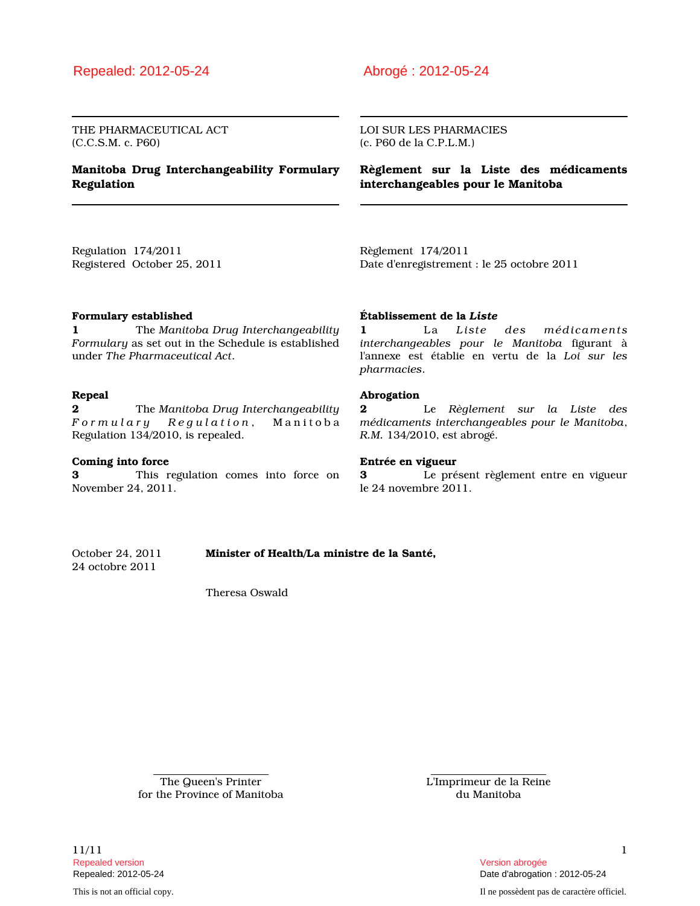THE PHARMACEUTICAL ACT (C.C.S.M. c. P60)

## **Manitoba Drug Interchangeability Formulary Regulation**

LOI SUR LES PHARMACIES (c. P60 de la C.P.L.M.)

**Règlement sur la Liste des médicaments interchangeables pour le Manitoba**

Regulation 174/2011 Registered October 25, 2011 Règlement 174/2011 Date d'enregistrement : le 25 octobre 2011

### **Formulary established**

**1** The *Manitoba Drug Interchangeability Formulary* as set out in the Schedule is established under *The Pharmaceutical Act*.

### **Repeal**

**2** The *Manitoba Drug Interchangeability F o r m u l a r y R e g u l a t i o n* , M a n i t o b a Regulation 134/2010, is repealed.

### **Coming into force**

**3** This regulation comes into force on November 24, 2011.

### **Établissement de la** *Liste*

**1** La *Liste des médicaments interchangeables pour le Manitoba* figurant à l'annexe est établie en vertu de la *Loi sur les pharmacies*.

### **Abrogation**

**2** Le *Règlement sur la Liste des médicaments interchangeables pour le Manitoba*, *R.M.* 134/2010, est abrogé.

### **Entrée en vigueur**

**3** Le présent règlement entre en vigueur le 24 novembre 2011.

October 24, 2011 **Minister of Health/La ministre de la Santé,** 24 octobre 2011

Theresa Oswald

The Queen's Printer for the Province of Manitoba L'Imprimeur de la Reine du Manitoba

1<sup>1</sup>/11 1<sup>1</sup> Repealed version Version abrogée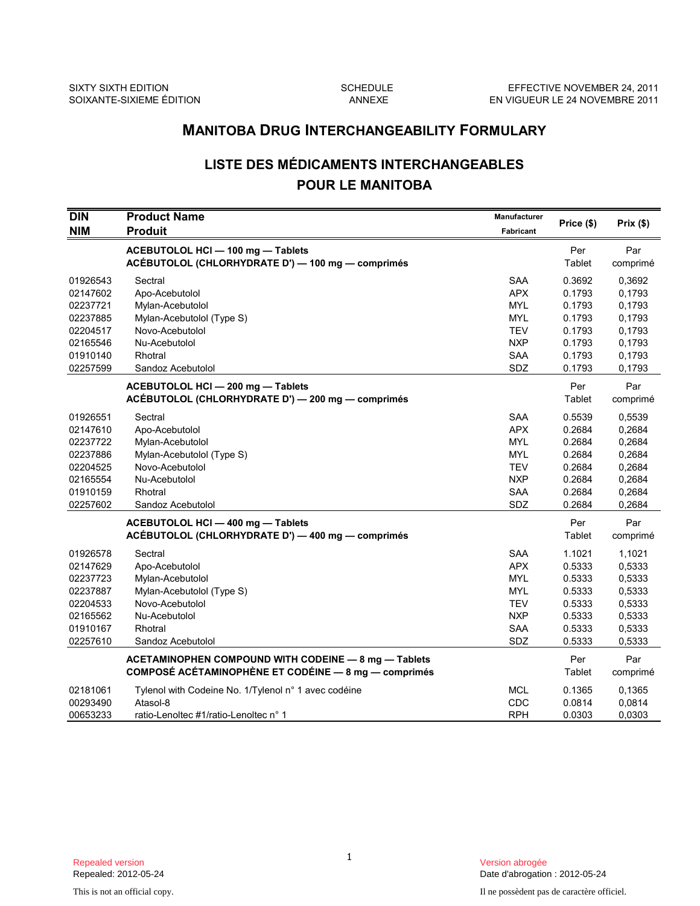# **LISTE DES MÉDICAMENTS INTERCHANGEABLES POUR LE MANITOBA**

|                                                                                              | <b>MANITOBA DRUG INTERCHANGEABILITY FORMULARY</b>                                                                                              |                                                                                                       |                                                                              |                                                                              |  |  |
|----------------------------------------------------------------------------------------------|------------------------------------------------------------------------------------------------------------------------------------------------|-------------------------------------------------------------------------------------------------------|------------------------------------------------------------------------------|------------------------------------------------------------------------------|--|--|
|                                                                                              | <b>LISTE DES MÉDICAMENTS INTERCHANGEABLES</b><br><b>POUR LE MANITOBA</b>                                                                       |                                                                                                       |                                                                              |                                                                              |  |  |
| DIN<br><b>NIM</b>                                                                            | <b>Product Name</b><br><b>Produit</b>                                                                                                          | Manufacturer<br><b>Fabricant</b>                                                                      | Price (\$)                                                                   | Prix (\$)                                                                    |  |  |
|                                                                                              | ACEBUTOLOL HCI - 100 mg - Tablets<br>ACÉBUTOLOL (CHLORHYDRATE D') — 100 mg — comprimés                                                         |                                                                                                       | Per<br>Tablet                                                                | Par<br>comprimé                                                              |  |  |
| 01926543<br>02147602<br>02237721<br>02237885<br>02204517<br>02165546                         | Sectral<br>Apo-Acebutolol<br>Mylan-Acebutolol<br>Mylan-Acebutolol (Type S)<br>Novo-Acebutolol<br>Nu-Acebutolol                                 | <b>SAA</b><br><b>APX</b><br><b>MYL</b><br><b>MYL</b><br><b>TEV</b><br><b>NXP</b>                      | 0.3692<br>0.1793<br>0.1793<br>0.1793<br>0.1793<br>0.1793                     | 0,3692<br>0,1793<br>0,1793<br>0,1793<br>0,1793<br>0,1793                     |  |  |
| 01910140<br>02257599                                                                         | Rhotral<br>Sandoz Acebutolol<br>ACEBUTOLOL HCI - 200 mg - Tablets<br>ACÉBUTOLOL (CHLORHYDRATE D') - 200 mg - comprimés                         | <b>SAA</b><br>SDZ                                                                                     | 0.1793<br>0.1793<br>Per<br>Tablet                                            | 0,1793<br>0,1793<br>Par<br>comprimé                                          |  |  |
| 01926551<br>02147610<br>02237722<br>02237886<br>02204525<br>02165554<br>01910159<br>02257602 | Sectral<br>Apo-Acebutolol<br>Mylan-Acebutolol<br>Mylan-Acebutolol (Type S)<br>Novo-Acebutolol<br>Nu-Acebutolol<br>Rhotral<br>Sandoz Acebutolol | <b>SAA</b><br><b>APX</b><br><b>MYL</b><br><b>MYL</b><br><b>TEV</b><br><b>NXP</b><br><b>SAA</b><br>SDZ | 0.5539<br>0.2684<br>0.2684<br>0.2684<br>0.2684<br>0.2684<br>0.2684<br>0.2684 | 0,5539<br>0,2684<br>0,2684<br>0,2684<br>0,2684<br>0,2684<br>0,2684<br>0,2684 |  |  |
|                                                                                              | ACEBUTOLOL HCI - 400 mg - Tablets<br>ACEBUTOLOL (CHLORHYDRATE D') — 400 mg — comprimés                                                         |                                                                                                       | Per<br>Tablet                                                                | Par<br>comprimé                                                              |  |  |
| 01926578<br>02147629<br>02237723<br>02237887<br>02204533<br>02165562<br>01910167<br>02257610 | Sectral<br>Apo-Acebutolol<br>Mylan-Acebutolol<br>Mylan-Acebutolol (Type S)<br>Novo-Acebutolol<br>Nu-Acebutolol<br>Rhotral<br>Sandoz Acebutolol | <b>SAA</b><br><b>APX</b><br><b>MYL</b><br><b>MYL</b><br><b>TEV</b><br><b>NXP</b><br><b>SAA</b><br>SDZ | 1.1021<br>0.5333<br>0.5333<br>0.5333<br>0.5333<br>0.5333<br>0.5333<br>0.5333 | 1,1021<br>0,5333<br>0,5333<br>0,5333<br>0,5333<br>0,5333<br>0,5333<br>0,5333 |  |  |
|                                                                                              | ACETAMINOPHEN COMPOUND WITH CODEINE - 8 mg - Tablets<br>COMPOSÉ ACÉTAMINOPHÈNE ET CODÉINE - 8 mg - comprimés                                   |                                                                                                       | Per<br>Tablet                                                                | Par<br>comprimé                                                              |  |  |
| 02181061<br>00293490<br>00653233                                                             | Tylenol with Codeine No. 1/Tylenol n° 1 avec codéine<br>Atasol-8<br>ratio-Lenoltec #1/ratio-Lenoltec n° 1                                      | <b>MCL</b><br>CDC<br><b>RPH</b>                                                                       | 0.1365<br>0.0814<br>0.0303                                                   | 0,1365<br>0,0814<br>0,0303                                                   |  |  |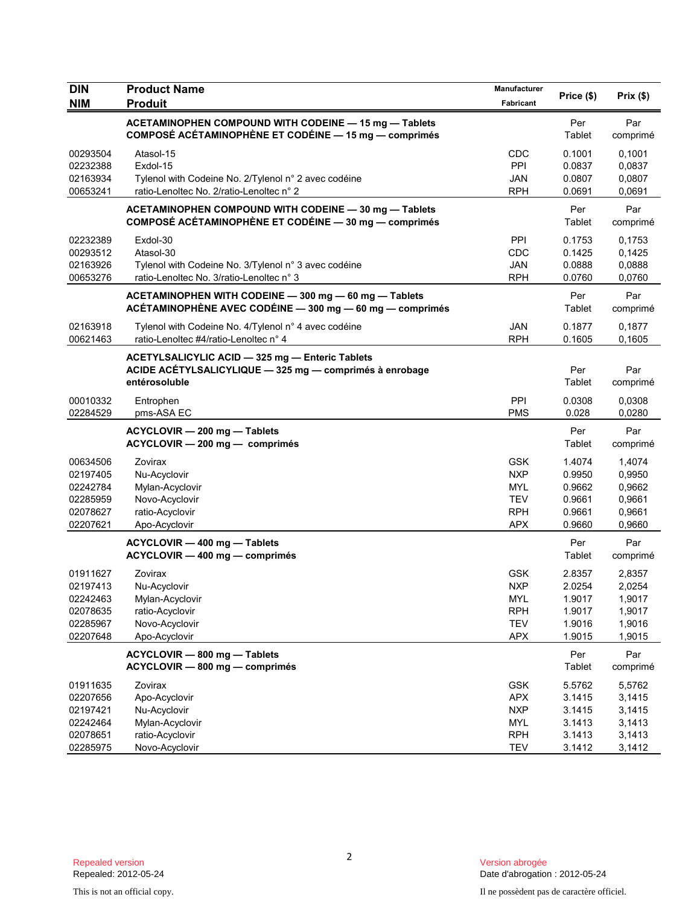| <b>DIN</b>                                                           | <b>Product Name</b>                                                                                                         | Manufacturer                                                                     |                                                          |                                                          |
|----------------------------------------------------------------------|-----------------------------------------------------------------------------------------------------------------------------|----------------------------------------------------------------------------------|----------------------------------------------------------|----------------------------------------------------------|
| <b>NIM</b>                                                           | <b>Produit</b>                                                                                                              | Fabricant                                                                        | Price (\$)                                               | Prix (\$)                                                |
|                                                                      | ACETAMINOPHEN COMPOUND WITH CODEINE - 15 mg - Tablets<br>COMPOSÉ ACÉTAMINOPHÈNE ET CODÉINE - 15 mg - comprimés              |                                                                                  | Per<br>Tablet                                            | Par<br>comprimé                                          |
| 00293504<br>02232388<br>02163934<br>00653241                         | Atasol-15<br>Exdol-15<br>Tylenol with Codeine No. 2/Tylenol n° 2 avec codéine<br>ratio-Lenoltec No. 2/ratio-Lenoltec n° 2   | CDC<br>PPI<br><b>JAN</b><br><b>RPH</b>                                           | 0.1001<br>0.0837<br>0.0807<br>0.0691                     | 0,1001<br>0,0837<br>0,0807<br>0,0691                     |
|                                                                      | ACETAMINOPHEN COMPOUND WITH CODEINE - 30 mg - Tablets<br>COMPOSÉ ACÉTAMINOPHÈNE ET CODÉINE - 30 mg - comprimés              |                                                                                  | Per<br>Tablet                                            | Par<br>comprimé                                          |
| 02232389<br>00293512<br>02163926<br>00653276                         | Exdol-30<br>Atasol-30<br>Tylenol with Codeine No. 3/Tylenol n° 3 avec codéine<br>ratio-Lenoltec No. 3/ratio-Lenoltec n° 3   | PPI<br>CDC<br><b>JAN</b><br><b>RPH</b>                                           | 0.1753<br>0.1425<br>0.0888<br>0.0760                     | 0,1753<br>0,1425<br>0,0888<br>0,0760                     |
|                                                                      | ACETAMINOPHEN WITH CODEINE - 300 mg - 60 mg - Tablets<br>ACÉTAMINOPHÈNE AVEC CODÉINE - 300 mg - 60 mg - comprimés           |                                                                                  | Per<br>Tablet                                            | Par<br>comprimé                                          |
| 02163918<br>00621463                                                 | Tylenol with Codeine No. 4/Tylenol n° 4 avec codéine<br>ratio-Lenoltec #4/ratio-Lenoltec n° 4                               | <b>JAN</b><br><b>RPH</b>                                                         | 0.1877<br>0.1605                                         | 0,1877<br>0,1605                                         |
|                                                                      | ACETYLSALICYLIC ACID - 325 mg - Enteric Tablets<br>ACIDE ACÉTYLSALICYLIQUE - 325 mg - comprimés à enrobage<br>entérosoluble |                                                                                  | Per<br>Tablet                                            | Par<br>comprimé                                          |
| 00010332<br>02284529                                                 | Entrophen<br>pms-ASA EC                                                                                                     | PPI<br><b>PMS</b>                                                                | 0.0308<br>0.028                                          | 0,0308<br>0.0280                                         |
|                                                                      | ACYCLOVIR - 200 mg - Tablets<br>ACYCLOVIR - 200 mg - comprimés                                                              |                                                                                  | Per<br>Tablet                                            | Par<br>comprimé                                          |
| 00634506<br>02197405<br>02242784<br>02285959<br>02078627<br>02207621 | Zovirax<br>Nu-Acyclovir<br>Mylan-Acyclovir<br>Novo-Acyclovir<br>ratio-Acyclovir<br>Apo-Acyclovir                            | <b>GSK</b><br><b>NXP</b><br><b>MYL</b><br><b>TEV</b><br><b>RPH</b><br><b>APX</b> | 1.4074<br>0.9950<br>0.9662<br>0.9661<br>0.9661<br>0.9660 | 1,4074<br>0,9950<br>0,9662<br>0,9661<br>0,9661<br>0,9660 |
|                                                                      | ACYCLOVIR - 400 mg - Tablets<br>ACYCLOVIR - 400 mg - comprimés                                                              |                                                                                  | Per<br>Tablet                                            | Par<br>comprimé                                          |
| 01911627<br>02197413<br>02242463<br>02078635<br>02285967<br>02207648 | Zovirax<br>Nu-Acyclovir<br>Mylan-Acyclovir<br>ratio-Acyclovir<br>Novo-Acyclovir<br>Apo-Acyclovir                            | <b>GSK</b><br><b>NXP</b><br><b>MYL</b><br><b>RPH</b><br><b>TEV</b><br><b>APX</b> | 2.8357<br>2.0254<br>1.9017<br>1.9017<br>1.9016<br>1.9015 | 2,8357<br>2,0254<br>1,9017<br>1,9017<br>1,9016<br>1,9015 |
|                                                                      | ACYCLOVIR - 800 mg - Tablets<br>ACYCLOVIR - 800 mg - comprimés                                                              |                                                                                  | Per<br>Tablet                                            | Par<br>comprimé                                          |
| 01911635<br>02207656<br>02197421<br>02242464<br>02078651<br>02285975 | Zovirax<br>Apo-Acyclovir<br>Nu-Acyclovir<br>Mylan-Acyclovir<br>ratio-Acyclovir<br>Novo-Acyclovir                            | <b>GSK</b><br><b>APX</b><br><b>NXP</b><br><b>MYL</b><br><b>RPH</b><br><b>TEV</b> | 5.5762<br>3.1415<br>3.1415<br>3.1413<br>3.1413<br>3.1412 | 5,5762<br>3,1415<br>3,1415<br>3,1413<br>3,1413<br>3,1412 |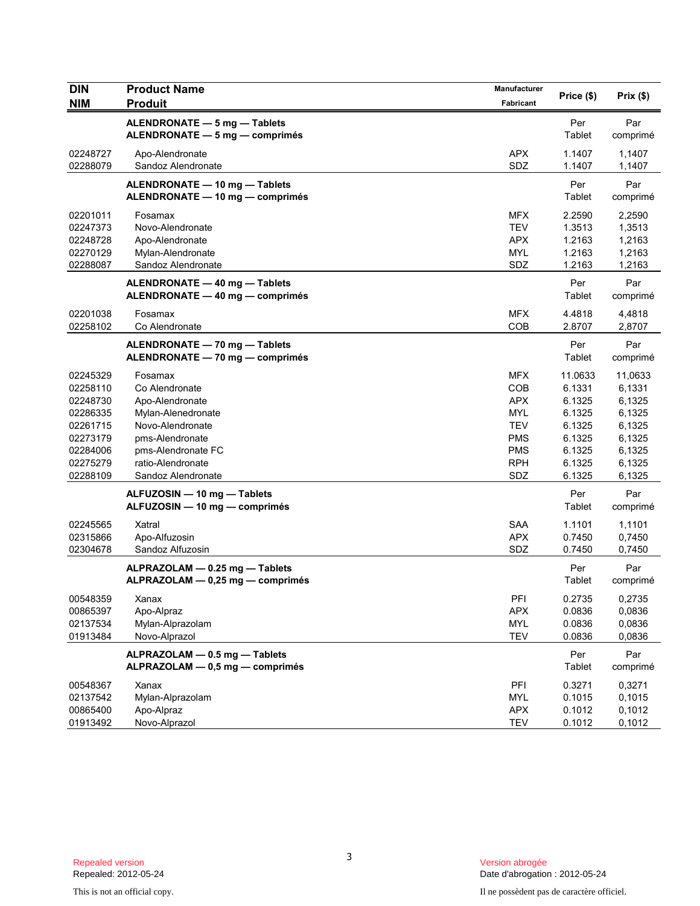| DIN                  | <b>Product Name</b>                                            | Manufacturer             | Price (\$)       | Prix(\$)         |
|----------------------|----------------------------------------------------------------|--------------------------|------------------|------------------|
| <b>NIM</b>           | <b>Produit</b>                                                 | Fabricant                |                  |                  |
|                      | ALENDRONATE - 5 mg - Tablets<br>ALENDRONATE - 5 mg - comprimés |                          | Per<br>Tablet    | Par<br>comprimé  |
|                      |                                                                |                          |                  |                  |
| 02248727             | Apo-Alendronate                                                | <b>APX</b>               | 1.1407           | 1,1407           |
| 02288079             | Sandoz Alendronate                                             | SDZ                      | 1.1407           | 1,1407           |
|                      | ALENDRONATE - 10 mg - Tablets                                  |                          | Per              | Par              |
|                      | ALENDRONATE - 10 mg - comprimés                                |                          | Tablet           | comprimé         |
| 02201011             | Fosamax                                                        | <b>MFX</b>               | 2.2590           | 2,2590           |
| 02247373             | Novo-Alendronate                                               | <b>TEV</b>               | 1.3513           | 1,3513           |
| 02248728             | Apo-Alendronate                                                | <b>APX</b>               | 1.2163           | 1,2163           |
| 02270129             | Mylan-Alendronate                                              | <b>MYL</b>               | 1.2163           | 1,2163           |
| 02288087             | Sandoz Alendronate                                             | SDZ                      | 1.2163           | 1,2163           |
|                      | ALENDRONATE - 40 mg - Tablets                                  |                          | Per              | Par              |
|                      | ALENDRONATE - 40 mg - comprimés                                |                          | Tablet           | comprimé         |
| 02201038             | Fosamax                                                        | <b>MFX</b>               | 4.4818           | 4,4818           |
| 02258102             | Co Alendronate                                                 | COB                      | 2.8707           | 2,8707           |
|                      | ALENDRONATE - 70 mg - Tablets                                  |                          | Per              | Par              |
|                      | ALENDRONATE - 70 mg - comprimés                                |                          | Tablet           | comprimé         |
|                      |                                                                |                          |                  |                  |
| 02245329             | Fosamax                                                        | <b>MFX</b>               | 11.0633          | 11,0633          |
| 02258110             | Co Alendronate                                                 | COB                      | 6.1331           | 6,1331           |
| 02248730             | Apo-Alendronate                                                | <b>APX</b>               | 6.1325           | 6,1325           |
| 02286335             | Mylan-Alenedronate                                             | <b>MYL</b>               | 6.1325           | 6,1325           |
| 02261715             | Novo-Alendronate                                               | <b>TEV</b><br><b>PMS</b> | 6.1325           | 6,1325<br>6,1325 |
| 02273179             | pms-Alendronate                                                | <b>PMS</b>               | 6.1325           |                  |
| 02284006<br>02275279 | pms-Alendronate FC<br>ratio-Alendronate                        | <b>RPH</b>               | 6.1325<br>6.1325 | 6,1325<br>6,1325 |
| 02288109             | Sandoz Alendronate                                             | SDZ                      | 6.1325           | 6,1325           |
|                      |                                                                |                          |                  |                  |
|                      | ALFUZOSIN - 10 mg - Tablets                                    |                          | Per              | Par              |
|                      | ALFUZOSIN - 10 mg - comprimés                                  |                          | Tablet           | comprimé         |
| 02245565             | Xatral                                                         | <b>SAA</b>               | 1.1101           | 1,1101           |
| 02315866             | Apo-Alfuzosin                                                  | <b>APX</b>               | 0.7450           | 0,7450           |
| 02304678             | Sandoz Alfuzosin                                               | SDZ                      | 0.7450           | 0,7450           |
|                      | ALPRAZOLAM - 0.25 mg - Tablets                                 |                          | Per              | Par              |
|                      | ALPRAZOLAM - 0,25 mg - comprimés                               |                          | Tablet           | comprimé         |
| 00548359             |                                                                | PFI                      | 0.2735           | 0,2735           |
| 00865397             | Xanax<br>Apo-Alpraz                                            | <b>APX</b>               | 0.0836           | 0,0836           |
| 02137534             | Mylan-Alprazolam                                               | <b>MYL</b>               | 0.0836           | 0,0836           |
| 01913484             | Novo-Alprazol                                                  | <b>TEV</b>               | 0.0836           | 0,0836           |
|                      |                                                                |                          |                  |                  |
|                      | ALPRAZOLAM - 0.5 mg - Tablets                                  |                          | Per              | Par              |
|                      | ALPRAZOLAM - 0,5 mg - comprimés                                |                          | Tablet           | comprimé         |
| 00548367             | Xanax                                                          | PFI                      | 0.3271           | 0,3271           |
| 02137542             | Mylan-Alprazolam                                               | <b>MYL</b>               | 0.1015           | 0,1015           |
| 00865400             | Apo-Alpraz                                                     | APX                      | 0.1012           | 0,1012           |
| 01913492             | Novo-Alprazol                                                  | <b>TEV</b>               | 0.1012           | 0,1012           |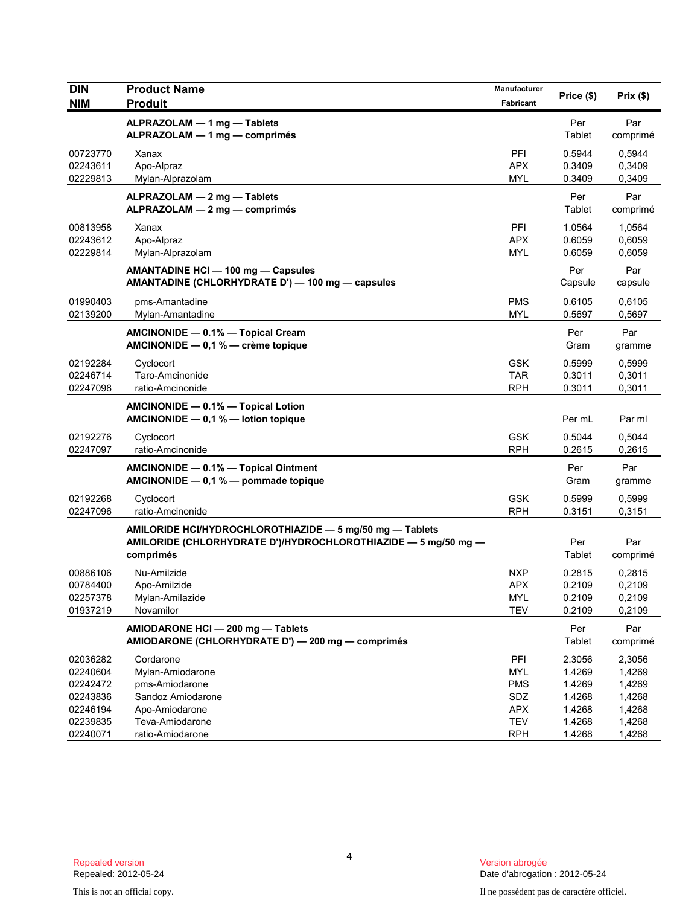| <b>DIN</b>                                                                       | <b>Product Name</b>                                                                                                                     | Manufacturer                                                                     | Price (\$)                                                         | Prix(\$)                                                           |
|----------------------------------------------------------------------------------|-----------------------------------------------------------------------------------------------------------------------------------------|----------------------------------------------------------------------------------|--------------------------------------------------------------------|--------------------------------------------------------------------|
| <b>NIM</b>                                                                       | <b>Produit</b>                                                                                                                          | Fabricant                                                                        |                                                                    |                                                                    |
|                                                                                  | ALPRAZOLAM - 1 mg - Tablets<br>ALPRAZOLAM - 1 mg - comprimés                                                                            |                                                                                  | Per<br>Tablet                                                      | Par<br>comprimé                                                    |
| 00723770<br>02243611<br>02229813                                                 | Xanax<br>Apo-Alpraz<br>Mylan-Alprazolam                                                                                                 | PFI<br><b>APX</b><br><b>MYL</b>                                                  | 0.5944<br>0.3409<br>0.3409                                         | 0,5944<br>0,3409<br>0,3409                                         |
|                                                                                  | ALPRAZOLAM - 2 mg - Tablets<br>ALPRAZOLAM - 2 mg - comprimés                                                                            |                                                                                  | Per<br>Tablet                                                      | Par<br>comprimé                                                    |
| 00813958<br>02243612<br>02229814                                                 | Xanax<br>Apo-Alpraz<br>Mylan-Alprazolam                                                                                                 | PFI<br><b>APX</b><br><b>MYL</b>                                                  | 1.0564<br>0.6059<br>0.6059                                         | 1,0564<br>0,6059<br>0,6059                                         |
|                                                                                  | AMANTADINE HCI-100 mg-Capsules<br>AMANTADINE (CHLORHYDRATE D') - 100 mg - capsules                                                      |                                                                                  | Per<br>Capsule                                                     | Par<br>capsule                                                     |
| 01990403<br>02139200                                                             | pms-Amantadine<br>Mylan-Amantadine                                                                                                      | <b>PMS</b><br><b>MYL</b>                                                         | 0.6105<br>0.5697                                                   | 0,6105<br>0,5697                                                   |
|                                                                                  | AMCINONIDE - 0.1% - Topical Cream<br>AMCINONIDE $-$ 0,1 % $-$ crème topique                                                             |                                                                                  | Per<br>Gram                                                        | Par<br>gramme                                                      |
| 02192284<br>02246714<br>02247098                                                 | Cyclocort<br>Taro-Amcinonide<br>ratio-Amcinonide                                                                                        | <b>GSK</b><br><b>TAR</b><br><b>RPH</b>                                           | 0.5999<br>0.3011<br>0.3011                                         | 0,5999<br>0,3011<br>0,3011                                         |
|                                                                                  | AMCINONIDE - 0.1% - Topical Lotion<br>AMCINONIDE $-0.1 %$ - lotion topique                                                              |                                                                                  | Per mL                                                             | Par ml                                                             |
| 02192276<br>02247097                                                             | Cyclocort<br>ratio-Amcinonide                                                                                                           | <b>GSK</b><br><b>RPH</b>                                                         | 0.5044<br>0.2615                                                   | 0,5044<br>0,2615                                                   |
|                                                                                  | AMCINONIDE - 0.1% - Topical Ointment<br>AMCINONIDE - 0,1 % - pommade topique                                                            |                                                                                  | Per<br>Gram                                                        | Par<br>gramme                                                      |
| 02192268<br>02247096                                                             | Cyclocort<br>ratio-Amcinonide                                                                                                           | <b>GSK</b><br><b>RPH</b>                                                         | 0.5999<br>0.3151                                                   | 0,5999<br>0,3151                                                   |
|                                                                                  | AMILORIDE HCI/HYDROCHLOROTHIAZIDE - 5 mg/50 mg - Tablets<br>AMILORIDE (CHLORHYDRATE D')/HYDROCHLOROTHIAZIDE - 5 mg/50 mg -<br>comprimés |                                                                                  | Per<br>Tablet                                                      | Par<br>comprimé                                                    |
| 00886106<br>00784400<br>02257378<br>01937219                                     | Nu-Amilzide<br>Apo-Amilzide<br>Mylan-Amilazide<br>Novamilor                                                                             | <b>NXP</b><br>APX<br><b>MYL</b><br><b>TEV</b>                                    | 0.2815<br>0.2109<br>0.2109<br>0.2109                               | 0,2815<br>0,2109<br>0,2109<br>0,2109                               |
|                                                                                  | AMIODARONE HCI - 200 mg - Tablets<br>AMIODARONE (CHLORHYDRATE D') - 200 mg - comprimés                                                  |                                                                                  | Per<br>Tablet                                                      | Par<br>comprimé                                                    |
| 02036282<br>02240604<br>02242472<br>02243836<br>02246194<br>02239835<br>02240071 | Cordarone<br>Mylan-Amiodarone<br>pms-Amiodarone<br>Sandoz Amiodarone<br>Apo-Amiodarone<br>Teva-Amiodarone<br>ratio-Amiodarone           | PFI<br><b>MYL</b><br><b>PMS</b><br>SDZ<br><b>APX</b><br><b>TEV</b><br><b>RPH</b> | 2.3056<br>1.4269<br>1.4269<br>1.4268<br>1.4268<br>1.4268<br>1.4268 | 2,3056<br>1,4269<br>1,4269<br>1,4268<br>1,4268<br>1,4268<br>1,4268 |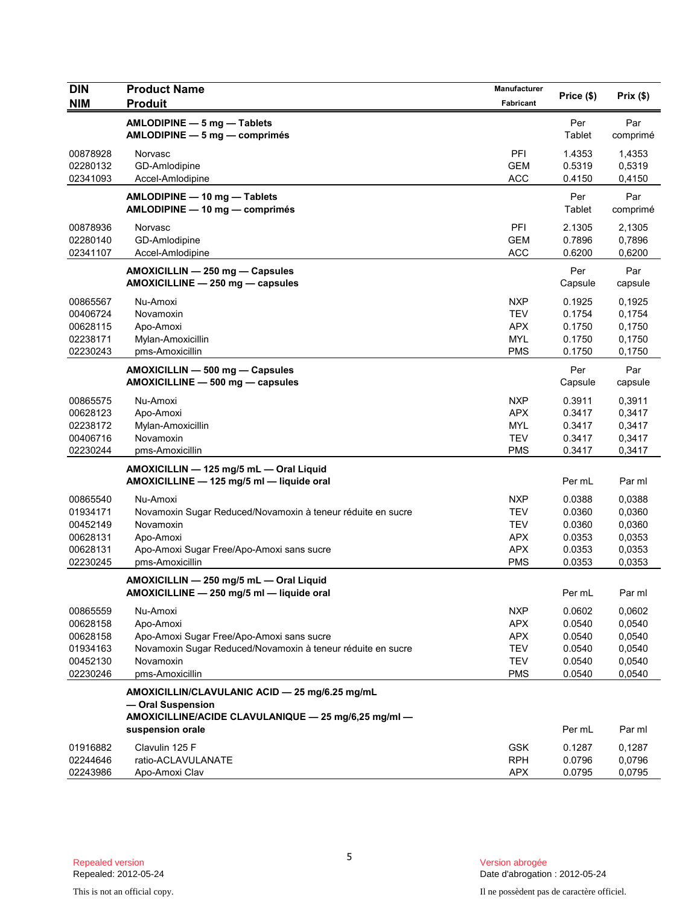| <b>DIN</b>                                                           | <b>Product Name</b>                                                                                                                                               | Manufacturer                                                                     |                                                          |                                                          |
|----------------------------------------------------------------------|-------------------------------------------------------------------------------------------------------------------------------------------------------------------|----------------------------------------------------------------------------------|----------------------------------------------------------|----------------------------------------------------------|
| <b>NIM</b>                                                           | <b>Produit</b>                                                                                                                                                    | Fabricant                                                                        | Price (\$)                                               | Prix(\$)                                                 |
|                                                                      | AMLODIPINE - 5 mg - Tablets<br>AMLODIPINE - 5 mg - comprimés                                                                                                      |                                                                                  | Per<br>Tablet                                            | Par<br>comprimé                                          |
| 00878928<br>02280132<br>02341093                                     | Norvasc<br>GD-Amlodipine<br>Accel-Amlodipine                                                                                                                      | PFI<br><b>GEM</b><br><b>ACC</b>                                                  | 1.4353<br>0.5319<br>0.4150                               | 1,4353<br>0,5319<br>0,4150                               |
|                                                                      | AMLODIPINE - 10 mg - Tablets<br>AMLODIPINE - 10 mg - comprimés                                                                                                    |                                                                                  | Per<br>Tablet                                            | Par<br>comprimé                                          |
| 00878936<br>02280140<br>02341107                                     | Norvasc<br>GD-Amlodipine<br>Accel-Amlodipine                                                                                                                      | <b>PFI</b><br><b>GEM</b><br><b>ACC</b>                                           | 2.1305<br>0.7896<br>0.6200                               | 2,1305<br>0,7896<br>0,6200                               |
|                                                                      | AMOXICILLIN - 250 mg - Capsules<br>AMOXICILLINE - 250 mg - capsules                                                                                               |                                                                                  | Per<br>Capsule                                           | Par<br>capsule                                           |
| 00865567<br>00406724<br>00628115<br>02238171<br>02230243             | Nu-Amoxi<br>Novamoxin<br>Apo-Amoxi<br>Mylan-Amoxicillin<br>pms-Amoxicillin                                                                                        | <b>NXP</b><br><b>TEV</b><br><b>APX</b><br><b>MYL</b><br><b>PMS</b>               | 0.1925<br>0.1754<br>0.1750<br>0.1750<br>0.1750           | 0,1925<br>0,1754<br>0,1750<br>0,1750<br>0,1750           |
|                                                                      | AMOXICILLIN - 500 mg - Capsules<br>AMOXICILLINE - 500 mg - capsules                                                                                               |                                                                                  | Per<br>Capsule                                           | Par<br>capsule                                           |
| 00865575<br>00628123<br>02238172<br>00406716<br>02230244             | Nu-Amoxi<br>Apo-Amoxi<br>Mylan-Amoxicillin<br>Novamoxin<br>pms-Amoxicillin                                                                                        | <b>NXP</b><br><b>APX</b><br><b>MYL</b><br><b>TEV</b><br><b>PMS</b>               | 0.3911<br>0.3417<br>0.3417<br>0.3417<br>0.3417           | 0,3911<br>0,3417<br>0,3417<br>0,3417<br>0,3417           |
|                                                                      | AMOXICILLIN - 125 mg/5 mL - Oral Liquid<br>AMOXICILLINE - 125 mg/5 ml - liquide oral                                                                              |                                                                                  | Per mL                                                   | Par ml                                                   |
| 00865540<br>01934171<br>00452149<br>00628131<br>00628131<br>02230245 | Nu-Amoxi<br>Novamoxin Sugar Reduced/Novamoxin à teneur réduite en sucre<br>Novamoxin<br>Apo-Amoxi<br>Apo-Amoxi Sugar Free/Apo-Amoxi sans sucre<br>pms-Amoxicillin | <b>NXP</b><br><b>TEV</b><br><b>TEV</b><br><b>APX</b><br><b>APX</b><br><b>PMS</b> | 0.0388<br>0.0360<br>0.0360<br>0.0353<br>0.0353<br>0.0353 | 0,0388<br>0,0360<br>0,0360<br>0,0353<br>0,0353<br>0,0353 |
|                                                                      | AMOXICILLIN - 250 mg/5 mL - Oral Liquid<br>AMOXICILLINE - 250 mg/5 ml - liquide oral                                                                              |                                                                                  | Per mL                                                   | Par ml                                                   |
| 00865559<br>00628158<br>00628158<br>01934163<br>00452130<br>02230246 | Nu-Amoxi<br>Apo-Amoxi<br>Apo-Amoxi Sugar Free/Apo-Amoxi sans sucre<br>Novamoxin Sugar Reduced/Novamoxin à teneur réduite en sucre<br>Novamoxin<br>pms-Amoxicillin | <b>NXP</b><br><b>APX</b><br><b>APX</b><br>TEV<br><b>TEV</b><br><b>PMS</b>        | 0.0602<br>0.0540<br>0.0540<br>0.0540<br>0.0540<br>0.0540 | 0,0602<br>0,0540<br>0,0540<br>0,0540<br>0,0540<br>0,0540 |
|                                                                      | AMOXICILLIN/CLAVULANIC ACID - 25 mg/6.25 mg/mL<br>- Oral Suspension                                                                                               |                                                                                  |                                                          |                                                          |
|                                                                      | AMOXICILLINE/ACIDE CLAVULANIQUE - 25 mg/6,25 mg/ml -<br>suspension orale                                                                                          |                                                                                  | Per mL                                                   | Par ml                                                   |
| 01916882<br>02244646<br>02243986                                     | Clavulin 125 F<br>ratio-ACLAVULANATE<br>Apo-Amoxi Clav                                                                                                            | <b>GSK</b><br><b>RPH</b><br><b>APX</b>                                           | 0.1287<br>0.0796<br>0.0795                               | 0,1287<br>0,0796<br>0,0795                               |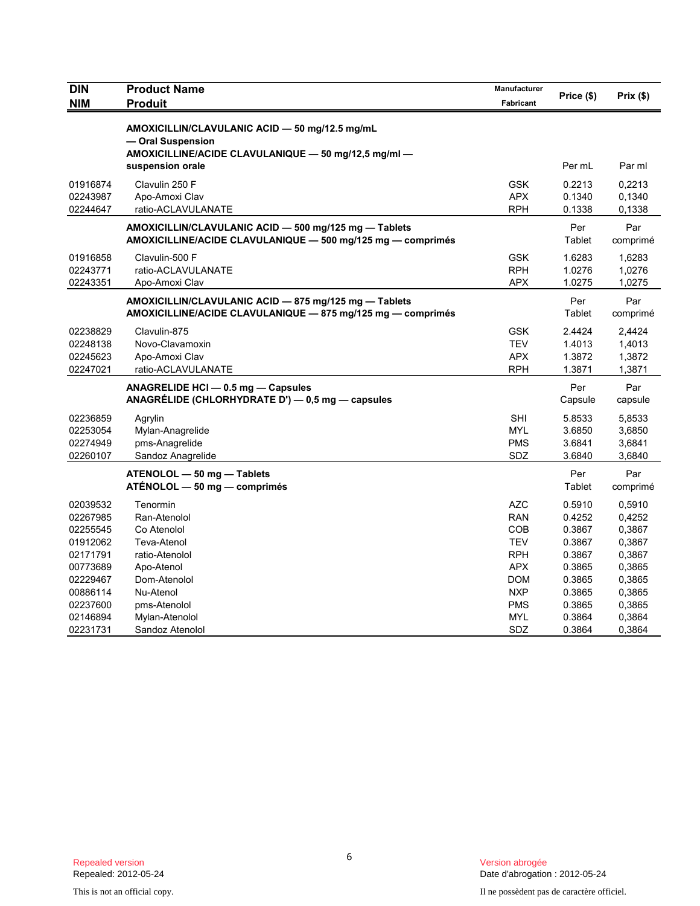| <b>DIN</b> | <b>Product Name</b>                                                                                                                             |            |                |                 |
|------------|-------------------------------------------------------------------------------------------------------------------------------------------------|------------|----------------|-----------------|
| <b>NIM</b> | <b>Produit</b>                                                                                                                                  | Fabricant  | Price (\$)     | Prix(\$)        |
|            | AMOXICILLIN/CLAVULANIC ACID - 50 mg/12.5 mg/mL<br>- Oral Suspension<br>AMOXICILLINE/ACIDE CLAVULANIQUE - 50 mg/12,5 mg/ml -<br>suspension orale |            | Per mL         | Par ml          |
| 01916874   | Clavulin 250 F                                                                                                                                  | <b>GSK</b> | 0.2213         | 0,2213          |
| 02243987   | Apo-Amoxi Clav                                                                                                                                  | <b>APX</b> | 0.1340         | 0,1340          |
| 02244647   | ratio-ACLAVULANATE                                                                                                                              | <b>RPH</b> | 0.1338         | 0,1338          |
|            | AMOXICILLIN/CLAVULANIC ACID - 500 mg/125 mg - Tablets<br>AMOXICILLINE/ACIDE CLAVULANIQUE - 500 mg/125 mg - comprimés                            |            | Per<br>Tablet  | Par<br>comprimé |
| 01916858   | Clavulin-500 F                                                                                                                                  | <b>GSK</b> | 1.6283         | 1,6283          |
| 02243771   | ratio-ACLAVULANATE                                                                                                                              | <b>RPH</b> | 1.0276         | 1,0276          |
| 02243351   | Apo-Amoxi Clav                                                                                                                                  | <b>APX</b> | 1.0275         | 1,0275          |
|            | AMOXICILLIN/CLAVULANIC ACID - 875 mg/125 mg - Tablets<br>AMOXICILLINE/ACIDE CLAVULANIQUE - 875 mg/125 mg - comprimés                            |            | Per<br>Tablet  | Par<br>comprimé |
| 02238829   | Clavulin-875                                                                                                                                    | <b>GSK</b> | 2.4424         | 2,4424          |
| 02248138   | Novo-Clavamoxin                                                                                                                                 | <b>TEV</b> | 1.4013         | 1,4013          |
| 02245623   | Apo-Amoxi Clav                                                                                                                                  | <b>APX</b> | 1.3872         | 1,3872          |
| 02247021   | ratio-ACLAVULANATE                                                                                                                              | <b>RPH</b> | 1.3871         | 1,3871          |
|            | ANAGRELIDE HCI - 0.5 mg - Capsules<br>ANAGRÉLIDE (CHLORHYDRATE D') - 0,5 mg - capsules                                                          |            | Per<br>Capsule | Par<br>capsule  |
| 02236859   | Agrylin                                                                                                                                         | <b>SHI</b> | 5.8533         | 5,8533          |
| 02253054   | Mylan-Anagrelide                                                                                                                                | <b>MYL</b> | 3.6850         | 3,6850          |
| 02274949   | pms-Anagrelide                                                                                                                                  | <b>PMS</b> | 3.6841         | 3,6841          |
| 02260107   | Sandoz Anagrelide                                                                                                                               | SDZ        | 3.6840         | 3,6840          |
|            | ATENOLOL - 50 mg - Tablets<br>ATÉNOLOL - 50 mg - comprimés                                                                                      |            | Per<br>Tablet  | Par<br>comprimé |
| 02039532   | Tenormin                                                                                                                                        | <b>AZC</b> | 0.5910         | 0,5910          |
| 02267985   | Ran-Atenolol                                                                                                                                    | <b>RAN</b> | 0.4252         | 0,4252          |
| 02255545   | Co Atenolol                                                                                                                                     | <b>COB</b> | 0.3867         | 0,3867          |
| 01912062   | Teva-Atenol                                                                                                                                     | <b>TEV</b> | 0.3867         | 0,3867          |
| 02171791   | ratio-Atenolol                                                                                                                                  | <b>RPH</b> | 0.3867         | 0,3867          |
| 00773689   | Apo-Atenol                                                                                                                                      | <b>APX</b> | 0.3865         | 0,3865          |
| 02229467   | Dom-Atenolol                                                                                                                                    | <b>DOM</b> | 0.3865         | 0,3865          |
| 00886114   | Nu-Atenol                                                                                                                                       | <b>NXP</b> | 0.3865         | 0,3865          |
| 02237600   | pms-Atenolol                                                                                                                                    | <b>PMS</b> | 0.3865         | 0,3865          |
| 02146894   | Mylan-Atenolol                                                                                                                                  | <b>MYL</b> | 0.3864         | 0,3864          |
| 02231731   | Sandoz Atenolol                                                                                                                                 | SDZ        | 0.3864         | 0,3864          |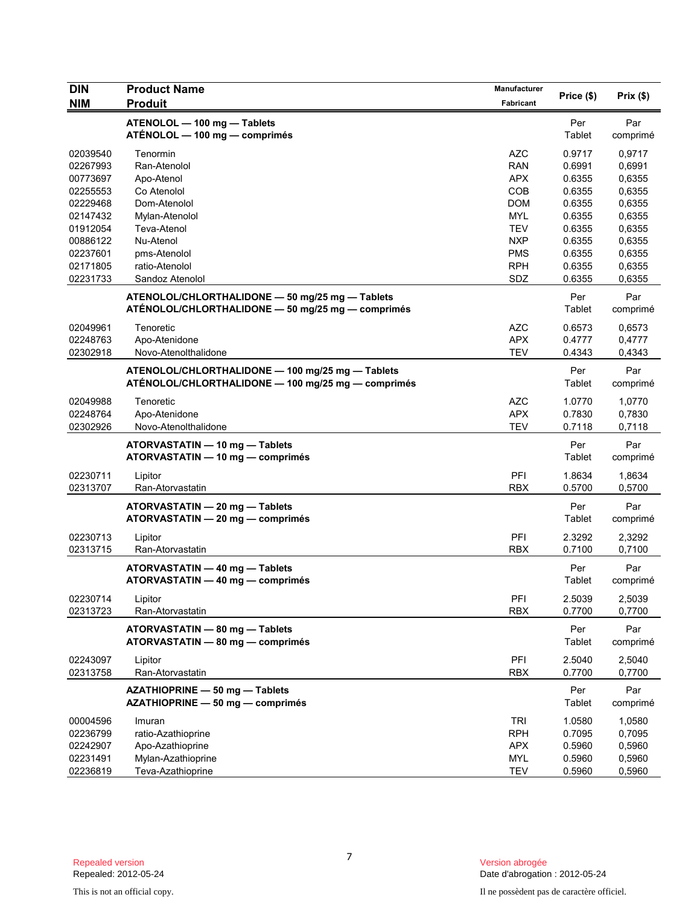| <b>DIN</b>                                                           | <b>Product Name</b>                                                                                    | Manufacturer                                                       |                                                          |                                                          |
|----------------------------------------------------------------------|--------------------------------------------------------------------------------------------------------|--------------------------------------------------------------------|----------------------------------------------------------|----------------------------------------------------------|
| <b>NIM</b>                                                           | <b>Produit</b>                                                                                         | Fabricant                                                          | Price (\$)                                               | Prix(\$)                                                 |
|                                                                      | ATENOLOL - 100 mg - Tablets<br>ATÉNOLOL — 100 mg — comprimés                                           |                                                                    | Per<br>Tablet                                            | Par<br>comprimé                                          |
| 02039540<br>02267993<br>00773697<br>02255553<br>02229468<br>02147432 | Tenormin<br>Ran-Atenolol<br>Apo-Atenol<br>Co Atenolol<br>Dom-Atenolol<br>Mylan-Atenolol                | <b>AZC</b><br><b>RAN</b><br><b>APX</b><br>COB<br><b>DOM</b><br>MYL | 0.9717<br>0.6991<br>0.6355<br>0.6355<br>0.6355<br>0.6355 | 0,9717<br>0,6991<br>0,6355<br>0,6355<br>0,6355<br>0,6355 |
| 01912054<br>00886122<br>02237601<br>02171805<br>02231733             | Teva-Atenol<br>Nu-Atenol<br>pms-Atenolol<br>ratio-Atenolol<br>Sandoz Atenolol                          | <b>TEV</b><br><b>NXP</b><br><b>PMS</b><br><b>RPH</b><br>SDZ        | 0.6355<br>0.6355<br>0.6355<br>0.6355<br>0.6355           | 0,6355<br>0,6355<br>0,6355<br>0,6355<br>0,6355           |
|                                                                      | ATENOLOL/CHLORTHALIDONE - 50 mg/25 mg - Tablets<br>ATÉNOLOL/CHLORTHALIDONE - 50 mg/25 mg - comprimés   |                                                                    | Per<br>Tablet                                            | Par<br>comprimé                                          |
| 02049961<br>02248763<br>02302918                                     | Tenoretic<br>Apo-Atenidone<br>Novo-Atenolthalidone                                                     | <b>AZC</b><br><b>APX</b><br><b>TEV</b>                             | 0.6573<br>0.4777<br>0.4343                               | 0,6573<br>0,4777<br>0,4343                               |
|                                                                      | ATENOLOL/CHLORTHALIDONE - 100 mg/25 mg - Tablets<br>ATÉNOLOL/CHLORTHALIDONE - 100 mg/25 mg - comprimés |                                                                    | Per<br>Tablet                                            | Par<br>comprimé                                          |
| 02049988<br>02248764<br>02302926                                     | Tenoretic<br>Apo-Atenidone<br>Novo-Atenolthalidone                                                     | <b>AZC</b><br><b>APX</b><br><b>TEV</b>                             | 1.0770<br>0.7830<br>0.7118                               | 1,0770<br>0,7830<br>0,7118                               |
|                                                                      | ATORVASTATIN - 10 mg - Tablets<br>ATORVASTATIN - 10 mg - comprimés                                     |                                                                    | Per<br>Tablet                                            | Par<br>comprimé                                          |
| 02230711<br>02313707                                                 | Lipitor<br>Ran-Atorvastatin                                                                            | PFI<br><b>RBX</b>                                                  | 1.8634<br>0.5700                                         | 1,8634<br>0,5700                                         |
|                                                                      | ATORVASTATIN - 20 mg - Tablets<br>ATORVASTATIN - 20 mg - comprimés                                     |                                                                    | Per<br>Tablet                                            | Par<br>comprimé                                          |
| 02230713<br>02313715                                                 | Lipitor<br>Ran-Atorvastatin                                                                            | PFI<br><b>RBX</b>                                                  | 2.3292<br>0.7100                                         | 2,3292<br>0,7100                                         |
|                                                                      | ATORVASTATIN - 40 mg - Tablets<br>ATORVASTATIN - 40 mg - comprimés                                     |                                                                    | Per<br>Tablet                                            | Par<br>comprimé                                          |
| 02230714<br>02313723                                                 | Lipitor<br>Ran-Atorvastatin                                                                            | PFI<br><b>RBX</b>                                                  | 2.5039<br>0.7700                                         | 2,5039<br>0,7700                                         |
|                                                                      | ATORVASTATIN - 80 mg - Tablets<br>ATORVASTATIN - 80 mg - comprimés                                     |                                                                    | Per<br>Tablet                                            | Par<br>comprimé                                          |
| 02243097<br>02313758                                                 | Lipitor<br>Ran-Atorvastatin                                                                            | PFI<br><b>RBX</b>                                                  | 2.5040<br>0.7700                                         | 2,5040<br>0,7700                                         |
|                                                                      | AZATHIOPRINE - 50 mg - Tablets<br>AZATHIOPRINE - 50 mg - comprimés                                     |                                                                    | Per<br>Tablet                                            | Par<br>comprimé                                          |
| 00004596<br>02236799<br>02242907<br>02231491<br>02236819             | Imuran<br>ratio-Azathioprine<br>Apo-Azathioprine<br>Mylan-Azathioprine<br>Teva-Azathioprine            | <b>TRI</b><br><b>RPH</b><br><b>APX</b><br><b>MYL</b><br><b>TEV</b> | 1.0580<br>0.7095<br>0.5960<br>0.5960<br>0.5960           | 1,0580<br>0,7095<br>0,5960<br>0,5960<br>0,5960           |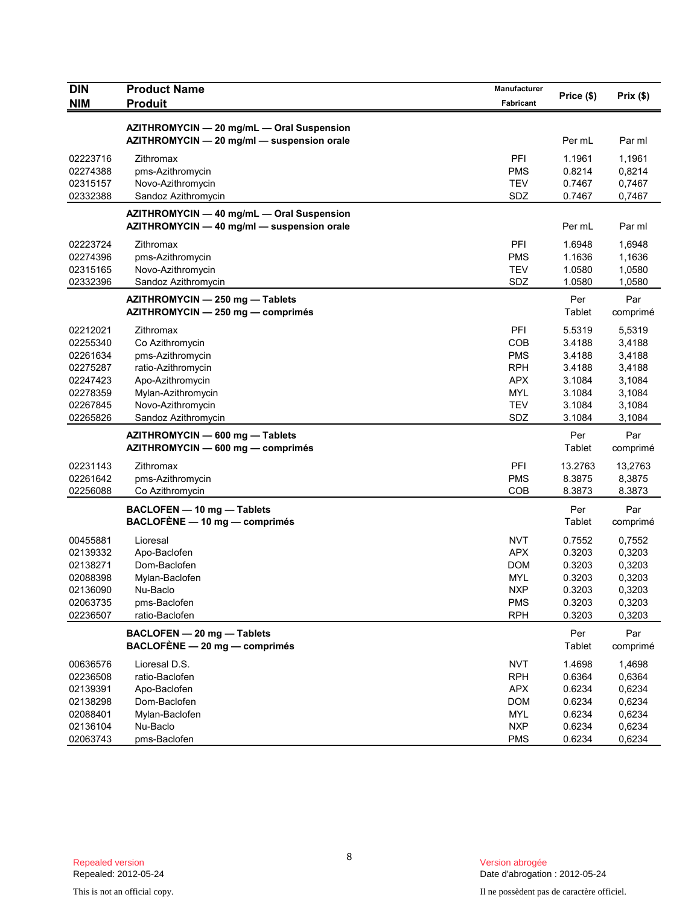| AZITHROMYCIN - 20 mg/mL - Oral Suspension<br>AZITHROMYCIN - 20 mg/ml - suspension orale<br>Per mL<br>Par ml<br>PFI<br>1.1961<br>1,1961<br>02223716<br>Zithromax<br>02274388<br>pms-Azithromycin<br><b>PMS</b><br>0.8214<br>0,8214<br><b>TEV</b><br>02315157<br>Novo-Azithromycin<br>0.7467<br>0,7467<br>02332388<br>SDZ<br>Sandoz Azithromycin<br>0.7467<br>0,7467<br>AZITHROMYCIN - 40 mg/mL - Oral Suspension<br>AZITHROMYCIN - 40 mg/ml - suspension orale<br>Per mL<br>Par ml<br>PFI<br>02223724<br>Zithromax<br>1.6948<br>1,6948<br><b>PMS</b><br>1.1636<br>02274396<br>pms-Azithromycin<br>1,1636<br><b>TEV</b><br>1.0580<br>02315165<br>Novo-Azithromycin<br>1,0580<br>02332396<br>SDZ<br>1.0580<br>1,0580<br>Sandoz Azithromycin<br>Per<br>Par<br>AZITHROMYCIN - 250 mg - Tablets<br>Tablet<br>AZITHROMYCIN - 250 mg - comprimés<br>comprimé<br>02212021<br>Zithromax<br>PFI<br>5.5319<br>5,5319<br>02255340<br>COB<br>3.4188<br>3,4188<br>Co Azithromycin<br><b>PMS</b><br>3.4188<br>02261634<br>pms-Azithromycin<br>3,4188<br>02275287<br><b>RPH</b><br>3.4188<br>ratio-Azithromycin<br>3,4188<br><b>APX</b><br>3.1084<br>3,1084<br>02247423<br>Apo-Azithromycin<br><b>MYL</b><br>3.1084<br>02278359<br>Mylan-Azithromycin<br>3,1084<br>Novo-Azithromycin<br><b>TEV</b><br>3.1084<br>02267845<br>3,1084<br>SDZ<br>02265826<br>Sandoz Azithromycin<br>3.1084<br>3,1084<br>AZITHROMYCIN - 600 mg - Tablets<br>Per<br>Par<br>AZITHROMYCIN - 600 mg - comprimés<br>Tablet<br>comprimé<br>PFI<br>02231143<br>13.2763<br>Zithromax<br>13,2763<br>02261642<br><b>PMS</b><br>8.3875<br>8,3875<br>pms-Azithromycin<br>COB<br>8.3873<br>8.3873<br>02256088<br>Co Azithromycin<br>Per<br>Par<br>BACLOFEN - 10 mg - Tablets<br>BACLOFÈNE - 10 mg - comprimés<br>Tablet<br>comprimé<br><b>NVT</b><br>0.7552<br>00455881<br>0,7552<br>Lioresal<br>02139332<br><b>APX</b><br>0.3203<br>0,3203<br>Apo-Baclofen<br>02138271<br>Dom-Baclofen<br><b>DOM</b><br>0.3203<br>0,3203<br>02088398<br><b>MYL</b><br>0.3203<br>0,3203<br>Mylan-Baclofen<br><b>NXP</b><br>0.3203<br>0,3203<br>02136090<br>Nu-Baclo<br>02063735<br><b>PMS</b><br>0.3203<br>0,3203<br>pms-Baclofen<br>02236507<br>ratio-Baclofen<br><b>RPH</b><br>0.3203<br>0,3203<br>BACLOFEN - 20 mg - Tablets<br>Per<br>Par<br>$BACLOFÈNE - 20 mg - comprimés$<br>Tablet<br>comprimé<br><b>NVT</b><br>1.4698<br>00636576<br>Lioresal D.S.<br>1,4698<br>02236508<br>ratio-Baclofen<br><b>RPH</b><br>0.6364<br>0,6364<br>02139391<br><b>APX</b><br>0.6234<br>0,6234<br>Apo-Baclofen<br>0.6234<br>0,6234<br>02138298<br>Dom-Baclofen<br><b>DOM</b><br>0.6234<br>0,6234<br>02088401<br>Mylan-Baclofen<br>MYL<br><b>NXP</b><br>0.6234<br>02136104<br>Nu-Baclo<br>0,6234 | <b>DIN</b><br><b>NIM</b> | <b>Product Name</b><br><b>Produit</b> | Manufacturer<br>Fabricant | Price (\$) | Prix(\$) |
|-------------------------------------------------------------------------------------------------------------------------------------------------------------------------------------------------------------------------------------------------------------------------------------------------------------------------------------------------------------------------------------------------------------------------------------------------------------------------------------------------------------------------------------------------------------------------------------------------------------------------------------------------------------------------------------------------------------------------------------------------------------------------------------------------------------------------------------------------------------------------------------------------------------------------------------------------------------------------------------------------------------------------------------------------------------------------------------------------------------------------------------------------------------------------------------------------------------------------------------------------------------------------------------------------------------------------------------------------------------------------------------------------------------------------------------------------------------------------------------------------------------------------------------------------------------------------------------------------------------------------------------------------------------------------------------------------------------------------------------------------------------------------------------------------------------------------------------------------------------------------------------------------------------------------------------------------------------------------------------------------------------------------------------------------------------------------------------------------------------------------------------------------------------------------------------------------------------------------------------------------------------------------------------------------------------------------------------------------------------------------------------------------------------------------------------------------------------------------------------------------------------------------------------------------------------------------------------------------------------------------------------------------------------------------------------------------------------------|--------------------------|---------------------------------------|---------------------------|------------|----------|
|                                                                                                                                                                                                                                                                                                                                                                                                                                                                                                                                                                                                                                                                                                                                                                                                                                                                                                                                                                                                                                                                                                                                                                                                                                                                                                                                                                                                                                                                                                                                                                                                                                                                                                                                                                                                                                                                                                                                                                                                                                                                                                                                                                                                                                                                                                                                                                                                                                                                                                                                                                                                                                                                                                                   |                          |                                       |                           |            |          |
|                                                                                                                                                                                                                                                                                                                                                                                                                                                                                                                                                                                                                                                                                                                                                                                                                                                                                                                                                                                                                                                                                                                                                                                                                                                                                                                                                                                                                                                                                                                                                                                                                                                                                                                                                                                                                                                                                                                                                                                                                                                                                                                                                                                                                                                                                                                                                                                                                                                                                                                                                                                                                                                                                                                   |                          |                                       |                           |            |          |
|                                                                                                                                                                                                                                                                                                                                                                                                                                                                                                                                                                                                                                                                                                                                                                                                                                                                                                                                                                                                                                                                                                                                                                                                                                                                                                                                                                                                                                                                                                                                                                                                                                                                                                                                                                                                                                                                                                                                                                                                                                                                                                                                                                                                                                                                                                                                                                                                                                                                                                                                                                                                                                                                                                                   |                          |                                       |                           |            |          |
|                                                                                                                                                                                                                                                                                                                                                                                                                                                                                                                                                                                                                                                                                                                                                                                                                                                                                                                                                                                                                                                                                                                                                                                                                                                                                                                                                                                                                                                                                                                                                                                                                                                                                                                                                                                                                                                                                                                                                                                                                                                                                                                                                                                                                                                                                                                                                                                                                                                                                                                                                                                                                                                                                                                   |                          |                                       |                           |            |          |
|                                                                                                                                                                                                                                                                                                                                                                                                                                                                                                                                                                                                                                                                                                                                                                                                                                                                                                                                                                                                                                                                                                                                                                                                                                                                                                                                                                                                                                                                                                                                                                                                                                                                                                                                                                                                                                                                                                                                                                                                                                                                                                                                                                                                                                                                                                                                                                                                                                                                                                                                                                                                                                                                                                                   |                          |                                       |                           |            |          |
|                                                                                                                                                                                                                                                                                                                                                                                                                                                                                                                                                                                                                                                                                                                                                                                                                                                                                                                                                                                                                                                                                                                                                                                                                                                                                                                                                                                                                                                                                                                                                                                                                                                                                                                                                                                                                                                                                                                                                                                                                                                                                                                                                                                                                                                                                                                                                                                                                                                                                                                                                                                                                                                                                                                   |                          |                                       |                           |            |          |
|                                                                                                                                                                                                                                                                                                                                                                                                                                                                                                                                                                                                                                                                                                                                                                                                                                                                                                                                                                                                                                                                                                                                                                                                                                                                                                                                                                                                                                                                                                                                                                                                                                                                                                                                                                                                                                                                                                                                                                                                                                                                                                                                                                                                                                                                                                                                                                                                                                                                                                                                                                                                                                                                                                                   |                          |                                       |                           |            |          |
|                                                                                                                                                                                                                                                                                                                                                                                                                                                                                                                                                                                                                                                                                                                                                                                                                                                                                                                                                                                                                                                                                                                                                                                                                                                                                                                                                                                                                                                                                                                                                                                                                                                                                                                                                                                                                                                                                                                                                                                                                                                                                                                                                                                                                                                                                                                                                                                                                                                                                                                                                                                                                                                                                                                   |                          |                                       |                           |            |          |
|                                                                                                                                                                                                                                                                                                                                                                                                                                                                                                                                                                                                                                                                                                                                                                                                                                                                                                                                                                                                                                                                                                                                                                                                                                                                                                                                                                                                                                                                                                                                                                                                                                                                                                                                                                                                                                                                                                                                                                                                                                                                                                                                                                                                                                                                                                                                                                                                                                                                                                                                                                                                                                                                                                                   |                          |                                       |                           |            |          |
|                                                                                                                                                                                                                                                                                                                                                                                                                                                                                                                                                                                                                                                                                                                                                                                                                                                                                                                                                                                                                                                                                                                                                                                                                                                                                                                                                                                                                                                                                                                                                                                                                                                                                                                                                                                                                                                                                                                                                                                                                                                                                                                                                                                                                                                                                                                                                                                                                                                                                                                                                                                                                                                                                                                   |                          |                                       |                           |            |          |
|                                                                                                                                                                                                                                                                                                                                                                                                                                                                                                                                                                                                                                                                                                                                                                                                                                                                                                                                                                                                                                                                                                                                                                                                                                                                                                                                                                                                                                                                                                                                                                                                                                                                                                                                                                                                                                                                                                                                                                                                                                                                                                                                                                                                                                                                                                                                                                                                                                                                                                                                                                                                                                                                                                                   |                          |                                       |                           |            |          |
|                                                                                                                                                                                                                                                                                                                                                                                                                                                                                                                                                                                                                                                                                                                                                                                                                                                                                                                                                                                                                                                                                                                                                                                                                                                                                                                                                                                                                                                                                                                                                                                                                                                                                                                                                                                                                                                                                                                                                                                                                                                                                                                                                                                                                                                                                                                                                                                                                                                                                                                                                                                                                                                                                                                   |                          |                                       |                           |            |          |
|                                                                                                                                                                                                                                                                                                                                                                                                                                                                                                                                                                                                                                                                                                                                                                                                                                                                                                                                                                                                                                                                                                                                                                                                                                                                                                                                                                                                                                                                                                                                                                                                                                                                                                                                                                                                                                                                                                                                                                                                                                                                                                                                                                                                                                                                                                                                                                                                                                                                                                                                                                                                                                                                                                                   |                          |                                       |                           |            |          |
|                                                                                                                                                                                                                                                                                                                                                                                                                                                                                                                                                                                                                                                                                                                                                                                                                                                                                                                                                                                                                                                                                                                                                                                                                                                                                                                                                                                                                                                                                                                                                                                                                                                                                                                                                                                                                                                                                                                                                                                                                                                                                                                                                                                                                                                                                                                                                                                                                                                                                                                                                                                                                                                                                                                   |                          |                                       |                           |            |          |
|                                                                                                                                                                                                                                                                                                                                                                                                                                                                                                                                                                                                                                                                                                                                                                                                                                                                                                                                                                                                                                                                                                                                                                                                                                                                                                                                                                                                                                                                                                                                                                                                                                                                                                                                                                                                                                                                                                                                                                                                                                                                                                                                                                                                                                                                                                                                                                                                                                                                                                                                                                                                                                                                                                                   |                          |                                       |                           |            |          |
|                                                                                                                                                                                                                                                                                                                                                                                                                                                                                                                                                                                                                                                                                                                                                                                                                                                                                                                                                                                                                                                                                                                                                                                                                                                                                                                                                                                                                                                                                                                                                                                                                                                                                                                                                                                                                                                                                                                                                                                                                                                                                                                                                                                                                                                                                                                                                                                                                                                                                                                                                                                                                                                                                                                   |                          |                                       |                           |            |          |
|                                                                                                                                                                                                                                                                                                                                                                                                                                                                                                                                                                                                                                                                                                                                                                                                                                                                                                                                                                                                                                                                                                                                                                                                                                                                                                                                                                                                                                                                                                                                                                                                                                                                                                                                                                                                                                                                                                                                                                                                                                                                                                                                                                                                                                                                                                                                                                                                                                                                                                                                                                                                                                                                                                                   |                          |                                       |                           |            |          |
|                                                                                                                                                                                                                                                                                                                                                                                                                                                                                                                                                                                                                                                                                                                                                                                                                                                                                                                                                                                                                                                                                                                                                                                                                                                                                                                                                                                                                                                                                                                                                                                                                                                                                                                                                                                                                                                                                                                                                                                                                                                                                                                                                                                                                                                                                                                                                                                                                                                                                                                                                                                                                                                                                                                   |                          |                                       |                           |            |          |
|                                                                                                                                                                                                                                                                                                                                                                                                                                                                                                                                                                                                                                                                                                                                                                                                                                                                                                                                                                                                                                                                                                                                                                                                                                                                                                                                                                                                                                                                                                                                                                                                                                                                                                                                                                                                                                                                                                                                                                                                                                                                                                                                                                                                                                                                                                                                                                                                                                                                                                                                                                                                                                                                                                                   |                          |                                       |                           |            |          |
|                                                                                                                                                                                                                                                                                                                                                                                                                                                                                                                                                                                                                                                                                                                                                                                                                                                                                                                                                                                                                                                                                                                                                                                                                                                                                                                                                                                                                                                                                                                                                                                                                                                                                                                                                                                                                                                                                                                                                                                                                                                                                                                                                                                                                                                                                                                                                                                                                                                                                                                                                                                                                                                                                                                   |                          |                                       |                           |            |          |
|                                                                                                                                                                                                                                                                                                                                                                                                                                                                                                                                                                                                                                                                                                                                                                                                                                                                                                                                                                                                                                                                                                                                                                                                                                                                                                                                                                                                                                                                                                                                                                                                                                                                                                                                                                                                                                                                                                                                                                                                                                                                                                                                                                                                                                                                                                                                                                                                                                                                                                                                                                                                                                                                                                                   |                          |                                       |                           |            |          |
|                                                                                                                                                                                                                                                                                                                                                                                                                                                                                                                                                                                                                                                                                                                                                                                                                                                                                                                                                                                                                                                                                                                                                                                                                                                                                                                                                                                                                                                                                                                                                                                                                                                                                                                                                                                                                                                                                                                                                                                                                                                                                                                                                                                                                                                                                                                                                                                                                                                                                                                                                                                                                                                                                                                   |                          |                                       |                           |            |          |
|                                                                                                                                                                                                                                                                                                                                                                                                                                                                                                                                                                                                                                                                                                                                                                                                                                                                                                                                                                                                                                                                                                                                                                                                                                                                                                                                                                                                                                                                                                                                                                                                                                                                                                                                                                                                                                                                                                                                                                                                                                                                                                                                                                                                                                                                                                                                                                                                                                                                                                                                                                                                                                                                                                                   |                          |                                       |                           |            |          |
|                                                                                                                                                                                                                                                                                                                                                                                                                                                                                                                                                                                                                                                                                                                                                                                                                                                                                                                                                                                                                                                                                                                                                                                                                                                                                                                                                                                                                                                                                                                                                                                                                                                                                                                                                                                                                                                                                                                                                                                                                                                                                                                                                                                                                                                                                                                                                                                                                                                                                                                                                                                                                                                                                                                   |                          |                                       |                           |            |          |
|                                                                                                                                                                                                                                                                                                                                                                                                                                                                                                                                                                                                                                                                                                                                                                                                                                                                                                                                                                                                                                                                                                                                                                                                                                                                                                                                                                                                                                                                                                                                                                                                                                                                                                                                                                                                                                                                                                                                                                                                                                                                                                                                                                                                                                                                                                                                                                                                                                                                                                                                                                                                                                                                                                                   |                          |                                       |                           |            |          |
|                                                                                                                                                                                                                                                                                                                                                                                                                                                                                                                                                                                                                                                                                                                                                                                                                                                                                                                                                                                                                                                                                                                                                                                                                                                                                                                                                                                                                                                                                                                                                                                                                                                                                                                                                                                                                                                                                                                                                                                                                                                                                                                                                                                                                                                                                                                                                                                                                                                                                                                                                                                                                                                                                                                   |                          |                                       |                           |            |          |
|                                                                                                                                                                                                                                                                                                                                                                                                                                                                                                                                                                                                                                                                                                                                                                                                                                                                                                                                                                                                                                                                                                                                                                                                                                                                                                                                                                                                                                                                                                                                                                                                                                                                                                                                                                                                                                                                                                                                                                                                                                                                                                                                                                                                                                                                                                                                                                                                                                                                                                                                                                                                                                                                                                                   |                          |                                       |                           |            |          |
|                                                                                                                                                                                                                                                                                                                                                                                                                                                                                                                                                                                                                                                                                                                                                                                                                                                                                                                                                                                                                                                                                                                                                                                                                                                                                                                                                                                                                                                                                                                                                                                                                                                                                                                                                                                                                                                                                                                                                                                                                                                                                                                                                                                                                                                                                                                                                                                                                                                                                                                                                                                                                                                                                                                   |                          |                                       |                           |            |          |
|                                                                                                                                                                                                                                                                                                                                                                                                                                                                                                                                                                                                                                                                                                                                                                                                                                                                                                                                                                                                                                                                                                                                                                                                                                                                                                                                                                                                                                                                                                                                                                                                                                                                                                                                                                                                                                                                                                                                                                                                                                                                                                                                                                                                                                                                                                                                                                                                                                                                                                                                                                                                                                                                                                                   |                          |                                       |                           |            |          |
|                                                                                                                                                                                                                                                                                                                                                                                                                                                                                                                                                                                                                                                                                                                                                                                                                                                                                                                                                                                                                                                                                                                                                                                                                                                                                                                                                                                                                                                                                                                                                                                                                                                                                                                                                                                                                                                                                                                                                                                                                                                                                                                                                                                                                                                                                                                                                                                                                                                                                                                                                                                                                                                                                                                   |                          |                                       |                           |            |          |
|                                                                                                                                                                                                                                                                                                                                                                                                                                                                                                                                                                                                                                                                                                                                                                                                                                                                                                                                                                                                                                                                                                                                                                                                                                                                                                                                                                                                                                                                                                                                                                                                                                                                                                                                                                                                                                                                                                                                                                                                                                                                                                                                                                                                                                                                                                                                                                                                                                                                                                                                                                                                                                                                                                                   |                          |                                       |                           |            |          |
|                                                                                                                                                                                                                                                                                                                                                                                                                                                                                                                                                                                                                                                                                                                                                                                                                                                                                                                                                                                                                                                                                                                                                                                                                                                                                                                                                                                                                                                                                                                                                                                                                                                                                                                                                                                                                                                                                                                                                                                                                                                                                                                                                                                                                                                                                                                                                                                                                                                                                                                                                                                                                                                                                                                   |                          |                                       |                           |            |          |
|                                                                                                                                                                                                                                                                                                                                                                                                                                                                                                                                                                                                                                                                                                                                                                                                                                                                                                                                                                                                                                                                                                                                                                                                                                                                                                                                                                                                                                                                                                                                                                                                                                                                                                                                                                                                                                                                                                                                                                                                                                                                                                                                                                                                                                                                                                                                                                                                                                                                                                                                                                                                                                                                                                                   |                          |                                       |                           |            |          |
|                                                                                                                                                                                                                                                                                                                                                                                                                                                                                                                                                                                                                                                                                                                                                                                                                                                                                                                                                                                                                                                                                                                                                                                                                                                                                                                                                                                                                                                                                                                                                                                                                                                                                                                                                                                                                                                                                                                                                                                                                                                                                                                                                                                                                                                                                                                                                                                                                                                                                                                                                                                                                                                                                                                   |                          |                                       |                           |            |          |
|                                                                                                                                                                                                                                                                                                                                                                                                                                                                                                                                                                                                                                                                                                                                                                                                                                                                                                                                                                                                                                                                                                                                                                                                                                                                                                                                                                                                                                                                                                                                                                                                                                                                                                                                                                                                                                                                                                                                                                                                                                                                                                                                                                                                                                                                                                                                                                                                                                                                                                                                                                                                                                                                                                                   |                          |                                       |                           |            |          |
|                                                                                                                                                                                                                                                                                                                                                                                                                                                                                                                                                                                                                                                                                                                                                                                                                                                                                                                                                                                                                                                                                                                                                                                                                                                                                                                                                                                                                                                                                                                                                                                                                                                                                                                                                                                                                                                                                                                                                                                                                                                                                                                                                                                                                                                                                                                                                                                                                                                                                                                                                                                                                                                                                                                   |                          |                                       |                           |            |          |
|                                                                                                                                                                                                                                                                                                                                                                                                                                                                                                                                                                                                                                                                                                                                                                                                                                                                                                                                                                                                                                                                                                                                                                                                                                                                                                                                                                                                                                                                                                                                                                                                                                                                                                                                                                                                                                                                                                                                                                                                                                                                                                                                                                                                                                                                                                                                                                                                                                                                                                                                                                                                                                                                                                                   |                          |                                       |                           |            |          |
|                                                                                                                                                                                                                                                                                                                                                                                                                                                                                                                                                                                                                                                                                                                                                                                                                                                                                                                                                                                                                                                                                                                                                                                                                                                                                                                                                                                                                                                                                                                                                                                                                                                                                                                                                                                                                                                                                                                                                                                                                                                                                                                                                                                                                                                                                                                                                                                                                                                                                                                                                                                                                                                                                                                   |                          |                                       |                           |            |          |
|                                                                                                                                                                                                                                                                                                                                                                                                                                                                                                                                                                                                                                                                                                                                                                                                                                                                                                                                                                                                                                                                                                                                                                                                                                                                                                                                                                                                                                                                                                                                                                                                                                                                                                                                                                                                                                                                                                                                                                                                                                                                                                                                                                                                                                                                                                                                                                                                                                                                                                                                                                                                                                                                                                                   |                          |                                       |                           |            |          |
|                                                                                                                                                                                                                                                                                                                                                                                                                                                                                                                                                                                                                                                                                                                                                                                                                                                                                                                                                                                                                                                                                                                                                                                                                                                                                                                                                                                                                                                                                                                                                                                                                                                                                                                                                                                                                                                                                                                                                                                                                                                                                                                                                                                                                                                                                                                                                                                                                                                                                                                                                                                                                                                                                                                   |                          |                                       |                           |            |          |
|                                                                                                                                                                                                                                                                                                                                                                                                                                                                                                                                                                                                                                                                                                                                                                                                                                                                                                                                                                                                                                                                                                                                                                                                                                                                                                                                                                                                                                                                                                                                                                                                                                                                                                                                                                                                                                                                                                                                                                                                                                                                                                                                                                                                                                                                                                                                                                                                                                                                                                                                                                                                                                                                                                                   |                          |                                       |                           |            |          |
|                                                                                                                                                                                                                                                                                                                                                                                                                                                                                                                                                                                                                                                                                                                                                                                                                                                                                                                                                                                                                                                                                                                                                                                                                                                                                                                                                                                                                                                                                                                                                                                                                                                                                                                                                                                                                                                                                                                                                                                                                                                                                                                                                                                                                                                                                                                                                                                                                                                                                                                                                                                                                                                                                                                   |                          |                                       |                           |            |          |
|                                                                                                                                                                                                                                                                                                                                                                                                                                                                                                                                                                                                                                                                                                                                                                                                                                                                                                                                                                                                                                                                                                                                                                                                                                                                                                                                                                                                                                                                                                                                                                                                                                                                                                                                                                                                                                                                                                                                                                                                                                                                                                                                                                                                                                                                                                                                                                                                                                                                                                                                                                                                                                                                                                                   |                          |                                       |                           |            |          |
|                                                                                                                                                                                                                                                                                                                                                                                                                                                                                                                                                                                                                                                                                                                                                                                                                                                                                                                                                                                                                                                                                                                                                                                                                                                                                                                                                                                                                                                                                                                                                                                                                                                                                                                                                                                                                                                                                                                                                                                                                                                                                                                                                                                                                                                                                                                                                                                                                                                                                                                                                                                                                                                                                                                   |                          |                                       |                           |            |          |
|                                                                                                                                                                                                                                                                                                                                                                                                                                                                                                                                                                                                                                                                                                                                                                                                                                                                                                                                                                                                                                                                                                                                                                                                                                                                                                                                                                                                                                                                                                                                                                                                                                                                                                                                                                                                                                                                                                                                                                                                                                                                                                                                                                                                                                                                                                                                                                                                                                                                                                                                                                                                                                                                                                                   | 02063743                 | pms-Baclofen                          | <b>PMS</b>                | 0.6234     | 0,6234   |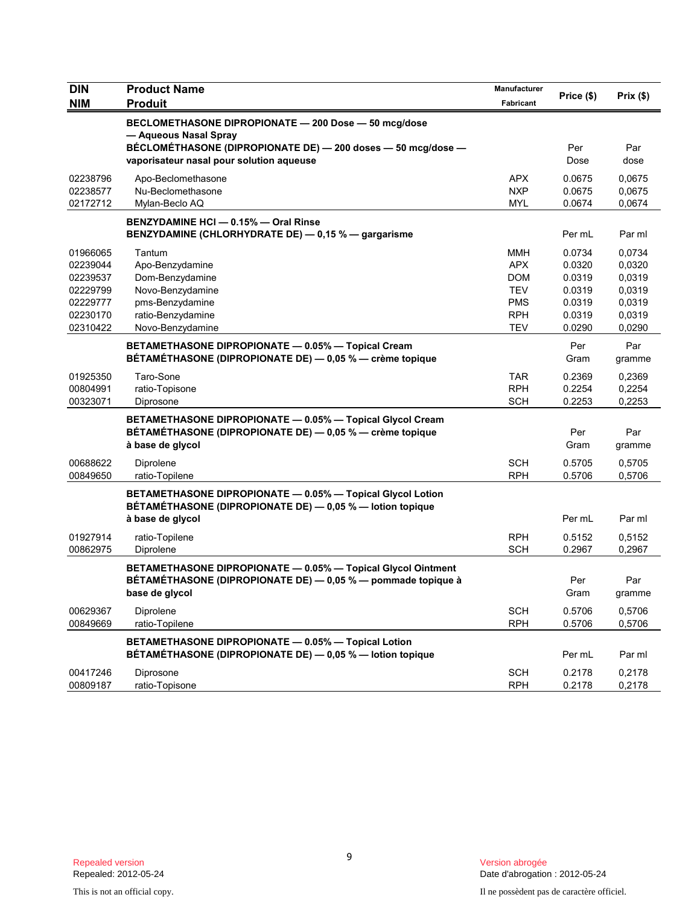| DIN                                                                              | <b>Product Name</b>                                                                                                                                                                       | Manufacturer<br>Fabricant                                                               | Price (\$)                                                         | Prix (\$)                                                          |
|----------------------------------------------------------------------------------|-------------------------------------------------------------------------------------------------------------------------------------------------------------------------------------------|-----------------------------------------------------------------------------------------|--------------------------------------------------------------------|--------------------------------------------------------------------|
| <b>NIM</b>                                                                       | <b>Produit</b>                                                                                                                                                                            |                                                                                         |                                                                    |                                                                    |
|                                                                                  | BECLOMETHASONE DIPROPIONATE - 200 Dose - 50 mcg/dose<br>- Aqueous Nasal Spray<br>BÉCLOMÉTHASONE (DIPROPIONATE DE) - 200 doses - 50 mcg/dose -<br>vaporisateur nasal pour solution aqueuse |                                                                                         | Per<br>Dose                                                        | Par<br>dose                                                        |
| 02238796<br>02238577<br>02172712                                                 | Apo-Beclomethasone<br>Nu-Beclomethasone<br>Mylan-Beclo AQ                                                                                                                                 | <b>APX</b><br><b>NXP</b><br><b>MYL</b>                                                  | 0.0675<br>0.0675<br>0.0674                                         | 0,0675<br>0,0675<br>0,0674                                         |
|                                                                                  | BENZYDAMINE HCI - 0.15% - Oral Rinse<br>BENZYDAMINE (CHLORHYDRATE DE) - 0,15 % - gargarisme                                                                                               |                                                                                         | Per mL                                                             | Par ml                                                             |
| 01966065<br>02239044<br>02239537<br>02229799<br>02229777<br>02230170<br>02310422 | Tantum<br>Apo-Benzydamine<br>Dom-Benzydamine<br>Novo-Benzydamine<br>pms-Benzydamine<br>ratio-Benzydamine<br>Novo-Benzydamine                                                              | <b>MMH</b><br><b>APX</b><br><b>DOM</b><br><b>TEV</b><br><b>PMS</b><br><b>RPH</b><br>TEV | 0.0734<br>0.0320<br>0.0319<br>0.0319<br>0.0319<br>0.0319<br>0.0290 | 0,0734<br>0,0320<br>0,0319<br>0,0319<br>0,0319<br>0,0319<br>0,0290 |
|                                                                                  | BETAMETHASONE DIPROPIONATE - 0.05% - Topical Cream<br>BÉTAMÉTHASONE (DIPROPIONATE DE) - 0,05 % - crème topique                                                                            |                                                                                         | Per<br>Gram                                                        | Par<br>gramme                                                      |
| 01925350<br>00804991<br>00323071                                                 | Taro-Sone<br>ratio-Topisone<br>Diprosone                                                                                                                                                  | <b>TAR</b><br><b>RPH</b><br><b>SCH</b>                                                  | 0.2369<br>0.2254<br>0.2253                                         | 0,2369<br>0,2254<br>0,2253                                         |
|                                                                                  | BETAMETHASONE DIPROPIONATE - 0.05% - Topical Glycol Cream<br>BÉTAMÉTHASONE (DIPROPIONATE DE) — 0,05 % — crème topique<br>à base de glycol                                                 |                                                                                         | Per<br>Gram                                                        | Par<br>gramme                                                      |
| 00688622<br>00849650                                                             | Diprolene<br>ratio-Topilene                                                                                                                                                               | <b>SCH</b><br><b>RPH</b>                                                                | 0.5705<br>0.5706                                                   | 0,5705<br>0,5706                                                   |
|                                                                                  | BETAMETHASONE DIPROPIONATE - 0.05% - Topical Glycol Lotion<br>BÉTAMÉTHASONE (DIPROPIONATE DE) - 0,05 % - lotion topique<br>à base de glycol                                               |                                                                                         | Per mL                                                             | Par ml                                                             |
| 01927914<br>00862975                                                             | ratio-Topilene<br>Diprolene                                                                                                                                                               | <b>RPH</b><br><b>SCH</b>                                                                | 0.5152<br>0.2967                                                   | 0,5152<br>0,2967                                                   |
|                                                                                  | BETAMETHASONE DIPROPIONATE - 0.05% - Topical Glycol Ointment<br>BÉTAMÉTHASONE (DIPROPIONATE DE) — 0,05 % — pommade topique à<br>base de glycol                                            |                                                                                         | Per<br>Gram                                                        | Par<br>gramme                                                      |
| 00629367<br>00849669                                                             | Diprolene<br>ratio-Topilene                                                                                                                                                               | <b>SCH</b><br><b>RPH</b>                                                                | 0.5706<br>0.5706                                                   | 0,5706<br>0,5706                                                   |
|                                                                                  | BETAMETHASONE DIPROPIONATE - 0.05% - Topical Lotion<br>BÉTAMÉTHASONE (DIPROPIONATE DE) - 0,05 % - lotion topique                                                                          |                                                                                         | Per mL                                                             | Par ml                                                             |
| 00417246<br>00809187                                                             | Diprosone<br>ratio-Topisone                                                                                                                                                               | <b>SCH</b><br><b>RPH</b>                                                                | 0.2178<br>0.2178                                                   | 0,2178<br>0,2178                                                   |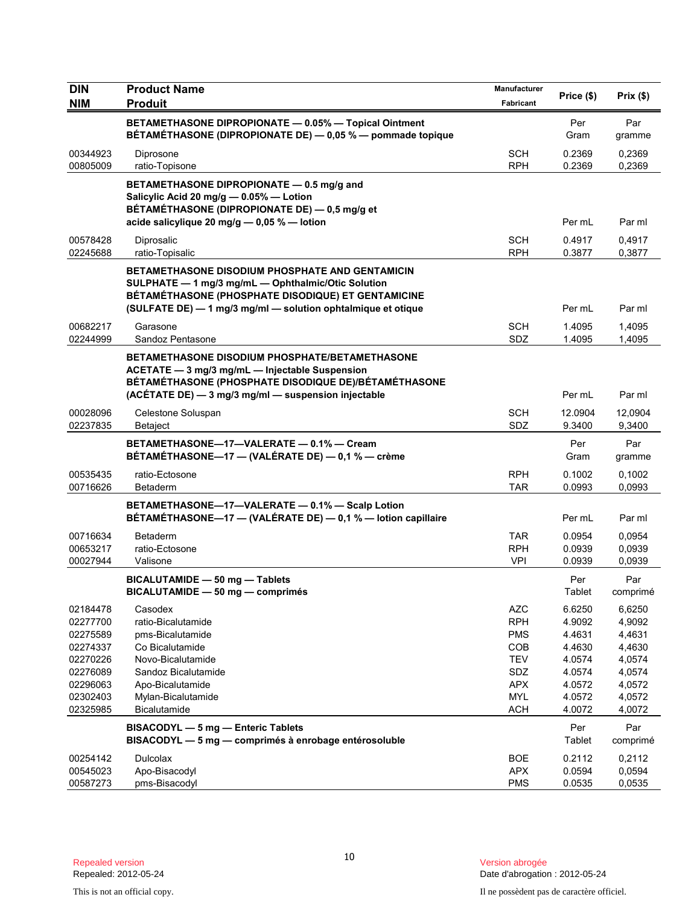| <b>DIN</b>                                                                                               | <b>Product Name</b>                                                                                                                                                                                                                | Manufacturer                                                                                                 | Price (\$)                                                                             | Prix (\$)                                                                              |
|----------------------------------------------------------------------------------------------------------|------------------------------------------------------------------------------------------------------------------------------------------------------------------------------------------------------------------------------------|--------------------------------------------------------------------------------------------------------------|----------------------------------------------------------------------------------------|----------------------------------------------------------------------------------------|
| <b>NIM</b>                                                                                               | <b>Produit</b>                                                                                                                                                                                                                     | Fabricant                                                                                                    |                                                                                        |                                                                                        |
|                                                                                                          | BETAMETHASONE DIPROPIONATE - 0.05% - Topical Ointment<br>BÉTAMÉTHASONE (DIPROPIONATE DE) - 0,05 % - pommade topique                                                                                                                |                                                                                                              | Per<br>Gram                                                                            | Par<br>gramme                                                                          |
| 00344923<br>00805009                                                                                     | Diprosone<br>ratio-Topisone                                                                                                                                                                                                        | <b>SCH</b><br><b>RPH</b>                                                                                     | 0.2369<br>0.2369                                                                       | 0,2369<br>0,2369                                                                       |
|                                                                                                          | BETAMETHASONE DIPROPIONATE - 0.5 mg/g and<br>Salicylic Acid 20 mg/g - 0.05% - Lotion<br>BÉTAMÉTHASONE (DIPROPIONATE DE) - 0,5 mg/g et<br>acide salicylique 20 mg/g - 0,05 % - lotion                                               |                                                                                                              | Per mL                                                                                 | Par ml                                                                                 |
| 00578428<br>02245688                                                                                     | Diprosalic<br>ratio-Topisalic                                                                                                                                                                                                      | <b>SCH</b><br><b>RPH</b>                                                                                     | 0.4917<br>0.3877                                                                       | 0,4917<br>0,3877                                                                       |
|                                                                                                          | <b>BETAMETHASONE DISODIUM PHOSPHATE AND GENTAMICIN</b><br>SULPHATE - 1 mg/3 mg/mL - Ophthalmic/Otic Solution<br>BÉTAMÉTHASONE (PHOSPHATE DISODIQUE) ET GENTAMICINE<br>(SULFATE DE) - 1 mg/3 mg/ml - solution ophtalmique et otique |                                                                                                              | Per mL                                                                                 | Par ml                                                                                 |
| 00682217<br>02244999                                                                                     | Garasone<br>Sandoz Pentasone                                                                                                                                                                                                       | SCH<br>SDZ                                                                                                   | 1.4095<br>1.4095                                                                       | 1,4095<br>1,4095                                                                       |
|                                                                                                          | BETAMETHASONE DISODIUM PHOSPHATE/BETAMETHASONE<br>ACETATE - 3 mg/3 mg/mL - Injectable Suspension<br>BÉTAMÉTHASONE (PHOSPHATE DISODIQUE DE)/BÉTAMÉTHASONE<br>(ACÉTATE DE) - 3 mg/3 mg/ml - suspension injectable                    |                                                                                                              | Per mL                                                                                 | Par ml                                                                                 |
| 00028096<br>02237835                                                                                     | Celestone Soluspan<br><b>Betaject</b>                                                                                                                                                                                              | <b>SCH</b><br>SDZ                                                                                            | 12.0904<br>9.3400                                                                      | 12,0904<br>9,3400                                                                      |
|                                                                                                          | BETAMETHASONE-17-VALERATE - 0.1% - Cream<br>BÉTAMÉTHASONE-17 - (VALÉRATE DE) - 0,1 % - crème                                                                                                                                       |                                                                                                              | Per<br>Gram                                                                            | Par<br>gramme                                                                          |
| 00535435<br>00716626                                                                                     | ratio-Ectosone<br>Betaderm                                                                                                                                                                                                         | <b>RPH</b><br>TAR                                                                                            | 0.1002<br>0.0993                                                                       | 0,1002<br>0,0993                                                                       |
|                                                                                                          | BETAMETHASONE-17-VALERATE - 0.1% - Scalp Lotion<br>BÉTAMÉTHASONE-17 - (VALÉRATE DE) - 0,1 % - lotion capillaire                                                                                                                    |                                                                                                              | Per mL                                                                                 | Par ml                                                                                 |
| 00716634<br>00653217<br>00027944                                                                         | <b>Betaderm</b><br>ratio-Ectosone<br>Valisone                                                                                                                                                                                      | <b>TAR</b><br><b>RPH</b><br><b>VPI</b>                                                                       | 0.0954<br>0.0939<br>0.0939                                                             | 0,0954<br>0,0939<br>0,0939                                                             |
|                                                                                                          | BICALUTAMIDE - 50 mg - Tablets<br>BICALUTAMIDE - 50 mg - comprimés                                                                                                                                                                 |                                                                                                              | Per<br>Tablet                                                                          | Par<br>comprimé                                                                        |
| 02184478<br>02277700<br>02275589<br>02274337<br>02270226<br>02276089<br>02296063<br>02302403<br>02325985 | Casodex<br>ratio-Bicalutamide<br>pms-Bicalutamide<br>Co Bicalutamide<br>Novo-Bicalutamide<br>Sandoz Bicalutamide<br>Apo-Bicalutamide<br>Mylan-Bicalutamide<br><b>Bicalutamide</b>                                                  | <b>AZC</b><br><b>RPH</b><br><b>PMS</b><br>COB<br><b>TEV</b><br>SDZ<br><b>APX</b><br><b>MYL</b><br><b>ACH</b> | 6.6250<br>4.9092<br>4.4631<br>4.4630<br>4.0574<br>4.0574<br>4.0572<br>4.0572<br>4.0072 | 6,6250<br>4,9092<br>4,4631<br>4,4630<br>4,0574<br>4,0574<br>4,0572<br>4,0572<br>4,0072 |
|                                                                                                          | BISACODYL - 5 mg - Enteric Tablets<br>BISACODYL - 5 mg - comprimés à enrobage entérosoluble                                                                                                                                        |                                                                                                              | Per<br>Tablet                                                                          | Par<br>comprimé                                                                        |
| 00254142<br>00545023<br>00587273                                                                         | Dulcolax<br>Apo-Bisacodyl<br>pms-Bisacodyl                                                                                                                                                                                         | <b>BOE</b><br><b>APX</b><br><b>PMS</b>                                                                       | 0.2112<br>0.0594<br>0.0535                                                             | 0,2112<br>0,0594<br>0,0535                                                             |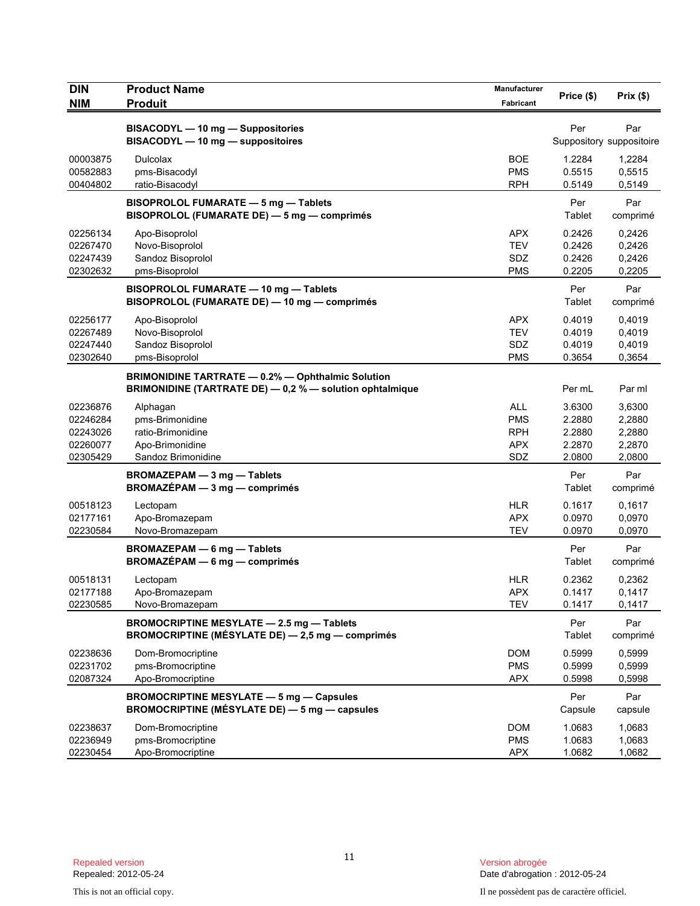| <b>DIN</b>                                               | <b>Product Name</b>                                                                                                  | Manufacturer                                                | Price (\$)                                     | Prix(\$)                                       |
|----------------------------------------------------------|----------------------------------------------------------------------------------------------------------------------|-------------------------------------------------------------|------------------------------------------------|------------------------------------------------|
| <b>NIM</b>                                               | <b>Produit</b>                                                                                                       | Fabricant                                                   |                                                |                                                |
|                                                          | BISACODYL - 10 mg - Suppositories<br>BISACODYL - 10 mg - suppositoires                                               |                                                             | Per                                            | Par<br>Suppository suppositoire                |
| 00003875<br>00582883<br>00404802                         | Dulcolax<br>pms-Bisacodyl<br>ratio-Bisacodyl                                                                         | <b>BOE</b><br><b>PMS</b><br><b>RPH</b>                      | 1.2284<br>0.5515<br>0.5149                     | 1,2284<br>0,5515<br>0,5149                     |
|                                                          | BISOPROLOL FUMARATE - 5 mg - Tablets<br>BISOPROLOL (FUMARATE DE) - 5 mg - comprimés                                  |                                                             | Per<br>Tablet                                  | Par<br>comprimé                                |
| 02256134<br>02267470<br>02247439<br>02302632             | Apo-Bisoprolol<br>Novo-Bisoprolol<br>Sandoz Bisoprolol<br>pms-Bisoprolol                                             | <b>APX</b><br><b>TEV</b><br>SDZ<br><b>PMS</b>               | 0.2426<br>0.2426<br>0.2426<br>0.2205           | 0,2426<br>0,2426<br>0,2426<br>0,2205           |
|                                                          | BISOPROLOL FUMARATE - 10 mg - Tablets<br>BISOPROLOL (FUMARATE DE) - 10 mg - comprimés                                |                                                             | Per<br>Tablet                                  | Par<br>comprimé                                |
| 02256177<br>02267489<br>02247440<br>02302640             | Apo-Bisoprolol<br>Novo-Bisoprolol<br>Sandoz Bisoprolol<br>pms-Bisoprolol                                             | <b>APX</b><br><b>TEV</b><br>SDZ<br><b>PMS</b>               | 0.4019<br>0.4019<br>0.4019<br>0.3654           | 0.4019<br>0,4019<br>0,4019<br>0,3654           |
|                                                          | <b>BRIMONIDINE TARTRATE - 0.2% - Ophthalmic Solution</b><br>BRIMONIDINE (TARTRATE DE) - 0,2 % - solution ophtalmique |                                                             | Per mL                                         | Par ml                                         |
| 02236876<br>02246284<br>02243026<br>02260077<br>02305429 | Alphagan<br>pms-Brimonidine<br>ratio-Brimonidine<br>Apo-Brimonidine<br>Sandoz Brimonidine                            | <b>ALL</b><br><b>PMS</b><br><b>RPH</b><br><b>APX</b><br>SDZ | 3.6300<br>2.2880<br>2.2880<br>2.2870<br>2.0800 | 3,6300<br>2,2880<br>2,2880<br>2,2870<br>2,0800 |
|                                                          | BROMAZEPAM - 3 mg - Tablets<br>BROMAZÉPAM - 3 mg - comprimés                                                         |                                                             | Per<br>Tablet                                  | Par<br>comprimé                                |
| 00518123<br>02177161<br>02230584                         | Lectopam<br>Apo-Bromazepam<br>Novo-Bromazepam                                                                        | <b>HLR</b><br><b>APX</b><br><b>TEV</b>                      | 0.1617<br>0.0970<br>0.0970                     | 0,1617<br>0,0970<br>0,0970                     |
|                                                          | <b>BROMAZEPAM - 6 mg - Tablets</b><br>BROMAZÉPAM - 6 mg - comprimés                                                  |                                                             | Per<br>Tablet                                  | Par<br>comprimé                                |
| 00518131<br>02177188<br>02230585                         | Lectopam<br>Apo-Bromazepam<br>Novo-Bromazepam                                                                        | <b>HLR</b><br><b>APX</b><br><b>TEV</b>                      | 0.2362<br>0.1417<br>0.1417                     | 0,2362<br>0,1417<br>0,1417                     |
|                                                          | BROMOCRIPTINE MESYLATE - 2.5 mg - Tablets<br>BROMOCRIPTINE (MÉSYLATE DE) - 2,5 mg - comprimés                        |                                                             | Per<br>Tablet                                  | Par<br>comprimé                                |
| 02238636<br>02231702<br>02087324                         | Dom-Bromocriptine<br>pms-Bromocriptine<br>Apo-Bromocriptine                                                          | DOM<br><b>PMS</b><br><b>APX</b>                             | 0.5999<br>0.5999<br>0.5998                     | 0,5999<br>0,5999<br>0,5998                     |
|                                                          | <b>BROMOCRIPTINE MESYLATE - 5 mg - Capsules</b><br>BROMOCRIPTINE (MÉSYLATE DE) - 5 mg - capsules                     |                                                             | Per<br>Capsule                                 | Par<br>capsule                                 |
| 02238637<br>02236949<br>02230454                         | Dom-Bromocriptine<br>pms-Bromocriptine<br>Apo-Bromocriptine                                                          | <b>DOM</b><br><b>PMS</b><br><b>APX</b>                      | 1.0683<br>1.0683<br>1.0682                     | 1,0683<br>1,0683<br>1,0682                     |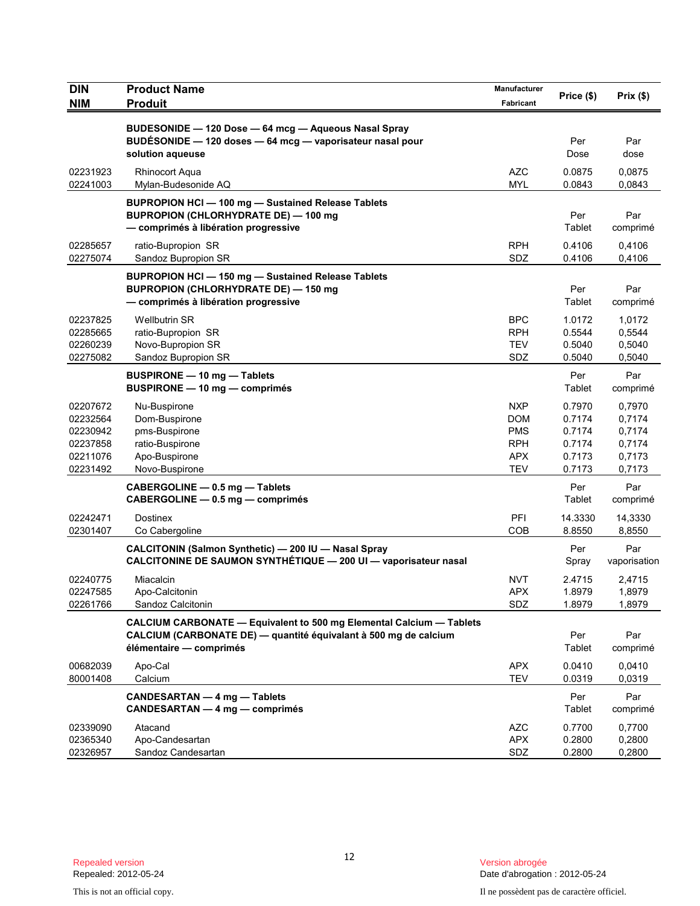| <b>DIN</b>                                                           | <b>Product Name</b>                                                                                                                                                 | Manufacturer                                                              | Price (\$)                                               | Prix(\$)                                                 |
|----------------------------------------------------------------------|---------------------------------------------------------------------------------------------------------------------------------------------------------------------|---------------------------------------------------------------------------|----------------------------------------------------------|----------------------------------------------------------|
| <b>NIM</b>                                                           | <b>Produit</b>                                                                                                                                                      | Fabricant                                                                 |                                                          |                                                          |
|                                                                      | BUDESONIDE - 120 Dose - 64 mcg - Aqueous Nasal Spray<br>BUDÉSONIDE - 120 doses - 64 mcg - vaporisateur nasal pour<br>solution aqueuse                               |                                                                           | Per<br>Dose                                              | Par<br>dose                                              |
| 02231923<br>02241003                                                 | <b>Rhinocort Aqua</b><br>Mylan-Budesonide AQ                                                                                                                        | <b>AZC</b><br><b>MYL</b>                                                  | 0.0875<br>0.0843                                         | 0,0875<br>0,0843                                         |
|                                                                      | BUPROPION HCI-100 mg-Sustained Release Tablets<br><b>BUPROPION (CHLORHYDRATE DE) - 100 mg</b><br>- comprimés à libération progressive                               |                                                                           | Per<br>Tablet                                            | Par<br>comprimé                                          |
| 02285657<br>02275074                                                 | ratio-Bupropion SR<br>Sandoz Bupropion SR                                                                                                                           | <b>RPH</b><br>SDZ                                                         | 0.4106<br>0.4106                                         | 0,4106<br>0,4106                                         |
|                                                                      | <b>BUPROPION HCI-150 mg-Sustained Release Tablets</b><br><b>BUPROPION (CHLORHYDRATE DE) - 150 mg</b><br>- comprimés à libération progressive                        |                                                                           | Per<br>Tablet                                            | Par<br>comprimé                                          |
| 02237825<br>02285665<br>02260239<br>02275082                         | <b>Wellbutrin SR</b><br>ratio-Bupropion SR<br>Novo-Bupropion SR<br>Sandoz Bupropion SR                                                                              | <b>BPC</b><br><b>RPH</b><br><b>TEV</b><br>SDZ                             | 1.0172<br>0.5544<br>0.5040<br>0.5040                     | 1,0172<br>0,5544<br>0,5040<br>0,5040                     |
|                                                                      | BUSPIRONE - 10 mg - Tablets<br>BUSPIRONE - 10 mg - comprimés                                                                                                        |                                                                           | Per<br>Tablet                                            | Par<br>comprimé                                          |
| 02207672<br>02232564<br>02230942<br>02237858<br>02211076<br>02231492 | Nu-Buspirone<br>Dom-Buspirone<br>pms-Buspirone<br>ratio-Buspirone<br>Apo-Buspirone<br>Novo-Buspirone                                                                | <b>NXP</b><br><b>DOM</b><br><b>PMS</b><br><b>RPH</b><br><b>APX</b><br>TEV | 0.7970<br>0.7174<br>0.7174<br>0.7174<br>0.7173<br>0.7173 | 0,7970<br>0,7174<br>0,7174<br>0,7174<br>0,7173<br>0,7173 |
|                                                                      | CABERGOLINE - 0.5 mg - Tablets<br>CABERGOLINE - 0.5 mg - comprimés                                                                                                  |                                                                           | Per<br>Tablet                                            | Par<br>comprimé                                          |
| 02242471<br>02301407                                                 | <b>Dostinex</b><br>Co Cabergoline                                                                                                                                   | PFI<br><b>COB</b>                                                         | 14.3330<br>8.8550                                        | 14,3330<br>8,8550                                        |
|                                                                      | CALCITONIN (Salmon Synthetic) - 200 IU - Nasal Spray<br>CALCITONINE DE SAUMON SYNTHÉTIQUE - 200 UI - vaporisateur nasal                                             |                                                                           | Per<br>Spray                                             | Par<br>vaporisation                                      |
| 02240775<br>02247585<br>02261766                                     | Miacalcin<br>Apo-Calcitonin<br>Sandoz Calcitonin                                                                                                                    | <b>NVT</b><br>APX<br>SDZ                                                  | 2.4715<br>1.8979<br>1.8979                               | 2,4715<br>1,8979<br>1,8979                               |
|                                                                      | CALCIUM CARBONATE - Equivalent to 500 mg Elemental Calcium - Tablets<br>CALCIUM (CARBONATE DE) - quantité équivalant à 500 mg de calcium<br>élémentaire - comprimés |                                                                           | Per<br>Tablet                                            | Par<br>comprimé                                          |
| 00682039<br>80001408                                                 | Apo-Cal<br>Calcium                                                                                                                                                  | <b>APX</b><br><b>TEV</b>                                                  | 0.0410<br>0.0319                                         | 0,0410<br>0,0319                                         |
|                                                                      | <b>CANDESARTAN - 4 mg - Tablets</b><br><b>CANDESARTAN - 4 mg - comprimés</b>                                                                                        |                                                                           | Per<br>Tablet                                            | Par<br>comprimé                                          |
| 02339090<br>02365340<br>02326957                                     | Atacand<br>Apo-Candesartan<br>Sandoz Candesartan                                                                                                                    | <b>AZC</b><br><b>APX</b><br>SDZ                                           | 0.7700<br>0.2800<br>0.2800                               | 0,7700<br>0,2800<br>0,2800                               |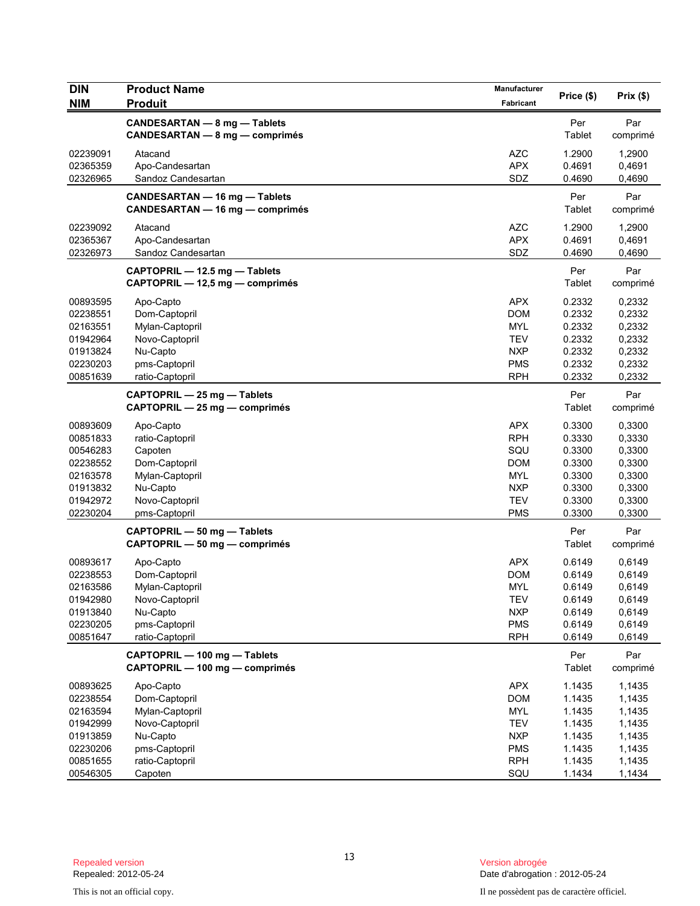| DIN                                                                                          | <b>Product Name</b>                                                                                                        | <b>Manufacturer</b>                                                                            | Price (\$)                                                                   | Prix(\$)                                                                     |
|----------------------------------------------------------------------------------------------|----------------------------------------------------------------------------------------------------------------------------|------------------------------------------------------------------------------------------------|------------------------------------------------------------------------------|------------------------------------------------------------------------------|
| <b>NIM</b>                                                                                   | <b>Produit</b>                                                                                                             | Fabricant                                                                                      |                                                                              |                                                                              |
|                                                                                              | CANDESARTAN - 8 mg - Tablets<br>CANDESARTAN - 8 mg - comprimés                                                             |                                                                                                | Per<br>Tablet                                                                | Par<br>comprimé                                                              |
| 02239091<br>02365359<br>02326965                                                             | Atacand<br>Apo-Candesartan<br>Sandoz Candesartan                                                                           | <b>AZC</b><br><b>APX</b><br>SDZ                                                                | 1.2900<br>0.4691<br>0.4690                                                   | 1,2900<br>0,4691<br>0,4690                                                   |
|                                                                                              | CANDESARTAN - 16 mg - Tablets<br><b>CANDESARTAN - 16 mg - comprimés</b>                                                    |                                                                                                | Per<br>Tablet                                                                | Par<br>comprimé                                                              |
| 02239092<br>02365367<br>02326973                                                             | Atacand<br>Apo-Candesartan<br>Sandoz Candesartan                                                                           | <b>AZC</b><br><b>APX</b><br>SDZ                                                                | 1.2900<br>0.4691<br>0.4690                                                   | 1,2900<br>0,4691<br>0,4690                                                   |
|                                                                                              | CAPTOPRIL - 12.5 mg - Tablets<br>CAPTOPRIL - 12,5 mg - comprimés                                                           |                                                                                                | Per<br>Tablet                                                                | Par<br>comprimé                                                              |
| 00893595<br>02238551<br>02163551<br>01942964<br>01913824<br>02230203<br>00851639             | Apo-Capto<br>Dom-Captopril<br>Mylan-Captopril<br>Novo-Captopril<br>Nu-Capto<br>pms-Captopril<br>ratio-Captopril            | <b>APX</b><br><b>DOM</b><br><b>MYL</b><br><b>TEV</b><br><b>NXP</b><br><b>PMS</b><br><b>RPH</b> | 0.2332<br>0.2332<br>0.2332<br>0.2332<br>0.2332<br>0.2332<br>0.2332           | 0,2332<br>0,2332<br>0,2332<br>0,2332<br>0,2332<br>0,2332<br>0,2332           |
|                                                                                              | CAPTOPRIL - 25 mg - Tablets<br>CAPTOPRIL - 25 mg - comprimés                                                               |                                                                                                | Per<br>Tablet                                                                | Par<br>comprimé                                                              |
| 00893609<br>00851833<br>00546283<br>02238552<br>02163578<br>01913832<br>01942972<br>02230204 | Apo-Capto<br>ratio-Captopril<br>Capoten<br>Dom-Captopril<br>Mylan-Captopril<br>Nu-Capto<br>Novo-Captopril<br>pms-Captopril | <b>APX</b><br><b>RPH</b><br>SQU<br>DOM<br>MYL<br><b>NXP</b><br><b>TEV</b><br><b>PMS</b>        | 0.3300<br>0.3330<br>0.3300<br>0.3300<br>0.3300<br>0.3300<br>0.3300<br>0.3300 | 0,3300<br>0,3330<br>0,3300<br>0,3300<br>0,3300<br>0,3300<br>0,3300<br>0,3300 |
|                                                                                              | CAPTOPRIL - 50 mg - Tablets<br>CAPTOPRIL - 50 mg - comprimés                                                               |                                                                                                | Per<br>Tablet                                                                | Par<br>comprimé                                                              |
| 00893617<br>02238553<br>02163586<br>01942980<br>01913840<br>02230205<br>00851647             | Apo-Capto<br>Dom-Captopril<br>Mylan-Captopril<br>Novo-Captopril<br>Nu-Capto<br>pms-Captopril<br>ratio-Captopril            | <b>APX</b><br><b>DOM</b><br><b>MYL</b><br><b>TEV</b><br><b>NXP</b><br><b>PMS</b><br><b>RPH</b> | 0.6149<br>0.6149<br>0.6149<br>0.6149<br>0.6149<br>0.6149<br>0.6149           | 0,6149<br>0,6149<br>0,6149<br>0,6149<br>0,6149<br>0,6149<br>0,6149           |
|                                                                                              | CAPTOPRIL - 100 mg - Tablets<br>CAPTOPRIL - 100 mg - comprimés                                                             |                                                                                                | Per<br>Tablet                                                                | Par<br>comprimé                                                              |
| 00893625<br>02238554<br>02163594<br>01942999<br>01913859<br>02230206                         | Apo-Capto<br>Dom-Captopril<br>Mylan-Captopril<br>Novo-Captopril<br>Nu-Capto<br>pms-Captopril                               | <b>APX</b><br><b>DOM</b><br>MYL<br><b>TEV</b><br><b>NXP</b><br><b>PMS</b>                      | 1.1435<br>1.1435<br>1.1435<br>1.1435<br>1.1435<br>1.1435                     | 1,1435<br>1,1435<br>1,1435<br>1,1435<br>1,1435<br>1,1435                     |
| 00851655<br>00546305                                                                         | ratio-Captopril<br>Capoten                                                                                                 | <b>RPH</b><br>SQU                                                                              | 1.1435<br>1.1434                                                             | 1,1435<br>1,1434                                                             |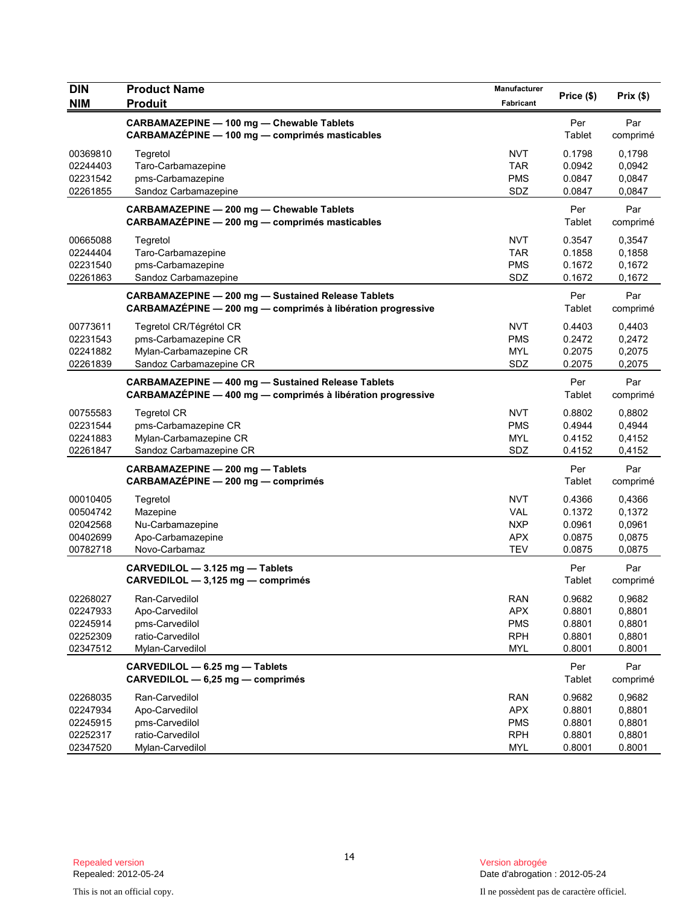| DIN        | <b>Product Name</b>                                         | Manufacturer | Price (\$) |          |
|------------|-------------------------------------------------------------|--------------|------------|----------|
| <b>NIM</b> | <b>Produit</b>                                              | Fabricant    |            | Prix(\$) |
|            | CARBAMAZEPINE - 100 mg - Chewable Tablets                   |              | Per        | Par      |
|            | CARBAMAZÉPINE - 100 mg - comprimés masticables              |              | Tablet     | comprimé |
| 00369810   | Tegretol                                                    | <b>NVT</b>   | 0.1798     | 0,1798   |
| 02244403   | Taro-Carbamazepine                                          | <b>TAR</b>   | 0.0942     | 0,0942   |
| 02231542   | pms-Carbamazepine                                           | <b>PMS</b>   | 0.0847     | 0,0847   |
| 02261855   | Sandoz Carbamazepine                                        | SDZ          | 0.0847     | 0,0847   |
|            | CARBAMAZEPINE - 200 mg - Chewable Tablets                   |              | Per        | Par      |
|            | CARBAMAZÉPINE - 200 mg - comprimés masticables              |              | Tablet     | comprimé |
| 00665088   | Tegretol                                                    | <b>NVT</b>   | 0.3547     | 0,3547   |
| 02244404   | Taro-Carbamazepine                                          | <b>TAR</b>   | 0.1858     | 0,1858   |
| 02231540   | pms-Carbamazepine                                           | <b>PMS</b>   | 0.1672     | 0,1672   |
| 02261863   | Sandoz Carbamazepine                                        | SDZ          | 0.1672     | 0,1672   |
|            | <b>CARBAMAZEPINE - 200 mg - Sustained Release Tablets</b>   |              | Per        | Par      |
|            | CARBAMAZÉPINE - 200 mg - comprimés à libération progressive |              | Tablet     | comprimé |
| 00773611   | Tegretol CR/Tégrétol CR                                     | <b>NVT</b>   | 0.4403     | 0,4403   |
| 02231543   | pms-Carbamazepine CR                                        | <b>PMS</b>   | 0.2472     | 0,2472   |
| 02241882   | Mylan-Carbamazepine CR                                      | <b>MYL</b>   | 0.2075     | 0,2075   |
| 02261839   | Sandoz Carbamazepine CR                                     | SDZ          | 0.2075     | 0,2075   |
|            | <b>CARBAMAZEPINE - 400 mg - Sustained Release Tablets</b>   |              | Per        | Par      |
|            | CARBAMAZÉPINE - 400 mg - comprimés à libération progressive |              | Tablet     | comprimé |
| 00755583   | <b>Tegretol CR</b>                                          | <b>NVT</b>   | 0.8802     | 0,8802   |
| 02231544   | pms-Carbamazepine CR                                        | <b>PMS</b>   | 0.4944     | 0,4944   |
| 02241883   | Mylan-Carbamazepine CR                                      | <b>MYL</b>   | 0.4152     | 0,4152   |
| 02261847   | Sandoz Carbamazepine CR                                     | SDZ          | 0.4152     | 0,4152   |
|            | CARBAMAZEPINE - 200 mg - Tablets                            |              | Per        | Par      |
|            | CARBAMAZÉPINE - 200 mg - comprimés                          |              | Tablet     | comprimé |
| 00010405   | Tegretol                                                    | <b>NVT</b>   | 0.4366     | 0,4366   |
| 00504742   | Mazepine                                                    | <b>VAL</b>   | 0.1372     | 0,1372   |
| 02042568   | Nu-Carbamazepine                                            | <b>NXP</b>   | 0.0961     | 0,0961   |
| 00402699   | Apo-Carbamazepine                                           | <b>APX</b>   | 0.0875     | 0,0875   |
| 00782718   | Novo-Carbamaz                                               | <b>TEV</b>   | 0.0875     | 0,0875   |
|            | CARVEDILOL - 3.125 mg - Tablets                             |              | Per        | Par      |
|            | CARVEDILOL - 3,125 mg - comprimés                           |              | Tablet     | comprimé |
| 02268027   | Ran-Carvedilol                                              | <b>RAN</b>   | 0.9682     | 0,9682   |
| 02247933   | Apo-Carvedilol                                              | <b>APX</b>   | 0.8801     | 0,8801   |
| 02245914   | pms-Carvedilol                                              | <b>PMS</b>   | 0.8801     | 0,8801   |
| 02252309   | ratio-Carvedilol                                            | <b>RPH</b>   | 0.8801     | 0,8801   |
| 02347512   | Mylan-Carvedilol                                            | <b>MYL</b>   | 0.8001     | 0.8001   |
|            | CARVEDILOL - 6.25 mg - Tablets                              |              | Per        | Par      |
|            | CARVEDILOL - 6,25 mg - comprimés                            |              | Tablet     | comprimé |
| 02268035   | Ran-Carvedilol                                              | <b>RAN</b>   | 0.9682     | 0,9682   |
| 02247934   | Apo-Carvedilol                                              | <b>APX</b>   | 0.8801     | 0,8801   |
| 02245915   | pms-Carvedilol                                              | <b>PMS</b>   | 0.8801     | 0,8801   |
| 02252317   | ratio-Carvedilol                                            | <b>RPH</b>   | 0.8801     | 0,8801   |
| 02347520   | Mylan-Carvedilol                                            | MYL          | 0.8001     | 0.8001   |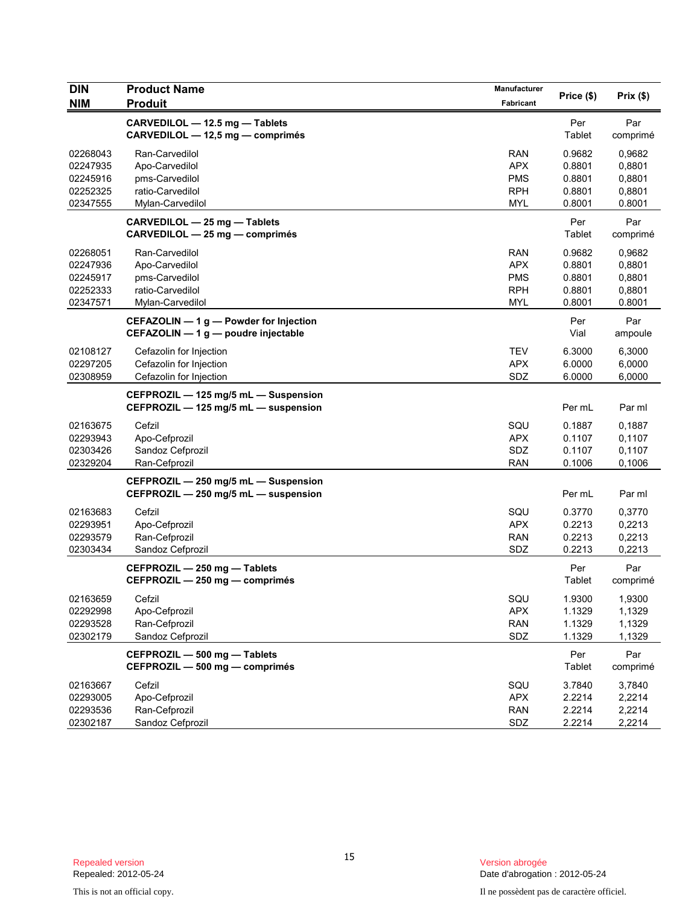| <b>DIN</b> | <b>Product Name</b>                    | Manufacturer | Price (\$) | Prix(\$) |
|------------|----------------------------------------|--------------|------------|----------|
| <b>NIM</b> | <b>Produit</b>                         | Fabricant    |            |          |
|            | CARVEDILOL - 12.5 mg - Tablets         |              | Per        | Par      |
|            | CARVEDILOL - 12,5 mg - comprimés       |              | Tablet     | comprimé |
| 02268043   | Ran-Carvedilol                         | <b>RAN</b>   | 0.9682     | 0,9682   |
| 02247935   | Apo-Carvedilol                         | <b>APX</b>   | 0.8801     | 0,8801   |
| 02245916   | pms-Carvedilol                         | <b>PMS</b>   | 0.8801     | 0,8801   |
| 02252325   | ratio-Carvedilol                       | <b>RPH</b>   | 0.8801     | 0,8801   |
| 02347555   | Mylan-Carvedilol                       | <b>MYL</b>   | 0.8001     | 0.8001   |
|            | CARVEDILOL - 25 mg - Tablets           |              | Per        | Par      |
|            | CARVEDILOL - 25 mg - comprimés         |              | Tablet     | comprimé |
| 02268051   | Ran-Carvedilol                         | <b>RAN</b>   | 0.9682     | 0,9682   |
| 02247936   | Apo-Carvedilol                         | <b>APX</b>   | 0.8801     | 0,8801   |
| 02245917   | pms-Carvedilol                         | <b>PMS</b>   | 0.8801     | 0,8801   |
| 02252333   | ratio-Carvedilol                       | <b>RPH</b>   | 0.8801     | 0,8801   |
| 02347571   | Mylan-Carvedilol                       | <b>MYL</b>   | 0.8001     | 0.8001   |
|            | CEFAZOLIN - 1 g - Powder for Injection |              | Per        | Par      |
|            | CEFAZOLIN - 1 g - poudre injectable    |              | Vial       | ampoule  |
| 02108127   | Cefazolin for Injection                | <b>TEV</b>   | 6.3000     | 6,3000   |
| 02297205   | Cefazolin for Injection                | <b>APX</b>   | 6.0000     | 6,0000   |
| 02308959   | Cefazolin for Injection                | SDZ          | 6.0000     | 6,0000   |
|            | CEFPROZIL - 125 mg/5 mL - Suspension   |              |            |          |
|            | CEFPROZIL - 125 mg/5 mL - suspension   |              | Per mL     | Par ml   |
| 02163675   | Cefzil                                 | SQU          | 0.1887     | 0,1887   |
| 02293943   | Apo-Cefprozil                          | <b>APX</b>   | 0.1107     | 0,1107   |
| 02303426   | Sandoz Cefprozil                       | SDZ          | 0.1107     | 0,1107   |
| 02329204   | Ran-Cefprozil                          | <b>RAN</b>   | 0.1006     | 0,1006   |
|            | CEFPROZIL - 250 mg/5 mL - Suspension   |              |            |          |
|            | CEFPROZIL - 250 mg/5 mL - suspension   |              | Per mL     | Par ml   |
| 02163683   | Cefzil                                 | SQU          | 0.3770     | 0,3770   |
| 02293951   | Apo-Cefprozil                          | <b>APX</b>   | 0.2213     | 0,2213   |
| 02293579   | Ran-Cefprozil                          | <b>RAN</b>   | 0.2213     | 0,2213   |
| 02303434   | Sandoz Cefprozil                       | SDZ          | 0.2213     | 0,2213   |
|            | CEFPROZIL - 250 mg - Tablets           |              | Per        | Par      |
|            | CEFPROZIL - 250 mg - comprimés         |              | Tablet     | comprimé |
| 02163659   | Cefzil                                 | SQU          | 1.9300     | 1,9300   |
| 02292998   | Apo-Cefprozil                          | <b>APX</b>   | 1.1329     | 1,1329   |
| 02293528   | Ran-Cefprozil                          | <b>RAN</b>   | 1.1329     | 1,1329   |
| 02302179   | Sandoz Cefprozil                       | SDZ          | 1.1329     | 1,1329   |
|            | CEFPROZIL - 500 mg - Tablets           |              | Per        | Par      |
|            | CEFPROZIL - 500 mg - comprimés         |              | Tablet     | comprimé |
| 02163667   | Cefzil                                 | SQU          | 3.7840     | 3,7840   |
| 02293005   | Apo-Cefprozil                          | <b>APX</b>   | 2.2214     | 2,2214   |
| 02293536   | Ran-Cefprozil                          | <b>RAN</b>   | 2.2214     | 2,2214   |
| 02302187   | Sandoz Cefprozil                       | SDZ          | 2.2214     | 2,2214   |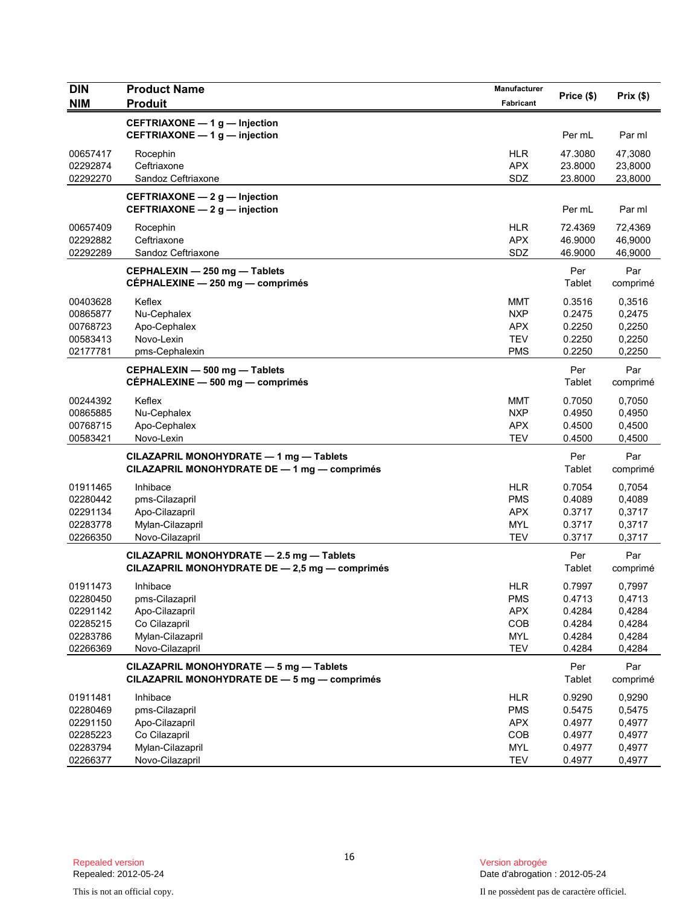| <b>DIN</b> | <b>Product Name</b>                            | Manufacturer |            |          |
|------------|------------------------------------------------|--------------|------------|----------|
| <b>NIM</b> | <b>Produit</b>                                 | Fabricant    | Price (\$) | Prix(\$) |
|            | CEFTRIAXONE - 1 g - Injection                  |              |            |          |
|            | CEFTRIAXONE - 1 g - injection                  |              | Per mL     | Par ml   |
| 00657417   | Rocephin                                       | <b>HLR</b>   | 47.3080    | 47,3080  |
| 02292874   | Ceftriaxone                                    | <b>APX</b>   | 23.8000    | 23,8000  |
| 02292270   | Sandoz Ceftriaxone                             | SDZ          | 23.8000    | 23,8000  |
|            | CEFTRIAXONE $-2$ g $-$ Injection               |              |            |          |
|            | CEFTRIAXONE - 2 g - injection                  |              | Per mL     | Par ml   |
| 00657409   | Rocephin                                       | <b>HLR</b>   | 72.4369    | 72,4369  |
| 02292882   | Ceftriaxone                                    | <b>APX</b>   | 46.9000    | 46,9000  |
| 02292289   | Sandoz Ceftriaxone                             | SDZ          | 46.9000    | 46,9000  |
|            | CEPHALEXIN - 250 mg - Tablets                  |              | Per        | Par      |
|            | CÉPHALEXINE - 250 mg - comprimés               |              | Tablet     | comprimé |
| 00403628   | Keflex                                         | MMT          | 0.3516     | 0,3516   |
| 00865877   | Nu-Cephalex                                    | <b>NXP</b>   | 0.2475     | 0,2475   |
| 00768723   | Apo-Cephalex                                   | <b>APX</b>   | 0.2250     | 0,2250   |
| 00583413   | Novo-Lexin                                     | <b>TEV</b>   | 0.2250     | 0,2250   |
| 02177781   | pms-Cephalexin                                 | <b>PMS</b>   | 0.2250     | 0,2250   |
|            | CEPHALEXIN - 500 mg - Tablets                  |              | Per        | Par      |
|            | CÉPHALEXINE - 500 mg - comprimés               |              | Tablet     | comprimé |
| 00244392   | Keflex                                         | MMT          | 0.7050     | 0.7050   |
| 00865885   | Nu-Cephalex                                    | <b>NXP</b>   | 0.4950     | 0,4950   |
| 00768715   | Apo-Cephalex                                   | <b>APX</b>   | 0.4500     | 0,4500   |
| 00583421   | Novo-Lexin                                     | <b>TEV</b>   | 0.4500     | 0,4500   |
|            | CILAZAPRIL MONOHYDRATE - 1 mg - Tablets        |              | Per        | Par      |
|            | CILAZAPRIL MONOHYDRATE DE - 1 mg - comprimés   |              | Tablet     | comprimé |
| 01911465   | Inhibace                                       | <b>HLR</b>   | 0.7054     | 0,7054   |
| 02280442   | pms-Cilazapril                                 | <b>PMS</b>   | 0.4089     | 0,4089   |
| 02291134   | Apo-Cilazapril                                 | <b>APX</b>   | 0.3717     | 0,3717   |
| 02283778   | Mylan-Cilazapril                               | <b>MYL</b>   | 0.3717     | 0,3717   |
| 02266350   | Novo-Cilazapril                                | <b>TEV</b>   | 0.3717     | 0,3717   |
|            | CILAZAPRIL MONOHYDRATE - 2.5 mg - Tablets      |              | Per        | Par      |
|            | CILAZAPRIL MONOHYDRATE DE - 2,5 mg - comprimés |              | Tablet     | comprimé |
| 01911473   | Inhibace                                       | <b>HLR</b>   | 0.7997     | 0,7997   |
| 02280450   | pms-Cilazapril                                 | <b>PMS</b>   | 0.4713     | 0,4713   |
| 02291142   | Apo-Cilazapril                                 | <b>APX</b>   | 0.4284     | 0,4284   |
| 02285215   | Co Cilazapril                                  | COB          | 0.4284     | 0,4284   |
| 02283786   | Mylan-Cilazapril                               | <b>MYL</b>   | 0.4284     | 0,4284   |
| 02266369   | Novo-Cilazapril                                | TEV          | 0.4284     | 0,4284   |
|            | CILAZAPRIL MONOHYDRATE - 5 mg - Tablets        |              | Per        | Par      |
|            | CILAZAPRIL MONOHYDRATE DE - 5 mg - comprimés   |              | Tablet     | comprimé |
| 01911481   | Inhibace                                       | <b>HLR</b>   | 0.9290     | 0,9290   |
| 02280469   | pms-Cilazapril                                 | <b>PMS</b>   | 0.5475     | 0,5475   |
| 02291150   | Apo-Cilazapril                                 | <b>APX</b>   | 0.4977     | 0,4977   |
| 02285223   | Co Cilazapril                                  | COB          | 0.4977     | 0,4977   |
| 02283794   | Mylan-Cilazapril                               | <b>MYL</b>   | 0.4977     | 0,4977   |
| 02266377   | Novo-Cilazapril                                | <b>TEV</b>   | 0.4977     | 0,4977   |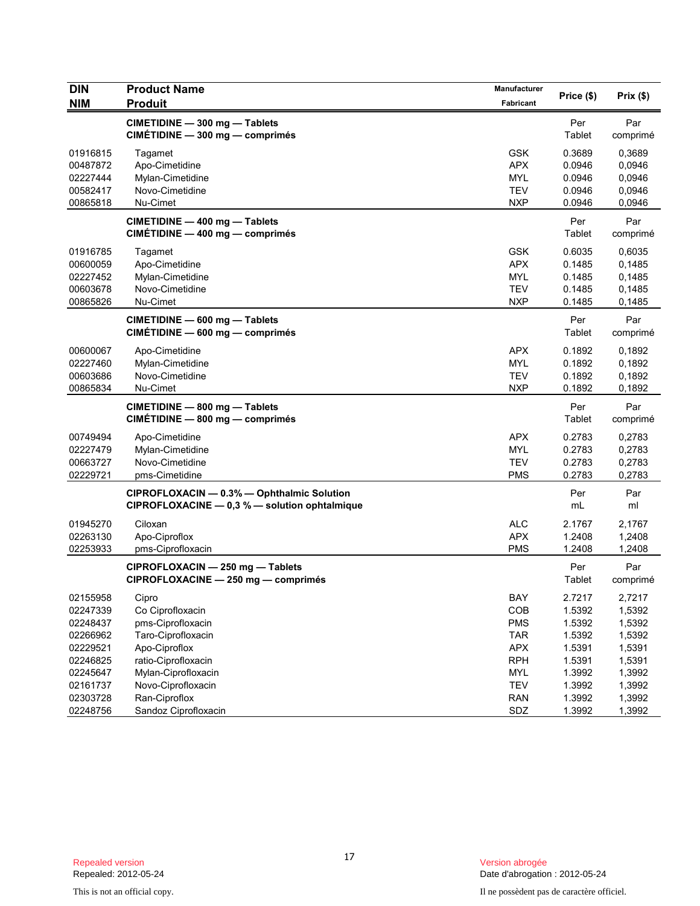| <b>DIN</b>                                                                       | <b>Product Name</b>                                                                                                                 | Manufacturer                                                                     | Price (\$)                                                         | Prix(\$)                                                           |
|----------------------------------------------------------------------------------|-------------------------------------------------------------------------------------------------------------------------------------|----------------------------------------------------------------------------------|--------------------------------------------------------------------|--------------------------------------------------------------------|
| <b>NIM</b>                                                                       | <b>Produit</b>                                                                                                                      | Fabricant                                                                        |                                                                    |                                                                    |
|                                                                                  | CIMETIDINE - 300 mg - Tablets<br>CIMÉTIDINE - 300 mg - comprimés                                                                    |                                                                                  | Per<br>Tablet                                                      | Par<br>comprimé                                                    |
| 01916815<br>00487872<br>02227444<br>00582417<br>00865818                         | Tagamet<br>Apo-Cimetidine<br>Mylan-Cimetidine<br>Novo-Cimetidine<br>Nu-Cimet                                                        | <b>GSK</b><br><b>APX</b><br><b>MYL</b><br><b>TEV</b><br><b>NXP</b>               | 0.3689<br>0.0946<br>0.0946<br>0.0946<br>0.0946                     | 0,3689<br>0,0946<br>0,0946<br>0,0946<br>0,0946                     |
|                                                                                  | CIMETIDINE - 400 mg - Tablets<br>CIMÉTIDINE - 400 mg - comprimés                                                                    |                                                                                  | Per<br>Tablet                                                      | Par<br>comprimé                                                    |
| 01916785<br>00600059<br>02227452<br>00603678<br>00865826                         | Tagamet<br>Apo-Cimetidine<br>Mylan-Cimetidine<br>Novo-Cimetidine<br>Nu-Cimet                                                        | <b>GSK</b><br><b>APX</b><br><b>MYL</b><br><b>TEV</b><br><b>NXP</b>               | 0.6035<br>0.1485<br>0.1485<br>0.1485<br>0.1485                     | 0,6035<br>0,1485<br>0,1485<br>0,1485<br>0,1485                     |
|                                                                                  | CIMETIDINE - 600 mg - Tablets<br>CIMÉTIDINE - 600 mg - comprimés                                                                    |                                                                                  | Per<br>Tablet                                                      | Par<br>comprimé                                                    |
| 00600067<br>02227460<br>00603686<br>00865834                                     | Apo-Cimetidine<br>Mylan-Cimetidine<br>Novo-Cimetidine<br>Nu-Cimet                                                                   | <b>APX</b><br><b>MYL</b><br><b>TEV</b><br><b>NXP</b>                             | 0.1892<br>0.1892<br>0.1892<br>0.1892                               | 0,1892<br>0,1892<br>0,1892<br>0,1892                               |
|                                                                                  | CIMETIDINE - 800 mg - Tablets<br>CIMÉTIDINE - 800 mg - comprimés                                                                    |                                                                                  | Per<br>Tablet                                                      | Par<br>comprimé                                                    |
| 00749494<br>02227479<br>00663727<br>02229721                                     | Apo-Cimetidine<br>Mylan-Cimetidine<br>Novo-Cimetidine<br>pms-Cimetidine                                                             | <b>APX</b><br><b>MYL</b><br><b>TEV</b><br><b>PMS</b>                             | 0.2783<br>0.2783<br>0.2783<br>0.2783                               | 0,2783<br>0,2783<br>0,2783<br>0,2783                               |
|                                                                                  | CIPROFLOXACIN - 0.3% - Ophthalmic Solution<br>CIPROFLOXACINE $- 0.3 %$ - solution ophtalmique                                       |                                                                                  | Per<br>mL                                                          | Par<br>ml                                                          |
| 01945270<br>02263130<br>02253933                                                 | Ciloxan<br>Apo-Ciproflox<br>pms-Ciprofloxacin                                                                                       | <b>ALC</b><br><b>APX</b><br><b>PMS</b>                                           | 2.1767<br>1.2408<br>1.2408                                         | 2,1767<br>1,2408<br>1,2408                                         |
|                                                                                  | CIPROFLOXACIN - 250 mg - Tablets<br>CIPROFLOXACINE - 250 mg - comprimés                                                             |                                                                                  | Per<br>Tablet                                                      | Par<br>comprimé                                                    |
| 02155958<br>02247339<br>02248437<br>02266962<br>02229521<br>02246825<br>02245647 | Cipro<br>Co Ciprofloxacin<br>pms-Ciprofloxacin<br>Taro-Ciprofloxacin<br>Apo-Ciproflox<br>ratio-Ciprofloxacin<br>Mylan-Ciprofloxacin | BAY<br>COB<br><b>PMS</b><br><b>TAR</b><br><b>APX</b><br><b>RPH</b><br><b>MYL</b> | 2.7217<br>1.5392<br>1.5392<br>1.5392<br>1.5391<br>1.5391<br>1.3992 | 2,7217<br>1,5392<br>1,5392<br>1,5392<br>1,5391<br>1,5391<br>1,3992 |
| 02161737<br>02303728<br>02248756                                                 | Novo-Ciprofloxacin<br>Ran-Ciproflox<br>Sandoz Ciprofloxacin                                                                         | <b>TEV</b><br><b>RAN</b><br>SDZ                                                  | 1.3992<br>1.3992<br>1.3992                                         | 1,3992<br>1,3992<br>1,3992                                         |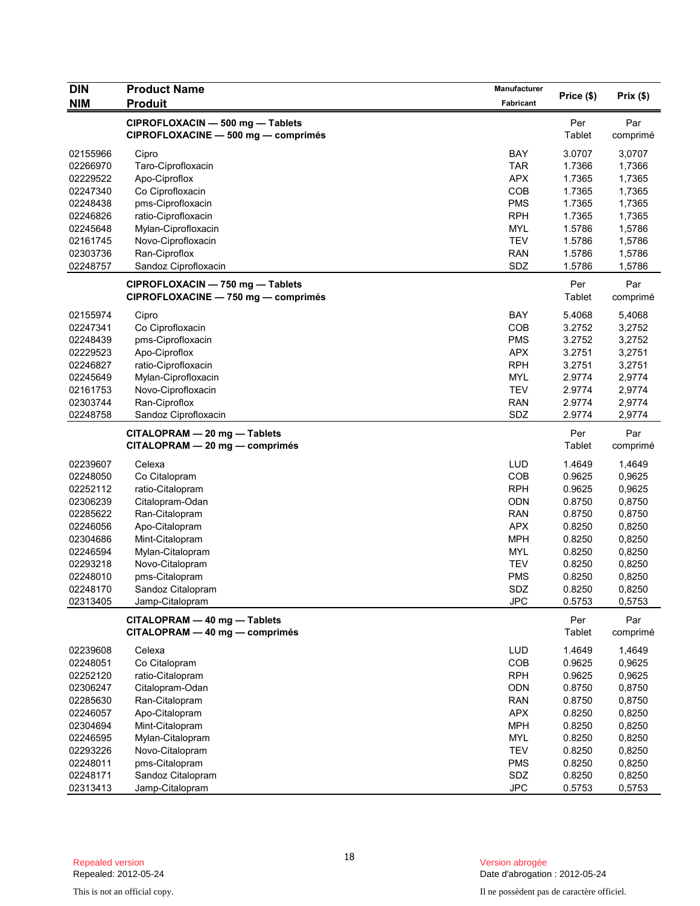| <b>DIN</b> | <b>Product Name</b>                 | Manufacturer | Price (\$) | Prix(\$) |
|------------|-------------------------------------|--------------|------------|----------|
| <b>NIM</b> | <b>Produit</b>                      | Fabricant    |            |          |
|            | CIPROFLOXACIN - 500 mg - Tablets    |              | Per        | Par      |
|            | CIPROFLOXACINE - 500 mg - comprimés |              | Tablet     | comprimé |
| 02155966   | Cipro                               | <b>BAY</b>   | 3.0707     | 3,0707   |
| 02266970   | Taro-Ciprofloxacin                  | <b>TAR</b>   | 1.7366     | 1,7366   |
| 02229522   | Apo-Ciproflox                       | <b>APX</b>   | 1.7365     | 1,7365   |
| 02247340   | Co Ciprofloxacin                    | COB          | 1.7365     | 1,7365   |
| 02248438   | pms-Ciprofloxacin                   | <b>PMS</b>   | 1.7365     | 1,7365   |
| 02246826   | ratio-Ciprofloxacin                 | <b>RPH</b>   | 1.7365     | 1,7365   |
| 02245648   | Mylan-Ciprofloxacin                 | <b>MYL</b>   | 1.5786     | 1,5786   |
| 02161745   | Novo-Ciprofloxacin                  | <b>TEV</b>   | 1.5786     | 1,5786   |
| 02303736   | Ran-Ciproflox                       | <b>RAN</b>   | 1.5786     | 1,5786   |
| 02248757   | Sandoz Ciprofloxacin                | SDZ          | 1.5786     | 1,5786   |
|            | CIPROFLOXACIN - 750 mg - Tablets    |              | Per        | Par      |
|            | CIPROFLOXACINE - 750 mg - comprimés |              | Tablet     | comprimé |
| 02155974   | Cipro                               | <b>BAY</b>   | 5.4068     | 5,4068   |
| 02247341   | Co Ciprofloxacin                    | COB          | 3.2752     | 3,2752   |
| 02248439   | pms-Ciprofloxacin                   | <b>PMS</b>   | 3.2752     | 3,2752   |
| 02229523   | Apo-Ciproflox                       | <b>APX</b>   | 3.2751     | 3,2751   |
| 02246827   | ratio-Ciprofloxacin                 | <b>RPH</b>   | 3.2751     | 3,2751   |
| 02245649   | Mylan-Ciprofloxacin                 | <b>MYL</b>   | 2.9774     | 2,9774   |
| 02161753   | Novo-Ciprofloxacin                  | <b>TEV</b>   | 2.9774     | 2,9774   |
| 02303744   | Ran-Ciproflox                       | <b>RAN</b>   | 2.9774     | 2,9774   |
| 02248758   | Sandoz Ciprofloxacin                | SDZ          | 2.9774     | 2,9774   |
|            | CITALOPRAM - 20 mg - Tablets        |              | Per        | Par      |
|            | CITALOPRAM - 20 mg - comprimés      |              | Tablet     | comprimé |
| 02239607   | Celexa                              | <b>LUD</b>   | 1.4649     | 1,4649   |
| 02248050   | Co Citalopram                       | COB          | 0.9625     | 0,9625   |
| 02252112   | ratio-Citalopram                    | <b>RPH</b>   | 0.9625     | 0,9625   |
| 02306239   | Citalopram-Odan                     | <b>ODN</b>   | 0.8750     | 0,8750   |
| 02285622   | Ran-Citalopram                      | <b>RAN</b>   | 0.8750     | 0,8750   |
| 02246056   | Apo-Citalopram                      | <b>APX</b>   | 0.8250     | 0,8250   |
| 02304686   | Mint-Citalopram                     | <b>MPH</b>   | 0.8250     | 0,8250   |
| 02246594   | Mylan-Citalopram                    | <b>MYL</b>   | 0.8250     | 0,8250   |
| 02293218   | Novo-Citalopram                     | <b>TEV</b>   | 0.8250     | 0,8250   |
| 02248010   | pms-Citalopram                      | <b>PMS</b>   | 0.8250     | 0,8250   |
| 02248170   | Sandoz Citalopram                   | SDZ          | 0.8250     | 0,8250   |
| 02313405   | Jamp-Citalopram                     | <b>JPC</b>   | 0.5753     | 0,5753   |
|            | CITALOPRAM - 40 mg - Tablets        |              | Per        | Par      |
|            | CITALOPRAM - 40 mg - comprimés      |              | Tablet     | comprimé |
| 02239608   | Celexa                              | LUD          | 1.4649     | 1,4649   |
| 02248051   | Co Citalopram                       | COB          | 0.9625     | 0,9625   |
| 02252120   | ratio-Citalopram                    | <b>RPH</b>   | 0.9625     | 0,9625   |
| 02306247   | Citalopram-Odan                     | <b>ODN</b>   | 0.8750     | 0,8750   |
| 02285630   | Ran-Citalopram                      | <b>RAN</b>   | 0.8750     | 0,8750   |
| 02246057   | Apo-Citalopram                      | <b>APX</b>   | 0.8250     | 0,8250   |
| 02304694   | Mint-Citalopram                     | <b>MPH</b>   | 0.8250     | 0,8250   |
| 02246595   | Mylan-Citalopram                    | MYL          | 0.8250     | 0,8250   |
| 02293226   | Novo-Citalopram                     | <b>TEV</b>   | 0.8250     | 0,8250   |
| 02248011   | pms-Citalopram                      | <b>PMS</b>   | 0.8250     | 0,8250   |
| 02248171   | Sandoz Citalopram                   | SDZ          | 0.8250     | 0,8250   |
| 02313413   | Jamp-Citalopram                     | <b>JPC</b>   | 0.5753     | 0,5753   |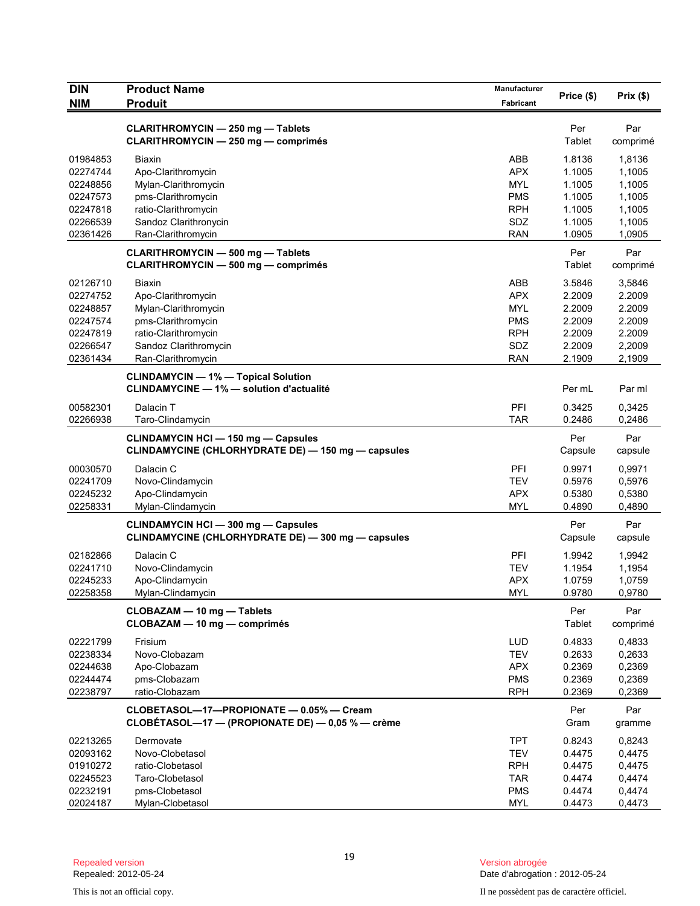| <b>DIN</b> | <b>Product Name</b>                                | Manufacturer |            |                  |
|------------|----------------------------------------------------|--------------|------------|------------------|
| <b>NIM</b> | <b>Produit</b>                                     | Fabricant    | Price (\$) | Prix(\$)         |
|            |                                                    |              |            |                  |
|            | <b>CLARITHROMYCIN - 250 mg - Tablets</b>           |              | Per        | Par              |
|            | <b>CLARITHROMYCIN - 250 mg - comprimés</b>         |              | Tablet     | comprimé         |
| 01984853   | <b>Biaxin</b>                                      | ABB          | 1.8136     | 1,8136           |
| 02274744   | Apo-Clarithromycin                                 | <b>APX</b>   | 1.1005     | 1,1005           |
| 02248856   | Mylan-Clarithromycin                               | <b>MYL</b>   | 1.1005     | 1,1005           |
| 02247573   | pms-Clarithromycin                                 | <b>PMS</b>   | 1.1005     | 1,1005           |
| 02247818   | ratio-Clarithromycin                               | <b>RPH</b>   | 1.1005     | 1,1005           |
| 02266539   | Sandoz Clarithronycin                              | SDZ          | 1.1005     | 1,1005           |
| 02361426   | Ran-Clarithromycin                                 | <b>RAN</b>   | 1.0905     | 1,0905           |
|            | <b>CLARITHROMYCIN - 500 mg - Tablets</b>           |              | Per        | Par              |
|            | <b>CLARITHROMYCIN - 500 mg - comprimés</b>         |              | Tablet     | comprimé         |
| 02126710   | <b>Biaxin</b>                                      | ABB          | 3.5846     |                  |
| 02274752   |                                                    | <b>APX</b>   | 2.2009     | 3,5846<br>2.2009 |
| 02248857   | Apo-Clarithromycin<br>Mylan-Clarithromycin         | <b>MYL</b>   | 2.2009     | 2.2009           |
| 02247574   | pms-Clarithromycin                                 | <b>PMS</b>   | 2.2009     | 2.2009           |
| 02247819   |                                                    | <b>RPH</b>   | 2.2009     | 2.2009           |
| 02266547   | ratio-Clarithromycin                               | SDZ          | 2.2009     | 2,2009           |
| 02361434   | Sandoz Clarithromycin<br>Ran-Clarithromycin        | <b>RAN</b>   | 2.1909     | 2,1909           |
|            |                                                    |              |            |                  |
|            | <b>CLINDAMYCIN - 1% - Topical Solution</b>         |              |            |                  |
|            | <b>CLINDAMYCINE - 1% - solution d'actualité</b>    |              | Per mL     | Par ml           |
| 00582301   | Dalacin T                                          | PFI          | 0.3425     | 0,3425           |
| 02266938   | Taro-Clindamycin                                   | <b>TAR</b>   | 0.2486     | 0,2486           |
|            | <b>CLINDAMYCIN HCI - 150 mg - Capsules</b>         |              | Per        | Par              |
|            | CLINDAMYCINE (CHLORHYDRATE DE) — 150 mg — capsules |              | Capsule    | capsule          |
| 00030570   | Dalacin C                                          | PFI          | 0.9971     | 0,9971           |
| 02241709   | Novo-Clindamycin                                   | <b>TEV</b>   | 0.5976     | 0,5976           |
| 02245232   | Apo-Clindamycin                                    | <b>APX</b>   | 0.5380     | 0,5380           |
| 02258331   | Mylan-Clindamycin                                  | <b>MYL</b>   | 0.4890     | 0,4890           |
|            |                                                    |              |            |                  |
|            | <b>CLINDAMYCIN HCI - 300 mg - Capsules</b>         |              | Per        | Par              |
|            | CLINDAMYCINE (CHLORHYDRATE DE) - 300 mg - capsules |              | Capsule    | capsule          |
| 02182866   | Dalacin C                                          | PFI          | 1.9942     | 1,9942           |
| 02241710   | Novo-Clindamycin                                   | <b>TEV</b>   | 1.1954     | 1,1954           |
| 02245233   | Apo-Clindamycin                                    | <b>APX</b>   | 1.0759     | 1,0759           |
| 02258358   | Mylan-Clindamycin                                  | <b>MYL</b>   | 0.9780     | 0,9780           |
|            | CLOBAZAM - 10 mg - Tablets                         |              | Per        | Par              |
|            | CLOBAZAM - 10 mg - comprimés                       |              | Tablet     | comprimé         |
| 02221799   | Frisium                                            | <b>LUD</b>   | 0.4833     | 0,4833           |
| 02238334   | Novo-Clobazam                                      | <b>TEV</b>   | 0.2633     | 0,2633           |
| 02244638   | Apo-Clobazam                                       | <b>APX</b>   | 0.2369     | 0,2369           |
| 02244474   | pms-Clobazam                                       | <b>PMS</b>   | 0.2369     | 0,2369           |
| 02238797   | ratio-Clobazam                                     | <b>RPH</b>   | 0.2369     | 0,2369           |
|            |                                                    |              |            |                  |
|            | CLOBETASOL-17-PROPIONATE - 0.05% - Cream           |              | Per        | Par              |
|            | CLOBÉTASOL—17 — (PROPIONATE DE) — $0,05$ % — crème |              | Gram       | gramme           |
| 02213265   | Dermovate                                          | <b>TPT</b>   | 0.8243     | 0,8243           |
| 02093162   | Novo-Clobetasol                                    | <b>TEV</b>   | 0.4475     | 0,4475           |
| 01910272   | ratio-Clobetasol                                   | <b>RPH</b>   | 0.4475     | 0,4475           |
| 02245523   | Taro-Clobetasol                                    | <b>TAR</b>   | 0.4474     | 0,4474           |
| 02232191   | pms-Clobetasol                                     | <b>PMS</b>   | 0.4474     | 0,4474           |
| 02024187   | Mylan-Clobetasol                                   | <b>MYL</b>   | 0.4473     | 0,4473           |

Version abrogée<br>Date d'abrogation : 2012-05-24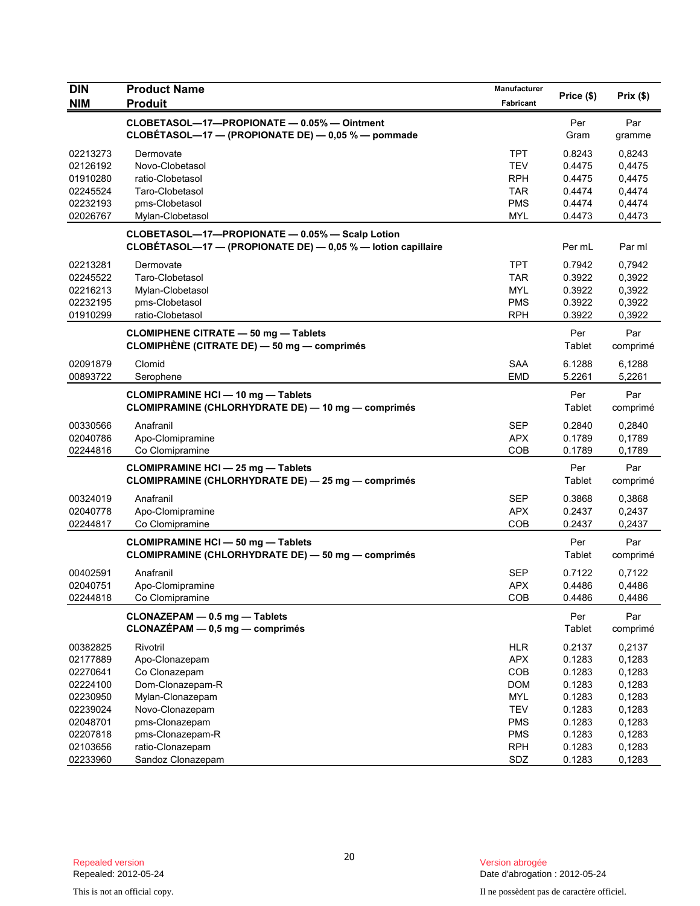| DIN        | <b>Product Name</b>                                                                                             | Manufacturer |               |                 |
|------------|-----------------------------------------------------------------------------------------------------------------|--------------|---------------|-----------------|
| <b>NIM</b> | <b>Produit</b>                                                                                                  | Fabricant    | Price (\$)    | Prix(\$)        |
|            | CLOBETASOL-17-PROPIONATE - 0.05% - Ointment<br>CLOBÉTASOL-17 - (PROPIONATE DE) - 0,05 % - pommade               |              | Per<br>Gram   | Par<br>gramme   |
| 02213273   | Dermovate                                                                                                       | <b>TPT</b>   | 0.8243        | 0,8243          |
| 02126192   | Novo-Clobetasol                                                                                                 | <b>TEV</b>   | 0.4475        | 0,4475          |
| 01910280   | ratio-Clobetasol                                                                                                | <b>RPH</b>   | 0.4475        | 0,4475          |
| 02245524   | Taro-Clobetasol                                                                                                 | <b>TAR</b>   | 0.4474        | 0,4474          |
| 02232193   | pms-Clobetasol                                                                                                  | <b>PMS</b>   | 0.4474        | 0,4474          |
| 02026767   | Mylan-Clobetasol                                                                                                | <b>MYL</b>   | 0.4473        | 0,4473          |
|            | CLOBETASOL-17-PROPIONATE - 0.05% - Scalp Lotion<br>CLOBÉTASOL-17 - (PROPIONATE DE) - 0,05 % - lotion capillaire |              | Per mL        | Par ml          |
| 02213281   | Dermovate                                                                                                       | <b>TPT</b>   | 0.7942        | 0,7942          |
| 02245522   | Taro-Clobetasol                                                                                                 | <b>TAR</b>   | 0.3922        | 0,3922          |
| 02216213   | Mylan-Clobetasol                                                                                                | <b>MYL</b>   | 0.3922        | 0,3922          |
| 02232195   | pms-Clobetasol                                                                                                  | <b>PMS</b>   | 0.3922        | 0,3922          |
| 01910299   | ratio-Clobetasol                                                                                                | <b>RPH</b>   | 0.3922        | 0,3922          |
|            | <b>CLOMIPHENE CITRATE - 50 mg - Tablets</b><br>CLOMIPHÈNE (CITRATE DE) - 50 mg - comprimés                      |              | Per<br>Tablet | Par<br>comprimé |
| 02091879   | Clomid                                                                                                          | <b>SAA</b>   | 6.1288        | 6.1288          |
| 00893722   | Serophene                                                                                                       | <b>EMD</b>   | 5.2261        | 5,2261          |
|            | <b>CLOMIPRAMINE HCI - 10 mg - Tablets</b><br>CLOMIPRAMINE (CHLORHYDRATE DE) — 10 mg — comprimés                 |              | Per<br>Tablet | Par<br>comprimé |
| 00330566   | Anafranil                                                                                                       | <b>SEP</b>   | 0.2840        | 0,2840          |
| 02040786   | Apo-Clomipramine                                                                                                | <b>APX</b>   | 0.1789        | 0,1789          |
| 02244816   | Co Clomipramine                                                                                                 | COB          | 0.1789        | 0,1789          |
|            | <b>CLOMIPRAMINE HCI - 25 mg - Tablets</b><br><b>CLOMIPRAMINE (CHLORHYDRATE DE) - 25 mg - comprimés</b>          |              | Per<br>Tablet | Par<br>comprimé |
| 00324019   | Anafranil                                                                                                       | <b>SEP</b>   | 0.3868        | 0,3868          |
| 02040778   | Apo-Clomipramine                                                                                                | <b>APX</b>   | 0.2437        | 0,2437          |
| 02244817   | Co Clomipramine                                                                                                 | COB          | 0.2437        | 0,2437          |
|            | <b>CLOMIPRAMINE HCI - 50 mg - Tablets</b><br><b>CLOMIPRAMINE (CHLORHYDRATE DE) - 50 mg - comprimés</b>          |              | Per<br>Tablet | Par<br>comprimé |
| 00402591   | Anafranil                                                                                                       | <b>SEP</b>   | 0.7122        | 0,7122          |
| 02040751   | Apo-Clomipramine                                                                                                | <b>APX</b>   | 0.4486        | 0,4486          |
| 02244818   | Co Clomipramine                                                                                                 | COB          | 0.4486        | 0,4486          |
|            | CLONAZEPAM - 0.5 mg - Tablets<br>CLONAZÉPAM - 0,5 mg - comprimés                                                |              | Per<br>Tablet | Par<br>comprimé |
| 00382825   | Rivotril                                                                                                        | <b>HLR</b>   | 0.2137        | 0,2137          |
| 02177889   | Apo-Clonazepam                                                                                                  | <b>APX</b>   | 0.1283        | 0,1283          |
| 02270641   | Co Clonazepam                                                                                                   | COB          | 0.1283        | 0,1283          |
| 02224100   | Dom-Clonazepam-R                                                                                                | <b>DOM</b>   | 0.1283        | 0,1283          |
| 02230950   | Mylan-Clonazepam                                                                                                | <b>MYL</b>   | 0.1283        | 0,1283          |
| 02239024   | Novo-Clonazepam                                                                                                 | <b>TEV</b>   | 0.1283        | 0,1283          |
| 02048701   | pms-Clonazepam                                                                                                  | <b>PMS</b>   | 0.1283        | 0,1283          |
| 02207818   | pms-Clonazepam-R                                                                                                | <b>PMS</b>   | 0.1283        | 0,1283          |
| 02103656   | ratio-Clonazepam                                                                                                | <b>RPH</b>   | 0.1283        | 0,1283          |
| 02233960   | Sandoz Clonazepam                                                                                               | SDZ          | 0.1283        | 0,1283          |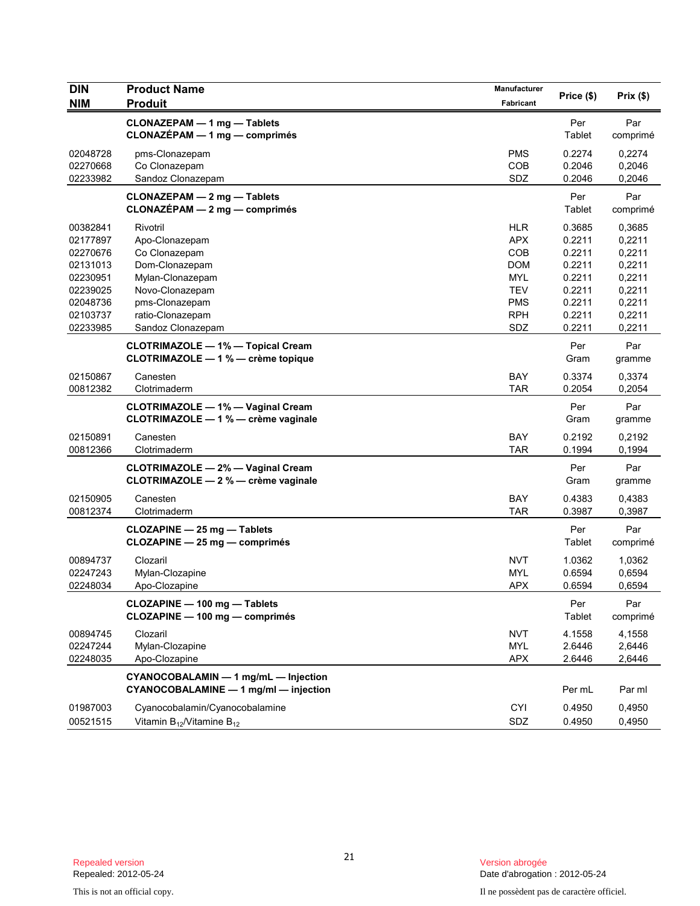| <b>DIN</b>                                                           | <b>Product Name</b>                                                                                  | Manufacturer                                                              |                                                          |                                                          |
|----------------------------------------------------------------------|------------------------------------------------------------------------------------------------------|---------------------------------------------------------------------------|----------------------------------------------------------|----------------------------------------------------------|
| <b>NIM</b>                                                           | <b>Produit</b>                                                                                       | Fabricant                                                                 | Price (\$)                                               | Prix(\$)                                                 |
|                                                                      | <b>CLONAZEPAM - 1 mg - Tablets</b><br>$CLONAZÉPAM - 1 mg - comprimés$                                |                                                                           | Per<br>Tablet                                            | Par<br>comprimé                                          |
| 02048728<br>02270668<br>02233982                                     | pms-Clonazepam<br>Co Clonazepam<br>Sandoz Clonazepam                                                 | <b>PMS</b><br>COB<br>SDZ                                                  | 0.2274<br>0.2046<br>0.2046                               | 0,2274<br>0,2046<br>0,2046                               |
|                                                                      | CLONAZEPAM - 2 mg - Tablets<br>$CLONAZÉPAM - 2 mg - comprimés$                                       |                                                                           | Per<br>Tablet                                            | Par<br>comprimé                                          |
| 00382841<br>02177897<br>02270676<br>02131013<br>02230951<br>02239025 | Rivotril<br>Apo-Clonazepam<br>Co Clonazepam<br>Dom-Clonazepam<br>Mylan-Clonazepam<br>Novo-Clonazepam | <b>HLR</b><br><b>APX</b><br><b>COB</b><br><b>DOM</b><br>MYL<br><b>TEV</b> | 0.3685<br>0.2211<br>0.2211<br>0.2211<br>0.2211<br>0.2211 | 0,3685<br>0,2211<br>0,2211<br>0,2211<br>0,2211<br>0,2211 |
| 02048736<br>02103737<br>02233985                                     | pms-Clonazepam<br>ratio-Clonazepam<br>Sandoz Clonazepam                                              | <b>PMS</b><br><b>RPH</b><br>SDZ                                           | 0.2211<br>0.2211<br>0.2211                               | 0,2211<br>0,2211<br>0,2211                               |
|                                                                      | <b>CLOTRIMAZOLE - 1% - Topical Cream</b><br>CLOTRIMAZOLE - 1 % - crème topique                       |                                                                           | Per<br>Gram                                              | Par<br>gramme                                            |
| 02150867<br>00812382                                                 | Canesten<br>Clotrimaderm                                                                             | BAY<br><b>TAR</b>                                                         | 0.3374<br>0.2054                                         | 0,3374<br>0,2054                                         |
|                                                                      | <b>CLOTRIMAZOLE - 1% - Vaginal Cream</b><br>CLOTRIMAZOLE - 1 % - crème vaginale                      |                                                                           | Per<br>Gram                                              | Par<br>gramme                                            |
| 02150891<br>00812366                                                 | Canesten<br>Clotrimaderm                                                                             | <b>BAY</b><br><b>TAR</b>                                                  | 0.2192<br>0.1994                                         | 0,2192<br>0,1994                                         |
|                                                                      | <b>CLOTRIMAZOLE - 2% - Vaginal Cream</b><br>CLOTRIMAZOLE - 2 % - crème vaginale                      |                                                                           | Per<br>Gram                                              | Par<br>gramme                                            |
| 02150905<br>00812374                                                 | Canesten<br>Clotrimaderm                                                                             | <b>BAY</b><br><b>TAR</b>                                                  | 0.4383<br>0.3987                                         | 0,4383<br>0,3987                                         |
|                                                                      | CLOZAPINE - 25 mg - Tablets<br>CLOZAPINE - 25 mg - comprimés                                         |                                                                           | Per<br>Tablet                                            | Par<br>comprimé                                          |
| 00894737<br>02247243<br>02248034                                     | Clozaril<br>Mylan-Clozapine<br>Apo-Clozapine                                                         | <b>NVT</b><br><b>MYL</b><br><b>APX</b>                                    | 1.0362<br>0.6594<br>0.6594                               | 1,0362<br>0,6594<br>0,6594                               |
|                                                                      | CLOZAPINE - 100 mg - Tablets<br>CLOZAPINE - 100 mg - comprimés                                       |                                                                           | Per<br><b>Tablet</b>                                     | Par<br>comprimé                                          |
| 00894745<br>02247244<br>02248035                                     | Clozaril<br>Mylan-Clozapine<br>Apo-Clozapine                                                         | <b>NVT</b><br><b>MYL</b><br><b>APX</b>                                    | 4.1558<br>2.6446<br>2.6446                               | 4,1558<br>2,6446<br>2,6446                               |
|                                                                      | CYANOCOBALAMIN - 1 mg/mL - Injection<br>CYANOCOBALAMINE - 1 mg/ml - injection                        |                                                                           | Per mL                                                   | Par ml                                                   |
| 01987003<br>00521515                                                 | Cyanocobalamin/Cyanocobalamine<br>Vitamin $B_{12}$ /Vitamine $B_{12}$                                | <b>CYI</b><br>SDZ                                                         | 0.4950<br>0.4950                                         | 0,4950<br>0,4950                                         |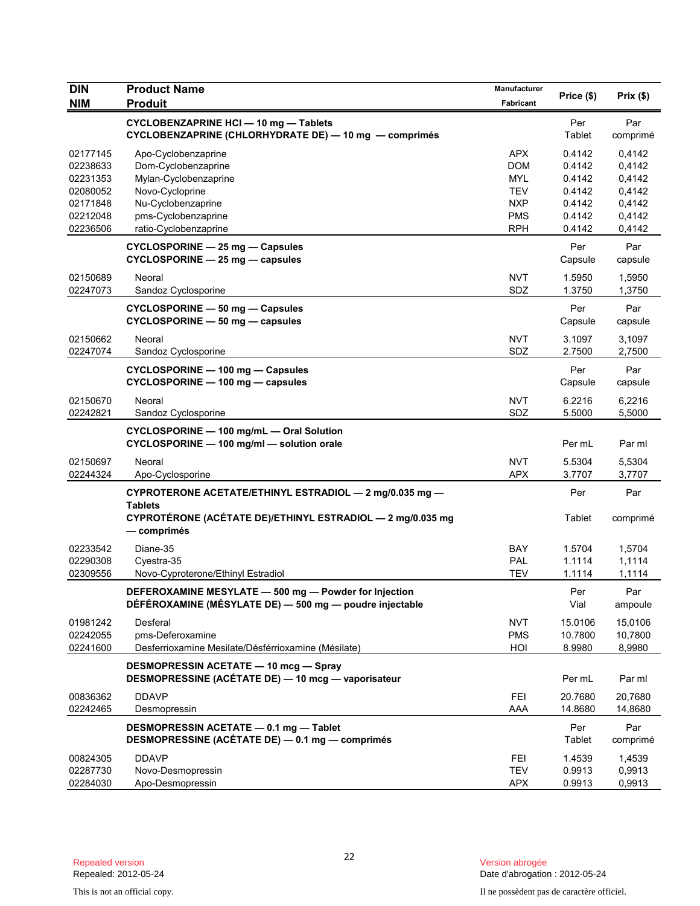| <b>DIN</b> | <b>Product Name</b>                                                                                              | Manufacturer |                |                 |
|------------|------------------------------------------------------------------------------------------------------------------|--------------|----------------|-----------------|
| <b>NIM</b> | <b>Produit</b>                                                                                                   | Fabricant    | Price (\$)     | Prix(\$)        |
|            | <b>CYCLOBENZAPRINE HCI-10 mg-Tablets</b><br>CYCLOBENZAPRINE (CHLORHYDRATE DE) - 10 mg - comprimés                |              | Per<br>Tablet  | Par<br>comprimé |
| 02177145   | Apo-Cyclobenzaprine                                                                                              | <b>APX</b>   | 0.4142         | 0,4142          |
| 02238633   | Dom-Cyclobenzaprine                                                                                              | <b>DOM</b>   | 0.4142         | 0,4142          |
| 02231353   | Mylan-Cyclobenzaprine                                                                                            | <b>MYL</b>   | 0.4142         | 0,4142          |
| 02080052   | Novo-Cycloprine                                                                                                  | <b>TEV</b>   | 0.4142         | 0,4142          |
| 02171848   | Nu-Cyclobenzaprine                                                                                               | <b>NXP</b>   | 0.4142         | 0,4142          |
| 02212048   | pms-Cyclobenzaprine                                                                                              | <b>PMS</b>   | 0.4142         | 0,4142          |
| 02236506   | ratio-Cyclobenzaprine                                                                                            | <b>RPH</b>   | 0.4142         | 0,4142          |
|            | CYCLOSPORINE - 25 mg - Capsules<br>CYCLOSPORINE - 25 mg - capsules                                               |              | Per<br>Capsule | Par<br>capsule  |
| 02150689   | Neoral                                                                                                           | <b>NVT</b>   | 1.5950         | 1,5950          |
| 02247073   | Sandoz Cyclosporine                                                                                              | SDZ          | 1.3750         | 1,3750          |
|            | <b>CYCLOSPORINE - 50 mg - Capsules</b><br>CYCLOSPORINE - 50 mg - capsules                                        |              | Per<br>Capsule | Par<br>capsule  |
| 02150662   | Neoral                                                                                                           | <b>NVT</b>   | 3.1097         | 3,1097          |
| 02247074   | Sandoz Cyclosporine                                                                                              | SDZ          | 2.7500         | 2,7500          |
|            | CYCLOSPORINE - 100 mg - Capsules                                                                                 |              | Per            | Par             |
|            | CYCLOSPORINE - 100 mg - capsules                                                                                 |              | Capsule        | capsule         |
|            |                                                                                                                  |              |                |                 |
| 02150670   | Neoral                                                                                                           | <b>NVT</b>   | 6.2216         | 6,2216          |
| 02242821   | Sandoz Cyclosporine                                                                                              | SDZ          | 5.5000         | 5,5000          |
|            | CYCLOSPORINE - 100 mg/mL - Oral Solution<br>CYCLOSPORINE - 100 mg/ml - solution orale                            |              | Per mL         | Par ml          |
| 02150697   | Neoral                                                                                                           | <b>NVT</b>   | 5.5304         | 5,5304          |
| 02244324   | Apo-Cyclosporine                                                                                                 | <b>APX</b>   | 3.7707         | 3,7707          |
|            | CYPROTERONE ACETATE/ETHINYL ESTRADIOL - 2 mg/0.035 mg -<br><b>Tablets</b>                                        |              | Per            | Par             |
|            | CYPROTÉRONE (ACÉTATE DE)/ETHINYL ESTRADIOL - 2 mg/0.035 mg<br>— comprimés                                        |              | Tablet         | comprimé        |
| 02233542   | Diane-35                                                                                                         | <b>BAY</b>   | 1.5704         | 1,5704          |
| 02290308   | Cyestra-35                                                                                                       | PAL          | 1.1114         | 1,1114          |
| 02309556   | Novo-Cyproterone/Ethinyl Estradiol                                                                               | <b>TEV</b>   | 1.1114         | 1,1114          |
|            | DEFEROXAMINE MESYLATE - 500 mg - Powder for Injection<br>DÉFÉROXAMINE (MÉSYLATE DE) - 500 mg - poudre injectable |              | Per<br>Vial    | Par<br>ampoule  |
| 01981242   | Desferal                                                                                                         | <b>NVT</b>   | 15.0106        | 15,0106         |
| 02242055   | pms-Deferoxamine                                                                                                 | <b>PMS</b>   | 10.7800        | 10,7800         |
| 02241600   | Desferrioxamine Mesilate/Désférrioxamine (Mésilate)                                                              | HOI          | 8.9980         | 8,9980          |
|            | <b>DESMOPRESSIN ACETATE - 10 mcg - Spray</b>                                                                     |              |                |                 |
|            | DESMOPRESSINE (ACÉTATE DE) - 10 mcg - vaporisateur                                                               |              | Per mL         | Par ml          |
| 00836362   | <b>DDAVP</b>                                                                                                     | <b>FEI</b>   | 20.7680        | 20,7680         |
| 02242465   | Desmopressin                                                                                                     | AAA          | 14.8680        | 14,8680         |
|            | DESMOPRESSIN ACETATE - 0.1 mg - Tablet<br>DESMOPRESSINE (ACÉTATE DE) - 0.1 mg - comprimés                        |              | Per<br>Tablet  | Par<br>comprimé |
| 00824305   | <b>DDAVP</b>                                                                                                     | <b>FEI</b>   | 1.4539         | 1,4539          |
| 02287730   | Novo-Desmopressin                                                                                                | <b>TEV</b>   | 0.9913         | 0,9913          |
| 02284030   | Apo-Desmopressin                                                                                                 | <b>APX</b>   | 0.9913         | 0,9913          |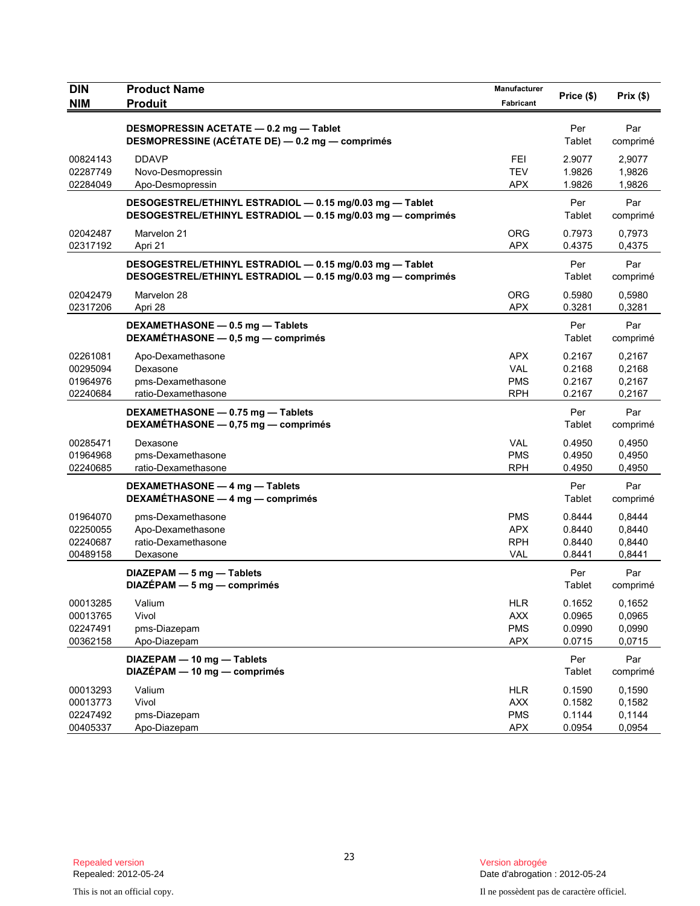| <b>DIN</b><br><b>NIM</b> | <b>Product Name</b><br><b>Produit</b>                                                                                   | Manufacturer<br>Fabricant | Price (\$)       | Prix(\$)         |
|--------------------------|-------------------------------------------------------------------------------------------------------------------------|---------------------------|------------------|------------------|
|                          |                                                                                                                         |                           |                  |                  |
|                          | DESMOPRESSIN ACETATE - 0.2 mg - Tablet<br>DESMOPRESSINE (ACÉTATE DE) - 0.2 mg - comprimés                               |                           | Per<br>Tablet    | Par<br>comprimé  |
| 00824143<br>02287749     | <b>DDAVP</b><br>Novo-Desmopressin                                                                                       | <b>FEI</b><br><b>TEV</b>  | 2.9077<br>1.9826 | 2,9077<br>1,9826 |
| 02284049                 | Apo-Desmopressin                                                                                                        | <b>APX</b>                | 1.9826           | 1,9826           |
|                          | DESOGESTREL/ETHINYL ESTRADIOL - 0.15 mg/0.03 mg - Tablet<br>DESOGESTREL/ETHINYL ESTRADIOL - 0.15 mg/0.03 mg - comprimés |                           | Per<br>Tablet    | Par<br>comprimé  |
| 02042487<br>02317192     | Marvelon 21<br>Apri 21                                                                                                  | <b>ORG</b><br><b>APX</b>  | 0.7973<br>0.4375 | 0,7973<br>0,4375 |
|                          | DESOGESTREL/ETHINYL ESTRADIOL - 0.15 mg/0.03 mg - Tablet<br>DESOGESTREL/ETHINYL ESTRADIOL - 0.15 mg/0.03 mg - comprimés |                           | Per<br>Tablet    | Par<br>comprimé  |
| 02042479<br>02317206     | Marvelon 28<br>Apri 28                                                                                                  | <b>ORG</b><br><b>APX</b>  | 0.5980<br>0.3281 | 0,5980<br>0,3281 |
|                          | DEXAMETHASONE - 0.5 mg - Tablets<br>DEXAMÉTHASONE - 0,5 mg - comprimés                                                  |                           | Per<br>Tablet    | Par<br>comprimé  |
| 02261081<br>00295094     | Apo-Dexamethasone<br>Dexasone                                                                                           | <b>APX</b><br><b>VAL</b>  | 0.2167<br>0.2168 | 0,2167<br>0,2168 |
| 01964976<br>02240684     | pms-Dexamethasone<br>ratio-Dexamethasone                                                                                | <b>PMS</b><br><b>RPH</b>  | 0.2167<br>0.2167 | 0,2167<br>0,2167 |
|                          | DEXAMETHASONE - 0.75 mg - Tablets<br>DEXAMÉTHASONE - 0,75 mg - comprimés                                                |                           | Per<br>Tablet    | Par<br>comprimé  |
| 00285471<br>01964968     | Dexasone<br>pms-Dexamethasone                                                                                           | <b>VAL</b><br><b>PMS</b>  | 0.4950<br>0.4950 | 0,4950<br>0,4950 |
| 02240685                 | ratio-Dexamethasone                                                                                                     | <b>RPH</b>                | 0.4950           | 0,4950           |
|                          | DEXAMETHASONE - 4 mg - Tablets<br>DEXAMÉTHASONE - 4 mg - comprimés                                                      |                           | Per<br>Tablet    | Par<br>comprimé  |
| 01964070                 | pms-Dexamethasone                                                                                                       | <b>PMS</b>                | 0.8444           | 0,8444           |
| 02250055                 | Apo-Dexamethasone                                                                                                       | <b>APX</b>                | 0.8440           | 0,8440           |
| 02240687                 | ratio-Dexamethasone                                                                                                     | <b>RPH</b>                | 0.8440           | 0,8440           |
| 00489158                 | Dexasone<br>DIAZEPAM - 5 mg - Tablets                                                                                   | <b>VAL</b>                | 0.8441<br>Per    | 0,8441<br>Par    |
|                          | $DIAZÉPAM - 5 mg - comprimés$                                                                                           |                           | Tablet           | comprimé         |
| 00013285                 | Valium                                                                                                                  | <b>HLR</b>                | 0.1652           | 0,1652           |
| 00013765                 | Vivol                                                                                                                   | <b>AXX</b>                | 0.0965           | 0,0965           |
| 02247491                 | pms-Diazepam                                                                                                            | <b>PMS</b>                | 0.0990           | 0,0990           |
| 00362158                 | Apo-Diazepam                                                                                                            | <b>APX</b>                | 0.0715           | 0,0715           |
|                          | DIAZEPAM - 10 mg - Tablets<br>DIAZÉPAM - 10 mg - comprimés                                                              |                           | Per<br>Tablet    | Par<br>comprimé  |
| 00013293                 | Valium                                                                                                                  | <b>HLR</b>                | 0.1590           | 0,1590           |
| 00013773                 | Vivol                                                                                                                   | <b>AXX</b>                | 0.1582           | 0,1582           |
| 02247492                 | pms-Diazepam                                                                                                            | <b>PMS</b>                | 0.1144           | 0,1144           |
| 00405337                 | Apo-Diazepam                                                                                                            | <b>APX</b>                | 0.0954           | 0,0954           |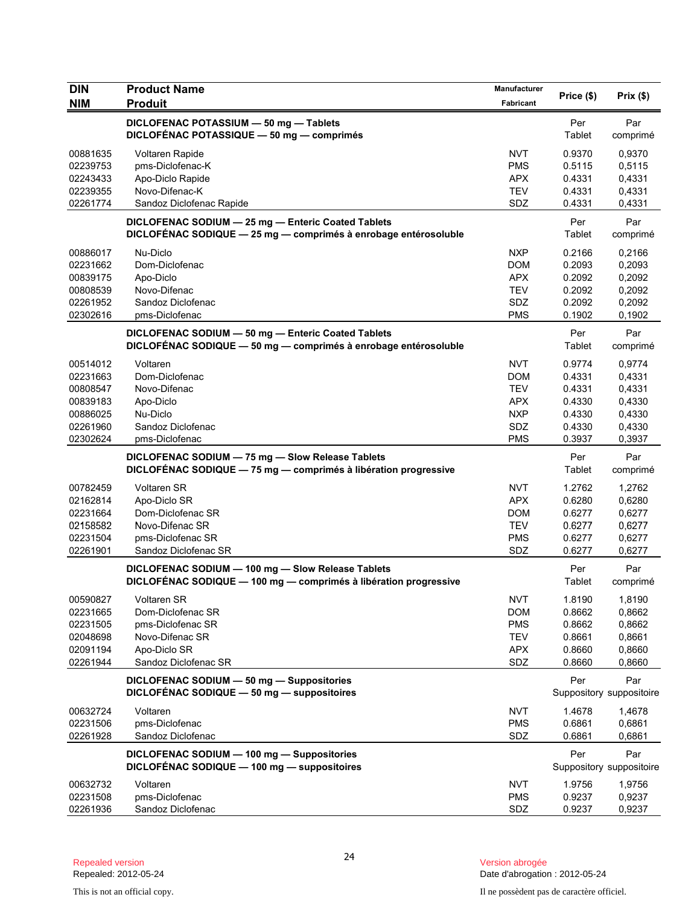| <b>DIN</b>           | <b>Product Name</b>                                                                                                 | Manufacturer             | Price (\$)       | Prix(\$)                 |
|----------------------|---------------------------------------------------------------------------------------------------------------------|--------------------------|------------------|--------------------------|
| <b>NIM</b>           | <b>Produit</b>                                                                                                      | <b>Fabricant</b>         |                  |                          |
|                      | DICLOFENAC POTASSIUM - 50 mg - Tablets<br>DICLOFÉNAC POTASSIQUE - 50 mg - comprimés                                 |                          | Per<br>Tablet    | Par<br>comprimé          |
|                      |                                                                                                                     |                          |                  |                          |
| 00881635<br>02239753 | Voltaren Rapide<br>pms-Diclofenac-K                                                                                 | <b>NVT</b><br><b>PMS</b> | 0.9370<br>0.5115 | 0,9370                   |
| 02243433             | Apo-Diclo Rapide                                                                                                    | <b>APX</b>               | 0.4331           | 0,5115<br>0,4331         |
| 02239355             | Novo-Difenac-K                                                                                                      | <b>TEV</b>               | 0.4331           | 0,4331                   |
| 02261774             | Sandoz Diclofenac Rapide                                                                                            | SDZ                      | 0.4331           | 0,4331                   |
|                      | DICLOFENAC SODIUM - 25 mg - Enteric Coated Tablets                                                                  |                          | Per              | Par                      |
|                      | DICLOFÉNAC SODIQUE - 25 mg - comprimés à enrobage entérosoluble                                                     |                          | Tablet           | comprimé                 |
| 00886017             | Nu-Diclo                                                                                                            | <b>NXP</b>               | 0.2166           | 0,2166                   |
| 02231662             | Dom-Diclofenac                                                                                                      | <b>DOM</b>               | 0.2093           | 0,2093                   |
| 00839175             | Apo-Diclo                                                                                                           | <b>APX</b>               | 0.2092           | 0,2092                   |
| 00808539             | Novo-Difenac                                                                                                        | TEV                      | 0.2092           | 0,2092                   |
| 02261952             | Sandoz Diclofenac                                                                                                   | SDZ                      | 0.2092           | 0,2092                   |
| 02302616             | pms-Diclofenac                                                                                                      | <b>PMS</b>               | 0.1902           | 0,1902                   |
|                      | DICLOFENAC SODIUM - 50 mg - Enteric Coated Tablets                                                                  |                          | Per              | Par                      |
|                      | DICLOFÉNAC SODIQUE - 50 mg - comprimés à enrobage entérosoluble                                                     |                          | Tablet           | comprimé                 |
| 00514012             | Voltaren                                                                                                            | <b>NVT</b>               | 0.9774           | 0,9774                   |
| 02231663             | Dom-Diclofenac                                                                                                      | <b>DOM</b>               | 0.4331           | 0,4331                   |
| 00808547             | Novo-Difenac                                                                                                        | <b>TEV</b>               | 0.4331           | 0,4331                   |
| 00839183             | Apo-Diclo                                                                                                           | APX                      | 0.4330           | 0,4330                   |
| 00886025             | Nu-Diclo                                                                                                            | <b>NXP</b>               | 0.4330           | 0,4330                   |
| 02261960             | Sandoz Diclofenac                                                                                                   | SDZ                      | 0.4330           | 0,4330                   |
| 02302624             | pms-Diclofenac                                                                                                      | <b>PMS</b>               | 0.3937           | 0,3937                   |
|                      | DICLOFENAC SODIUM - 75 mg - Slow Release Tablets<br>DICLOFÉNAC SODIQUE - 75 mg - comprimés à libération progressive |                          | Per<br>Tablet    | Par                      |
|                      |                                                                                                                     |                          |                  | comprimé                 |
| 00782459             | <b>Voltaren SR</b>                                                                                                  | <b>NVT</b>               | 1.2762           | 1,2762                   |
| 02162814             | Apo-Diclo SR                                                                                                        | <b>APX</b>               | 0.6280           | 0,6280                   |
| 02231664             | Dom-Diclofenac SR                                                                                                   | <b>DOM</b>               | 0.6277           | 0,6277                   |
| 02158582             | Novo-Difenac SR<br>pms-Diclofenac SR                                                                                | <b>TEV</b>               | 0.6277           | 0,6277                   |
| 02231504<br>02261901 | Sandoz Diclofenac SR                                                                                                | <b>PMS</b><br>SDZ        | 0.6277<br>0.6277 | 0,6277<br>0,6277         |
|                      | DICLOFENAC SODIUM - 100 mg - Slow Release Tablets                                                                   |                          | Per              | Par                      |
|                      | DICLOFÉNAC SODIQUE - 100 mg - comprimés à libération progressive                                                    |                          | Tablet           | comprimé                 |
| 00590827             | Voltaren SR                                                                                                         | <b>NVT</b>               | 1.8190           | 1,8190                   |
| 02231665             | Dom-Diclofenac SR                                                                                                   | <b>DOM</b>               | 0.8662           | 0,8662                   |
| 02231505             | pms-Diclofenac SR                                                                                                   | <b>PMS</b>               | 0.8662           | 0,8662                   |
| 02048698             | Novo-Difenac SR                                                                                                     | <b>TEV</b>               | 0.8661           | 0,8661                   |
| 02091194             | Apo-Diclo SR                                                                                                        | <b>APX</b>               | 0.8660           | 0,8660                   |
| 02261944             | Sandoz Diclofenac SR                                                                                                | SDZ                      | 0.8660           | 0,8660                   |
|                      | DICLOFENAC SODIUM - 50 mg - Suppositories                                                                           |                          | Per              | Par                      |
|                      | DICLOFÉNAC SODIQUE - 50 mg - suppositoires                                                                          |                          |                  | Suppository suppositoire |
| 00632724             | Voltaren                                                                                                            | <b>NVT</b>               | 1.4678           | 1,4678                   |
| 02231506             | pms-Diclofenac                                                                                                      | <b>PMS</b>               | 0.6861           | 0,6861                   |
| 02261928             | Sandoz Diclofenac                                                                                                   | SDZ                      | 0.6861           | 0,6861                   |
|                      | DICLOFENAC SODIUM - 100 mg - Suppositories                                                                          |                          | Per              | Par                      |
|                      | DICLOFÉNAC SODIQUE - 100 mg - suppositoires                                                                         |                          |                  | Suppository suppositoire |
| 00632732             | Voltaren                                                                                                            | <b>NVT</b>               | 1.9756           | 1,9756                   |
| 02231508             | pms-Diclofenac                                                                                                      | <b>PMS</b>               | 0.9237           | 0,9237                   |
| 02261936             | Sandoz Diclofenac                                                                                                   | SDZ                      | 0.9237           | 0,9237                   |

Version abrogée<br>Date d'abrogation : 2012-05-24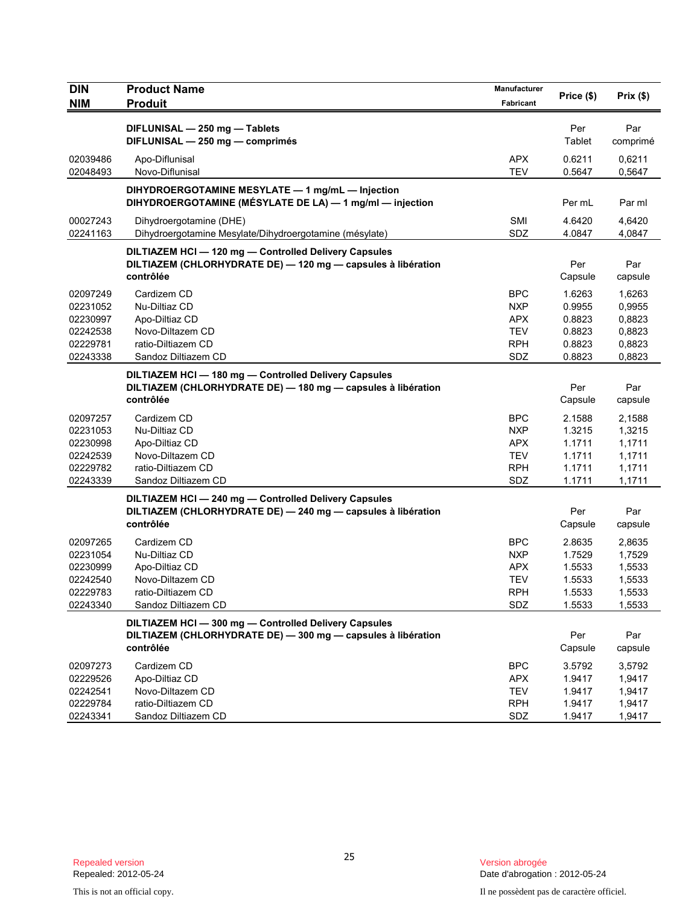| DIN                                                                  | <b>Product Name</b>                                                                                                                | Manufacturer                                                              | Price (\$)                                               | Prix(\$)                                                 |
|----------------------------------------------------------------------|------------------------------------------------------------------------------------------------------------------------------------|---------------------------------------------------------------------------|----------------------------------------------------------|----------------------------------------------------------|
| <b>NIM</b>                                                           | <b>Produit</b>                                                                                                                     | Fabricant                                                                 |                                                          |                                                          |
|                                                                      | DIFLUNISAL - 250 mg - Tablets<br>DIFLUNISAL - 250 mg - comprimés                                                                   |                                                                           | Per<br>Tablet                                            | Par<br>comprimé                                          |
| 02039486<br>02048493                                                 | Apo-Diflunisal<br>Novo-Diflunisal                                                                                                  | <b>APX</b><br><b>TEV</b>                                                  | 0.6211<br>0.5647                                         | 0,6211<br>0,5647                                         |
|                                                                      | DIHYDROERGOTAMINE MESYLATE - 1 mg/mL - Injection<br>DIHYDROERGOTAMINE (MÉSYLATE DE LA) — 1 mg/ml — injection                       |                                                                           | Per mL                                                   | Par ml                                                   |
| 00027243<br>02241163                                                 | Dihydroergotamine (DHE)<br>Dihydroergotamine Mesylate/Dihydroergotamine (mésylate)                                                 | SMI<br>SDZ                                                                | 4.6420<br>4.0847                                         | 4,6420<br>4,0847                                         |
|                                                                      | DILTIAZEM HCI - 120 mg - Controlled Delivery Capsules<br>DILTIAZEM (CHLORHYDRATE DE) - 120 mg - capsules à libération<br>contrôlée |                                                                           | Per<br>Capsule                                           | Par<br>capsule                                           |
| 02097249<br>02231052<br>02230997<br>02242538<br>02229781<br>02243338 | Cardizem CD<br>Nu-Diltiaz CD<br>Apo-Diltiaz CD<br>Novo-Diltazem CD<br>ratio-Diltiazem CD<br>Sandoz Diltiazem CD                    | <b>BPC</b><br><b>NXP</b><br>APX<br><b>TEV</b><br><b>RPH</b><br>SDZ        | 1.6263<br>0.9955<br>0.8823<br>0.8823<br>0.8823<br>0.8823 | 1,6263<br>0,9955<br>0,8823<br>0,8823<br>0,8823<br>0,8823 |
|                                                                      | DILTIAZEM HCI-180 mg-Controlled Delivery Capsules<br>DILTIAZEM (CHLORHYDRATE DE) - 180 mg - capsules à libération<br>contrôlée     |                                                                           | Per<br>Capsule                                           | Par<br>capsule                                           |
| 02097257<br>02231053<br>02230998<br>02242539<br>02229782<br>02243339 | Cardizem CD<br>Nu-Diltiaz CD<br>Apo-Diltiaz CD<br>Novo-Diltazem CD<br>ratio-Diltiazem CD<br>Sandoz Diltiazem CD                    | <b>BPC</b><br><b>NXP</b><br><b>APX</b><br><b>TEV</b><br><b>RPH</b><br>SDZ | 2.1588<br>1.3215<br>1.1711<br>1.1711<br>1.1711<br>1.1711 | 2,1588<br>1,3215<br>1,1711<br>1,1711<br>1,1711<br>1,1711 |
|                                                                      | DILTIAZEM HCI-240 mg-Controlled Delivery Capsules<br>DILTIAZEM (CHLORHYDRATE DE) - 240 mg - capsules à libération<br>contrôlée     |                                                                           | Per<br>Capsule                                           | Par<br>capsule                                           |
| 02097265<br>02231054<br>02230999<br>02242540<br>02229783<br>02243340 | Cardizem CD<br>Nu-Diltiaz CD<br>Apo-Diltiaz CD<br>Novo-Diltazem CD<br>ratio-Diltiazem CD<br>Sandoz Diltiazem CD                    | <b>BPC</b><br><b>NXP</b><br><b>APX</b><br><b>TEV</b><br><b>RPH</b><br>SDZ | 2.8635<br>1.7529<br>1.5533<br>1.5533<br>1.5533<br>1.5533 | 2,8635<br>1,7529<br>1,5533<br>1,5533<br>1,5533<br>1,5533 |
|                                                                      | DILTIAZEM HCI-300 mg-Controlled Delivery Capsules<br>DILTIAZEM (CHLORHYDRATE DE) - 300 mg - capsules à libération<br>contrôlée     |                                                                           | Per<br>Capsule                                           | Par<br>capsule                                           |
| 02097273<br>02229526<br>02242541<br>02229784<br>02243341             | Cardizem CD<br>Apo-Diltiaz CD<br>Novo-Diltazem CD<br>ratio-Diltiazem CD<br>Sandoz Diltiazem CD                                     | <b>BPC</b><br><b>APX</b><br><b>TEV</b><br><b>RPH</b><br>SDZ               | 3.5792<br>1.9417<br>1.9417<br>1.9417<br>1.9417           | 3,5792<br>1,9417<br>1,9417<br>1,9417<br>1,9417           |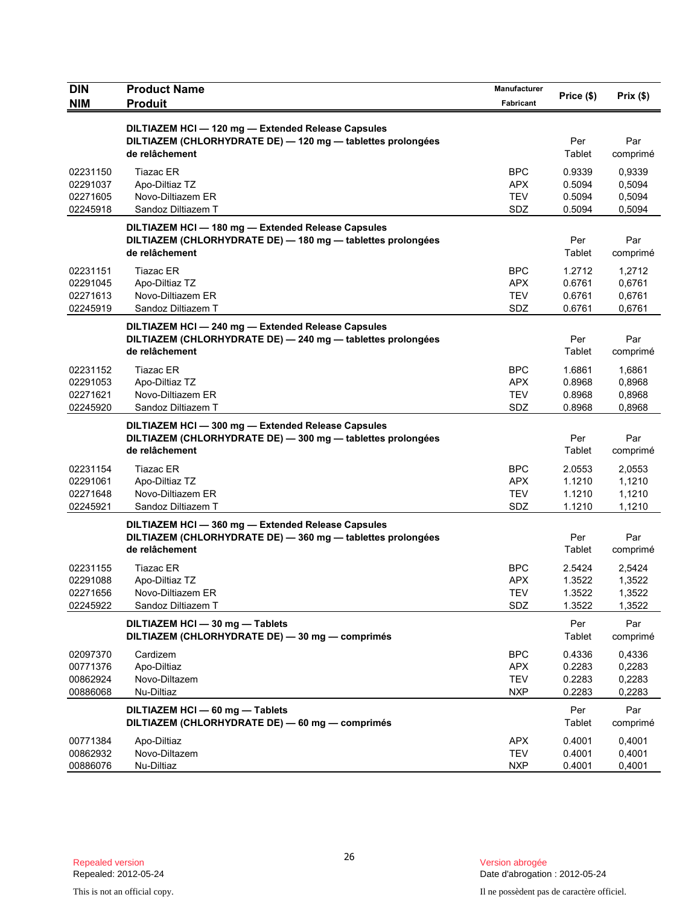| <b>DIN</b>                                   | <b>Product Name</b>                                                                                                             | Manufacturer                                  | Price (\$)                           | Prix(\$)                             |
|----------------------------------------------|---------------------------------------------------------------------------------------------------------------------------------|-----------------------------------------------|--------------------------------------|--------------------------------------|
| <b>NIM</b>                                   | <b>Produit</b>                                                                                                                  | Fabricant                                     |                                      |                                      |
|                                              | DILTIAZEM HCI-120 mg-Extended Release Capsules<br>DILTIAZEM (CHLORHYDRATE DE) - 120 mg - tablettes prolongées<br>de relâchement |                                               | Per<br>Tablet                        | Par<br>comprimé                      |
| 02231150<br>02291037<br>02271605<br>02245918 | <b>Tiazac ER</b><br>Apo-Diltiaz TZ<br>Novo-Diltiazem ER<br>Sandoz Diltiazem T                                                   | <b>BPC</b><br>APX<br><b>TEV</b><br>SDZ        | 0.9339<br>0.5094<br>0.5094<br>0.5094 | 0,9339<br>0,5094<br>0,5094<br>0,5094 |
|                                              | DILTIAZEM HCI-180 mg-Extended Release Capsules<br>DILTIAZEM (CHLORHYDRATE DE) - 180 mg - tablettes prolongées<br>de relâchement |                                               | Per<br>Tablet                        | Par<br>comprimé                      |
| 02231151<br>02291045<br>02271613<br>02245919 | <b>Tiazac ER</b><br>Apo-Diltiaz TZ<br>Novo-Diltiazem ER<br>Sandoz Diltiazem T                                                   | <b>BPC</b><br>APX<br><b>TEV</b><br>SDZ        | 1.2712<br>0.6761<br>0.6761<br>0.6761 | 1,2712<br>0,6761<br>0,6761<br>0,6761 |
|                                              | DILTIAZEM HCI-240 mg-Extended Release Capsules<br>DILTIAZEM (CHLORHYDRATE DE) - 240 mg - tablettes prolongées<br>de relâchement |                                               | Per<br>Tablet                        | Par<br>comprimé                      |
| 02231152<br>02291053<br>02271621<br>02245920 | <b>Tiazac ER</b><br>Apo-Diltiaz TZ<br>Novo-Diltiazem ER<br>Sandoz Diltiazem T                                                   | <b>BPC</b><br><b>APX</b><br><b>TEV</b><br>SDZ | 1.6861<br>0.8968<br>0.8968<br>0.8968 | 1,6861<br>0,8968<br>0,8968<br>0,8968 |
|                                              | DILTIAZEM HCI-300 mg-Extended Release Capsules<br>DILTIAZEM (CHLORHYDRATE DE) - 300 mg - tablettes prolongées<br>de relâchement |                                               | Per<br>Tablet                        | Par<br>comprimé                      |
| 02231154<br>02291061<br>02271648<br>02245921 | <b>Tiazac ER</b><br>Apo-Diltiaz TZ<br>Novo-Diltiazem ER<br>Sandoz Diltiazem T                                                   | <b>BPC</b><br><b>APX</b><br><b>TEV</b><br>SDZ | 2.0553<br>1.1210<br>1.1210<br>1.1210 | 2,0553<br>1,1210<br>1,1210<br>1,1210 |
|                                              | DILTIAZEM HCI-360 mg-Extended Release Capsules<br>DILTIAZEM (CHLORHYDRATE DE) - 360 mg - tablettes prolongées<br>de relâchement |                                               | Per<br>Tablet                        | Par<br>comprimé                      |
| 02231155<br>02291088<br>02271656<br>02245922 | <b>Tiazac ER</b><br>Apo-Diltiaz TZ<br>Novo-Diltiazem ER<br>Sandoz Diltiazem T                                                   | <b>BPC</b><br><b>APX</b><br><b>TEV</b><br>SDZ | 2.5424<br>1.3522<br>1.3522<br>1.3522 | 2,5424<br>1,3522<br>1,3522<br>1,3522 |
|                                              | DILTIAZEM HCI - 30 mg - Tablets<br>DILTIAZEM (CHLORHYDRATE DE) - 30 mg - comprimés                                              |                                               | Per<br><b>Tablet</b>                 | Par<br>comprimé                      |
| 02097370<br>00771376<br>00862924<br>00886068 | Cardizem<br>Apo-Diltiaz<br>Novo-Diltazem<br>Nu-Diltiaz                                                                          | <b>BPC</b><br><b>APX</b><br><b>TEV</b><br>NXP | 0.4336<br>0.2283<br>0.2283<br>0.2283 | 0,4336<br>0,2283<br>0,2283<br>0,2283 |
|                                              | DILTIAZEM HCI - 60 mg - Tablets<br>DILTIAZEM (CHLORHYDRATE DE) - 60 mg - comprimés                                              |                                               | Per<br>Tablet                        | Par<br>comprimé                      |
| 00771384<br>00862932<br>00886076             | Apo-Diltiaz<br>Novo-Diltazem<br>Nu-Diltiaz                                                                                      | <b>APX</b><br><b>TEV</b><br><b>NXP</b>        | 0.4001<br>0.4001<br>0.4001           | 0,4001<br>0,4001<br>0,4001           |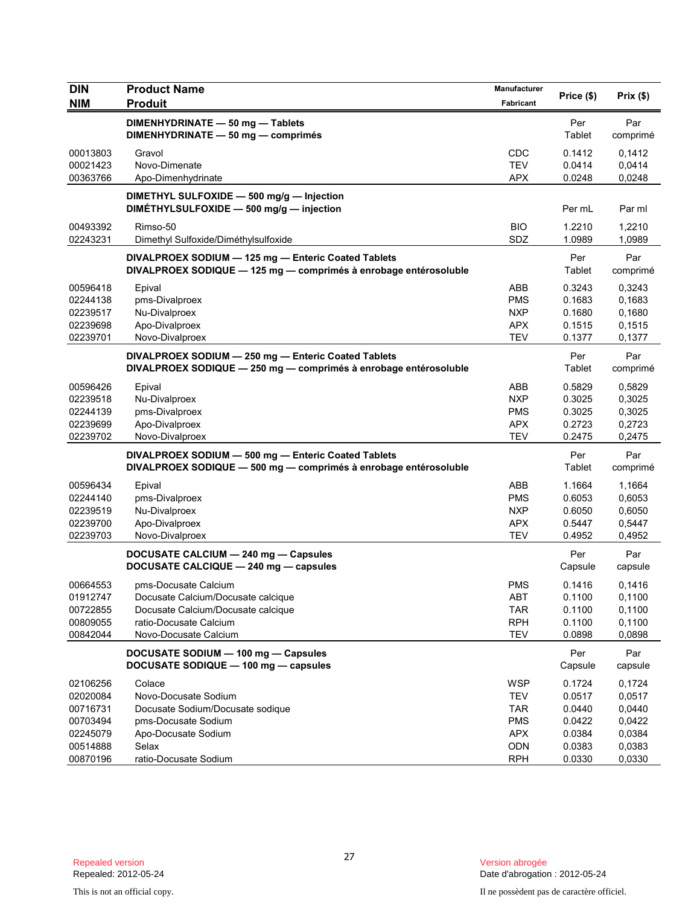| <b>DIN</b>                                               | <b>Product Name</b>                                                                                                                                 | Manufacturer                                                       | Price (\$)                                     | Prix(\$)                                       |
|----------------------------------------------------------|-----------------------------------------------------------------------------------------------------------------------------------------------------|--------------------------------------------------------------------|------------------------------------------------|------------------------------------------------|
| <b>NIM</b>                                               | <b>Produit</b>                                                                                                                                      | Fabricant                                                          |                                                |                                                |
|                                                          | DIMENHYDRINATE - 50 mg - Tablets<br>DIMENHYDRINATE - 50 mg - comprimés                                                                              |                                                                    | Per<br>Tablet                                  | Par<br>comprimé                                |
| 00013803<br>00021423<br>00363766                         | Gravol<br>Novo-Dimenate<br>Apo-Dimenhydrinate                                                                                                       | CDC<br><b>TEV</b><br><b>APX</b>                                    | 0.1412<br>0.0414<br>0.0248                     | 0,1412<br>0,0414<br>0,0248                     |
|                                                          | DIMETHYL SULFOXIDE - 500 mg/g - Injection<br>DIMETHYLSULFOXIDE - 500 mg/g - injection                                                               |                                                                    | Per mL                                         | Par ml                                         |
| 00493392<br>02243231                                     | Rimso-50<br>Dimethyl Sulfoxide/Diméthylsulfoxide                                                                                                    | <b>BIO</b><br>SDZ                                                  | 1.2210<br>1.0989                               | 1,2210<br>1,0989                               |
|                                                          | DIVALPROEX SODIUM - 125 mg - Enteric Coated Tablets<br>DIVALPROEX SODIQUE - 125 mg - comprimés à enrobage entérosoluble                             |                                                                    | Per<br>Tablet                                  | Par<br>comprimé                                |
| 00596418<br>02244138<br>02239517<br>02239698<br>02239701 | Epival<br>pms-Divalproex<br>Nu-Divalproex<br>Apo-Divalproex<br>Novo-Divalproex                                                                      | <b>ABB</b><br><b>PMS</b><br><b>NXP</b><br><b>APX</b><br><b>TEV</b> | 0.3243<br>0.1683<br>0.1680<br>0.1515<br>0.1377 | 0,3243<br>0,1683<br>0,1680<br>0,1515<br>0,1377 |
|                                                          | DIVALPROEX SODIUM - 250 mg - Enteric Coated Tablets<br>DIVALPROEX SODIQUE - 250 mg - comprimés à enrobage entérosoluble                             |                                                                    | Per<br>Tablet                                  | Par<br>comprimé                                |
| 00596426<br>02239518<br>02244139<br>02239699<br>02239702 | Epival<br>Nu-Divalproex<br>pms-Divalproex<br>Apo-Divalproex<br>Novo-Divalproex                                                                      | <b>ABB</b><br><b>NXP</b><br><b>PMS</b><br><b>APX</b><br><b>TEV</b> | 0.5829<br>0.3025<br>0.3025<br>0.2723<br>0.2475 | 0,5829<br>0,3025<br>0,3025<br>0,2723<br>0,2475 |
|                                                          | DIVALPROEX SODIUM - 500 mg - Enteric Coated Tablets<br>DIVALPROEX SODIQUE - 500 mg - comprimés à enrobage entérosoluble                             |                                                                    | Per<br>Tablet                                  | Par<br>comprimé                                |
| 00596434<br>02244140<br>02239519<br>02239700<br>02239703 | Epival<br>pms-Divalproex<br>Nu-Divalproex<br>Apo-Divalproex<br>Novo-Divalproex                                                                      | <b>ABB</b><br><b>PMS</b><br><b>NXP</b><br><b>APX</b><br><b>TEV</b> | 1.1664<br>0.6053<br>0.6050<br>0.5447<br>0.4952 | 1,1664<br>0,6053<br>0,6050<br>0,5447<br>0,4952 |
|                                                          | DOCUSATE CALCIUM - 240 mg - Capsules<br>DOCUSATE CALCIQUE - 240 mg - capsules                                                                       |                                                                    | Per<br>Capsule                                 | Par<br>capsule                                 |
| 00664553<br>01912747<br>00722855<br>00809055<br>00842044 | pms-Docusate Calcium<br>Docusate Calcium/Docusate calcique<br>Docusate Calcium/Docusate calcique<br>ratio-Docusate Calcium<br>Novo-Docusate Calcium | <b>PMS</b><br>ABT<br><b>TAR</b><br><b>RPH</b><br><b>TEV</b>        | 0.1416<br>0.1100<br>0.1100<br>0.1100<br>0.0898 | 0,1416<br>0,1100<br>0,1100<br>0,1100<br>0,0898 |
|                                                          | DOCUSATE SODIUM - 100 mg - Capsules<br>DOCUSATE SODIQUE - 100 mg - capsules                                                                         |                                                                    | Per<br>Capsule                                 | Par<br>capsule                                 |
| 02106256<br>02020084<br>00716731<br>00703494<br>02245079 | Colace<br>Novo-Docusate Sodium<br>Docusate Sodium/Docusate sodique<br>pms-Docusate Sodium<br>Apo-Docusate Sodium                                    | <b>WSP</b><br><b>TEV</b><br><b>TAR</b><br><b>PMS</b><br><b>APX</b> | 0.1724<br>0.0517<br>0.0440<br>0.0422<br>0.0384 | 0,1724<br>0,0517<br>0,0440<br>0,0422<br>0,0384 |
| 00514888<br>00870196                                     | Selax<br>ratio-Docusate Sodium                                                                                                                      | ODN<br><b>RPH</b>                                                  | 0.0383<br>0.0330                               | 0,0383<br>0,0330                               |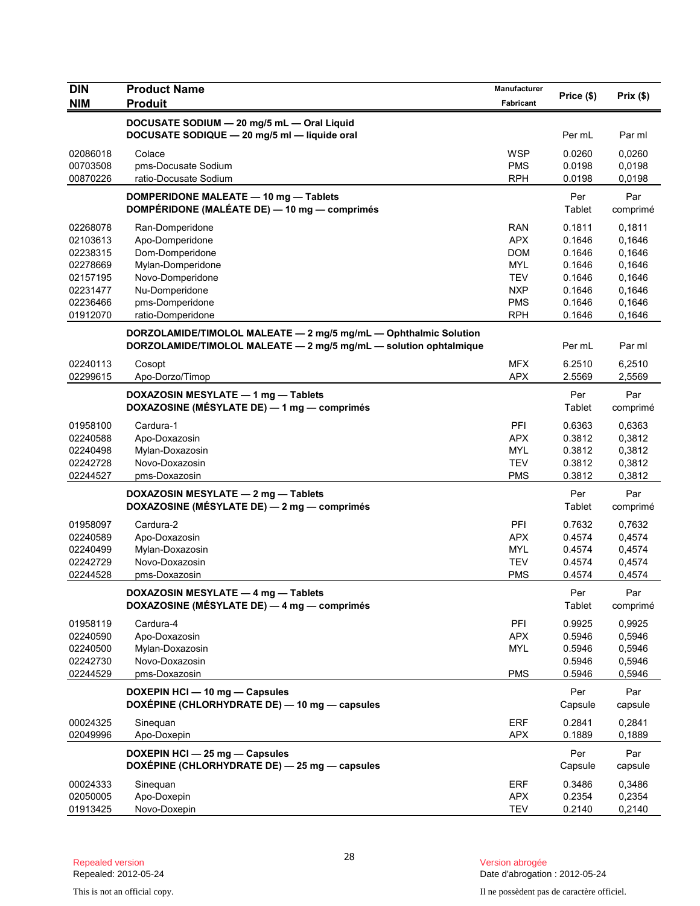| DIN                  | <b>Product Name</b>                                               | Manufacturer      |            |                  |
|----------------------|-------------------------------------------------------------------|-------------------|------------|------------------|
| <b>NIM</b>           | <b>Produit</b>                                                    | Fabricant         | Price (\$) | Prix(\$)         |
|                      | DOCUSATE SODIUM - 20 mg/5 mL - Oral Liquid                        |                   |            |                  |
|                      | DOCUSATE SODIQUE - 20 mg/5 ml - liquide oral                      |                   | Per mL     | Par ml           |
| 02086018             | Colace                                                            | <b>WSP</b>        | 0.0260     | 0,0260           |
| 00703508             | pms-Docusate Sodium                                               | <b>PMS</b>        | 0.0198     | 0,0198           |
| 00870226             | ratio-Docusate Sodium                                             | <b>RPH</b>        | 0.0198     | 0,0198           |
|                      | DOMPERIDONE MALEATE - 10 mg - Tablets                             |                   | Per        | Par              |
|                      | DOMPÉRIDONE (MALÉATE DE) - 10 mg - comprimés                      |                   | Tablet     | comprimé         |
|                      |                                                                   |                   | 0.1811     |                  |
| 02268078<br>02103613 | Ran-Domperidone<br>Apo-Domperidone                                | RAN<br><b>APX</b> | 0.1646     | 0,1811<br>0,1646 |
| 02238315             | Dom-Domperidone                                                   | <b>DOM</b>        | 0.1646     | 0,1646           |
| 02278669             | Mylan-Domperidone                                                 | <b>MYL</b>        | 0.1646     | 0,1646           |
| 02157195             | Novo-Domperidone                                                  | <b>TEV</b>        | 0.1646     | 0,1646           |
| 02231477             | Nu-Domperidone                                                    | <b>NXP</b>        | 0.1646     | 0,1646           |
| 02236466             | pms-Domperidone                                                   | <b>PMS</b>        | 0.1646     | 0,1646           |
| 01912070             | ratio-Domperidone                                                 | <b>RPH</b>        | 0.1646     | 0,1646           |
|                      | DORZOLAMIDE/TIMOLOL MALEATE - 2 mg/5 mg/mL - Ophthalmic Solution  |                   |            |                  |
|                      | DORZOLAMIDE/TIMOLOL MALEATE - 2 mg/5 mg/mL - solution ophtalmique |                   | Per mL     | Par ml           |
| 02240113             | Cosopt                                                            | <b>MFX</b>        | 6.2510     | 6,2510           |
| 02299615             | Apo-Dorzo/Timop                                                   | <b>APX</b>        | 2.5569     | 2,5569           |
|                      | DOXAZOSIN MESYLATE - 1 mg - Tablets                               |                   | Per        | Par              |
|                      | DOXAZOSINE (MÉSYLATE DE) - 1 mg - comprimés                       |                   | Tablet     | comprimé         |
| 01958100             | Cardura-1                                                         | PFI               | 0.6363     | 0.6363           |
| 02240588             | Apo-Doxazosin                                                     | <b>APX</b>        | 0.3812     | 0,3812           |
| 02240498             | Mylan-Doxazosin                                                   | <b>MYL</b>        | 0.3812     | 0,3812           |
| 02242728             | Novo-Doxazosin                                                    | <b>TEV</b>        | 0.3812     | 0,3812           |
| 02244527             | pms-Doxazosin                                                     | <b>PMS</b>        | 0.3812     | 0,3812           |
|                      | DOXAZOSIN MESYLATE - 2 mg - Tablets                               |                   | Per        | Par              |
|                      | DOXAZOSINE (MÉSYLATE DE) — 2 mg — comprimés                       |                   | Tablet     | comprimé         |
| 01958097             | Cardura-2                                                         | PFI               | 0.7632     | 0,7632           |
| 02240589             | Apo-Doxazosin                                                     | <b>APX</b>        | 0.4574     | 0,4574           |
| 02240499             | Mylan-Doxazosin                                                   | <b>MYL</b>        | 0.4574     | 0,4574           |
| 02242729             | Novo-Doxazosin                                                    | <b>TEV</b>        | 0.4574     | 0,4574           |
| 02244528             | pms-Doxazosin                                                     | PMS               | 0.4574     | 0,4574           |
|                      | DOXAZOSIN MESYLATE - 4 mg - Tablets                               |                   | Per        | Par              |
|                      | DOXAZOSINE (MÉSYLATE DE) - 4 mg - comprimés                       |                   | Tablet     | comprimé         |
| 01958119             | Cardura-4                                                         | PFI               | 0.9925     | 0,9925           |
| 02240590             | Apo-Doxazosin                                                     | <b>APX</b>        | 0.5946     | 0,5946           |
| 02240500             | Mylan-Doxazosin                                                   | <b>MYL</b>        | 0.5946     | 0,5946           |
| 02242730             | Novo-Doxazosin                                                    |                   | 0.5946     | 0,5946           |
| 02244529             | pms-Doxazosin                                                     | <b>PMS</b>        | 0.5946     | 0,5946           |
|                      | DOXEPIN HCI - 10 mg - Capsules                                    |                   | Per        | Par              |
|                      | DOXÉPINE (CHLORHYDRATE DE) - 10 mg - capsules                     |                   | Capsule    | capsule          |
| 00024325             | Sinequan                                                          | <b>ERF</b>        | 0.2841     | 0,2841           |
| 02049996             | Apo-Doxepin                                                       | <b>APX</b>        | 0.1889     | 0,1889           |
|                      | DOXEPIN HCI - 25 mg - Capsules                                    |                   | Per        | Par              |
|                      | DOXÉPINE (CHLORHYDRATE DE) - 25 mg - capsules                     |                   | Capsule    | capsule          |
| 00024333             | Sineguan                                                          | <b>ERF</b>        | 0.3486     | 0,3486           |
| 02050005             | Apo-Doxepin                                                       | <b>APX</b>        | 0.2354     | 0,2354           |
| 01913425             | Novo-Doxepin                                                      | <b>TEV</b>        | 0.2140     | 0,2140           |

Version abrogée<br>Date d'abrogation : 2012-05-24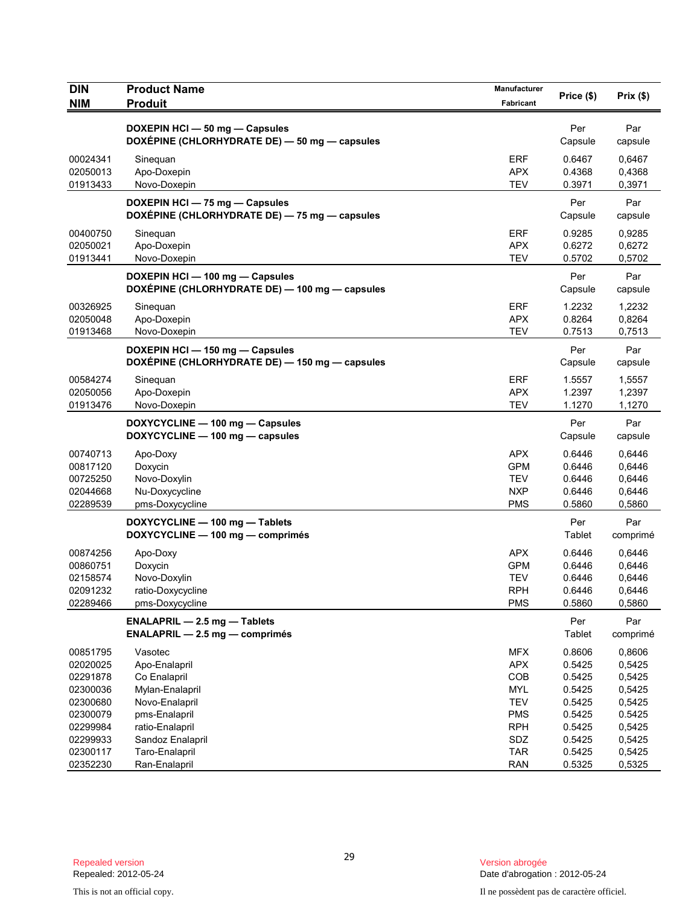| <b>DIN</b><br><b>NIM</b> | <b>Product Name</b><br><b>Produit</b>                                             | Manufacturer<br>Fabricant | Price (\$)       | Prix(\$)         |
|--------------------------|-----------------------------------------------------------------------------------|---------------------------|------------------|------------------|
|                          |                                                                                   |                           |                  |                  |
|                          | DOXEPIN HCI - 50 mg - Capsules<br>DOXÉPINE (CHLORHYDRATE DE) - 50 mg - capsules   |                           | Per<br>Capsule   | Par<br>capsule   |
| 00024341                 | Sinequan                                                                          | <b>ERF</b>                | 0.6467           | 0,6467           |
| 02050013                 | Apo-Doxepin                                                                       | <b>APX</b>                | 0.4368           | 0,4368           |
| 01913433                 | Novo-Doxepin                                                                      | <b>TEV</b>                | 0.3971           | 0,3971           |
|                          | DOXEPIN HCI - 75 mg - Capsules<br>DOXÉPINE (CHLORHYDRATE DE) - 75 mg - capsules   |                           | Per<br>Capsule   | Par<br>capsule   |
| 00400750                 | Sinequan                                                                          | <b>ERF</b>                | 0.9285           | 0,9285           |
| 02050021                 | Apo-Doxepin                                                                       | <b>APX</b><br><b>TEV</b>  | 0.6272           | 0,6272           |
| 01913441                 | Novo-Doxepin                                                                      |                           | 0.5702           | 0,5702           |
|                          | DOXEPIN HCI - 100 mg - Capsules<br>DOXÉPINE (CHLORHYDRATE DE) - 100 mg - capsules |                           | Per<br>Capsule   | Par<br>capsule   |
| 00326925                 | Sineguan                                                                          | <b>ERF</b>                | 1.2232           | 1,2232           |
| 02050048                 | Apo-Doxepin                                                                       | <b>APX</b>                | 0.8264           | 0,8264           |
| 01913468                 | Novo-Doxepin                                                                      | <b>TEV</b>                | 0.7513           | 0,7513           |
|                          | DOXEPIN HCI-150 mg-Capsules<br>DOXÉPINE (CHLORHYDRATE DE) - 150 mg - capsules     |                           | Per<br>Capsule   | Par<br>capsule   |
| 00584274                 | Sinequan                                                                          | <b>ERF</b>                | 1.5557           | 1,5557           |
| 02050056                 | Apo-Doxepin                                                                       | <b>APX</b><br><b>TEV</b>  | 1.2397           | 1,2397           |
| 01913476                 | Novo-Doxepin                                                                      |                           | 1.1270           | 1,1270           |
|                          | DOXYCYCLINE - 100 mg - Capsules<br>DOXYCYCLINE - 100 mg - capsules                |                           | Per<br>Capsule   | Par<br>capsule   |
| 00740713                 | Apo-Doxy                                                                          | <b>APX</b>                | 0.6446           | 0,6446           |
| 00817120                 | Doxycin                                                                           | <b>GPM</b>                | 0.6446           | 0,6446           |
| 00725250<br>02044668     | Novo-Doxylin<br>Nu-Doxycycline                                                    | <b>TEV</b><br><b>NXP</b>  | 0.6446<br>0.6446 | 0,6446<br>0,6446 |
| 02289539                 | pms-Doxycycline                                                                   | <b>PMS</b>                | 0.5860           | 0,5860           |
|                          | DOXYCYCLINE - 100 mg - Tablets<br>DOXYCYCLINE - 100 mg - comprimés                |                           | Per<br>Tablet    | Par<br>comprimé  |
| 00874256                 | Apo-Doxy                                                                          | <b>APX</b>                | 0.6446           | 0,6446           |
| 00860751                 | Doxycin                                                                           | <b>GPM</b>                | 0.6446           | 0,6446           |
| 02158574                 | Novo-Doxylin                                                                      | <b>TEV</b>                | 0.6446           | 0,6446           |
| 02091232                 | ratio-Doxycycline                                                                 | <b>RPH</b>                | 0.6446           | 0,6446           |
| 02289466                 | pms-Doxycycline                                                                   | <b>PMS</b>                | 0.5860           | 0,5860           |
|                          | ENALAPRIL - 2.5 mg - Tablets<br>$ENALAPRIL - 2.5 mg - comprimés$                  |                           | Per<br>Tablet    | Par<br>comprimé  |
| 00851795                 | Vasotec                                                                           | <b>MFX</b>                | 0.8606           | 0,8606           |
| 02020025                 | Apo-Enalapril                                                                     | <b>APX</b>                | 0.5425           | 0,5425           |
| 02291878                 | Co Enalapril                                                                      | COB                       | 0.5425           | 0,5425           |
| 02300036                 | Mylan-Enalapril                                                                   | <b>MYL</b>                | 0.5425           | 0,5425           |
| 02300680<br>02300079     | Novo-Enalapril<br>pms-Enalapril                                                   | <b>TEV</b><br><b>PMS</b>  | 0.5425<br>0.5425 | 0,5425<br>0.5425 |
| 02299984                 | ratio-Enalapril                                                                   | <b>RPH</b>                | 0.5425           | 0,5425           |
| 02299933                 | Sandoz Enalapril                                                                  | SDZ                       | 0.5425           | 0,5425           |
| 02300117                 | Taro-Enalapril                                                                    | <b>TAR</b>                | 0.5425           | 0,5425           |
| 02352230                 | Ran-Enalapril                                                                     | <b>RAN</b>                | 0.5325           | 0,5325           |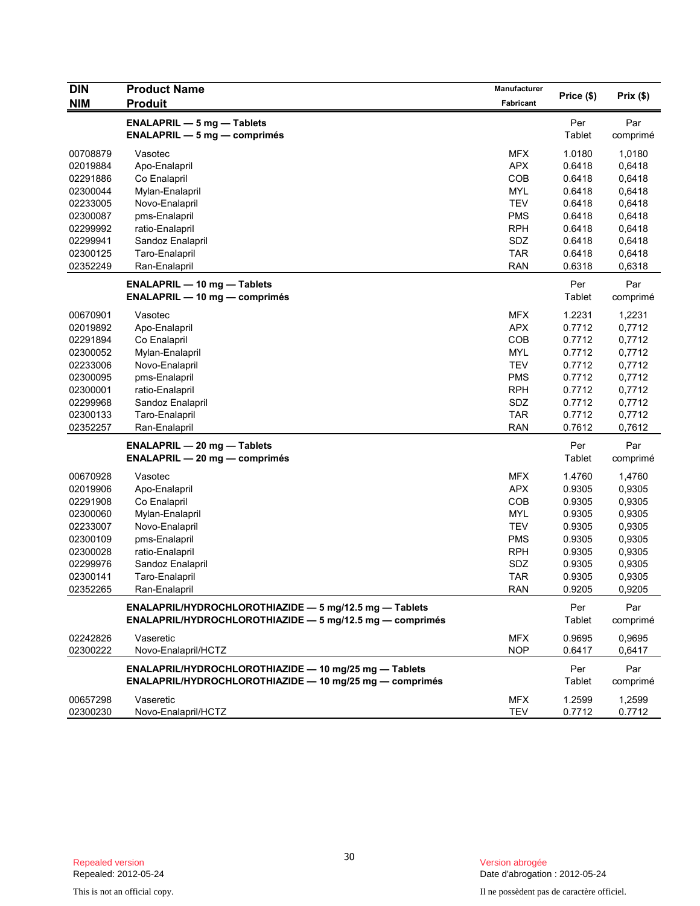| DIN        | <b>Product Name</b>                                      | Manufacturer | Price (\$) | Prix(\$) |
|------------|----------------------------------------------------------|--------------|------------|----------|
| <b>NIM</b> | <b>Produit</b>                                           | Fabricant    |            |          |
|            |                                                          |              |            |          |
|            | <b>ENALAPRIL - 5 mg - Tablets</b>                        |              | Per        | Par      |
|            | $ENALAPRIL - 5 mg - comprimés$                           |              | Tablet     | comprimé |
| 00708879   | Vasotec                                                  | <b>MFX</b>   | 1.0180     | 1,0180   |
| 02019884   | Apo-Enalapril                                            | <b>APX</b>   | 0.6418     | 0,6418   |
| 02291886   | Co Enalapril                                             | COB          | 0.6418     | 0,6418   |
| 02300044   | Mylan-Enalapril                                          | <b>MYL</b>   | 0.6418     | 0,6418   |
| 02233005   | Novo-Enalapril                                           | <b>TEV</b>   | 0.6418     | 0,6418   |
| 02300087   | pms-Enalapril                                            | <b>PMS</b>   | 0.6418     | 0,6418   |
| 02299992   | ratio-Enalapril                                          | <b>RPH</b>   | 0.6418     | 0,6418   |
| 02299941   | Sandoz Enalapril                                         | SDZ          | 0.6418     | 0,6418   |
| 02300125   | Taro-Enalapril                                           | <b>TAR</b>   | 0.6418     | 0,6418   |
| 02352249   | Ran-Enalapril                                            | <b>RAN</b>   | 0.6318     | 0,6318   |
|            |                                                          |              |            |          |
|            | <b>ENALAPRIL - 10 mg - Tablets</b>                       |              | Per        | Par      |
|            | <b>ENALAPRIL — 10 mg — comprimés</b>                     |              | Tablet     | comprimé |
| 00670901   | Vasotec                                                  | <b>MFX</b>   | 1.2231     | 1,2231   |
| 02019892   | Apo-Enalapril                                            | <b>APX</b>   | 0.7712     | 0,7712   |
| 02291894   | Co Enalapril                                             | COB          | 0.7712     | 0,7712   |
| 02300052   | Mylan-Enalapril                                          | <b>MYL</b>   | 0.7712     | 0,7712   |
| 02233006   | Novo-Enalapril                                           | <b>TEV</b>   | 0.7712     | 0,7712   |
| 02300095   | pms-Enalapril                                            | <b>PMS</b>   | 0.7712     | 0,7712   |
| 02300001   | ratio-Enalapril                                          | <b>RPH</b>   | 0.7712     | 0,7712   |
| 02299968   | Sandoz Enalapril                                         | SDZ          | 0.7712     | 0,7712   |
| 02300133   | Taro-Enalapril                                           | <b>TAR</b>   | 0.7712     | 0,7712   |
| 02352257   | Ran-Enalapril                                            | <b>RAN</b>   | 0.7612     | 0,7612   |
|            | <b>ENALAPRIL - 20 mg - Tablets</b>                       |              | Per        | Par      |
|            | <b>ENALAPRIL - 20 mg - comprimés</b>                     |              | Tablet     |          |
|            |                                                          |              |            | comprimé |
| 00670928   | Vasotec                                                  | <b>MFX</b>   | 1.4760     | 1,4760   |
| 02019906   | Apo-Enalapril                                            | <b>APX</b>   | 0.9305     | 0,9305   |
| 02291908   | Co Enalapril                                             | COB          | 0.9305     | 0,9305   |
| 02300060   | Mylan-Enalapril                                          | <b>MYL</b>   | 0.9305     | 0,9305   |
| 02233007   | Novo-Enalapril                                           | <b>TEV</b>   | 0.9305     | 0,9305   |
| 02300109   | pms-Enalapril                                            | <b>PMS</b>   | 0.9305     | 0,9305   |
| 02300028   | ratio-Enalapril                                          | <b>RPH</b>   | 0.9305     | 0,9305   |
| 02299976   | Sandoz Enalapril                                         | SDZ          | 0.9305     | 0,9305   |
| 02300141   | Taro-Enalapril                                           | <b>TAR</b>   | 0.9305     | 0,9305   |
| 02352265   | Ran-Enalapril                                            | <b>RAN</b>   | 0.9205     | 0,9205   |
|            | ENALAPRIL/HYDROCHLOROTHIAZIDE - 5 mg/12.5 mg - Tablets   |              | Per        | Par      |
|            | ENALAPRIL/HYDROCHLOROTHIAZIDE - 5 mg/12.5 mg - comprimés |              |            | comprimé |
|            |                                                          |              | Tablet     |          |
| 02242826   | Vaseretic                                                | <b>MFX</b>   | 0.9695     | 0,9695   |
| 02300222   | Novo-Enalapril/HCTZ                                      | <b>NOP</b>   | 0.6417     | 0,6417   |
|            | ENALAPRIL/HYDROCHLOROTHIAZIDE - 10 mg/25 mg - Tablets    |              | Per        | Par      |
|            | ENALAPRIL/HYDROCHLOROTHIAZIDE - 10 mg/25 mg - comprimés  |              | Tablet     | comprimé |
|            |                                                          |              |            |          |
| 00657298   | Vaseretic                                                | <b>MFX</b>   | 1.2599     | 1,2599   |
| 02300230   | Novo-Enalapril/HCTZ                                      | <b>TEV</b>   | 0.7712     | 0.7712   |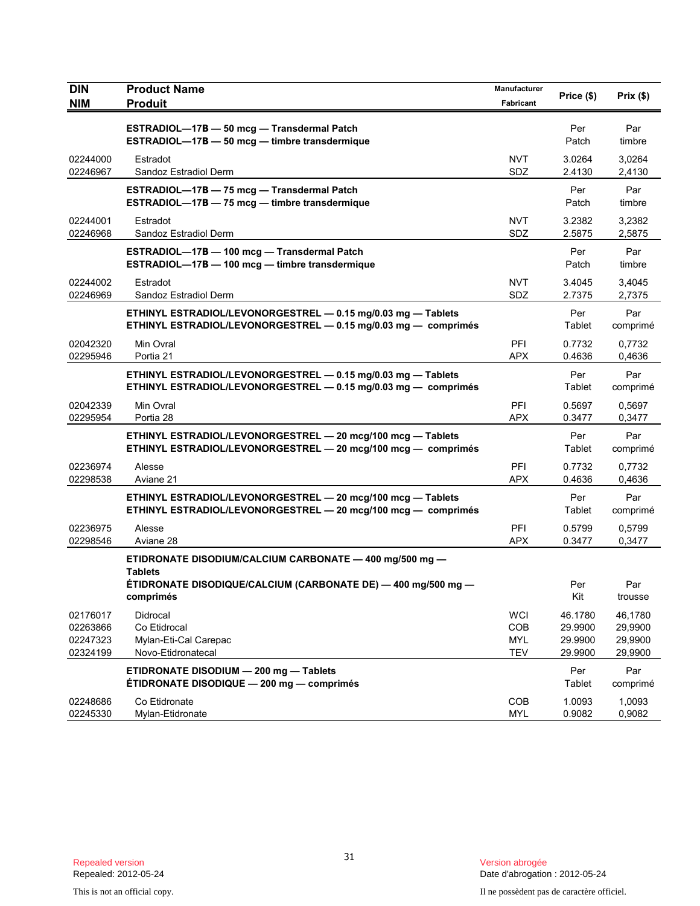| DIN<br><b>NIM</b>                            | <b>Product Name</b><br><b>Produit</b>                                                                                          | Manufacturer<br>Fabricant                     | Price (\$)                               | Prix(\$)                                 |
|----------------------------------------------|--------------------------------------------------------------------------------------------------------------------------------|-----------------------------------------------|------------------------------------------|------------------------------------------|
|                                              | ESTRADIOL-17B - 50 mcg - Transdermal Patch<br>ESTRADIOL-17B - 50 mcg - timbre transdermique                                    |                                               | Per<br>Patch                             | Par<br>timbre                            |
| 02244000<br>02246967                         | Estradot<br>Sandoz Estradiol Derm                                                                                              | <b>NVT</b><br>SDZ                             | 3.0264<br>2.4130                         | 3,0264<br>2,4130                         |
|                                              | ESTRADIOL-17B - 75 mcg - Transdermal Patch<br>ESTRADIOL-17B - 75 mcg - timbre transdermique                                    |                                               | Per<br>Patch                             | Par<br>timbre                            |
| 02244001<br>02246968                         | Estradot<br>Sandoz Estradiol Derm                                                                                              | <b>NVT</b><br>SDZ                             | 3.2382<br>2.5875                         | 3,2382<br>2,5875                         |
|                                              | ESTRADIOL-17B - 100 mcg - Transdermal Patch<br>ESTRADIOL-17B - 100 mcg - timbre transdermique                                  |                                               | Per<br>Patch                             | Par<br>timbre                            |
| 02244002<br>02246969                         | Estradot<br>Sandoz Estradiol Derm                                                                                              | <b>NVT</b><br>SDZ                             | 3.4045<br>2.7375                         | 3,4045<br>2,7375                         |
|                                              | ETHINYL ESTRADIOL/LEVONORGESTREL - 0.15 mg/0.03 mg - Tablets<br>ETHINYL ESTRADIOL/LEVONORGESTREL - 0.15 mg/0.03 mg - comprimés |                                               | Per<br>Tablet                            | Par<br>comprimé                          |
| 02042320<br>02295946                         | Min Ovral<br>Portia 21                                                                                                         | PFI<br><b>APX</b>                             | 0.7732<br>0.4636                         | 0,7732<br>0,4636                         |
|                                              | ETHINYL ESTRADIOL/LEVONORGESTREL - 0.15 mg/0.03 mg - Tablets<br>ETHINYL ESTRADIOL/LEVONORGESTREL - 0.15 mg/0.03 mg - comprimés |                                               | Per<br>Tablet                            | Par<br>comprimé                          |
| 02042339<br>02295954                         | Min Ovral<br>Portia 28                                                                                                         | PFI<br><b>APX</b>                             | 0.5697<br>0.3477                         | 0,5697<br>0,3477                         |
|                                              | ETHINYL ESTRADIOL/LEVONORGESTREL - 20 mcg/100 mcg - Tablets<br>ETHINYL ESTRADIOL/LEVONORGESTREL - 20 mcg/100 mcg - comprimés   |                                               | Per<br>Tablet                            | Par<br>comprimé                          |
| 02236974<br>02298538                         | Alesse<br>Aviane 21                                                                                                            | PFI<br><b>APX</b>                             | 0.7732<br>0.4636                         | 0,7732<br>0,4636                         |
|                                              | ETHINYL ESTRADIOL/LEVONORGESTREL - 20 mcg/100 mcg - Tablets<br>ETHINYL ESTRADIOL/LEVONORGESTREL - 20 mcg/100 mcg - comprimés   |                                               | Per<br>Tablet                            | Par<br>comprimé                          |
| 02236975<br>02298546                         | Alesse<br>Aviane 28                                                                                                            | PFI<br><b>APX</b>                             | 0.5799<br>0.3477                         | 0,5799<br>0,3477                         |
|                                              | ETIDRONATE DISODIUM/CALCIUM CARBONATE - 400 mg/500 mg -<br><b>Tablets</b>                                                      |                                               |                                          |                                          |
|                                              | ÉTIDRONATE DISODIQUE/CALCIUM (CARBONATE DE) — 400 mg/500 mg —<br>comprimés                                                     |                                               | Per<br>Kit                               | Par<br>trousse                           |
| 02176017<br>02263866<br>02247323<br>02324199 | Didrocal<br>Co Etidrocal<br>Mylan-Eti-Cal Carepac<br>Novo-Etidronatecal                                                        | <b>WCI</b><br>COB<br><b>MYL</b><br><b>TEV</b> | 46.1780<br>29.9900<br>29.9900<br>29.9900 | 46,1780<br>29,9900<br>29,9900<br>29,9900 |
|                                              | ETIDRONATE DISODIUM - 200 mg - Tablets<br>ÉTIDRONATE DISODIQUE - 200 mg - comprimés                                            |                                               | Per<br>Tablet                            | Par<br>comprimé                          |
| 02248686<br>02245330                         | Co Etidronate<br>Mylan-Etidronate                                                                                              | COB<br><b>MYL</b>                             | 1.0093<br>0.9082                         | 1,0093<br>0,9082                         |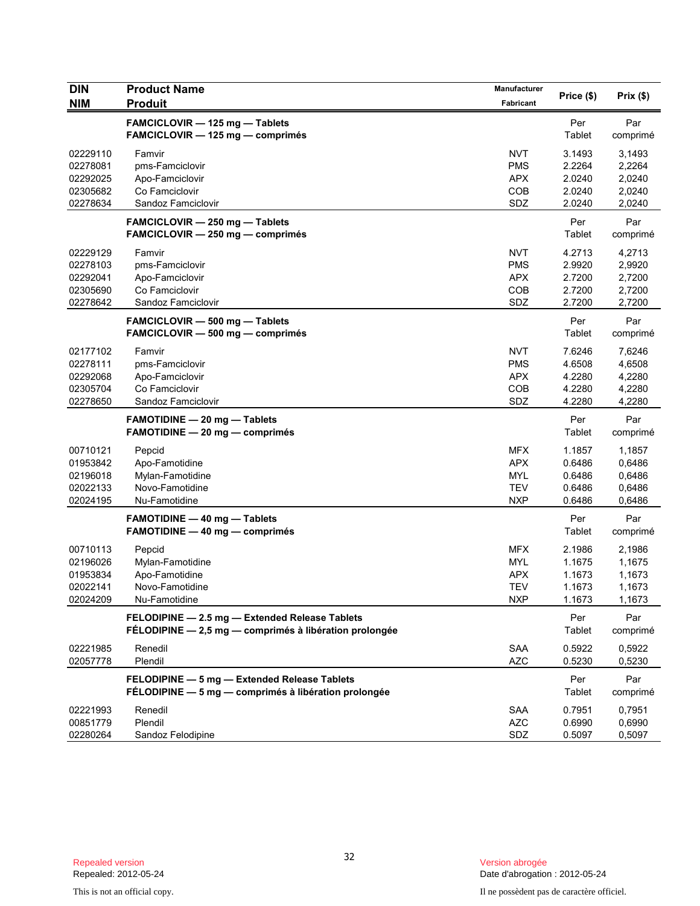| <b>DIN</b> | <b>Product Name</b>                                                                                      | Manufacturer |               |                 |
|------------|----------------------------------------------------------------------------------------------------------|--------------|---------------|-----------------|
| <b>NIM</b> | <b>Produit</b>                                                                                           | Fabricant    | Price (\$)    | Prix(\$)        |
|            | FAMCICLOVIR - 125 mg - Tablets<br>FAMCICLOVIR - 125 mg - comprimés                                       |              | Per<br>Tablet | Par<br>comprimé |
| 02229110   | Famvir                                                                                                   | <b>NVT</b>   | 3.1493        | 3,1493          |
| 02278081   | pms-Famciclovir                                                                                          | <b>PMS</b>   | 2.2264        | 2,2264          |
| 02292025   | Apo-Famciclovir                                                                                          | <b>APX</b>   | 2.0240        | 2,0240          |
| 02305682   | Co Famciclovir                                                                                           | COB          | 2.0240        | 2,0240          |
| 02278634   | Sandoz Famciclovir                                                                                       | SDZ          | 2.0240        | 2,0240          |
|            | FAMCICLOVIR - 250 mg - Tablets<br>FAMCICLOVIR - 250 mg - comprimés                                       |              | Per<br>Tablet | Par<br>comprimé |
| 02229129   | Famvir                                                                                                   | <b>NVT</b>   | 4.2713        | 4,2713          |
| 02278103   | pms-Famciclovir                                                                                          | <b>PMS</b>   | 2.9920        | 2,9920          |
| 02292041   | Apo-Famciclovir                                                                                          | <b>APX</b>   | 2.7200        | 2,7200          |
| 02305690   | Co Famciclovir                                                                                           | COB          | 2.7200        | 2,7200          |
| 02278642   | Sandoz Famciclovir                                                                                       | SDZ          | 2.7200        | 2,7200          |
|            | FAMCICLOVIR - 500 mg - Tablets<br>FAMCICLOVIR - 500 mg - comprimés                                       |              | Per<br>Tablet | Par<br>comprimé |
| 02177102   | Famvir                                                                                                   | <b>NVT</b>   | 7.6246        | 7,6246          |
| 02278111   | pms-Famciclovir                                                                                          | <b>PMS</b>   | 4.6508        | 4,6508          |
| 02292068   | Apo-Famciclovir                                                                                          | <b>APX</b>   | 4.2280        | 4,2280          |
| 02305704   | Co Famciclovir                                                                                           | COB          | 4.2280        | 4,2280          |
| 02278650   | Sandoz Famciclovir                                                                                       | SDZ          | 4.2280        | 4,2280          |
|            | <b>FAMOTIDINE - 20 mg - Tablets</b><br>FAMOTIDINE - 20 mg - comprimés                                    |              | Per<br>Tablet | Par<br>comprimé |
| 00710121   | Pepcid                                                                                                   | <b>MFX</b>   | 1.1857        | 1,1857          |
| 01953842   | Apo-Famotidine                                                                                           | <b>APX</b>   | 0.6486        | 0,6486          |
| 02196018   | Mylan-Famotidine                                                                                         | <b>MYL</b>   | 0.6486        | 0,6486          |
| 02022133   | Novo-Famotidine                                                                                          | <b>TEV</b>   | 0.6486        | 0,6486          |
| 02024195   | Nu-Famotidine                                                                                            | <b>NXP</b>   | 0.6486        | 0,6486          |
|            | <b>FAMOTIDINE - 40 mg - Tablets</b><br>FAMOTIDINE - 40 mg - comprimés                                    |              | Per<br>Tablet | Par<br>comprimé |
| 00710113   | Pepcid                                                                                                   | <b>MFX</b>   | 2.1986        | 2,1986          |
| 02196026   | Mylan-Famotidine                                                                                         | <b>MYL</b>   | 1.1675        | 1,1675          |
| 01953834   | Apo-Famotidine                                                                                           | <b>APX</b>   | 1.1673        | 1,1673          |
| 02022141   | Novo-Famotidine                                                                                          | <b>TEV</b>   | 1.1673        | 1,1673          |
| 02024209   | Nu-Famotidine                                                                                            | <b>NXP</b>   | 1.1673        | 1,1673          |
|            | FELODIPINE - 2.5 mg - Extended Release Tablets<br>FÉLODIPINE - 2,5 mg - comprimés à libération prolongée |              | Per<br>Tablet | Par<br>comprimé |
| 02221985   | Renedil                                                                                                  | SAA          | 0.5922        | 0,5922          |
| 02057778   | Plendil                                                                                                  | <b>AZC</b>   | 0.5230        | 0,5230          |
|            | FELODIPINE - 5 mg - Extended Release Tablets<br>FÉLODIPINE - 5 mg - comprimés à libération prolongée     |              | Per<br>Tablet | Par<br>comprimé |
| 02221993   | Renedil                                                                                                  | SAA          | 0.7951        | 0,7951          |
| 00851779   | Plendil                                                                                                  | <b>AZC</b>   | 0.6990        | 0,6990          |
| 02280264   | Sandoz Felodipine                                                                                        | SDZ          | 0.5097        | 0,5097          |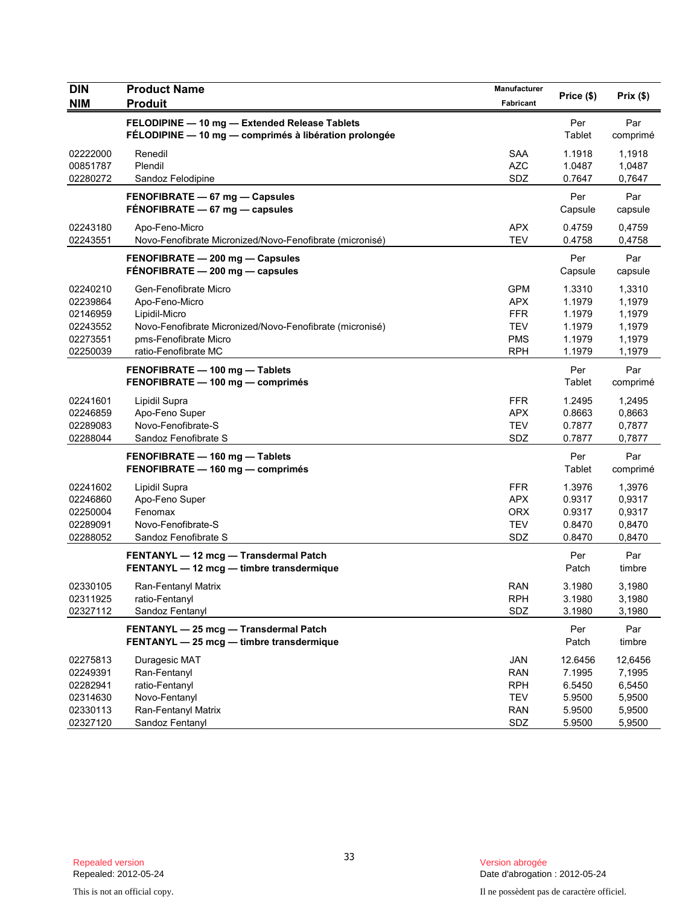| <b>DIN</b>                                                           | <b>Product Name</b>                                                                                                                                                   | Manufacturer                                                                     | Price (\$)                                                | Prix(\$)                                                  |
|----------------------------------------------------------------------|-----------------------------------------------------------------------------------------------------------------------------------------------------------------------|----------------------------------------------------------------------------------|-----------------------------------------------------------|-----------------------------------------------------------|
| <b>NIM</b>                                                           | <b>Produit</b>                                                                                                                                                        | Fabricant                                                                        |                                                           |                                                           |
|                                                                      | FELODIPINE - 10 mg - Extended Release Tablets<br>FÉLODIPINE - 10 mg - comprimés à libération prolongée                                                                |                                                                                  | Per<br>Tablet                                             | Par<br>comprimé                                           |
| 02222000<br>00851787<br>02280272                                     | Renedil<br>Plendil<br>Sandoz Felodipine                                                                                                                               | <b>SAA</b><br><b>AZC</b><br>SDZ                                                  | 1.1918<br>1.0487<br>0.7647                                | 1,1918<br>1,0487<br>0,7647                                |
|                                                                      | FENOFIBRATE - 67 mg - Capsules<br>FÉNOFIBRATE - 67 mg - capsules                                                                                                      |                                                                                  | Per<br>Capsule                                            | Par<br>capsule                                            |
| 02243180<br>02243551                                                 | Apo-Feno-Micro<br>Novo-Fenofibrate Micronized/Novo-Fenofibrate (micronisé)                                                                                            | <b>APX</b><br><b>TEV</b>                                                         | 0.4759<br>0.4758                                          | 0,4759<br>0,4758                                          |
|                                                                      | FENOFIBRATE - 200 mg - Capsules<br>FENOFIBRATE - 200 mg - capsules                                                                                                    |                                                                                  | Per<br>Capsule                                            | Par<br>capsule                                            |
| 02240210<br>02239864<br>02146959<br>02243552<br>02273551<br>02250039 | Gen-Fenofibrate Micro<br>Apo-Feno-Micro<br>Lipidil-Micro<br>Novo-Fenofibrate Micronized/Novo-Fenofibrate (micronisé)<br>pms-Fenofibrate Micro<br>ratio-Fenofibrate MC | <b>GPM</b><br><b>APX</b><br><b>FFR</b><br><b>TEV</b><br><b>PMS</b><br><b>RPH</b> | 1.3310<br>1.1979<br>1.1979<br>1.1979<br>1.1979<br>1.1979  | 1,3310<br>1,1979<br>1,1979<br>1,1979<br>1,1979<br>1,1979  |
|                                                                      | FENOFIBRATE - 100 mg - Tablets<br>FENOFIBRATE - 100 mg - comprimés                                                                                                    |                                                                                  | Per<br>Tablet                                             | Par<br>comprimé                                           |
| 02241601<br>02246859<br>02289083<br>02288044                         | Lipidil Supra<br>Apo-Feno Super<br>Novo-Fenofibrate-S<br>Sandoz Fenofibrate S                                                                                         | <b>FFR</b><br><b>APX</b><br><b>TEV</b><br>SDZ                                    | 1.2495<br>0.8663<br>0.7877<br>0.7877                      | 1,2495<br>0,8663<br>0,7877<br>0,7877                      |
|                                                                      | FENOFIBRATE - 160 mg - Tablets<br>FENOFIBRATE - 160 mg - comprimés                                                                                                    |                                                                                  | Per<br>Tablet                                             | Par<br>comprimé                                           |
| 02241602<br>02246860<br>02250004<br>02289091<br>02288052             | Lipidil Supra<br>Apo-Feno Super<br>Fenomax<br>Novo-Fenofibrate-S<br>Sandoz Fenofibrate S                                                                              | <b>FFR</b><br><b>APX</b><br><b>ORX</b><br><b>TEV</b><br>SDZ                      | 1.3976<br>0.9317<br>0.9317<br>0.8470<br>0.8470            | 1,3976<br>0,9317<br>0,9317<br>0,8470<br>0,8470            |
|                                                                      | FENTANYL - 12 mcg - Transdermal Patch<br>FENTANYL - 12 mcg - timbre transdermique                                                                                     |                                                                                  | Per<br>Patch                                              | Par<br>timbre                                             |
| 02330105<br>02311925<br>02327112                                     | Ran-Fentanyl Matrix<br>ratio-Fentanyl<br>Sandoz Fentanyl                                                                                                              | <b>RAN</b><br><b>RPH</b><br>SDZ                                                  | 3.1980<br>3.1980<br>3.1980                                | 3,1980<br>3,1980<br>3,1980                                |
|                                                                      | FENTANYL - 25 mcg - Transdermal Patch<br>FENTANYL - 25 mcg - timbre transdermique                                                                                     |                                                                                  | Per<br>Patch                                              | Par<br>timbre                                             |
| 02275813<br>02249391<br>02282941<br>02314630<br>02330113<br>02327120 | Duragesic MAT<br>Ran-Fentanyl<br>ratio-Fentanyl<br>Novo-Fentanyl<br>Ran-Fentanyl Matrix<br>Sandoz Fentanyl                                                            | <b>JAN</b><br><b>RAN</b><br><b>RPH</b><br><b>TEV</b><br><b>RAN</b><br>SDZ        | 12.6456<br>7.1995<br>6.5450<br>5.9500<br>5.9500<br>5.9500 | 12,6456<br>7,1995<br>6,5450<br>5,9500<br>5,9500<br>5,9500 |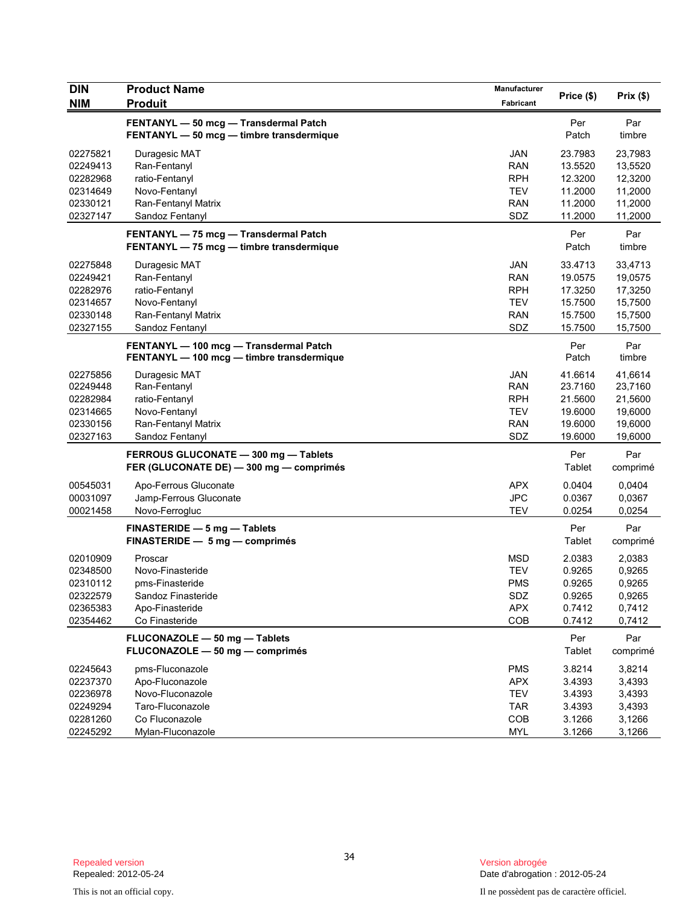| <b>DIN</b> | <b>Product Name</b>                       |            |            |          |
|------------|-------------------------------------------|------------|------------|----------|
| <b>NIM</b> | <b>Produit</b>                            | Fabricant  | Price (\$) | Prix(\$) |
|            | FENTANYL - 50 mcg - Transdermal Patch     |            | Per        | Par      |
|            | FENTANYL - 50 mcg - timbre transdermique  |            | Patch      | timbre   |
| 02275821   | Duragesic MAT                             | <b>JAN</b> | 23.7983    | 23,7983  |
| 02249413   | Ran-Fentanyl                              | <b>RAN</b> | 13.5520    | 13,5520  |
| 02282968   | ratio-Fentanyl                            | <b>RPH</b> | 12.3200    | 12,3200  |
| 02314649   | Novo-Fentanyl                             | <b>TEV</b> | 11.2000    | 11,2000  |
| 02330121   | Ran-Fentanyl Matrix                       | <b>RAN</b> | 11.2000    | 11,2000  |
| 02327147   | Sandoz Fentanyl                           | SDZ        | 11.2000    | 11,2000  |
|            | FENTANYL - 75 mcg - Transdermal Patch     |            | Per        | Par      |
|            | FENTANYL - 75 mcg - timbre transdermique  |            | Patch      | timbre   |
| 02275848   | Duragesic MAT                             | <b>JAN</b> | 33.4713    | 33,4713  |
| 02249421   | Ran-Fentanyl                              | <b>RAN</b> | 19.0575    | 19,0575  |
| 02282976   | ratio-Fentanyl                            | <b>RPH</b> | 17.3250    | 17,3250  |
| 02314657   | Novo-Fentanyl                             | <b>TEV</b> | 15.7500    | 15,7500  |
| 02330148   | Ran-Fentanyl Matrix                       | RAN        | 15.7500    | 15,7500  |
| 02327155   | Sandoz Fentanyl                           | SDZ        | 15.7500    | 15,7500  |
|            | FENTANYL - 100 mcg - Transdermal Patch    |            | Per        | Par      |
|            | FENTANYL - 100 mcg - timbre transdermique |            | Patch      | timbre   |
| 02275856   | Duragesic MAT                             | JAN        | 41.6614    | 41.6614  |
| 02249448   | Ran-Fentanyl                              | <b>RAN</b> | 23.7160    | 23,7160  |
| 02282984   | ratio-Fentanyl                            | <b>RPH</b> | 21.5600    | 21,5600  |
| 02314665   | Novo-Fentanyl                             | <b>TEV</b> | 19.6000    | 19,6000  |
| 02330156   | Ran-Fentanyl Matrix                       | <b>RAN</b> | 19.6000    | 19,6000  |
| 02327163   | Sandoz Fentanyl                           | SDZ        | 19.6000    | 19,6000  |
|            | FERROUS GLUCONATE - 300 mg - Tablets      |            | Per        | Par      |
|            | FER (GLUCONATE DE) - 300 mg - comprimés   |            | Tablet     | comprimé |
| 00545031   | Apo-Ferrous Gluconate                     | <b>APX</b> | 0.0404     | 0,0404   |
| 00031097   | Jamp-Ferrous Gluconate                    | <b>JPC</b> | 0.0367     | 0,0367   |
| 00021458   | Novo-Ferrogluc                            | <b>TEV</b> | 0.0254     | 0,0254   |
|            | FINASTERIDE - 5 mg - Tablets              |            | Per        | Par      |
|            | FINASTERIDE - 5 mg - comprimés            |            | Tablet     | comprimé |
| 02010909   | Proscar                                   | <b>MSD</b> | 2.0383     | 2,0383   |
| 02348500   | Novo-Finasteride                          | <b>TEV</b> | 0.9265     | 0,9265   |
| 02310112   | pms-Finasteride                           | <b>PMS</b> | 0.9265     | 0,9265   |
| 02322579   | Sandoz Finasteride                        | SDZ        | 0.9265     | 0,9265   |
| 02365383   | Apo-Finasteride                           | <b>APX</b> | 0.7412     | 0,7412   |
| 02354462   | Co Finasteride                            | COB        | 0.7412     | 0,7412   |
|            | FLUCONAZOLE - 50 mg - Tablets             |            | Per        | Par      |
|            | FLUCONAZOLE - 50 mg - comprimés           |            | Tablet     | comprimé |
| 02245643   | pms-Fluconazole                           | <b>PMS</b> | 3.8214     | 3,8214   |
| 02237370   | Apo-Fluconazole                           | <b>APX</b> | 3.4393     | 3,4393   |
| 02236978   | Novo-Fluconazole                          | <b>TEV</b> | 3.4393     | 3,4393   |
| 02249294   | Taro-Fluconazole                          | <b>TAR</b> | 3.4393     | 3,4393   |
| 02281260   | Co Fluconazole                            | COB        | 3.1266     | 3,1266   |
| 02245292   | Mylan-Fluconazole                         | <b>MYL</b> | 3.1266     | 3,1266   |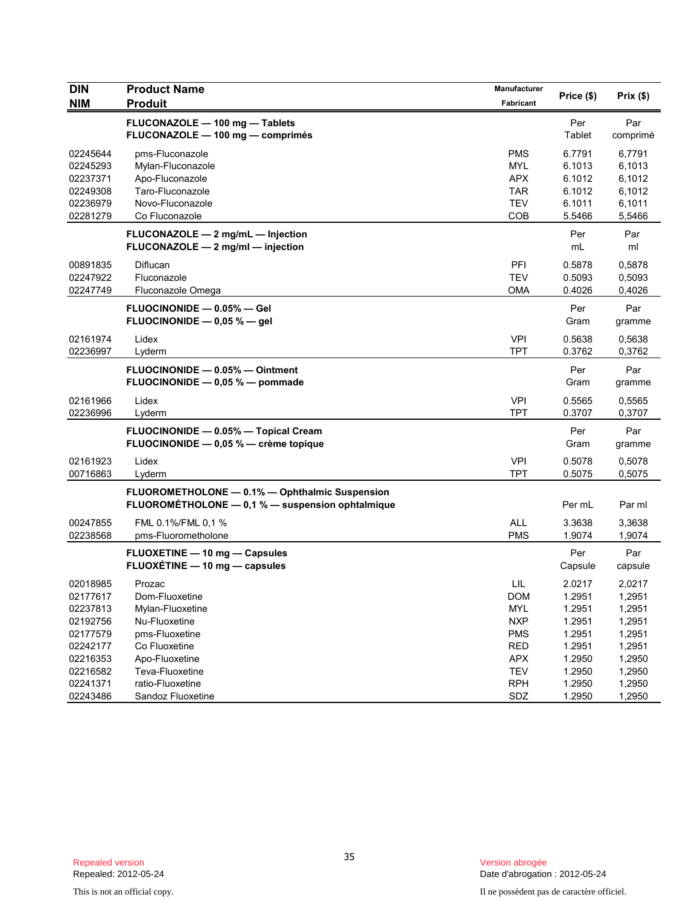| <b>DIN</b><br><b>NIM</b>                                 | <b>Product Name</b><br><b>Produit</b>                                                              | Manufacturer<br>Fabricant                                          | Price (\$)                                     | Prix(\$)                                       |
|----------------------------------------------------------|----------------------------------------------------------------------------------------------------|--------------------------------------------------------------------|------------------------------------------------|------------------------------------------------|
|                                                          | FLUCONAZOLE - 100 mg - Tablets<br>FLUCONAZOLE - 100 mg - comprimés                                 |                                                                    | Per<br>Tablet                                  | Par<br>comprimé                                |
| 02245644<br>02245293<br>02237371<br>02249308<br>02236979 | pms-Fluconazole<br>Mylan-Fluconazole<br>Apo-Fluconazole<br>Taro-Fluconazole<br>Novo-Fluconazole    | <b>PMS</b><br><b>MYL</b><br><b>APX</b><br><b>TAR</b><br><b>TEV</b> | 6.7791<br>6.1013<br>6.1012<br>6.1012<br>6.1011 | 6,7791<br>6,1013<br>6,1012<br>6,1012<br>6,1011 |
| 02281279                                                 | Co Fluconazole                                                                                     | COB                                                                | 5.5466                                         | 5,5466                                         |
|                                                          | FLUCONAZOLE - 2 mg/mL - Injection<br>FLUCONAZOLE - 2 mg/ml - injection                             |                                                                    | Per<br>mL                                      | Par<br>ml                                      |
| 00891835<br>02247922<br>02247749                         | Diflucan<br>Fluconazole<br>Fluconazole Omega                                                       | PFI<br><b>TEV</b><br>OMA                                           | 0.5878<br>0.5093<br>0.4026                     | 0,5878<br>0,5093<br>0,4026                     |
|                                                          | <b>FLUOCINONIDE - 0.05% - Gel</b><br>FLUOCINONIDE $-$ 0.05 % $-$ gel                               |                                                                    | Per<br>Gram                                    | Par<br>gramme                                  |
| 02161974<br>02236997                                     | Lidex<br>Lyderm                                                                                    | <b>VPI</b><br><b>TPT</b>                                           | 0.5638<br>0.3762                               | 0,5638<br>0,3762                               |
|                                                          | FLUOCINONIDE - 0.05% - Ointment<br>FLUOCINONIDE - 0.05 % - pommade                                 |                                                                    | Per<br>Gram                                    | Par<br>gramme                                  |
| 02161966<br>02236996                                     | Lidex<br>Lyderm                                                                                    | <b>VPI</b><br><b>TPT</b>                                           | 0.5565<br>0.3707                               | 0,5565<br>0,3707                               |
|                                                          | FLUOCINONIDE - 0.05% - Topical Cream<br>FLUOCINONIDE - 0,05 % - crème topique                      |                                                                    | Per<br>Gram                                    | Par<br>gramme                                  |
| 02161923<br>00716863                                     | Lidex<br>Lyderm                                                                                    | <b>VPI</b><br><b>TPT</b>                                           | 0.5078<br>0.5075                               | 0,5078<br>0,5075                               |
|                                                          | FLUOROMETHOLONE - 0.1% - Ophthalmic Suspension<br>FLUOROMÉTHOLONE - 0,1 % - suspension ophtalmique |                                                                    | Per mL                                         | Par ml                                         |
| 00247855<br>02238568                                     | FML 0.1%/FML 0.1 %<br>pms-Fluorometholone                                                          | <b>ALL</b><br><b>PMS</b>                                           | 3.3638<br>1.9074                               | 3,3638<br>1,9074                               |
|                                                          | <b>FLUOXETINE - 10 mg - Capsules</b><br>FLUOXÉTINE - 10 mg - capsules                              |                                                                    | Per<br>Capsule                                 | Par<br>capsule                                 |
| 02018985<br>02177617<br>02237813<br>02192756<br>02177579 | Prozac<br>Dom-Fluoxetine<br>Mylan-Fluoxetine<br>Nu-Fluoxetine<br>pms-Fluoxetine                    | LIL<br><b>DOM</b><br><b>MYL</b><br><b>NXP</b><br><b>PMS</b>        | 2.0217<br>1.2951<br>1.2951<br>1.2951<br>1.2951 | 2,0217<br>1,2951<br>1,2951<br>1,2951<br>1,2951 |
| 02242177<br>02216353<br>02216582<br>02241371             | Co Fluoxetine<br>Apo-Fluoxetine<br>Teva-Fluoxetine<br>ratio-Fluoxetine                             | <b>RED</b><br><b>APX</b><br><b>TEV</b><br><b>RPH</b>               | 1.2951<br>1.2950<br>1.2950<br>1.2950           | 1,2951<br>1,2950<br>1,2950<br>1,2950           |
| 02243486                                                 | Sandoz Fluoxetine                                                                                  | SDZ                                                                | 1.2950                                         | 1,2950                                         |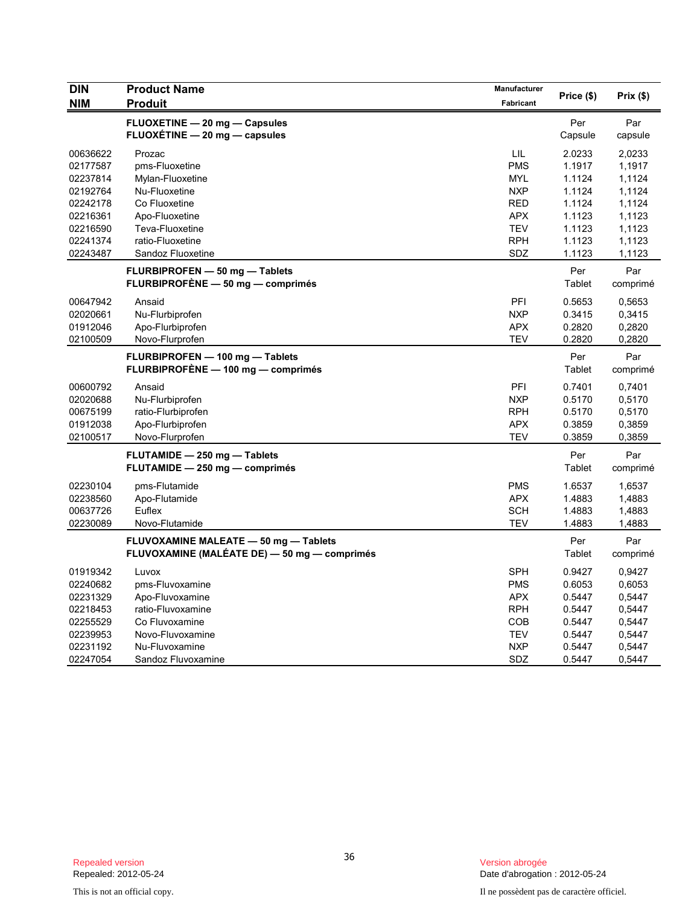| <b>DIN</b>           | <b>Product Name</b>                                                 | Manufacturer             | Price (\$)       | Prix(\$)         |
|----------------------|---------------------------------------------------------------------|--------------------------|------------------|------------------|
| <b>NIM</b>           | <b>Produit</b>                                                      | Fabricant                |                  |                  |
|                      | FLUOXETINE - 20 mg - Capsules                                       |                          | Per              | Par              |
|                      | FLUOXÉTINE - 20 mg - capsules                                       |                          | Capsule          | capsule          |
| 00636622             | Prozac                                                              | LIL                      | 2.0233           | 2,0233           |
| 02177587             | pms-Fluoxetine                                                      | <b>PMS</b>               | 1.1917           | 1,1917           |
| 02237814             | Mylan-Fluoxetine                                                    | <b>MYL</b>               | 1.1124           | 1,1124           |
| 02192764             | Nu-Fluoxetine                                                       | <b>NXP</b>               | 1.1124           | 1,1124           |
| 02242178             | Co Fluoxetine                                                       | <b>RED</b>               | 1.1124           | 1,1124           |
| 02216361             | Apo-Fluoxetine                                                      | <b>APX</b><br><b>TEV</b> | 1.1123           | 1,1123           |
| 02216590<br>02241374 | Teva-Fluoxetine<br>ratio-Fluoxetine                                 | <b>RPH</b>               | 1.1123<br>1.1123 | 1,1123<br>1,1123 |
| 02243487             | Sandoz Fluoxetine                                                   | SDZ                      | 1.1123           | 1,1123           |
|                      |                                                                     |                          | Per              | Par              |
|                      | FLURBIPROFEN - 50 mg - Tablets<br>FLURBIPROFÉNE — 50 mg — comprimés |                          | Tablet           | comprimé         |
| 00647942             | Ansaid                                                              | PFI                      | 0.5653           | 0,5653           |
| 02020661             | Nu-Flurbiprofen                                                     | <b>NXP</b>               | 0.3415           | 0,3415           |
| 01912046             | Apo-Flurbiprofen                                                    | <b>APX</b>               | 0.2820           | 0,2820           |
| 02100509             | Novo-Flurprofen                                                     | <b>TEV</b>               | 0.2820           | 0,2820           |
|                      | FLURBIPROFEN - 100 mg - Tablets                                     |                          | Per              | Par              |
|                      | FLURBIPROFÈNE — 100 mg — comprimés                                  |                          | Tablet           | comprimé         |
| 00600792             | Ansaid                                                              | PFI                      | 0.7401           | 0,7401           |
| 02020688             | Nu-Flurbiprofen                                                     | <b>NXP</b>               | 0.5170           | 0,5170           |
| 00675199             | ratio-Flurbiprofen                                                  | <b>RPH</b>               | 0.5170           | 0,5170           |
| 01912038             | Apo-Flurbiprofen                                                    | <b>APX</b>               | 0.3859           | 0,3859           |
| 02100517             | Novo-Flurprofen                                                     | <b>TEV</b>               | 0.3859           | 0,3859           |
|                      | FLUTAMIDE - 250 mg - Tablets                                        |                          | Per              | Par              |
|                      | FLUTAMIDE - 250 mg - comprimés                                      |                          | Tablet           | comprimé         |
| 02230104             | pms-Flutamide                                                       | <b>PMS</b>               | 1.6537           | 1,6537           |
| 02238560             | Apo-Flutamide                                                       | <b>APX</b>               | 1.4883           | 1,4883           |
| 00637726             | Euflex                                                              | <b>SCH</b>               | 1.4883           | 1,4883           |
| 02230089             | Novo-Flutamide                                                      | <b>TEV</b>               | 1.4883           | 1,4883           |
|                      | FLUVOXAMINE MALEATE - 50 mg - Tablets                               |                          | Per              | Par              |
|                      | FLUVOXAMINE (MALÉATE DE) — 50 mg — comprimés                        |                          | Tablet           | comprimé         |
| 01919342             | Luvox                                                               | <b>SPH</b>               | 0.9427           | 0,9427           |
| 02240682             | pms-Fluvoxamine                                                     | <b>PMS</b>               | 0.6053           | 0,6053           |
| 02231329             | Apo-Fluvoxamine                                                     | <b>APX</b>               | 0.5447           | 0,5447           |
| 02218453             | ratio-Fluvoxamine                                                   | <b>RPH</b>               | 0.5447           | 0,5447           |
| 02255529<br>02239953 | Co Fluvoxamine<br>Novo-Fluvoxamine                                  | COB<br><b>TEV</b>        | 0.5447<br>0.5447 | 0,5447<br>0,5447 |
| 02231192             | Nu-Fluvoxamine                                                      | <b>NXP</b>               | 0.5447           | 0,5447           |
| 02247054             | Sandoz Fluvoxamine                                                  | SDZ                      | 0.5447           | 0,5447           |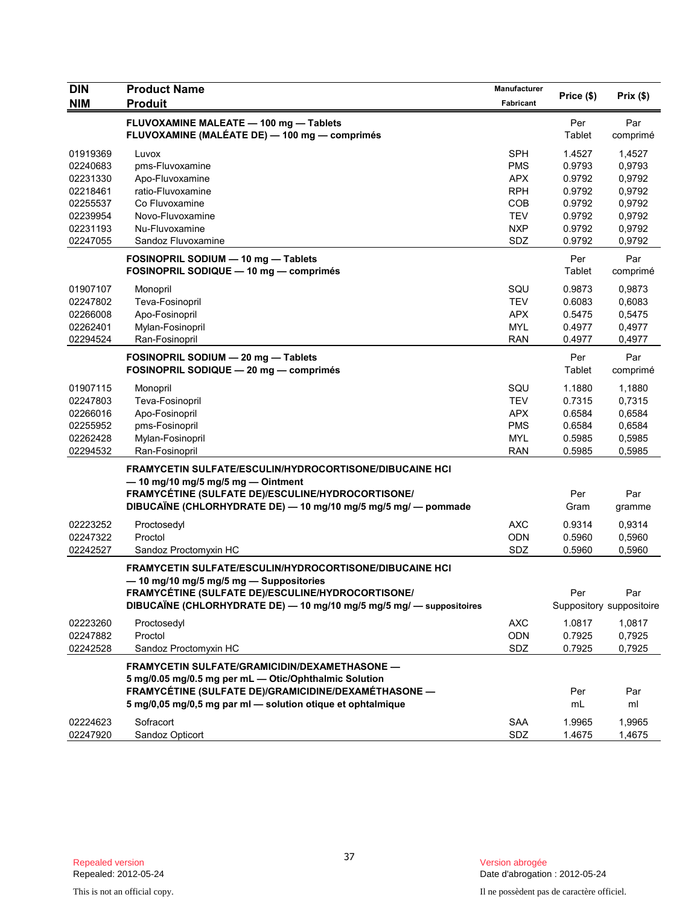| <b>DIN</b> | <b>Product Name</b>                                                                                                                                                                                                                  | Manufacturer |               |                          |
|------------|--------------------------------------------------------------------------------------------------------------------------------------------------------------------------------------------------------------------------------------|--------------|---------------|--------------------------|
| <b>NIM</b> | <b>Produit</b>                                                                                                                                                                                                                       | Fabricant    | Price (\$)    | Prix (\$)                |
|            | FLUVOXAMINE MALEATE - 100 mg - Tablets<br>FLUVOXAMINE (MALÉATE DE) — 100 mg — comprimés                                                                                                                                              |              | Per<br>Tablet | Par<br>comprimé          |
| 01919369   | Luvox                                                                                                                                                                                                                                | <b>SPH</b>   | 1.4527        | 1,4527                   |
| 02240683   | pms-Fluvoxamine                                                                                                                                                                                                                      | <b>PMS</b>   | 0.9793        | 0,9793                   |
| 02231330   | Apo-Fluvoxamine                                                                                                                                                                                                                      | <b>APX</b>   | 0.9792        | 0,9792                   |
| 02218461   | ratio-Fluvoxamine                                                                                                                                                                                                                    | <b>RPH</b>   | 0.9792        | 0,9792                   |
| 02255537   | Co Fluvoxamine                                                                                                                                                                                                                       | <b>COB</b>   | 0.9792        | 0,9792                   |
| 02239954   | Novo-Fluvoxamine                                                                                                                                                                                                                     | <b>TEV</b>   | 0.9792        | 0,9792                   |
| 02231193   | Nu-Fluvoxamine                                                                                                                                                                                                                       | <b>NXP</b>   | 0.9792        | 0,9792                   |
| 02247055   | Sandoz Fluvoxamine                                                                                                                                                                                                                   | SDZ          | 0.9792        | 0,9792                   |
|            | FOSINOPRIL SODIUM - 10 mg - Tablets<br>FOSINOPRIL SODIQUE - 10 mg - comprimés                                                                                                                                                        |              | Per<br>Tablet | Par<br>comprimé          |
| 01907107   | Monopril                                                                                                                                                                                                                             | SQU          | 0.9873        | 0,9873                   |
| 02247802   | Teva-Fosinopril                                                                                                                                                                                                                      | TEV          | 0.6083        | 0,6083                   |
| 02266008   | Apo-Fosinopril                                                                                                                                                                                                                       | <b>APX</b>   | 0.5475        | 0,5475                   |
| 02262401   | Mylan-Fosinopril                                                                                                                                                                                                                     | <b>MYL</b>   | 0.4977        | 0,4977                   |
| 02294524   | Ran-Fosinopril                                                                                                                                                                                                                       | <b>RAN</b>   | 0.4977        | 0,4977                   |
|            | FOSINOPRIL SODIUM - 20 mg - Tablets<br>FOSINOPRIL SODIQUE - 20 mg - comprimés                                                                                                                                                        |              | Per<br>Tablet | Par<br>comprimé          |
| 01907115   | Monopril                                                                                                                                                                                                                             | SQU          | 1.1880        | 1.1880                   |
| 02247803   | Teva-Fosinopril                                                                                                                                                                                                                      | TEV          | 0.7315        | 0,7315                   |
| 02266016   | Apo-Fosinopril                                                                                                                                                                                                                       | <b>APX</b>   | 0.6584        | 0,6584                   |
| 02255952   | pms-Fosinopril                                                                                                                                                                                                                       | <b>PMS</b>   | 0.6584        | 0,6584                   |
| 02262428   | Mylan-Fosinopril                                                                                                                                                                                                                     | <b>MYL</b>   | 0.5985        | 0,5985                   |
| 02294532   | Ran-Fosinopril                                                                                                                                                                                                                       | <b>RAN</b>   | 0.5985        | 0,5985                   |
|            | FRAMYCETIN SULFATE/ESCULIN/HYDROCORTISONE/DIBUCAINE HCI<br>$-$ 10 mg/10 mg/5 mg/5 mg $-$ Ointment<br>FRAMYCÉTINE (SULFATE DE)/ESCULINE/HYDROCORTISONE/<br>DIBUCAÏNE (CHLORHYDRATE DE) - 10 mg/10 mg/5 mg/5 mg/ - pommade             |              | Per<br>Gram   | Par<br>gramme            |
| 02223252   | Proctosedyl                                                                                                                                                                                                                          | <b>AXC</b>   | 0.9314        | 0,9314                   |
| 02247322   | Proctol                                                                                                                                                                                                                              | ODN          | 0.5960        | 0,5960                   |
| 02242527   | Sandoz Proctomyxin HC                                                                                                                                                                                                                | SDZ          | 0.5960        | 0,5960                   |
|            | FRAMYCETIN SULFATE/ESCULIN/HYDROCORTISONE/DIBUCAINE HCI<br>-10 mg/10 mg/5 mg/5 mg - Suppositories<br>FRAMYCÉTINE (SULFATE DE)/ESCULINE/HYDROCORTISONE/                                                                               |              | Per           | Par                      |
|            | DIBUCAÏNE (CHLORHYDRATE DE) - 10 mg/10 mg/5 mg/5 mg/ - suppositoires                                                                                                                                                                 |              |               | Suppository suppositoire |
| 02223260   | Proctosedyl                                                                                                                                                                                                                          | <b>AXC</b>   | 1.0817        | 1,0817                   |
| 02247882   | Proctol                                                                                                                                                                                                                              | <b>ODN</b>   | 0.7925        | 0,7925                   |
| 02242528   | Sandoz Proctomyxin HC                                                                                                                                                                                                                | <b>SDZ</b>   | 0.7925        | 0,7925                   |
|            | <b>FRAMYCETIN SULFATE/GRAMICIDIN/DEXAMETHASONE -</b><br>5 mg/0.05 mg/0.5 mg per mL - Otic/Ophthalmic Solution<br>FRAMYCÉTINE (SULFATE DE)/GRAMICIDINE/DEXAMÉTHASONE -<br>5 mg/0,05 mg/0,5 mg par ml - solution otique et ophtalmique |              | Per<br>mL     | Par<br>ml                |
| 02224623   | Sofracort                                                                                                                                                                                                                            | <b>SAA</b>   | 1.9965        | 1,9965                   |
| 02247920   | Sandoz Opticort                                                                                                                                                                                                                      | SDZ          | 1.4675        | 1,4675                   |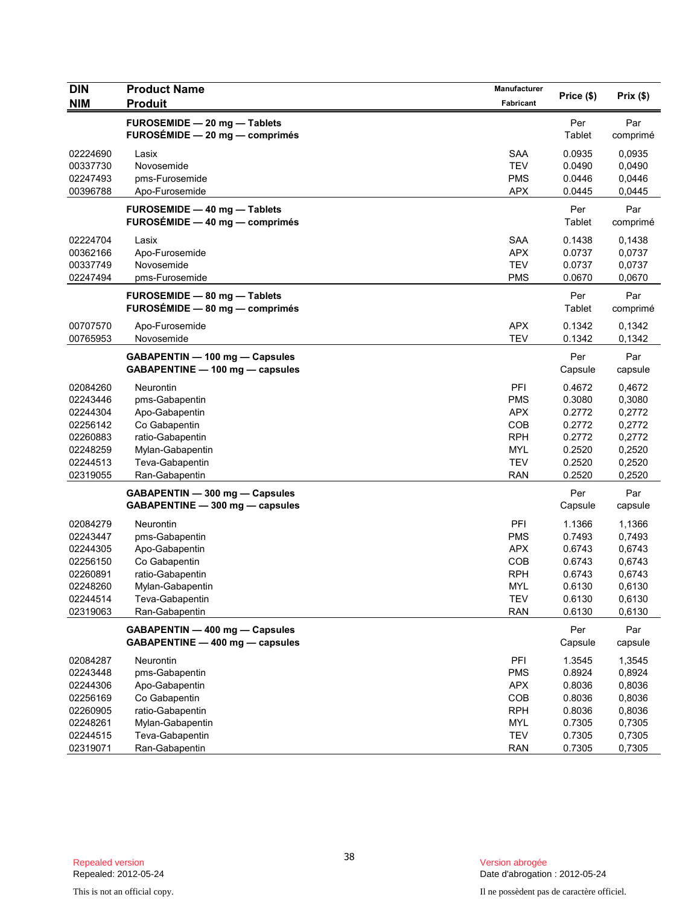| <b>DIN</b> | <b>Product Name</b>                 | Manufacturer |            |          |
|------------|-------------------------------------|--------------|------------|----------|
| <b>NIM</b> | <b>Produit</b>                      | Fabricant    | Price (\$) | Prix(\$) |
|            | FUROSEMIDE - 20 mg - Tablets        |              | Per        | Par      |
|            | $FUROSÉMIDE - 20 mg - comprimés$    |              | Tablet     | comprimé |
| 02224690   | Lasix                               | <b>SAA</b>   | 0.0935     | 0.0935   |
| 00337730   | Novosemide                          | <b>TEV</b>   | 0.0490     | 0,0490   |
| 02247493   | pms-Furosemide                      | <b>PMS</b>   | 0.0446     | 0,0446   |
| 00396788   | Apo-Furosemide                      | <b>APX</b>   | 0.0445     | 0,0445   |
|            | <b>FUROSEMIDE - 40 mg - Tablets</b> |              | Per        | Par      |
|            | FUROSÉMIDE - 40 mg - comprimés      |              | Tablet     | comprimé |
| 02224704   | Lasix                               | <b>SAA</b>   | 0.1438     | 0,1438   |
| 00362166   | Apo-Furosemide                      | <b>APX</b>   | 0.0737     | 0,0737   |
| 00337749   | Novosemide                          | <b>TEV</b>   | 0.0737     | 0,0737   |
| 02247494   | pms-Furosemide                      | <b>PMS</b>   | 0.0670     | 0,0670   |
|            | FUROSEMIDE - 80 mg - Tablets        |              | Per        | Par      |
|            | FUROSÉMIDE - 80 mg - comprimés      |              | Tablet     | comprimé |
| 00707570   | Apo-Furosemide                      | <b>APX</b>   | 0.1342     | 0,1342   |
| 00765953   | Novosemide                          | <b>TEV</b>   | 0.1342     | 0,1342   |
|            | GABAPENTIN - 100 mg - Capsules      |              | Per        | Par      |
|            | GABAPENTINE - 100 mg - capsules     |              | Capsule    | capsule  |
| 02084260   | Neurontin                           | PFI          | 0.4672     | 0,4672   |
| 02243446   | pms-Gabapentin                      | <b>PMS</b>   | 0.3080     | 0,3080   |
| 02244304   | Apo-Gabapentin                      | <b>APX</b>   | 0.2772     | 0,2772   |
| 02256142   | Co Gabapentin                       | COB          | 0.2772     | 0,2772   |
| 02260883   | ratio-Gabapentin                    | <b>RPH</b>   | 0.2772     | 0,2772   |
| 02248259   | Mylan-Gabapentin                    | <b>MYL</b>   | 0.2520     | 0,2520   |
| 02244513   | Teva-Gabapentin                     | <b>TEV</b>   | 0.2520     | 0,2520   |
| 02319055   | Ran-Gabapentin                      | <b>RAN</b>   | 0.2520     | 0,2520   |
|            | GABAPENTIN - 300 mg - Capsules      |              | Per        | Par      |
|            | GABAPENTINE - 300 mg - capsules     |              | Capsule    | capsule  |
| 02084279   | Neurontin                           | PFI          | 1.1366     | 1,1366   |
| 02243447   | pms-Gabapentin                      | <b>PMS</b>   | 0.7493     | 0,7493   |
| 02244305   | Apo-Gabapentin                      | <b>APX</b>   | 0.6743     | 0,6743   |
| 02256150   | Co Gabapentin                       | COB          | 0.6743     | 0,6743   |
| 02260891   | ratio-Gabapentin                    | <b>RPH</b>   | 0.6743     | 0,6743   |
| 02248260   | Mylan-Gabapentin                    | <b>MYL</b>   | 0.6130     | 0,6130   |
| 02244514   | Teva-Gabapentin                     | <b>TEV</b>   | 0.6130     | 0,6130   |
| 02319063   | Ran-Gabapentin                      | <b>RAN</b>   | 0.6130     | 0,6130   |
|            | GABAPENTIN - 400 mg - Capsules      |              | Per        | Par      |
|            | GABAPENTINE - 400 mg - capsules     |              | Capsule    | capsule  |
| 02084287   | Neurontin                           | PFI          | 1.3545     | 1,3545   |
| 02243448   | pms-Gabapentin                      | <b>PMS</b>   | 0.8924     | 0,8924   |
| 02244306   | Apo-Gabapentin                      | <b>APX</b>   | 0.8036     | 0,8036   |
| 02256169   | Co Gabapentin                       | COB          | 0.8036     | 0,8036   |
| 02260905   | ratio-Gabapentin                    | <b>RPH</b>   | 0.8036     | 0,8036   |
| 02248261   | Mylan-Gabapentin                    | MYL          | 0.7305     | 0,7305   |
| 02244515   | Teva-Gabapentin                     | <b>TEV</b>   | 0.7305     | 0,7305   |
| 02319071   | Ran-Gabapentin                      | <b>RAN</b>   | 0.7305     | 0,7305   |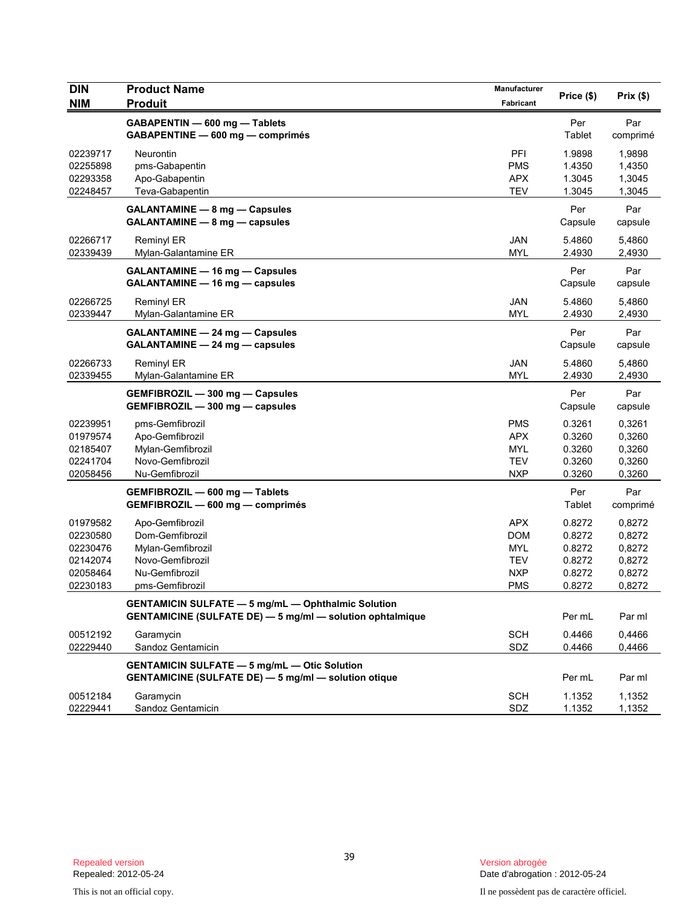| <b>DIN</b><br><b>NIM</b>                                             | <b>Product Name</b><br><b>Produit</b>                                                                                         | Manufacturer<br>Fabricant                                                 | Price (\$)                                               | Prix(\$)                                                 |
|----------------------------------------------------------------------|-------------------------------------------------------------------------------------------------------------------------------|---------------------------------------------------------------------------|----------------------------------------------------------|----------------------------------------------------------|
|                                                                      | GABAPENTIN - 600 mg - Tablets<br>GABAPENTINE - 600 mg - comprimés                                                             |                                                                           | Per<br>Tablet                                            | Par<br>comprimé                                          |
| 02239717<br>02255898<br>02293358<br>02248457                         | Neurontin<br>pms-Gabapentin<br>Apo-Gabapentin<br>Teva-Gabapentin                                                              | PFI<br><b>PMS</b><br><b>APX</b><br><b>TEV</b>                             | 1.9898<br>1.4350<br>1.3045<br>1.3045                     | 1,9898<br>1,4350<br>1,3045<br>1,3045                     |
|                                                                      | <b>GALANTAMINE - 8 mg - Capsules</b><br>GALANTAMINE - 8 mg - capsules                                                         |                                                                           | Per<br>Capsule                                           | Par<br>capsule                                           |
| 02266717<br>02339439                                                 | <b>Reminyl ER</b><br>Mylan-Galantamine ER                                                                                     | <b>JAN</b><br><b>MYL</b>                                                  | 5.4860<br>2.4930                                         | 5,4860<br>2,4930                                         |
|                                                                      | <b>GALANTAMINE - 16 mg - Capsules</b><br>GALANTAMINE - 16 mg - capsules                                                       |                                                                           | Per<br>Capsule                                           | Par<br>capsule                                           |
| 02266725<br>02339447                                                 | Reminyl ER<br>Mylan-Galantamine ER                                                                                            | <b>JAN</b><br><b>MYL</b>                                                  | 5.4860<br>2.4930                                         | 5,4860<br>2,4930                                         |
|                                                                      | <b>GALANTAMINE - 24 mg - Capsules</b><br>GALANTAMINE - 24 mg - capsules                                                       |                                                                           | Per<br>Capsule                                           | Par<br>capsule                                           |
| 02266733<br>02339455                                                 | Reminyl ER<br>Mylan-Galantamine ER                                                                                            | <b>JAN</b><br><b>MYL</b>                                                  | 5.4860<br>2.4930                                         | 5,4860<br>2,4930                                         |
|                                                                      | GEMFIBROZIL - 300 mg - Capsules<br>GEMFIBROZIL - 300 mg - capsules                                                            |                                                                           | Per<br>Capsule                                           | Par<br>capsule                                           |
| 02239951<br>01979574<br>02185407<br>02241704<br>02058456             | pms-Gemfibrozil<br>Apo-Gemfibrozil<br>Mylan-Gemfibrozil<br>Novo-Gemfibrozil<br>Nu-Gemfibrozil                                 | <b>PMS</b><br><b>APX</b><br><b>MYL</b><br><b>TEV</b><br><b>NXP</b>        | 0.3261<br>0.3260<br>0.3260<br>0.3260<br>0.3260           | 0,3261<br>0,3260<br>0,3260<br>0,3260<br>0,3260           |
|                                                                      | GEMFIBROZIL - 600 mg - Tablets<br>GEMFIBROZIL - 600 mg - comprimés                                                            |                                                                           | Per<br>Tablet                                            | Par<br>comprimé                                          |
| 01979582<br>02230580<br>02230476<br>02142074<br>02058464<br>02230183 | Apo-Gemfibrozil<br>Dom-Gemfibrozil<br>Mylan-Gemfibrozil<br>Novo-Gemfibrozil<br>Nu-Gemfibrozil<br>pms-Gemfibrozil              | <b>APX</b><br><b>DOM</b><br><b>MYL</b><br><b>TEV</b><br><b>NXP</b><br>PMS | 0.8272<br>0.8272<br>0.8272<br>0.8272<br>0.8272<br>0.8272 | 0,8272<br>0,8272<br>0,8272<br>0,8272<br>0,8272<br>0,8272 |
|                                                                      | <b>GENTAMICIN SULFATE - 5 mg/mL - Ophthalmic Solution</b><br><b>GENTAMICINE (SULFATE DE) - 5 mg/ml - solution ophtalmique</b> |                                                                           | Per mL                                                   | Par ml                                                   |
| 00512192<br>02229440                                                 | Garamycin<br>Sandoz Gentamicin                                                                                                | <b>SCH</b><br>SDZ                                                         | 0.4466<br>0.4466                                         | 0.4466<br>0,4466                                         |
|                                                                      | <b>GENTAMICIN SULFATE - 5 mg/mL - Otic Solution</b><br><b>GENTAMICINE (SULFATE DE) - 5 mg/ml - solution otique</b>            |                                                                           | Per mL                                                   | Par ml                                                   |
| 00512184<br>02229441                                                 | Garamycin<br>Sandoz Gentamicin                                                                                                | <b>SCH</b><br>SDZ                                                         | 1.1352<br>1.1352                                         | 1,1352<br>1,1352                                         |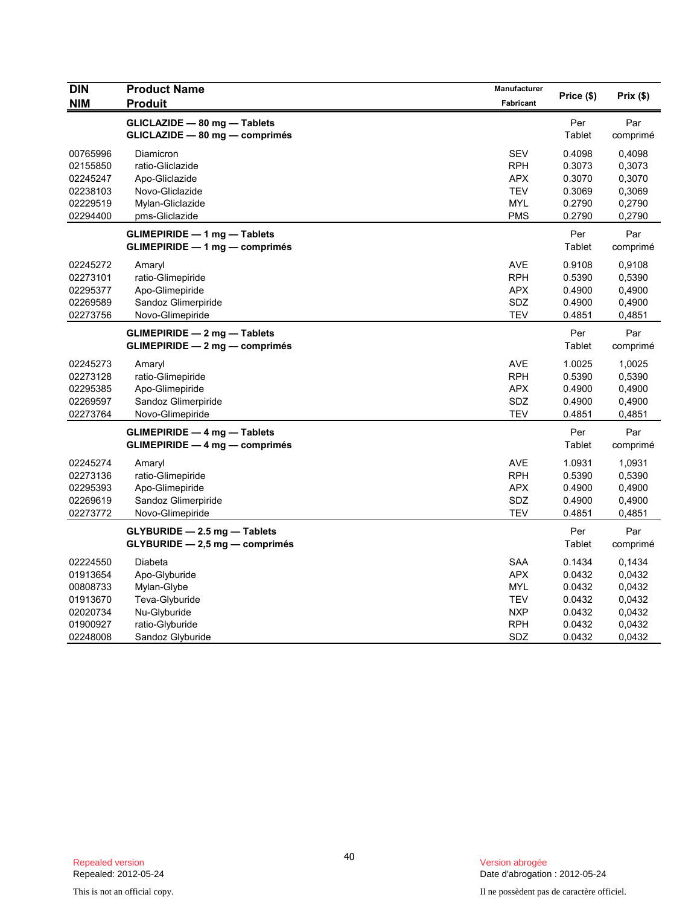| <b>DIN</b>                                                                       | <b>Product Name</b>                                                                                              | <b>Manufacturer</b>                                                              | Price (\$)                                                         | Prix(\$)                                                           |
|----------------------------------------------------------------------------------|------------------------------------------------------------------------------------------------------------------|----------------------------------------------------------------------------------|--------------------------------------------------------------------|--------------------------------------------------------------------|
| <b>NIM</b>                                                                       | <b>Produit</b>                                                                                                   | <b>Fabricant</b>                                                                 |                                                                    |                                                                    |
|                                                                                  | GLICLAZIDE - 80 mg - Tablets<br>GLICLAZIDE - 80 mg - comprimés                                                   |                                                                                  | Per<br>Tablet                                                      | Par<br>comprimé                                                    |
| 00765996<br>02155850<br>02245247<br>02238103<br>02229519<br>02294400             | Diamicron<br>ratio-Gliclazide<br>Apo-Gliclazide<br>Novo-Gliclazide<br>Mylan-Gliclazide<br>pms-Gliclazide         | <b>SEV</b><br><b>RPH</b><br><b>APX</b><br><b>TEV</b><br><b>MYL</b><br><b>PMS</b> | 0.4098<br>0.3073<br>0.3070<br>0.3069<br>0.2790<br>0.2790           | 0,4098<br>0,3073<br>0,3070<br>0,3069<br>0,2790<br>0,2790           |
|                                                                                  | <b>GLIMEPIRIDE - 1 mg - Tablets</b><br>GLIMEPIRIDE - 1 mg - comprimés                                            |                                                                                  | Per<br>Tablet                                                      | Par<br>comprimé                                                    |
| 02245272<br>02273101<br>02295377<br>02269589<br>02273756                         | Amaryl<br>ratio-Glimepiride<br>Apo-Glimepiride<br>Sandoz Glimerpiride<br>Novo-Glimepiride                        | <b>AVE</b><br><b>RPH</b><br><b>APX</b><br>SDZ<br><b>TEV</b>                      | 0.9108<br>0.5390<br>0.4900<br>0.4900<br>0.4851                     | 0,9108<br>0,5390<br>0,4900<br>0,4900<br>0,4851                     |
|                                                                                  | <b>GLIMEPIRIDE - 2 mg - Tablets</b><br>GLIMEPIRIDE - 2 mg - comprimés                                            |                                                                                  | Per<br>Tablet                                                      | Par<br>comprimé                                                    |
| 02245273<br>02273128<br>02295385<br>02269597<br>02273764                         | Amaryl<br>ratio-Glimepiride<br>Apo-Glimepiride<br>Sandoz Glimerpiride<br>Novo-Glimepiride                        | <b>AVE</b><br><b>RPH</b><br><b>APX</b><br>SDZ<br>TEV                             | 1.0025<br>0.5390<br>0.4900<br>0.4900<br>0.4851                     | 1,0025<br>0,5390<br>0,4900<br>0,4900<br>0,4851                     |
|                                                                                  | $GLIMEPIRIDE - 4 mg - Tables$<br>$GLIMEPIRIDE - 4 mg - comprimés$                                                |                                                                                  | Per<br>Tablet                                                      | Par<br>comprimé                                                    |
| 02245274<br>02273136<br>02295393<br>02269619<br>02273772                         | Amaryl<br>ratio-Glimepiride<br>Apo-Glimepiride<br>Sandoz Glimerpiride<br>Novo-Glimepiride                        | <b>AVE</b><br><b>RPH</b><br><b>APX</b><br>SDZ<br><b>TEV</b>                      | 1.0931<br>0.5390<br>0.4900<br>0.4900<br>0.4851                     | 1,0931<br>0,5390<br>0,4900<br>0,4900<br>0,4851                     |
|                                                                                  | $GLYBURIDE - 2.5 mg - Tables$<br>$GLYBURIDE - 2,5 mg - comprimés$                                                |                                                                                  | Per<br>Tablet                                                      | Par<br>comprimé                                                    |
| 02224550<br>01913654<br>00808733<br>01913670<br>02020734<br>01900927<br>02248008 | Diabeta<br>Apo-Glyburide<br>Mylan-Glybe<br>Teva-Glyburide<br>Nu-Glyburide<br>ratio-Glyburide<br>Sandoz Glyburide | <b>SAA</b><br><b>APX</b><br>MYL<br><b>TEV</b><br><b>NXP</b><br><b>RPH</b><br>SDZ | 0.1434<br>0.0432<br>0.0432<br>0.0432<br>0.0432<br>0.0432<br>0.0432 | 0,1434<br>0,0432<br>0,0432<br>0,0432<br>0,0432<br>0,0432<br>0,0432 |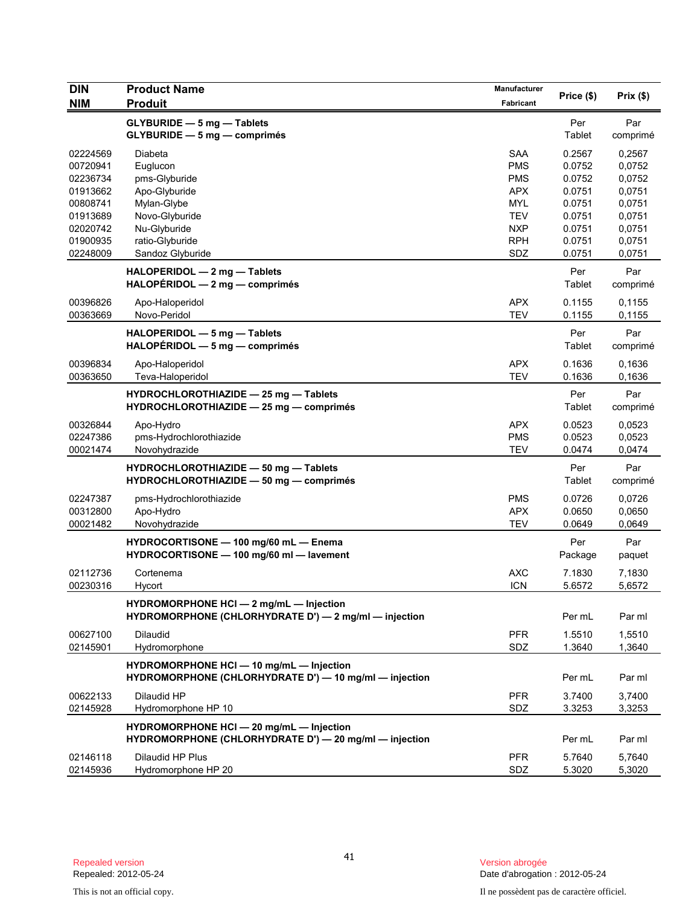| <b>DIN</b>                                               | <b>Product Name</b>                                                                                | Manufacturer                                                       |                                                | Prix(\$)                                       |
|----------------------------------------------------------|----------------------------------------------------------------------------------------------------|--------------------------------------------------------------------|------------------------------------------------|------------------------------------------------|
| <b>NIM</b>                                               | <b>Produit</b>                                                                                     | Fabricant                                                          | Price (\$)                                     |                                                |
|                                                          | <b>GLYBURIDE - 5 mg - Tablets</b><br>GLYBURIDE - 5 mg - comprimés                                  |                                                                    | Per<br>Tablet                                  | Par<br>comprimé                                |
| 02224569<br>00720941<br>02236734<br>01913662<br>00808741 | Diabeta<br>Euglucon<br>pms-Glyburide<br>Apo-Glyburide<br>Mylan-Glybe                               | <b>SAA</b><br><b>PMS</b><br><b>PMS</b><br><b>APX</b><br><b>MYL</b> | 0.2567<br>0.0752<br>0.0752<br>0.0751<br>0.0751 | 0,2567<br>0,0752<br>0,0752<br>0,0751<br>0,0751 |
| 01913689<br>02020742<br>01900935<br>02248009             | Novo-Glyburide<br>Nu-Glyburide<br>ratio-Glyburide<br>Sandoz Glyburide                              | <b>TEV</b><br><b>NXP</b><br><b>RPH</b><br>SDZ                      | 0.0751<br>0.0751<br>0.0751<br>0.0751           | 0,0751<br>0,0751<br>0,0751<br>0,0751           |
|                                                          | HALOPERIDOL - 2 mg - Tablets<br>$HALOPÉRIDOL - 2 mg - comprimés$                                   |                                                                    | Per<br>Tablet                                  | Par<br>comprimé                                |
| 00396826<br>00363669                                     | Apo-Haloperidol<br>Novo-Peridol                                                                    | <b>APX</b><br><b>TEV</b>                                           | 0.1155<br>0.1155                               | 0,1155<br>0,1155                               |
|                                                          | HALOPERIDOL - 5 mg - Tablets<br>$HALOPÉRIDOL - 5 mg - comprimés$                                   |                                                                    | Per<br>Tablet                                  | Par<br>comprimé                                |
| 00396834<br>00363650                                     | Apo-Haloperidol<br>Teva-Haloperidol                                                                | <b>APX</b><br><b>TEV</b>                                           | 0.1636<br>0.1636                               | 0,1636<br>0,1636                               |
|                                                          | HYDROCHLOROTHIAZIDE - 25 mg - Tablets<br>HYDROCHLOROTHIAZIDE - 25 mg - comprimés                   |                                                                    | Per<br>Tablet                                  | Par<br>comprimé                                |
| 00326844<br>02247386<br>00021474                         | Apo-Hydro<br>pms-Hydrochlorothiazide<br>Novohydrazide                                              | <b>APX</b><br><b>PMS</b><br><b>TEV</b>                             | 0.0523<br>0.0523<br>0.0474                     | 0,0523<br>0,0523<br>0,0474                     |
|                                                          | HYDROCHLOROTHIAZIDE - 50 mg - Tablets<br>HYDROCHLOROTHIAZIDE - 50 mg - comprimés                   |                                                                    | Per<br>Tablet                                  | Par<br>comprimé                                |
| 02247387<br>00312800<br>00021482                         | pms-Hydrochlorothiazide<br>Apo-Hydro<br>Novohydrazide                                              | <b>PMS</b><br><b>APX</b><br><b>TEV</b>                             | 0.0726<br>0.0650<br>0.0649                     | 0,0726<br>0,0650<br>0,0649                     |
|                                                          | HYDROCORTISONE - 100 mg/60 mL - Enema<br>HYDROCORTISONE - 100 mg/60 ml - lavement                  |                                                                    | Per<br>Package                                 | Par<br>paquet                                  |
| 02112736<br>00230316                                     | Cortenema<br>Hycort                                                                                | <b>AXC</b><br><b>ICN</b>                                           | 7.1830<br>5.6572                               | 7,1830<br>5,6572                               |
|                                                          | HYDROMORPHONE HCI - 2 mg/mL - Injection<br>HYDROMORPHONE (CHLORHYDRATE D') - 2 mg/ml - injection   |                                                                    | Per mL                                         | Par ml                                         |
| 00627100<br>02145901                                     | <b>Dilaudid</b><br>Hydromorphone                                                                   | <b>PFR</b><br>SDZ                                                  | 1.5510<br>1.3640                               | 1.5510<br>1,3640                               |
|                                                          | HYDROMORPHONE HCI - 10 mg/mL - Injection<br>HYDROMORPHONE (CHLORHYDRATE D') - 10 mg/ml - injection |                                                                    | Per mL                                         | Par ml                                         |
| 00622133<br>02145928                                     | Dilaudid HP<br>Hydromorphone HP 10                                                                 | <b>PFR</b><br>SDZ                                                  | 3.7400<br>3.3253                               | 3.7400<br>3,3253                               |
|                                                          | HYDROMORPHONE HCI - 20 mg/mL - Injection<br>HYDROMORPHONE (CHLORHYDRATE D') - 20 mg/ml - injection |                                                                    | Per mL                                         | Par ml                                         |
| 02146118<br>02145936                                     | Dilaudid HP Plus<br>Hydromorphone HP 20                                                            | <b>PFR</b><br>SDZ                                                  | 5.7640<br>5.3020                               | 5,7640<br>5,3020                               |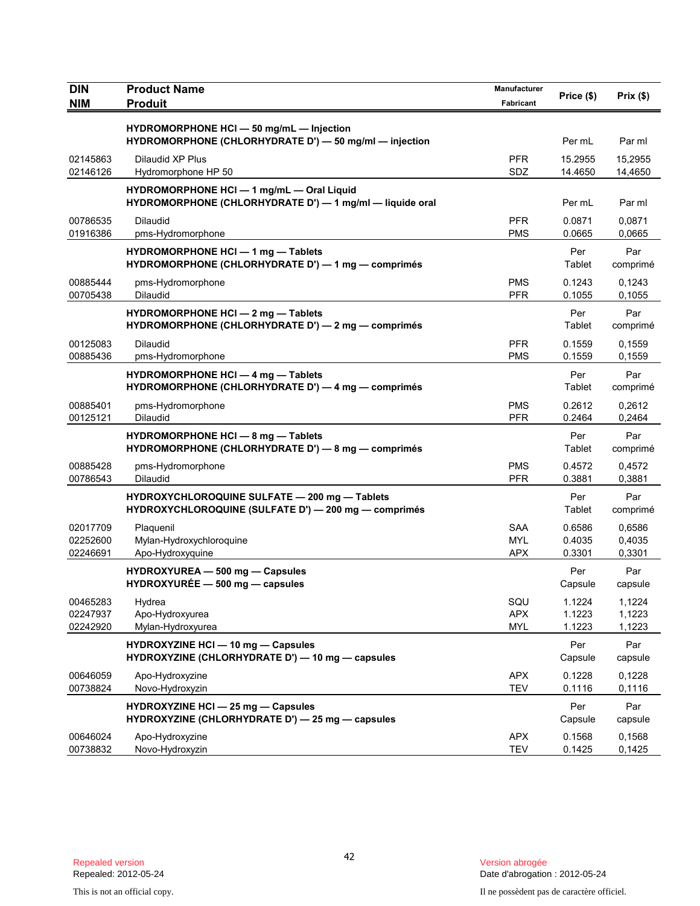| <b>DIN</b>                       | <b>Product Name</b>                                                                                   | Manufacturer                           | Price (\$)                 | Prix(\$)                   |
|----------------------------------|-------------------------------------------------------------------------------------------------------|----------------------------------------|----------------------------|----------------------------|
| <b>NIM</b>                       | <b>Produit</b>                                                                                        | Fabricant                              |                            |                            |
|                                  | HYDROMORPHONE HCI - 50 mg/mL - Injection<br>HYDROMORPHONE (CHLORHYDRATE D') - 50 mg/ml - injection    |                                        | Per mL                     | Par ml                     |
| 02145863<br>02146126             | Dilaudid XP Plus<br>Hydromorphone HP 50                                                               | <b>PFR</b><br>SDZ                      | 15.2955<br>14.4650         | 15,2955<br>14,4650         |
|                                  | HYDROMORPHONE HCI - 1 mg/mL - Oral Liquid<br>HYDROMORPHONE (CHLORHYDRATE D') - 1 mg/ml - liquide oral |                                        | Per mL                     | Par ml                     |
| 00786535<br>01916386             | <b>Dilaudid</b><br>pms-Hydromorphone                                                                  | <b>PFR</b><br><b>PMS</b>               | 0.0871<br>0.0665           | 0,0871<br>0,0665           |
|                                  | HYDROMORPHONE HCI - 1 mg - Tablets<br>HYDROMORPHONE (CHLORHYDRATE D') - 1 mg - comprimés              |                                        | Per<br>Tablet              | Par<br>comprimé            |
| 00885444<br>00705438             | pms-Hydromorphone<br><b>Dilaudid</b>                                                                  | <b>PMS</b><br><b>PFR</b>               | 0.1243<br>0.1055           | 0,1243<br>0,1055           |
|                                  | HYDROMORPHONE HCI - 2 mg - Tablets<br>HYDROMORPHONE (CHLORHYDRATE D') - 2 mg - comprimés              |                                        | Per<br>Tablet              | Par<br>comprimé            |
| 00125083<br>00885436             | <b>Dilaudid</b><br>pms-Hydromorphone                                                                  | <b>PFR</b><br>PMS                      | 0.1559<br>0.1559           | 0,1559<br>0,1559           |
|                                  | HYDROMORPHONE HCI - 4 mg - Tablets<br>HYDROMORPHONE (CHLORHYDRATE D') - 4 mg - comprimés              |                                        | Per<br>Tablet              | Par<br>comprimé            |
| 00885401<br>00125121             | pms-Hydromorphone<br><b>Dilaudid</b>                                                                  | <b>PMS</b><br><b>PFR</b>               | 0.2612<br>0.2464           | 0,2612<br>0,2464           |
|                                  | <b>HYDROMORPHONE HCI - 8 mg - Tablets</b><br>HYDROMORPHONE (CHLORHYDRATE D') — 8 mg — comprimés       |                                        | Per<br>Tablet              | Par<br>comprimé            |
| 00885428<br>00786543             | pms-Hydromorphone<br>Dilaudid                                                                         | <b>PMS</b><br><b>PFR</b>               | 0.4572<br>0.3881           | 0,4572<br>0,3881           |
|                                  | HYDROXYCHLOROQUINE SULFATE - 200 mg - Tablets<br>HYDROXYCHLOROQUINE (SULFATE D') - 200 mg - comprimés |                                        | Per<br>Tablet              | Par<br>comprimé            |
| 02017709<br>02252600<br>02246691 | Plaquenil<br>Mylan-Hydroxychloroquine<br>Apo-Hydroxyquine                                             | <b>SAA</b><br><b>MYL</b><br><b>APX</b> | 0.6586<br>0.4035<br>0.3301 | 0,6586<br>0,4035<br>0,3301 |
|                                  | HYDROXYUREA - 500 mg - Capsules<br>$HYDROXYURÉE - 500 mg - capsules$                                  |                                        | Per<br>Capsule             | Par<br>capsule             |
| 00465283<br>02247937<br>02242920 | Hydrea<br>Apo-Hydroxyurea<br>Mylan-Hydroxyurea                                                        | SQU<br><b>APX</b><br><b>MYL</b>        | 1.1224<br>1.1223<br>1.1223 | 1,1224<br>1,1223<br>1,1223 |
|                                  | <b>HYDROXYZINE HCI - 10 mg - Capsules</b><br>HYDROXYZINE (CHLORHYDRATE D') - 10 mg - capsules         |                                        | Per<br>Capsule             | Par<br>capsule             |
| 00646059<br>00738824             | Apo-Hydroxyzine<br>Novo-Hydroxyzin                                                                    | <b>APX</b><br><b>TEV</b>               | 0.1228<br>0.1116           | 0,1228<br>0,1116           |
|                                  | HYDROXYZINE HCI - 25 mg - Capsules<br>HYDROXYZINE (CHLORHYDRATE D') - 25 mg - capsules                |                                        | Per<br>Capsule             | Par<br>capsule             |
| 00646024<br>00738832             | Apo-Hydroxyzine<br>Novo-Hydroxyzin                                                                    | <b>APX</b><br><b>TEV</b>               | 0.1568<br>0.1425           | 0,1568<br>0,1425           |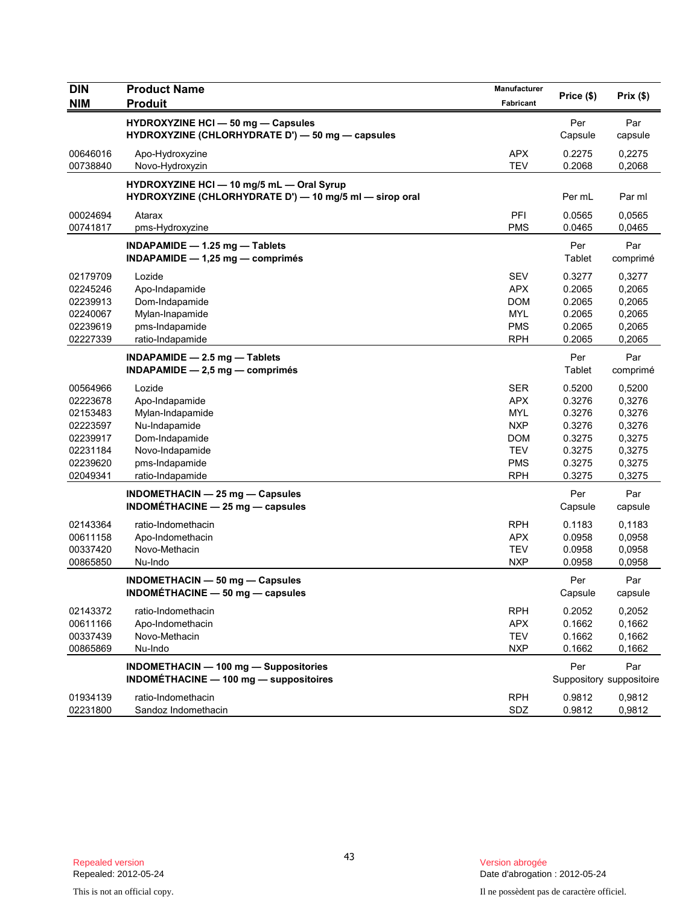| DIN        | <b>Product Name</b>                                                                                  | Manufacturer |            |                          |
|------------|------------------------------------------------------------------------------------------------------|--------------|------------|--------------------------|
| <b>NIM</b> | <b>Produit</b>                                                                                       | Fabricant    | Price (\$) | Prix(\$)                 |
|            | HYDROXYZINE HCI - 50 mg - Capsules                                                                   |              | Per        | Par                      |
|            | HYDROXYZINE (CHLORHYDRATE D') — 50 mg — capsules                                                     |              | Capsule    | capsule                  |
| 00646016   | Apo-Hydroxyzine                                                                                      | <b>APX</b>   | 0.2275     | 0,2275                   |
| 00738840   | Novo-Hydroxyzin                                                                                      | <b>TEV</b>   | 0.2068     | 0,2068                   |
|            |                                                                                                      |              |            |                          |
|            | HYDROXYZINE HCI - 10 mg/5 mL - Oral Syrup<br>HYDROXYZINE (CHLORHYDRATE D') - 10 mg/5 ml - sirop oral |              | Per mL     | Par ml                   |
| 00024694   | Atarax                                                                                               | PFI          | 0.0565     | 0,0565                   |
| 00741817   | pms-Hydroxyzine                                                                                      | <b>PMS</b>   | 0.0465     | 0,0465                   |
|            | INDAPAMIDE - 1.25 mg - Tablets                                                                       |              | Per        | Par                      |
|            | INDAPAMIDE $-$ 1,25 mg $-$ comprimés                                                                 |              | Tablet     | comprimé                 |
| 02179709   | Lozide                                                                                               | <b>SEV</b>   | 0.3277     | 0,3277                   |
| 02245246   | Apo-Indapamide                                                                                       | <b>APX</b>   | 0.2065     | 0,2065                   |
| 02239913   | Dom-Indapamide                                                                                       | <b>DOM</b>   | 0.2065     | 0,2065                   |
| 02240067   | Mylan-Inapamide                                                                                      | <b>MYL</b>   | 0.2065     | 0,2065                   |
| 02239619   | pms-Indapamide                                                                                       | <b>PMS</b>   | 0.2065     | 0,2065                   |
| 02227339   | ratio-Indapamide                                                                                     | <b>RPH</b>   | 0.2065     | 0,2065                   |
|            | INDAPAMIDE - 2.5 mg - Tablets                                                                        |              | Per        | Par                      |
|            | $INDAPAMIDE - 2.5 mg - comprimés$                                                                    |              | Tablet     | comprimé                 |
| 00564966   | Lozide                                                                                               | <b>SER</b>   | 0.5200     | 0,5200                   |
| 02223678   | Apo-Indapamide                                                                                       | <b>APX</b>   | 0.3276     | 0,3276                   |
| 02153483   | Mylan-Indapamide                                                                                     | <b>MYL</b>   | 0.3276     | 0,3276                   |
| 02223597   | Nu-Indapamide                                                                                        | <b>NXP</b>   | 0.3276     | 0,3276                   |
| 02239917   | Dom-Indapamide                                                                                       | <b>DOM</b>   | 0.3275     | 0,3275                   |
| 02231184   | Novo-Indapamide                                                                                      | <b>TEV</b>   | 0.3275     | 0,3275                   |
| 02239620   | pms-Indapamide                                                                                       | <b>PMS</b>   | 0.3275     | 0,3275                   |
| 02049341   | ratio-Indapamide                                                                                     | <b>RPH</b>   | 0.3275     | 0,3275                   |
|            | <b>INDOMETHACIN - 25 mg - Capsules</b>                                                               |              | Per        | Par                      |
|            | INDOMETHACINE $-$ 25 mg $-$ capsules                                                                 |              | Capsule    | capsule                  |
| 02143364   | ratio-Indomethacin                                                                                   | <b>RPH</b>   | 0.1183     | 0,1183                   |
| 00611158   | Apo-Indomethacin                                                                                     | <b>APX</b>   | 0.0958     | 0,0958                   |
| 00337420   | Novo-Methacin                                                                                        | <b>TEV</b>   | 0.0958     | 0,0958                   |
| 00865850   | Nu-Indo                                                                                              | <b>NXP</b>   | 0.0958     | 0,0958                   |
|            | <b>INDOMETHACIN - 50 mg - Capsules</b>                                                               |              | Per        | Par                      |
|            | INDOMÉTHACINE - 50 mg - capsules                                                                     |              | Capsule    | capsule                  |
| 02143372   | ratio-Indomethacin                                                                                   | <b>RPH</b>   | 0.2052     | 0,2052                   |
| 00611166   | Apo-Indomethacin                                                                                     | <b>APX</b>   | 0.1662     | 0,1662                   |
| 00337439   | Novo-Methacin                                                                                        | <b>TEV</b>   | 0.1662     | 0,1662                   |
| 00865869   | Nu-Indo                                                                                              | <b>NXP</b>   | 0.1662     | 0,1662                   |
|            | <b>INDOMETHACIN - 100 mg - Suppositories</b>                                                         |              | Per        | Par                      |
|            | <b>INDOMÉTHACINE - 100 mg - suppositoires</b>                                                        |              |            | Suppository suppositoire |
| 01934139   | ratio-Indomethacin                                                                                   | <b>RPH</b>   | 0.9812     | 0,9812                   |
| 02231800   | Sandoz Indomethacin                                                                                  | SDZ          | 0.9812     | 0,9812                   |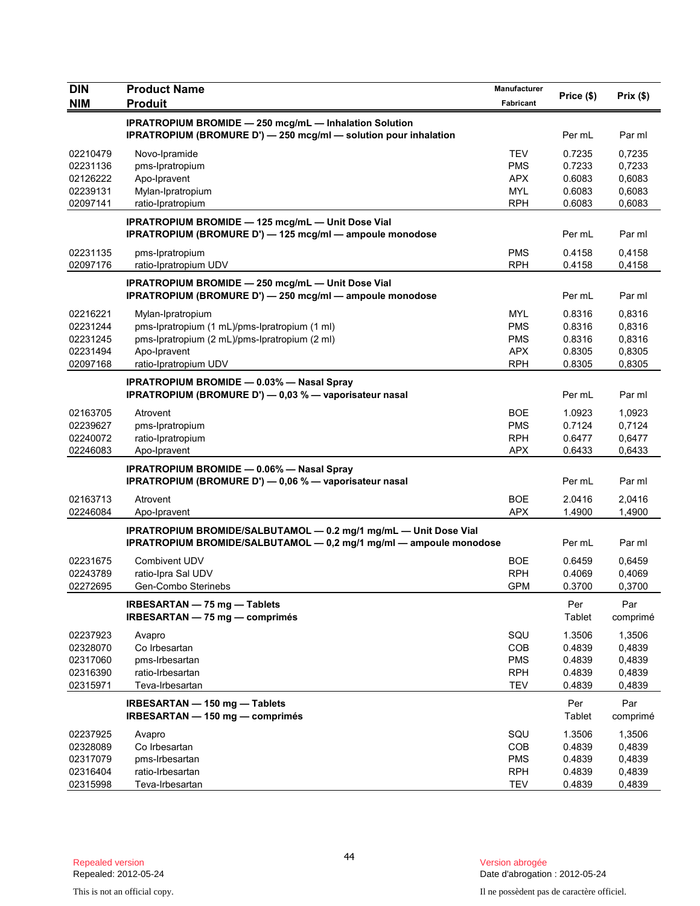| <b>DIN</b> | <b>Product Name</b>                                                                                                                    | Manufacturer |               |                 |
|------------|----------------------------------------------------------------------------------------------------------------------------------------|--------------|---------------|-----------------|
| <b>NIM</b> | <b>Produit</b>                                                                                                                         | Fabricant    | Price (\$)    | Prix (\$)       |
|            | <b>IPRATROPIUM BROMIDE - 250 mcg/mL - Inhalation Solution</b><br>IPRATROPIUM (BROMURE D') - 250 mcg/ml - solution pour inhalation      |              | Per mL        | Par ml          |
| 02210479   | Novo-Ipramide                                                                                                                          | <b>TEV</b>   | 0.7235        | 0,7235          |
| 02231136   | pms-Ipratropium                                                                                                                        | <b>PMS</b>   | 0.7233        | 0,7233          |
| 02126222   | Apo-Ipravent                                                                                                                           | <b>APX</b>   | 0.6083        | 0,6083          |
| 02239131   | Mylan-Ipratropium                                                                                                                      | MYL          | 0.6083        | 0,6083          |
| 02097141   | ratio-Ipratropium                                                                                                                      | <b>RPH</b>   | 0.6083        | 0,6083          |
|            | IPRATROPIUM BROMIDE - 125 mcg/mL - Unit Dose Vial<br>IPRATROPIUM (BROMURE D') - 125 mcg/ml - ampoule monodose                          |              | Per mL        | Par ml          |
| 02231135   | pms-Ipratropium                                                                                                                        | <b>PMS</b>   | 0.4158        | 0,4158          |
| 02097176   | ratio-Ipratropium UDV                                                                                                                  | <b>RPH</b>   | 0.4158        | 0,4158          |
|            | IPRATROPIUM BROMIDE - 250 mcg/mL - Unit Dose Vial<br>IPRATROPIUM (BROMURE D') - 250 mcg/ml - ampoule monodose                          |              | Per mL        | Par ml          |
| 02216221   | Mylan-Ipratropium                                                                                                                      | <b>MYL</b>   | 0.8316        | 0,8316          |
| 02231244   | pms-Ipratropium (1 mL)/pms-Ipratropium (1 ml)                                                                                          | <b>PMS</b>   | 0.8316        | 0,8316          |
| 02231245   | pms-Ipratropium (2 mL)/pms-Ipratropium (2 ml)                                                                                          | <b>PMS</b>   | 0.8316        | 0,8316          |
| 02231494   | Apo-Ipravent                                                                                                                           | <b>APX</b>   | 0.8305        | 0,8305          |
| 02097168   | ratio-Ipratropium UDV                                                                                                                  | <b>RPH</b>   | 0.8305        | 0,8305          |
|            | <b>IPRATROPIUM BROMIDE - 0.03% - Nasal Spray</b><br>IPRATROPIUM (BROMURE D') - 0,03 % - vaporisateur nasal                             |              | Per mL        | Par ml          |
| 02163705   | Atrovent                                                                                                                               | <b>BOE</b>   | 1.0923        | 1,0923          |
| 02239627   | pms-Ipratropium                                                                                                                        | <b>PMS</b>   | 0.7124        | 0,7124          |
| 02240072   | ratio-Ipratropium                                                                                                                      | <b>RPH</b>   | 0.6477        | 0,6477          |
| 02246083   | Apo-Ipravent                                                                                                                           | <b>APX</b>   | 0.6433        | 0,6433          |
|            | <b>IPRATROPIUM BROMIDE - 0.06% - Nasal Spray</b><br>IPRATROPIUM (BROMURE D') - 0,06 % - vaporisateur nasal                             |              | Per mL        | Par ml          |
| 02163713   | Atrovent                                                                                                                               | <b>BOE</b>   | 2.0416        | 2,0416          |
| 02246084   | Apo-Ipravent                                                                                                                           | <b>APX</b>   | 1.4900        | 1,4900          |
|            | IPRATROPIUM BROMIDE/SALBUTAMOL - 0.2 mg/1 mg/mL - Unit Dose Vial<br>IPRATROPIUM BROMIDE/SALBUTAMOL - 0,2 mg/1 mg/ml - ampoule monodose |              | Per mL        | Par ml          |
| 02231675   | <b>Combivent UDV</b>                                                                                                                   | <b>BOE</b>   | 0.6459        | 0,6459          |
| 02243789   | ratio-Ipra Sal UDV                                                                                                                     | <b>RPH</b>   | 0.4069        | 0,4069          |
| 02272695   | Gen-Combo Sterinebs                                                                                                                    | <b>GPM</b>   | 0.3700        | 0,3700          |
|            | IRBESARTAN - 75 mg - Tablets<br>IRBESARTAN - 75 mg - comprimés                                                                         |              | Per<br>Tablet | Par<br>comprimé |
| 02237923   | Avapro                                                                                                                                 | SQU          | 1.3506        | 1,3506          |
| 02328070   | Co Irbesartan                                                                                                                          | <b>COB</b>   | 0.4839        | 0,4839          |
| 02317060   | pms-Irbesartan                                                                                                                         | <b>PMS</b>   | 0.4839        | 0,4839          |
| 02316390   | ratio-Irbesartan                                                                                                                       | <b>RPH</b>   | 0.4839        | 0,4839          |
| 02315971   | Teva-Irbesartan                                                                                                                        | TEV          | 0.4839        | 0,4839          |
|            | IRBESARTAN - 150 mg - Tablets<br>IRBESARTAN - 150 mg - comprimés                                                                       |              | Per<br>Tablet | Par<br>comprimé |
| 02237925   | Avapro                                                                                                                                 | SQU          | 1.3506        | 1,3506          |
| 02328089   | Co Irbesartan                                                                                                                          | <b>COB</b>   | 0.4839        | 0,4839          |
| 02317079   | pms-Irbesartan                                                                                                                         | <b>PMS</b>   | 0.4839        | 0,4839          |
| 02316404   | ratio-Irbesartan                                                                                                                       | <b>RPH</b>   | 0.4839        | 0,4839          |
| 02315998   | Teva-Irbesartan                                                                                                                        | <b>TEV</b>   | 0.4839        | 0,4839          |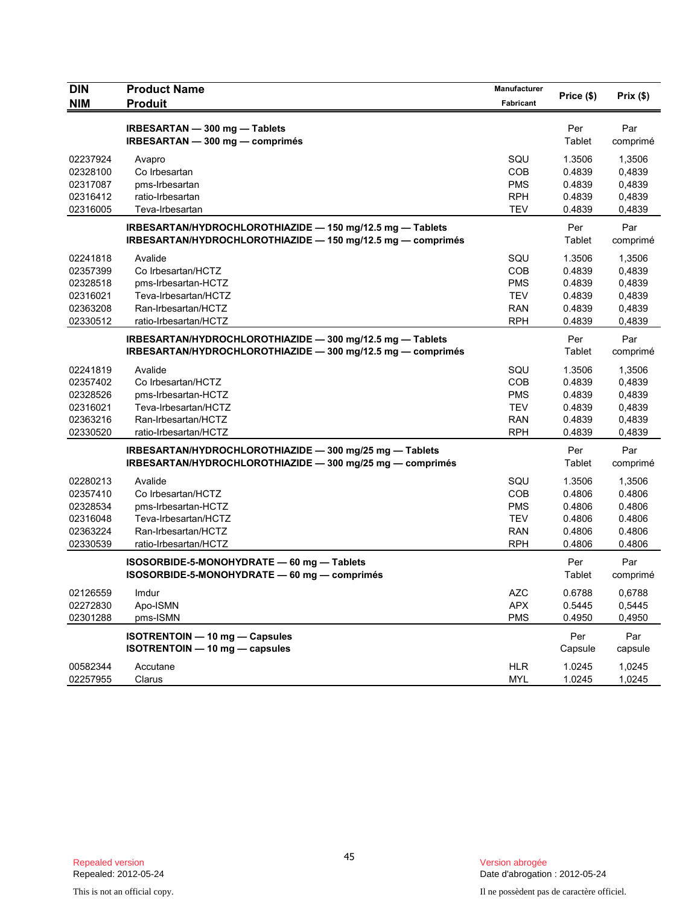| <b>DIN</b> | <b>Product Name</b>                                         | Manufacturer | Price (\$)    | Prix(\$) |
|------------|-------------------------------------------------------------|--------------|---------------|----------|
| <b>NIM</b> | <b>Produit</b>                                              | Fabricant    |               |          |
|            | IRBESARTAN - 300 mg - Tablets                               |              | Per           | Par      |
|            | IRBESARTAN - 300 mg - comprimés                             |              | Tablet        | comprimé |
| 02237924   | Avapro                                                      | SQU          | 1.3506        | 1,3506   |
| 02328100   | Co Irbesartan                                               | COB          | 0.4839        | 0,4839   |
| 02317087   | pms-Irbesartan                                              | <b>PMS</b>   | 0.4839        | 0,4839   |
| 02316412   | ratio-Irbesartan                                            | <b>RPH</b>   | 0.4839        | 0,4839   |
| 02316005   | Teva-Irbesartan                                             | <b>TEV</b>   | 0.4839        | 0,4839   |
|            | IRBESARTAN/HYDROCHLOROTHIAZIDE - 150 mg/12.5 mg - Tablets   |              | Per           | Par      |
|            | IRBESARTAN/HYDROCHLOROTHIAZIDE - 150 mg/12.5 mg - comprimés |              | Tablet        | comprimé |
| 02241818   | Avalide                                                     | SQU          | 1.3506        | 1,3506   |
| 02357399   | Co Irbesartan/HCTZ                                          | COB          | 0.4839        | 0,4839   |
| 02328518   | pms-Irbesartan-HCTZ                                         | <b>PMS</b>   | 0.4839        | 0,4839   |
| 02316021   | Teva-Irbesartan/HCTZ                                        | <b>TEV</b>   | 0.4839        | 0,4839   |
| 02363208   | Ran-Irbesartan/HCTZ                                         | <b>RAN</b>   | 0.4839        | 0,4839   |
| 02330512   | ratio-Irbesartan/HCTZ                                       | <b>RPH</b>   | 0.4839        | 0,4839   |
|            | IRBESARTAN/HYDROCHLOROTHIAZIDE - 300 mg/12.5 mg - Tablets   |              | Per           | Par      |
|            | IRBESARTAN/HYDROCHLOROTHIAZIDE - 300 mg/12.5 mg - comprimés |              | Tablet        | comprimé |
| 02241819   | Avalide                                                     | SQU          | 1.3506        | 1,3506   |
| 02357402   | Co Irbesartan/HCTZ                                          | COB          | 0.4839        | 0,4839   |
| 02328526   | pms-Irbesartan-HCTZ                                         | <b>PMS</b>   | 0.4839        | 0,4839   |
| 02316021   | Teva-Irbesartan/HCTZ                                        | <b>TEV</b>   | 0.4839        | 0,4839   |
| 02363216   | Ran-Irbesartan/HCTZ                                         | <b>RAN</b>   | 0.4839        | 0,4839   |
| 02330520   | ratio-Irbesartan/HCTZ                                       | <b>RPH</b>   | 0.4839        | 0,4839   |
|            | IRBESARTAN/HYDROCHLOROTHIAZIDE - 300 mg/25 mg - Tablets     |              | Per           | Par      |
|            | IRBESARTAN/HYDROCHLOROTHIAZIDE - 300 mg/25 mg - comprimés   |              | Tablet        | comprimé |
| 02280213   | Avalide                                                     | SQU          | 1.3506        | 1,3506   |
| 02357410   | Co Irbesartan/HCTZ                                          | COB          | 0.4806        | 0.4806   |
| 02328534   | pms-Irbesartan-HCTZ                                         | <b>PMS</b>   | 0.4806        | 0.4806   |
| 02316048   | Teva-Irbesartan/HCTZ                                        | <b>TEV</b>   | 0.4806        | 0.4806   |
| 02363224   | Ran-Irbesartan/HCTZ                                         | <b>RAN</b>   | 0.4806        | 0.4806   |
| 02330539   | ratio-Irbesartan/HCTZ                                       | <b>RPH</b>   | 0.4806        | 0.4806   |
|            | ISOSORBIDE-5-MONOHYDRATE - 60 mg - Tablets                  |              | Per           | Par      |
|            | ISOSORBIDE-5-MONOHYDRATE - 60 mg - comprimés                |              | <b>Tablet</b> | comprimé |
| 02126559   | Imdur                                                       | <b>AZC</b>   | 0.6788        | 0,6788   |
| 02272830   | Apo-ISMN                                                    | <b>APX</b>   | 0.5445        | 0,5445   |
| 02301288   | pms-ISMN                                                    | <b>PMS</b>   | 0.4950        | 0,4950   |
|            | ISOTRENTOIN - 10 mg - Capsules                              |              | Per           | Par      |
|            | ISOTRENTOIN - 10 mg - capsules                              |              | Capsule       | capsule  |
| 00582344   | Accutane                                                    | <b>HLR</b>   | 1.0245        | 1,0245   |
| 02257955   | Clarus                                                      | <b>MYL</b>   | 1.0245        | 1,0245   |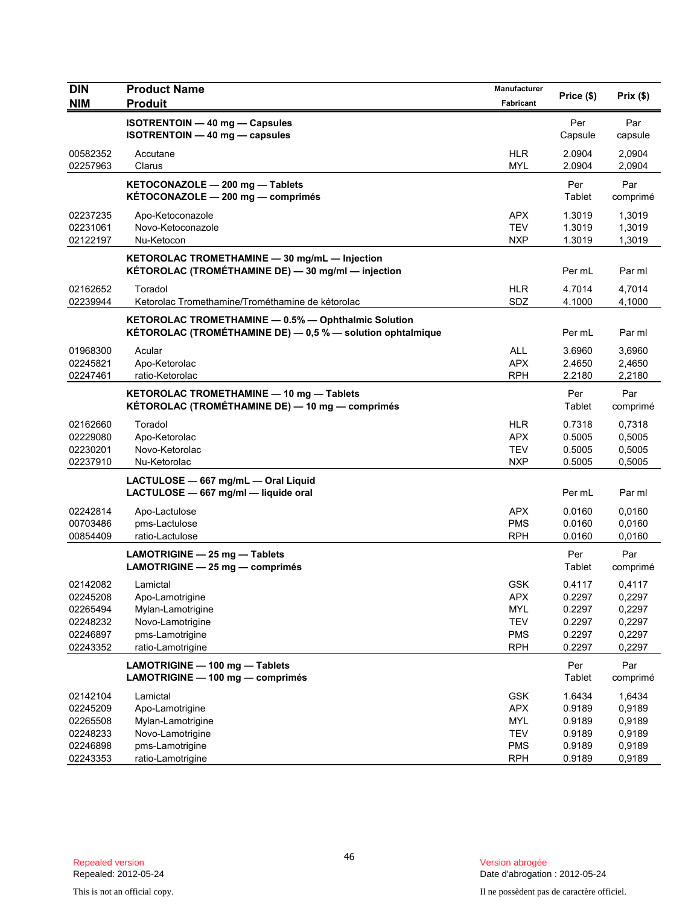| <b>DIN</b>           | <b>Product Name</b>                                                | Manufacturer             |                  | Prix(\$)         |
|----------------------|--------------------------------------------------------------------|--------------------------|------------------|------------------|
| <b>NIM</b>           | <b>Produit</b>                                                     | Fabricant                | Price (\$)       |                  |
|                      | ISOTRENTOIN - 40 mg - Capsules                                     |                          | Per              | Par              |
|                      | <b>ISOTRENTOIN - 40 mg - capsules</b>                              |                          | Capsule          | capsule          |
| 00582352             | Accutane                                                           | <b>HLR</b>               | 2.0904           | 2,0904           |
| 02257963             | Clarus                                                             | <b>MYL</b>               | 2.0904           | 2,0904           |
|                      | KETOCONAZOLE - 200 mg - Tablets                                    |                          | Per              | Par              |
|                      | KÉTOCONAZOLE - 200 mg - comprimés                                  |                          | Tablet           | comprimé         |
| 02237235             | Apo-Ketoconazole                                                   | <b>APX</b>               | 1.3019           | 1,3019           |
| 02231061             | Novo-Ketoconazole                                                  | <b>TEV</b>               | 1.3019           | 1,3019           |
| 02122197             | Nu-Ketocon                                                         | <b>NXP</b>               | 1.3019           | 1,3019           |
|                      | KETOROLAC TROMETHAMINE - 30 mg/mL - Injection                      |                          |                  |                  |
|                      | KÉTOROLAC (TROMÉTHAMINE DE) - 30 mg/ml - injection                 |                          | Per mL           | Par ml           |
| 02162652             | Toradol                                                            | <b>HLR</b>               | 4.7014           | 4,7014           |
| 02239944             | Ketorolac Tromethamine/Trométhamine de kétorolac                   | SDZ                      | 4.1000           | 4,1000           |
|                      | KETOROLAC TROMETHAMINE - 0.5% - Ophthalmic Solution                |                          |                  |                  |
|                      | KÉTOROLAC (TROMÉTHAMINE DE) - 0,5 % - solution ophtalmique         |                          | Per mL           | Par ml           |
| 01968300             | Acular                                                             | <b>ALL</b>               | 3.6960           | 3.6960           |
| 02245821             | Apo-Ketorolac                                                      | <b>APX</b>               | 2.4650           | 2,4650           |
| 02247461             | ratio-Ketorolac                                                    | <b>RPH</b>               | 2.2180           | 2,2180           |
|                      | KETOROLAC TROMETHAMINE - 10 mg - Tablets                           |                          | Per              | Par              |
|                      | KÉTOROLAC (TROMÉTHAMINE DE) — 10 mg — comprimés                    |                          | Tablet           | comprimé         |
| 02162660             | Toradol                                                            | <b>HLR</b>               | 0.7318           | 0,7318           |
| 02229080             | Apo-Ketorolac                                                      | <b>APX</b>               | 0.5005           | 0,5005           |
| 02230201             | Novo-Ketorolac                                                     | <b>TEV</b>               | 0.5005           | 0,5005           |
| 02237910             | Nu-Ketorolac                                                       | <b>NXP</b>               | 0.5005           | 0,5005           |
|                      | LACTULOSE - 667 mg/mL - Oral Liquid                                |                          |                  |                  |
|                      | LACTULOSE - 667 mg/ml - liquide oral                               |                          | Per mL           | Par ml           |
| 02242814             | Apo-Lactulose                                                      | <b>APX</b>               | 0.0160           | 0,0160           |
| 00703486             | pms-Lactulose                                                      | <b>PMS</b>               | 0.0160           | 0,0160           |
| 00854409             | ratio-Lactulose                                                    | <b>RPH</b>               | 0.0160           | 0,0160           |
|                      | LAMOTRIGINE - 25 mg - Tablets                                      |                          | Per              | Par              |
|                      | LAMOTRIGINE - 25 mg - comprimés                                    |                          | Tablet           | comprimé         |
| 02142082             | Lamictal                                                           | <b>GSK</b>               | 0.4117           | 0,4117           |
| 02245208             | Apo-Lamotrigine                                                    | <b>APX</b>               | 0.2297           | 0,2297           |
| 02265494             | Mylan-Lamotrigine                                                  | <b>MYL</b>               | 0.2297           | 0,2297           |
| 02248232             | Novo-Lamotrigine                                                   | <b>TEV</b>               | 0.2297           | 0,2297           |
| 02246897<br>02243352 | pms-Lamotrigine<br>ratio-Lamotrigine                               | <b>PMS</b><br><b>RPH</b> | 0.2297<br>0.2297 | 0,2297<br>0,2297 |
|                      |                                                                    |                          |                  |                  |
|                      | LAMOTRIGINE - 100 mg - Tablets<br>LAMOTRIGINE - 100 mg - comprimés |                          | Per<br>Tablet    | Par<br>comprimé  |
| 02142104             | Lamictal                                                           | <b>GSK</b>               | 1.6434           | 1,6434           |
| 02245209             | Apo-Lamotrigine                                                    | <b>APX</b>               | 0.9189           | 0,9189           |
| 02265508             | Mylan-Lamotrigine                                                  | <b>MYL</b>               | 0.9189           | 0,9189           |
| 02248233             | Novo-Lamotrigine                                                   | <b>TEV</b>               | 0.9189           | 0,9189           |
| 02246898             | pms-Lamotrigine                                                    | <b>PMS</b>               | 0.9189           | 0,9189           |
| 02243353             | ratio-Lamotrigine                                                  | <b>RPH</b>               | 0.9189           | 0,9189           |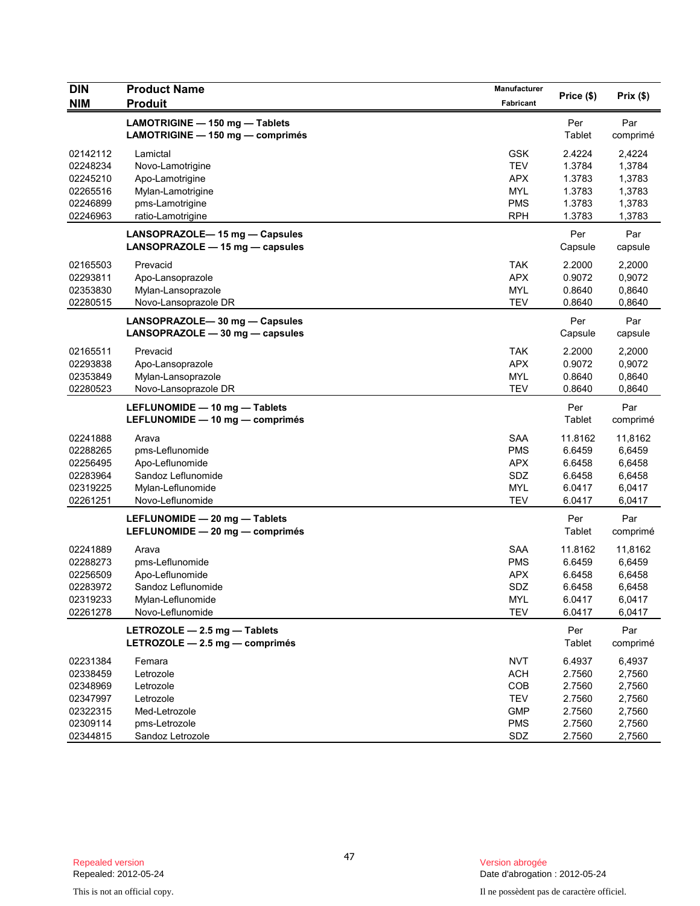| <b>DIN</b> | <b>Product Name</b>                                                | Manufacturer | Price (\$)     | Prix (\$)       |
|------------|--------------------------------------------------------------------|--------------|----------------|-----------------|
| <b>NIM</b> | <b>Produit</b>                                                     | Fabricant    |                |                 |
|            | LAMOTRIGINE - 150 mg - Tablets<br>LAMOTRIGINE - 150 mg - comprimés |              | Per<br>Tablet  | Par<br>comprimé |
| 02142112   | Lamictal                                                           | <b>GSK</b>   | 2.4224         | 2,4224          |
| 02248234   | Novo-Lamotrigine                                                   | <b>TEV</b>   | 1.3784         | 1,3784          |
| 02245210   | Apo-Lamotrigine                                                    | <b>APX</b>   | 1.3783         | 1,3783          |
| 02265516   | Mylan-Lamotrigine                                                  | <b>MYL</b>   | 1.3783         | 1,3783          |
| 02246899   | pms-Lamotrigine                                                    | <b>PMS</b>   | 1.3783         | 1,3783          |
| 02246963   | ratio-Lamotrigine                                                  | <b>RPH</b>   | 1.3783         | 1,3783          |
|            | LANSOPRAZOLE-15 mg - Capsules<br>LANSOPRAZOLE - 15 mg - capsules   |              | Per<br>Capsule | Par<br>capsule  |
| 02165503   | Prevacid                                                           | <b>TAK</b>   | 2.2000         | 2,2000          |
| 02293811   | Apo-Lansoprazole                                                   | <b>APX</b>   | 0.9072         | 0,9072          |
| 02353830   | Mylan-Lansoprazole                                                 | <b>MYL</b>   | 0.8640         | 0,8640          |
| 02280515   | Novo-Lansoprazole DR                                               | <b>TEV</b>   | 0.8640         | 0,8640          |
|            | LANSOPRAZOLE-30 mg - Capsules<br>LANSOPRAZOLE - 30 mg - capsules   |              | Per<br>Capsule | Par<br>capsule  |
| 02165511   | Prevacid                                                           | <b>TAK</b>   | 2.2000         | 2,2000          |
| 02293838   | Apo-Lansoprazole                                                   | <b>APX</b>   | 0.9072         | 0,9072          |
| 02353849   | Mylan-Lansoprazole                                                 | <b>MYL</b>   | 0.8640         | 0,8640          |
| 02280523   | Novo-Lansoprazole DR                                               | <b>TEV</b>   | 0.8640         | 0,8640          |
|            | LEFLUNOMIDE - 10 mg - Tablets<br>LEFLUNOMIDE - 10 mg - comprimés   |              | Per<br>Tablet  | Par<br>comprimé |
| 02241888   | Arava                                                              | <b>SAA</b>   | 11.8162        | 11,8162         |
| 02288265   | pms-Leflunomide                                                    | <b>PMS</b>   | 6.6459         | 6,6459          |
| 02256495   | Apo-Leflunomide                                                    | <b>APX</b>   | 6.6458         | 6,6458          |
| 02283964   | Sandoz Leflunomide                                                 | SDZ          | 6.6458         | 6,6458          |
| 02319225   | Mylan-Leflunomide                                                  | <b>MYL</b>   | 6.0417         | 6,0417          |
| 02261251   | Novo-Leflunomide                                                   | <b>TEV</b>   | 6.0417         | 6,0417          |
|            | LEFLUNOMIDE - 20 mg - Tablets<br>LEFLUNOMIDE - 20 mg - comprimés   |              | Per<br>Tablet  | Par<br>comprimé |
| 02241889   | Arava                                                              | <b>SAA</b>   | 11.8162        | 11,8162         |
| 02288273   | pms-Leflunomide                                                    | <b>PMS</b>   | 6.6459         | 6,6459          |
| 02256509   | Apo-Leflunomide                                                    | <b>APX</b>   | 6.6458         | 6,6458          |
| 02283972   | Sandoz Leflunomide                                                 | SDZ          | 6.6458         | 6,6458          |
| 02319233   | Mylan-Leflunomide                                                  | <b>MYL</b>   | 6.0417         | 6,0417          |
| 02261278   | Novo-Leflunomide                                                   | <b>TEV</b>   | 6.0417         | 6,0417          |
|            | LETROZOLE - 2.5 mg - Tablets<br>LETROZOLE - 2.5 mg - comprimés     |              | Per<br>Tablet  | Par<br>comprimé |
| 02231384   | Femara                                                             | <b>NVT</b>   | 6.4937         | 6,4937          |
| 02338459   | Letrozole                                                          | <b>ACH</b>   | 2.7560         | 2,7560          |
| 02348969   | Letrozole                                                          | COB          | 2.7560         | 2,7560          |
| 02347997   | Letrozole                                                          | <b>TEV</b>   | 2.7560         | 2,7560          |
| 02322315   | Med-Letrozole                                                      | <b>GMP</b>   | 2.7560         | 2,7560          |
| 02309114   | pms-Letrozole                                                      | <b>PMS</b>   | 2.7560         | 2,7560          |
| 02344815   | Sandoz Letrozole                                                   | SDZ          | 2.7560         | 2,7560          |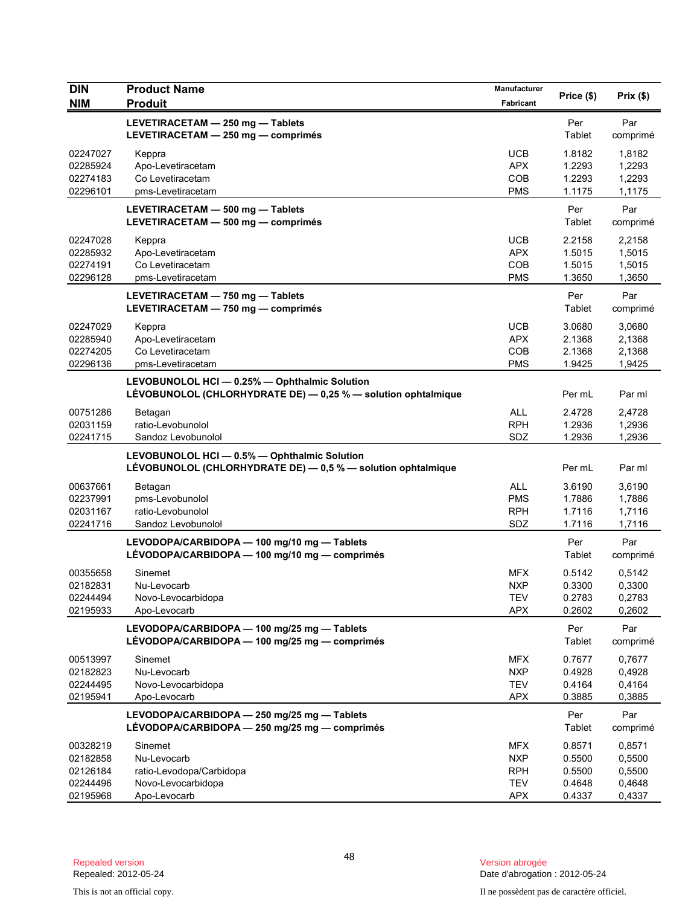| <b>DIN</b>           | <b>Product Name</b>                                                                                            | Manufacturer      | Price (\$)       | Prix(\$)                  |
|----------------------|----------------------------------------------------------------------------------------------------------------|-------------------|------------------|---------------------------|
| <b>NIM</b>           | <b>Produit</b>                                                                                                 | Fabricant         |                  |                           |
|                      | LEVETIRACETAM - 250 mg - Tablets<br>LEVETIRACETAM - 250 mg - comprimés                                         |                   | Per<br>Tablet    | Par<br>comprimé           |
| 02247027             | Keppra                                                                                                         | <b>UCB</b>        | 1.8182           | 1,8182                    |
| 02285924             | Apo-Levetiracetam                                                                                              | <b>APX</b>        | 1.2293           | 1,2293                    |
| 02274183<br>02296101 | Co Levetiracetam<br>pms-Levetiracetam                                                                          | COB<br><b>PMS</b> | 1.2293<br>1.1175 | 1,2293<br>1,1175          |
|                      | LEVETIRACETAM - 500 mg - Tablets<br>LEVETIRACETAM - 500 mg - comprimés                                         |                   | Per<br>Tablet    | Par<br>comprimé           |
| 02247028             | Keppra                                                                                                         | <b>UCB</b>        | 2.2158           | 2,2158                    |
| 02285932             | Apo-Levetiracetam                                                                                              | <b>APX</b>        | 1.5015           | 1,5015                    |
| 02274191             | Co Levetiracetam                                                                                               | COB               | 1.5015           | 1,5015                    |
| 02296128             | pms-Levetiracetam                                                                                              | <b>PMS</b>        | 1.3650           | 1,3650                    |
|                      | LEVETIRACETAM - 750 mg - Tablets<br>LEVETIRACETAM - 750 mg - comprimés                                         |                   | Per<br>Tablet    | Par<br>comprimé           |
| 02247029             | Keppra                                                                                                         | <b>UCB</b>        | 3.0680           | 3,0680                    |
| 02285940             | Apo-Levetiracetam                                                                                              | <b>APX</b>        | 2.1368           | 2,1368                    |
| 02274205             | Co Levetiracetam                                                                                               | COB               | 2.1368           | 2,1368                    |
| 02296136             | pms-Levetiracetam                                                                                              | <b>PMS</b>        | 1.9425           | 1,9425                    |
|                      | LEVOBUNOLOL HCI - 0.25% - Ophthalmic Solution<br>LÉVOBUNOLOL (CHLORHYDRATE DE) - 0,25 % - solution ophtalmique |                   | Per mL           | Par ml                    |
| 00751286             | Betagan                                                                                                        | <b>ALL</b>        | 2.4728           | 2,4728                    |
| 02031159             | ratio-Levobunolol                                                                                              | <b>RPH</b>        | 1.2936           | 1,2936                    |
| 02241715             | Sandoz Levobunolol                                                                                             | SDZ               | 1.2936           | 1,2936                    |
|                      | LEVOBUNOLOL HCI - 0.5% - Ophthalmic Solution<br>LÉVOBUNOLOL (CHLORHYDRATE DE) - 0,5 % - solution ophtalmique   |                   | Per mL           | Par ml                    |
| 00637661             | Betagan                                                                                                        | <b>ALL</b>        | 3.6190           | 3,6190                    |
| 02237991             | pms-Levobunolol                                                                                                | <b>PMS</b>        | 1.7886           | 1,7886                    |
| 02031167             | ratio-Levobunolol                                                                                              | <b>RPH</b>        | 1.7116           | 1,7116                    |
| 02241716             | Sandoz Levobunolol                                                                                             | SDZ               | 1.7116           | 1,7116                    |
|                      | LEVODOPA/CARBIDOPA - 100 mg/10 mg - Tablets<br>LÉVODOPA/CARBIDOPA — 100 mg/10 mg — comprimés                   |                   | Per<br>Tablet    | Par<br>comprimé           |
| 00355658             | Sinemet                                                                                                        | <b>MFX</b>        | 0.5142           | 0,5142                    |
| 02182831             | Nu-Levocarb                                                                                                    | <b>NXP</b>        | 0.3300           | 0,3300                    |
| 02244494<br>02195933 | Novo-Levocarbidopa                                                                                             | <b>TEV</b>        | 0.2783<br>0.2602 | 0,2783                    |
|                      | Apo-Levocarb<br>LEVODOPA/CARBIDOPA - 100 mg/25 mg - Tablets<br>LÉVODOPA/CARBIDOPA - 100 mg/25 mg - comprimés   | <b>APX</b>        | Per<br>Tablet    | 0,2602<br>Par<br>comprimé |
| 00513997             | Sinemet                                                                                                        | <b>MFX</b>        | 0.7677           | 0,7677                    |
| 02182823             | Nu-Levocarb                                                                                                    | <b>NXP</b>        | 0.4928           | 0,4928                    |
| 02244495             | Novo-Levocarbidopa                                                                                             | <b>TEV</b>        | 0.4164           | 0,4164                    |
| 02195941             | Apo-Levocarb                                                                                                   | <b>APX</b>        | 0.3885           | 0,3885                    |
|                      | LEVODOPA/CARBIDOPA - 250 mg/25 mg - Tablets<br>LÉVODOPA/CARBIDOPA - 250 mg/25 mg - comprimés                   |                   | Per<br>Tablet    | Par<br>comprimé           |
| 00328219             | Sinemet                                                                                                        | <b>MFX</b>        | 0.8571           | 0,8571                    |
| 02182858             | Nu-Levocarb                                                                                                    | <b>NXP</b>        | 0.5500           | 0,5500                    |
| 02126184             | ratio-Levodopa/Carbidopa                                                                                       | <b>RPH</b>        | 0.5500           | 0,5500                    |
| 02244496             | Novo-Levocarbidopa                                                                                             | <b>TEV</b>        | 0.4648           | 0,4648                    |
| 02195968             | Apo-Levocarb                                                                                                   | <b>APX</b>        | 0.4337           | 0,4337                    |

Version abrogée<br>Date d'abrogation : 2012-05-24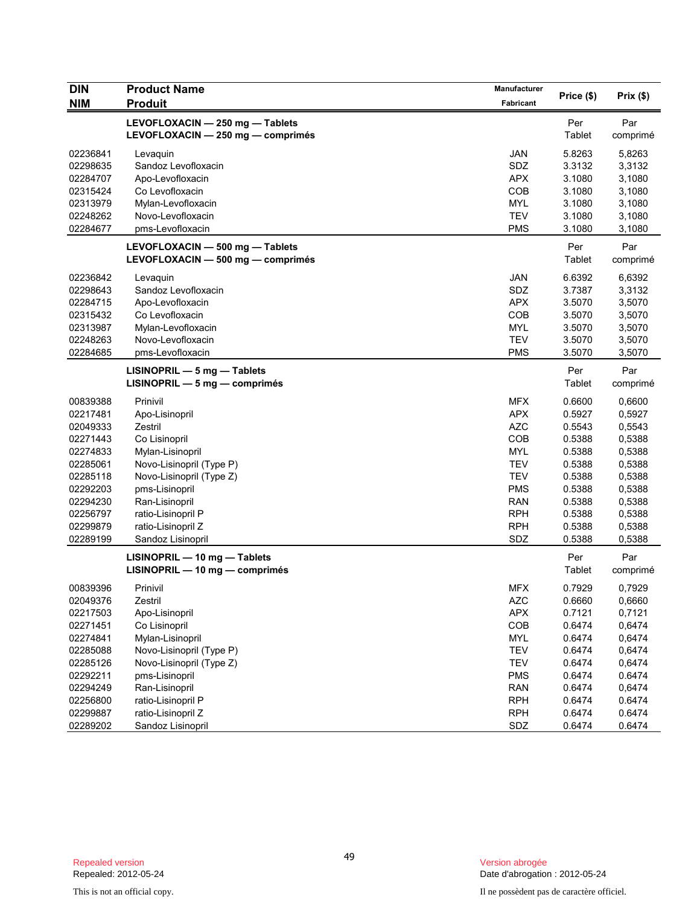| <b>DIN</b> | <b>Product Name</b>               | Manufacturer | Price (\$) | Prix(\$) |
|------------|-----------------------------------|--------------|------------|----------|
| <b>NIM</b> | <b>Produit</b>                    | Fabricant    |            |          |
|            | LEVOFLOXACIN - 250 mg - Tablets   |              | Per        | Par      |
|            | LEVOFLOXACIN - 250 mg - comprimés |              | Tablet     | comprimé |
| 02236841   | Levaquin                          | <b>JAN</b>   | 5.8263     | 5,8263   |
| 02298635   | Sandoz Levofloxacin               | SDZ          | 3.3132     | 3,3132   |
| 02284707   | Apo-Levofloxacin                  | <b>APX</b>   | 3.1080     | 3,1080   |
| 02315424   | Co Levofloxacin                   | COB          | 3.1080     | 3,1080   |
| 02313979   | Mylan-Levofloxacin                | <b>MYL</b>   | 3.1080     | 3,1080   |
| 02248262   | Novo-Levofloxacin                 | <b>TEV</b>   | 3.1080     | 3,1080   |
| 02284677   | pms-Levofloxacin                  | <b>PMS</b>   | 3.1080     | 3,1080   |
|            | LEVOFLOXACIN - 500 mg - Tablets   |              | Per        | Par      |
|            | LEVOFLOXACIN - 500 mg - comprimés |              | Tablet     | comprimé |
| 02236842   | Levaguin                          | <b>JAN</b>   | 6.6392     | 6,6392   |
| 02298643   | Sandoz Levofloxacin               | <b>SDZ</b>   | 3.7387     | 3,3132   |
| 02284715   | Apo-Levofloxacin                  | <b>APX</b>   | 3.5070     | 3,5070   |
| 02315432   | Co Levofloxacin                   | COB          | 3.5070     | 3,5070   |
| 02313987   | Mylan-Levofloxacin                | <b>MYL</b>   | 3.5070     | 3,5070   |
| 02248263   | Novo-Levofloxacin                 | <b>TEV</b>   | 3.5070     | 3,5070   |
| 02284685   | pms-Levofloxacin                  | <b>PMS</b>   | 3.5070     | 3,5070   |
|            | $LISINOPRIL - 5 mg - Tables$      |              | Per        | Par      |
|            | $LISINOPRIL - 5 mg - comprimés$   |              | Tablet     | comprimé |
| 00839388   | Prinivil                          | <b>MFX</b>   | 0.6600     | 0,6600   |
| 02217481   | Apo-Lisinopril                    | <b>APX</b>   | 0.5927     | 0,5927   |
| 02049333   | Zestril                           | <b>AZC</b>   | 0.5543     | 0,5543   |
| 02271443   | Co Lisinopril                     | COB          | 0.5388     | 0,5388   |
| 02274833   | Mylan-Lisinopril                  | <b>MYL</b>   | 0.5388     | 0,5388   |
| 02285061   | Novo-Lisinopril (Type P)          | <b>TEV</b>   | 0.5388     | 0,5388   |
| 02285118   | Novo-Lisinopril (Type Z)          | <b>TEV</b>   | 0.5388     | 0,5388   |
| 02292203   | pms-Lisinopril                    | <b>PMS</b>   | 0.5388     | 0,5388   |
| 02294230   | Ran-Lisinopril                    | <b>RAN</b>   | 0.5388     | 0,5388   |
| 02256797   | ratio-Lisinopril P                | <b>RPH</b>   | 0.5388     | 0,5388   |
| 02299879   | ratio-Lisinopril Z                | <b>RPH</b>   | 0.5388     | 0,5388   |
| 02289199   | Sandoz Lisinopril                 | SDZ          | 0.5388     | 0,5388   |
|            | LISINOPRIL - 10 mg - Tablets      |              | Per        | Par      |
|            | LISINOPRIL - 10 mg - comprimés    |              | Tablet     | comprimé |
| 00839396   | Prinivil                          | <b>MFX</b>   | 0.7929     | 0,7929   |
| 02049376   | Zestril                           | <b>AZC</b>   | 0.6660     | 0,6660   |
| 02217503   | Apo-Lisinopril                    | <b>APX</b>   | 0.7121     | 0,7121   |
| 02271451   | Co Lisinopril                     | COB          | 0.6474     | 0,6474   |
| 02274841   | Mylan-Lisinopril                  | MYL          | 0.6474     | 0,6474   |
| 02285088   | Novo-Lisinopril (Type P)          | <b>TEV</b>   | 0.6474     | 0,6474   |
| 02285126   | Novo-Lisinopril (Type Z)          | <b>TEV</b>   | 0.6474     | 0,6474   |
| 02292211   | pms-Lisinopril                    | <b>PMS</b>   | 0.6474     | 0.6474   |
| 02294249   | Ran-Lisinopril                    | <b>RAN</b>   | 0.6474     | 0,6474   |
| 02256800   | ratio-Lisinopril P                | <b>RPH</b>   | 0.6474     | 0.6474   |
| 02299887   | ratio-Lisinopril Z                | <b>RPH</b>   | 0.6474     | 0.6474   |
| 02289202   | Sandoz Lisinopril                 | <b>SDZ</b>   | 0.6474     | 0.6474   |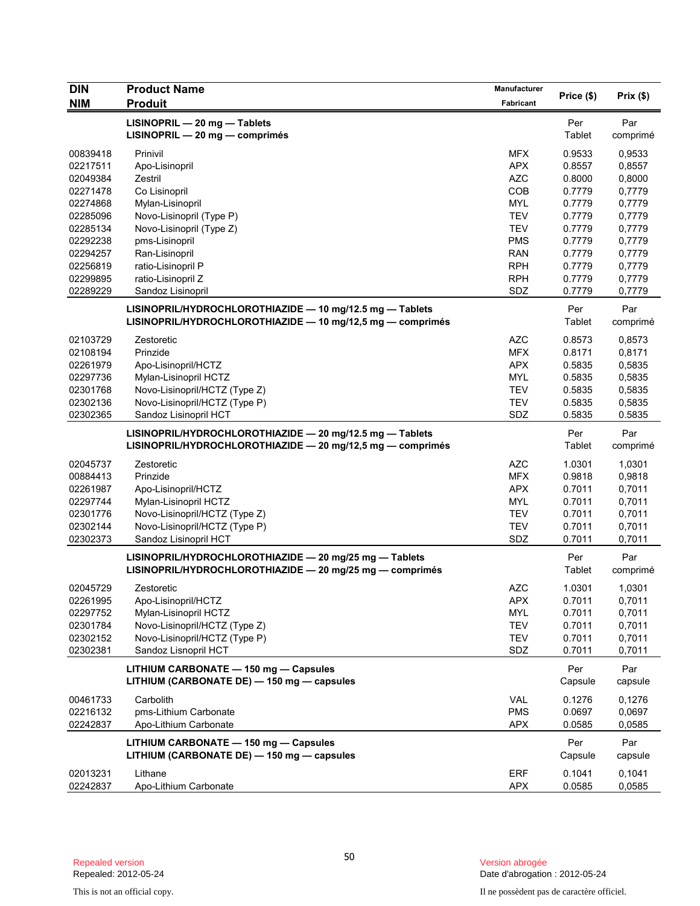| <b>DIN</b>           | <b>Product Name</b>                                                                                                | Manufacturer      |                  |                  |
|----------------------|--------------------------------------------------------------------------------------------------------------------|-------------------|------------------|------------------|
| <b>NIM</b>           | <b>Produit</b>                                                                                                     | Fabricant         | Price (\$)       | Prix(\$)         |
|                      | LISINOPRIL - 20 mg - Tablets                                                                                       |                   | Per              | Par              |
|                      | $LISINOPRIL - 20 mg - comprimés$                                                                                   |                   | Tablet           | comprimé         |
|                      |                                                                                                                    |                   |                  |                  |
| 00839418             | Prinivil                                                                                                           | <b>MFX</b>        | 0.9533           | 0,9533           |
| 02217511             | Apo-Lisinopril                                                                                                     | <b>APX</b>        | 0.8557           | 0,8557           |
| 02049384             | Zestril                                                                                                            | <b>AZC</b>        | 0.8000           | 0,8000           |
| 02271478             | Co Lisinopril                                                                                                      | COB<br><b>MYL</b> | 0.7779<br>0.7779 | 0,7779<br>0,7779 |
| 02274868<br>02285096 | Mylan-Lisinopril<br>Novo-Lisinopril (Type P)                                                                       | <b>TEV</b>        | 0.7779           | 0,7779           |
| 02285134             | Novo-Lisinopril (Type Z)                                                                                           | <b>TEV</b>        | 0.7779           | 0,7779           |
| 02292238             | pms-Lisinopril                                                                                                     | <b>PMS</b>        | 0.7779           | 0,7779           |
| 02294257             | Ran-Lisinopril                                                                                                     | <b>RAN</b>        | 0.7779           | 0,7779           |
| 02256819             | ratio-Lisinopril P                                                                                                 | <b>RPH</b>        | 0.7779           | 0,7779           |
| 02299895             | ratio-Lisinopril Z                                                                                                 | <b>RPH</b>        | 0.7779           | 0,7779           |
| 02289229             | Sandoz Lisinopril                                                                                                  | SDZ               | 0.7779           | 0,7779           |
|                      |                                                                                                                    |                   |                  |                  |
|                      | LISINOPRIL/HYDROCHLOROTHIAZIDE - 10 mg/12.5 mg - Tablets                                                           |                   | Per              | Par              |
|                      | LISINOPRIL/HYDROCHLOROTHIAZIDE $-$ 10 mg/12,5 mg $-$ comprimes                                                     |                   | Tablet           | comprimé         |
| 02103729             | Zestoretic                                                                                                         | <b>AZC</b>        | 0.8573           | 0,8573           |
| 02108194             | Prinzide                                                                                                           | <b>MFX</b>        | 0.8171           | 0,8171           |
| 02261979             | Apo-Lisinopril/HCTZ                                                                                                | <b>APX</b>        | 0.5835           | 0,5835           |
| 02297736             | Mylan-Lisinopril HCTZ                                                                                              | <b>MYL</b>        | 0.5835           | 0,5835           |
| 02301768             | Novo-Lisinopril/HCTZ (Type Z)                                                                                      | <b>TEV</b>        | 0.5835           | 0,5835           |
| 02302136             | Novo-Lisinopril/HCTZ (Type P)                                                                                      | <b>TEV</b>        | 0.5835           | 0,5835           |
| 02302365             | Sandoz Lisinopril HCT                                                                                              | SDZ               | 0.5835           | 0.5835           |
|                      | LISINOPRIL/HYDROCHLOROTHIAZIDE - 20 mg/12.5 mg - Tablets                                                           |                   | Per              | Par              |
|                      | LISINOPRIL/HYDROCHLOROTHIAZIDE - 20 mg/12,5 mg - comprimés                                                         |                   | Tablet           | comprimé         |
| 02045737             | Zestoretic                                                                                                         | <b>AZC</b>        | 1.0301           | 1,0301           |
| 00884413             | Prinzide                                                                                                           | <b>MFX</b>        | 0.9818           | 0,9818           |
| 02261987             | Apo-Lisinopril/HCTZ                                                                                                | <b>APX</b>        | 0.7011           | 0,7011           |
| 02297744             | Mylan-Lisinopril HCTZ                                                                                              | MYL               | 0.7011           | 0,7011           |
| 02301776             | Novo-Lisinopril/HCTZ (Type Z)                                                                                      | <b>TEV</b>        | 0.7011           | 0,7011           |
| 02302144             | Novo-Lisinopril/HCTZ (Type P)                                                                                      | <b>TEV</b>        | 0.7011           | 0,7011           |
| 02302373             | Sandoz Lisinopril HCT                                                                                              | SDZ               | 0.7011           | 0,7011           |
|                      |                                                                                                                    |                   |                  |                  |
|                      | LISINOPRIL/HYDROCHLOROTHIAZIDE - 20 mg/25 mg - Tablets<br>LISINOPRIL/HYDROCHLOROTHIAZIDE - 20 mg/25 mg - comprimés |                   | Per<br>Tablet    | Par              |
|                      |                                                                                                                    |                   |                  | comprimé         |
| 02045729             | Zestoretic                                                                                                         | <b>AZC</b>        | 1.0301           | 1,0301           |
| 02261995             | Apo-Lisinopril/HCTZ                                                                                                | <b>APX</b>        | 0.7011           | 0,7011           |
| 02297752             | Mylan-Lisinopril HCTZ                                                                                              | <b>MYL</b>        | 0.7011           | 0,7011           |
| 02301784             | Novo-Lisinopril/HCTZ (Type Z)                                                                                      | <b>TEV</b>        | 0.7011           | 0,7011           |
| 02302152             | Novo-Lisinopril/HCTZ (Type P)                                                                                      | <b>TEV</b>        | 0.7011           | 0,7011           |
| 02302381             | Sandoz Lisnopril HCT                                                                                               | SDZ               | 0.7011           | 0,7011           |
|                      | LITHIUM CARBONATE - 150 mg - Capsules                                                                              |                   | Per              | Par              |
|                      | LITHIUM (CARBONATE DE) - 150 mg - capsules                                                                         |                   | Capsule          | capsule          |
| 00461733             | Carbolith                                                                                                          | VAL               | 0.1276           | 0,1276           |
| 02216132             | pms-Lithium Carbonate                                                                                              | <b>PMS</b>        | 0.0697           | 0,0697           |
| 02242837             | Apo-Lithium Carbonate                                                                                              | <b>APX</b>        | 0.0585           | 0,0585           |
|                      |                                                                                                                    |                   |                  |                  |
|                      | LITHIUM CARBONATE - 150 mg - Capsules                                                                              |                   | Per              | Par              |
|                      | LITHIUM (CARBONATE DE) - 150 mg - capsules                                                                         |                   | Capsule          | capsule          |
| 02013231             | Lithane                                                                                                            | <b>ERF</b>        | 0.1041           | 0,1041           |
| 02242837             | Apo-Lithium Carbonate                                                                                              | <b>APX</b>        | 0.0585           | 0,0585           |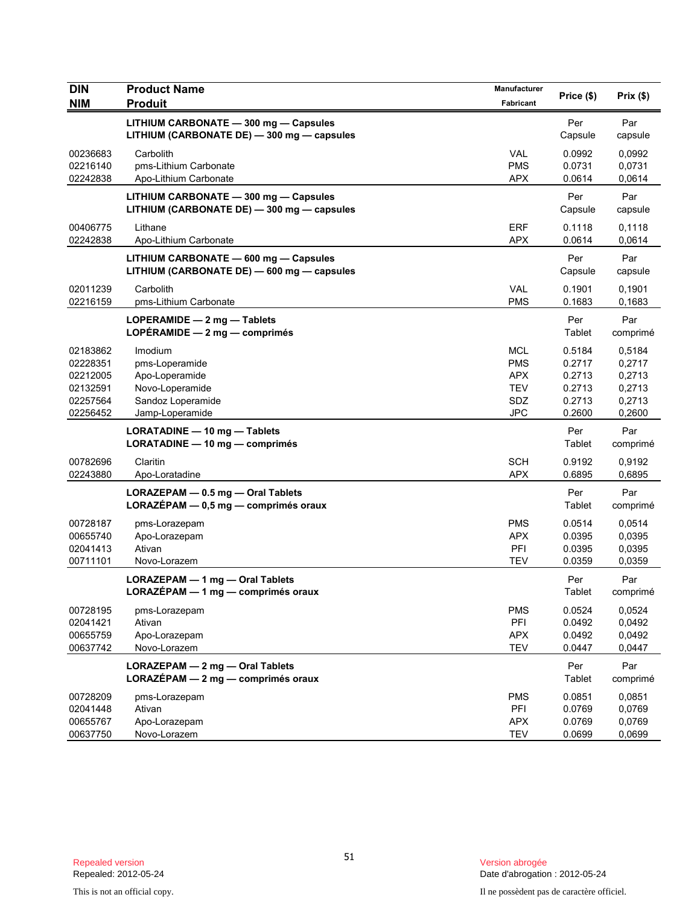| <b>DIN</b> | <b>Product Name</b>                        | Manufacturer |            |          |
|------------|--------------------------------------------|--------------|------------|----------|
| <b>NIM</b> | <b>Produit</b>                             | Fabricant    | Price (\$) | Prix(\$) |
|            | LITHIUM CARBONATE - 300 mg - Capsules      |              | Per        | Par      |
|            | LITHIUM (CARBONATE DE) - 300 mg - capsules |              | Capsule    | capsule  |
| 00236683   | Carbolith                                  | <b>VAL</b>   | 0.0992     | 0,0992   |
| 02216140   | pms-Lithium Carbonate                      | <b>PMS</b>   | 0.0731     | 0,0731   |
| 02242838   | Apo-Lithium Carbonate                      | <b>APX</b>   | 0.0614     | 0,0614   |
|            | LITHIUM CARBONATE - 300 mg - Capsules      |              | Per        | Par      |
|            | LITHIUM (CARBONATE DE) - 300 mg - capsules |              | Capsule    | capsule  |
| 00406775   | Lithane                                    | <b>ERF</b>   | 0.1118     | 0,1118   |
| 02242838   | Apo-Lithium Carbonate                      | <b>APX</b>   | 0.0614     | 0,0614   |
|            | LITHIUM CARBONATE - 600 mg - Capsules      |              | Per        | Par      |
|            | LITHIUM (CARBONATE DE) - 600 mg - capsules |              | Capsule    | capsule  |
| 02011239   | Carbolith                                  | <b>VAL</b>   | 0.1901     | 0,1901   |
| 02216159   | pms-Lithium Carbonate                      | <b>PMS</b>   | 0.1683     | 0,1683   |
|            | LOPERAMIDE $-2$ mg $-$ Tablets             |              | Per        | Par      |
|            | LOPÉRAMIDE - 2 mg - comprimés              |              | Tablet     | comprimé |
| 02183862   | Imodium                                    | <b>MCL</b>   | 0.5184     | 0,5184   |
| 02228351   | pms-Loperamide                             | <b>PMS</b>   | 0.2717     | 0,2717   |
| 02212005   | Apo-Loperamide                             | <b>APX</b>   | 0.2713     | 0,2713   |
| 02132591   | Novo-Loperamide                            | <b>TEV</b>   | 0.2713     | 0,2713   |
| 02257564   | Sandoz Loperamide                          | SDZ          | 0.2713     | 0,2713   |
| 02256452   | Jamp-Loperamide                            | <b>JPC</b>   | 0.2600     | 0,2600   |
|            | LORATADINE - 10 mg - Tablets               |              | Per        | Par      |
|            | LORATADINE - 10 mg - comprimés             |              | Tablet     | comprimé |
| 00782696   | Claritin                                   | <b>SCH</b>   | 0.9192     | 0,9192   |
| 02243880   | Apo-Loratadine                             | <b>APX</b>   | 0.6895     | 0,6895   |
|            | LORAZEPAM - 0.5 mg - Oral Tablets          |              | Per        | Par      |
|            | LORAZÉPAM - 0,5 mg - comprimés oraux       |              | Tablet     | comprimé |
| 00728187   | pms-Lorazepam                              | <b>PMS</b>   | 0.0514     | 0,0514   |
| 00655740   | Apo-Lorazepam                              | <b>APX</b>   | 0.0395     | 0,0395   |
| 02041413   | Ativan                                     | PFI          | 0.0395     | 0,0395   |
| 00711101   | Novo-Lorazem                               | <b>TEV</b>   | 0.0359     | 0,0359   |
|            | LORAZEPAM - 1 mg - Oral Tablets            |              | Per        | Par      |
|            | LORAZÉPAM - 1 mg - comprimés oraux         |              | Tablet     | comprimé |
| 00728195   | pms-Lorazepam                              | <b>PMS</b>   | 0.0524     | 0,0524   |
| 02041421   | Ativan                                     | PFI          | 0.0492     | 0,0492   |
| 00655759   | Apo-Lorazepam                              | <b>APX</b>   | 0.0492     | 0,0492   |
| 00637742   | Novo-Lorazem                               | <b>TEV</b>   | 0.0447     | 0,0447   |
|            | LORAZEPAM - 2 mg - Oral Tablets            |              | Per        | Par      |
|            | LORAZÉPAM - 2 mg - comprimés oraux         |              | Tablet     | comprimé |
| 00728209   | pms-Lorazepam                              | <b>PMS</b>   | 0.0851     | 0,0851   |
| 02041448   | Ativan                                     | PFI          | 0.0769     | 0,0769   |
| 00655767   | Apo-Lorazepam                              | <b>APX</b>   | 0.0769     | 0,0769   |
| 00637750   | Novo-Lorazem                               | <b>TEV</b>   | 0.0699     | 0,0699   |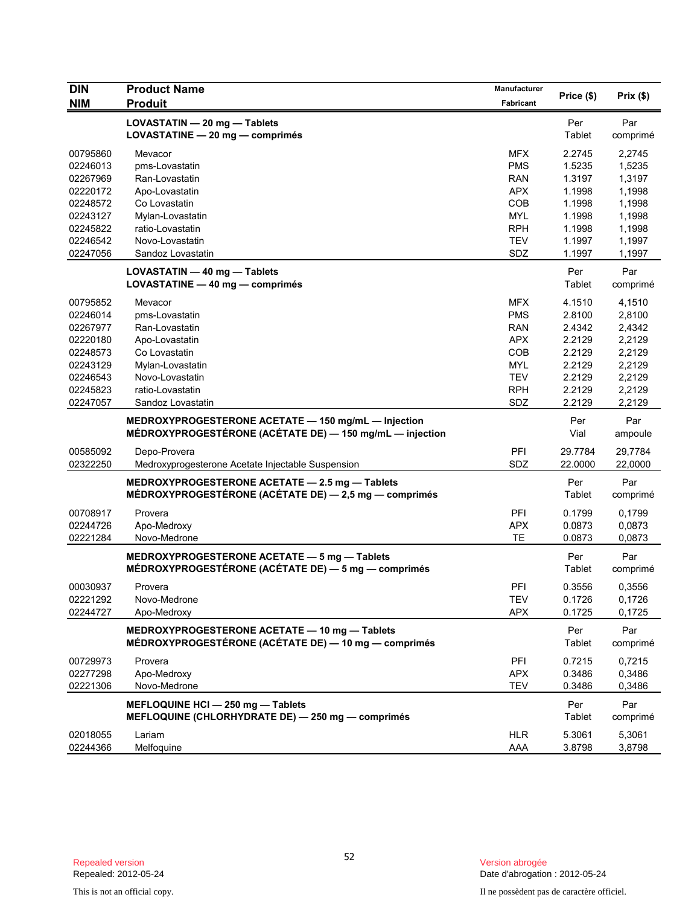| <b>DIN</b> | <b>Product Name</b>                                                                                             | Manufacturer | Price (\$)    | Prix(\$)        |
|------------|-----------------------------------------------------------------------------------------------------------------|--------------|---------------|-----------------|
| <b>NIM</b> | <b>Produit</b>                                                                                                  | Fabricant    |               |                 |
|            | LOVASTATIN - 20 mg - Tablets                                                                                    |              | Per           | Par             |
|            | LOVASTATINE - 20 mg - comprimés                                                                                 |              | Tablet        | comprimé        |
| 00795860   | Mevacor                                                                                                         | <b>MFX</b>   | 2.2745        | 2,2745          |
| 02246013   | pms-Lovastatin                                                                                                  | <b>PMS</b>   | 1.5235        | 1,5235          |
| 02267969   | Ran-Lovastatin                                                                                                  | <b>RAN</b>   | 1.3197        | 1,3197          |
| 02220172   | Apo-Lovastatin                                                                                                  | <b>APX</b>   | 1.1998        | 1,1998          |
| 02248572   | Co Lovastatin                                                                                                   | <b>COB</b>   | 1.1998        | 1,1998          |
| 02243127   | Mylan-Lovastatin                                                                                                | <b>MYL</b>   | 1.1998        | 1,1998          |
| 02245822   | ratio-Lovastatin                                                                                                | <b>RPH</b>   | 1.1998        | 1,1998          |
| 02246542   | Novo-Lovastatin                                                                                                 | <b>TEV</b>   | 1.1997        | 1,1997          |
| 02247056   | Sandoz Lovastatin                                                                                               | SDZ          | 1.1997        | 1,1997          |
|            | LOVASTATIN - 40 mg - Tablets                                                                                    |              | Per           | Par             |
|            | LOVASTATINE - 40 mg - comprimés                                                                                 |              | Tablet        | comprimé        |
|            |                                                                                                                 |              |               |                 |
| 00795852   | Mevacor                                                                                                         | <b>MFX</b>   | 4.1510        | 4,1510          |
| 02246014   | pms-Lovastatin                                                                                                  | <b>PMS</b>   | 2.8100        | 2,8100          |
| 02267977   | Ran-Lovastatin                                                                                                  | <b>RAN</b>   | 2.4342        | 2,4342          |
| 02220180   | Apo-Lovastatin                                                                                                  | <b>APX</b>   | 2.2129        | 2,2129          |
| 02248573   | Co Lovastatin                                                                                                   | <b>COB</b>   | 2.2129        | 2,2129          |
| 02243129   | Mylan-Lovastatin                                                                                                | <b>MYL</b>   | 2.2129        | 2,2129          |
| 02246543   | Novo-Lovastatin                                                                                                 | <b>TEV</b>   | 2.2129        | 2,2129          |
| 02245823   | ratio-Lovastatin                                                                                                | <b>RPH</b>   | 2.2129        | 2,2129          |
| 02247057   | Sandoz Lovastatin                                                                                               | SDZ          | 2.2129        | 2,2129          |
|            | MEDROXYPROGESTERONE ACETATE - 150 mg/mL - Injection<br>MÉDROXYPROGESTÉRONE (ACÉTATE DE) — 150 mg/mL — injection |              | Per<br>Vial   | Par<br>ampoule  |
| 00585092   | Depo-Provera                                                                                                    | PFI          | 29.7784       | 29,7784         |
| 02322250   | Medroxyprogesterone Acetate Injectable Suspension                                                               | SDZ          | 22.0000       | 22,0000         |
|            |                                                                                                                 |              |               |                 |
|            | MEDROXYPROGESTERONE ACETATE - 2.5 mg - Tablets<br>MÉDROXYPROGESTÉRONE (ACÉTATE DE) - 2,5 mg - comprimés         |              | Per<br>Tablet | Par<br>comprimé |
| 00708917   | Provera                                                                                                         | PFI          | 0.1799        | 0,1799          |
| 02244726   | Apo-Medroxy                                                                                                     | <b>APX</b>   | 0.0873        | 0,0873          |
| 02221284   | Novo-Medrone                                                                                                    | <b>TE</b>    | 0.0873        | 0,0873          |
|            | MEDROXYPROGESTERONE ACETATE - 5 mg - Tablets                                                                    |              | Per           | Par             |
|            | MÉDROXYPROGESTÉRONE (ACÉTATE DE) — 5 mg — comprimés                                                             |              | Tablet        | comprimé        |
|            |                                                                                                                 |              |               |                 |
| 00030937   | Provera                                                                                                         | PFI          | 0.3556        | 0,3556          |
| 02221292   | Novo-Medrone                                                                                                    | <b>TEV</b>   | 0.1726        | 0,1726          |
| 02244727   | Apo-Medroxy                                                                                                     | <b>APX</b>   | 0.1725        | 0,1725          |
|            | MEDROXYPROGESTERONE ACETATE - 10 mg - Tablets<br>MÉDROXYPROGESTÉRONE (ACÉTATE DE) — 10 mg — comprimés           |              | Per<br>Tablet | Par<br>comprimé |
| 00729973   | Provera                                                                                                         | PFI          | 0.7215        | 0,7215          |
| 02277298   | Apo-Medroxy                                                                                                     | <b>APX</b>   | 0.3486        | 0,3486          |
| 02221306   | Novo-Medrone                                                                                                    | TEV          | 0.3486        | 0,3486          |
|            |                                                                                                                 |              |               |                 |
|            | MEFLOQUINE HCI - 250 mg - Tablets<br>MEFLOQUINE (CHLORHYDRATE DE) - 250 mg - comprimés                          |              | Per<br>Tablet | Par<br>comprimé |
| 02018055   | Lariam                                                                                                          | <b>HLR</b>   | 5.3061        | 5,3061          |
| 02244366   | Melfoquine                                                                                                      | AAA          | 3.8798        | 3,8798          |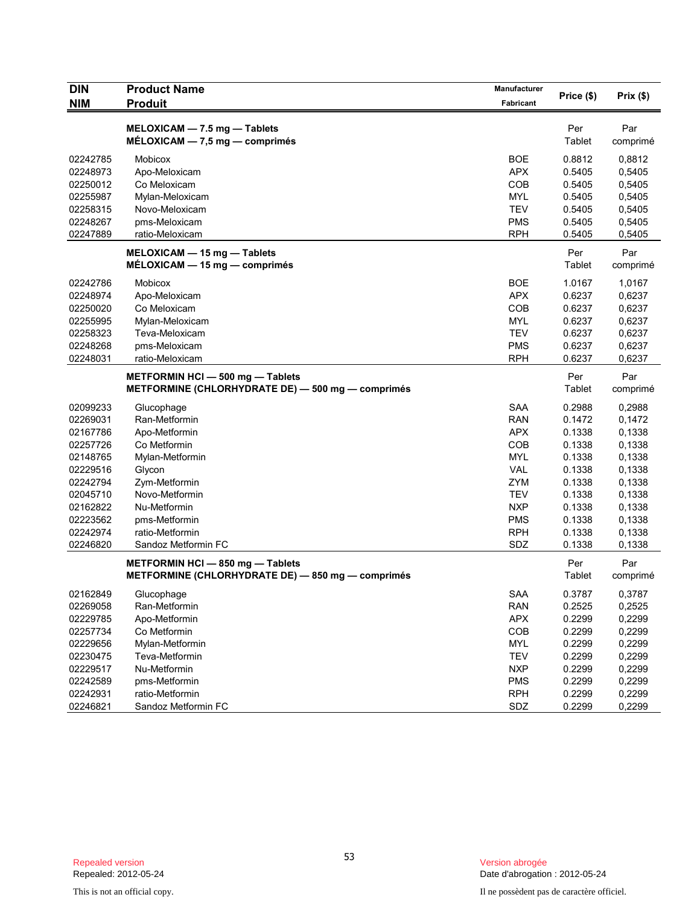| DIN                              | <b>Product Name</b>                                                               | Manufacturer                           | Price (\$)                 | Prix(\$)                   |
|----------------------------------|-----------------------------------------------------------------------------------|----------------------------------------|----------------------------|----------------------------|
| <b>NIM</b>                       | <b>Produit</b>                                                                    | Fabricant                              |                            |                            |
|                                  | MELOXICAM - 7.5 mg - Tablets<br>$MÉLOXICAM - 7.5 mg - comprimés$                  |                                        | Per<br>Tablet              | Par<br>comprimé            |
| 02242785<br>02248973<br>02250012 | Mobicox<br>Apo-Meloxicam<br>Co Meloxicam                                          | <b>BOE</b><br><b>APX</b><br>COB        | 0.8812<br>0.5405<br>0.5405 | 0,8812<br>0,5405<br>0,5405 |
| 02255987<br>02258315             | Mylan-Meloxicam<br>Novo-Meloxicam                                                 | <b>MYL</b><br><b>TEV</b><br><b>PMS</b> | 0.5405<br>0.5405<br>0.5405 | 0,5405<br>0,5405           |
| 02248267<br>02247889             | pms-Meloxicam<br>ratio-Meloxicam                                                  | <b>RPH</b>                             | 0.5405                     | 0,5405<br>0,5405           |
|                                  | MELOXICAM - 15 mg - Tablets<br>$MÉLOXICAM - 15 mg - comprimés$                    |                                        | Per<br>Tablet              | Par<br>comprimé            |
| 02242786                         | Mobicox                                                                           | <b>BOE</b>                             | 1.0167                     | 1,0167                     |
| 02248974                         | Apo-Meloxicam                                                                     | <b>APX</b>                             | 0.6237                     | 0,6237                     |
| 02250020                         | Co Meloxicam                                                                      | COB                                    | 0.6237                     | 0,6237                     |
| 02255995                         | Mylan-Meloxicam                                                                   | <b>MYL</b>                             | 0.6237                     | 0,6237                     |
| 02258323                         | Teva-Meloxicam                                                                    | <b>TEV</b>                             | 0.6237                     | 0,6237                     |
| 02248268<br>02248031             | pms-Meloxicam                                                                     | <b>PMS</b><br><b>RPH</b>               | 0.6237                     | 0,6237<br>0,6237           |
|                                  | ratio-Meloxicam                                                                   |                                        | 0.6237                     |                            |
|                                  | METFORMIN HCI-500 mg-Tablets<br>METFORMINE (CHLORHYDRATE DE) - 500 mg - comprimés |                                        | Per<br>Tablet              | Par<br>comprimé            |
| 02099233                         | Glucophage                                                                        | <b>SAA</b>                             | 0.2988                     | 0,2988                     |
| 02269031                         | Ran-Metformin                                                                     | <b>RAN</b>                             | 0.1472                     | 0,1472                     |
| 02167786                         | Apo-Metformin                                                                     | <b>APX</b>                             | 0.1338                     | 0,1338                     |
| 02257726                         | Co Metformin                                                                      | <b>COB</b>                             | 0.1338                     | 0,1338                     |
| 02148765                         | Mylan-Metformin                                                                   | <b>MYL</b>                             | 0.1338                     | 0,1338                     |
| 02229516                         | Glycon                                                                            | <b>VAL</b>                             | 0.1338                     | 0,1338                     |
| 02242794                         | Zym-Metformin                                                                     | <b>ZYM</b>                             | 0.1338                     | 0,1338                     |
| 02045710                         | Novo-Metformin                                                                    | <b>TEV</b>                             | 0.1338                     | 0,1338                     |
| 02162822                         | Nu-Metformin                                                                      | <b>NXP</b>                             | 0.1338                     | 0,1338                     |
| 02223562                         | pms-Metformin                                                                     | <b>PMS</b>                             | 0.1338                     | 0,1338                     |
| 02242974<br>02246820             | ratio-Metformin<br>Sandoz Metformin FC                                            | <b>RPH</b><br>SDZ                      | 0.1338<br>0.1338           | 0,1338<br>0,1338           |
|                                  | METFORMIN HCI-850 mg-Tablets                                                      |                                        | Per                        | Par                        |
|                                  | METFORMINE (CHLORHYDRATE DE) - 850 mg - comprimés                                 |                                        | Tablet                     | comprimé                   |
| 02162849                         | Glucophage                                                                        | SAA                                    | 0.3787                     | 0,3787                     |
| 02269058                         | Ran-Metformin                                                                     | <b>RAN</b>                             | 0.2525                     | 0,2525                     |
| 02229785                         | Apo-Metformin                                                                     | <b>APX</b>                             | 0.2299                     | 0,2299                     |
| 02257734                         | Co Metformin                                                                      | COB                                    | 0.2299                     | 0,2299                     |
| 02229656                         | Mylan-Metformin                                                                   | <b>MYL</b>                             | 0.2299                     | 0,2299                     |
| 02230475                         | Teva-Metformin                                                                    | <b>TEV</b>                             | 0.2299                     | 0,2299                     |
| 02229517                         | Nu-Metformin                                                                      | <b>NXP</b>                             | 0.2299                     | 0,2299                     |
| 02242589                         | pms-Metformin                                                                     | <b>PMS</b>                             | 0.2299                     | 0,2299                     |
| 02242931                         | ratio-Metformin                                                                   | <b>RPH</b>                             | 0.2299                     | 0,2299                     |
| 02246821                         | Sandoz Metformin FC                                                               | SDZ                                    | 0.2299                     | 0,2299                     |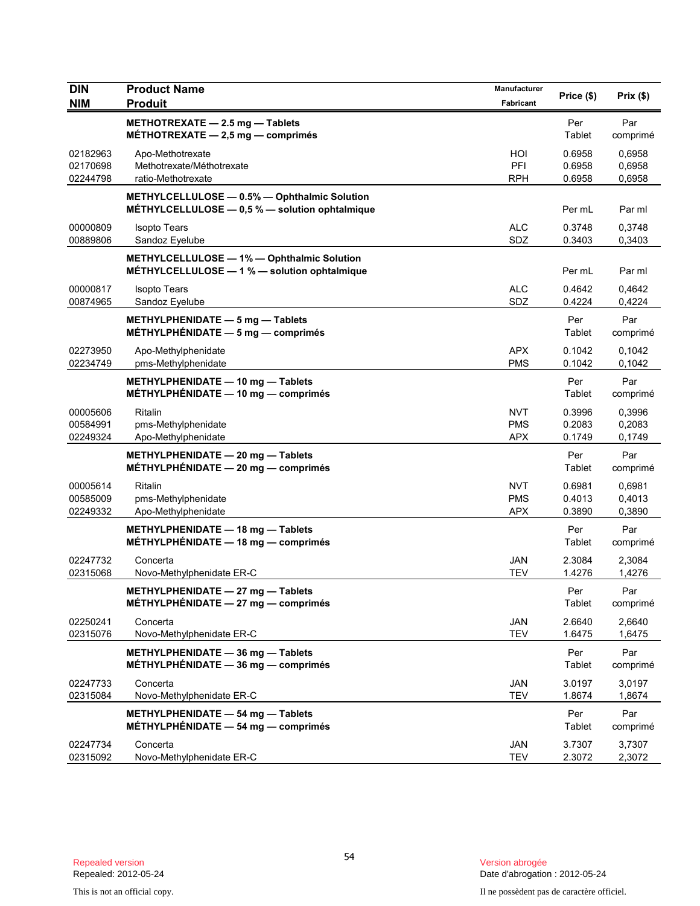| <b>DIN</b><br><b>NIM</b>         | <b>Product Name</b><br><b>Produit</b>                                                              | Manufacturer<br>Fabricant              | Price (\$)                 | Prix (\$)                  |
|----------------------------------|----------------------------------------------------------------------------------------------------|----------------------------------------|----------------------------|----------------------------|
|                                  | METHOTREXATE - 2.5 mg - Tablets<br>MÉTHOTREXATE $-2.5$ mg $-$ comprimés                            |                                        | Per<br>Tablet              | Par<br>comprimé            |
| 02182963<br>02170698<br>02244798 | Apo-Methotrexate<br>Methotrexate/Méthotrexate<br>ratio-Methotrexate                                | HOI<br>PFI<br><b>RPH</b>               | 0.6958<br>0.6958<br>0.6958 | 0,6958<br>0,6958<br>0,6958 |
|                                  | METHYLCELLULOSE - 0.5% - Ophthalmic Solution<br>MÉTHYLCELLULOSE $-$ 0,5 % $-$ solution ophtalmique |                                        | Per mL                     | Par ml                     |
| 00000809<br>00889806             | <b>Isopto Tears</b><br>Sandoz Eyelube                                                              | <b>ALC</b><br>SDZ                      | 0.3748<br>0.3403           | 0,3748<br>0,3403           |
|                                  | METHYLCELLULOSE - 1% - Ophthalmic Solution<br>MÉTHYLCELLULOSE - 1 % - solution ophtalmique         |                                        | Per mL                     | Par ml                     |
| 00000817<br>00874965             | <b>Isopto Tears</b><br>Sandoz Eyelube                                                              | <b>ALC</b><br>SDZ                      | 0.4642<br>0.4224           | 0,4642<br>0,4224           |
|                                  | METHYLPHENIDATE $-5$ mg $-$ Tablets<br>$MÉTHYLPHÉNIDATE - 5 mg - comprimés$                        |                                        | Per<br>Tablet              | Par<br>comprimé            |
| 02273950<br>02234749             | Apo-Methylphenidate<br>pms-Methylphenidate                                                         | <b>APX</b><br><b>PMS</b>               | 0.1042<br>0.1042           | 0,1042<br>0,1042           |
|                                  | METHYLPHENIDATE - 10 mg - Tablets<br>MÉTHYLPHÉNIDATE - 10 mg - comprimés                           |                                        | Per<br>Tablet              | Par<br>comprimé            |
| 00005606<br>00584991<br>02249324 | Ritalin<br>pms-Methylphenidate<br>Apo-Methylphenidate                                              | <b>NVT</b><br><b>PMS</b><br><b>APX</b> | 0.3996<br>0.2083<br>0.1749 | 0,3996<br>0,2083<br>0,1749 |
|                                  | METHYLPHENIDATE - 20 mg - Tablets<br>$MÉTHYLPHÉNIDATE - 20 mg - comprimés$                         |                                        | Per<br>Tablet              | Par<br>comprimé            |
| 00005614<br>00585009<br>02249332 | Ritalin<br>pms-Methylphenidate<br>Apo-Methylphenidate                                              | <b>NVT</b><br><b>PMS</b><br><b>APX</b> | 0.6981<br>0.4013<br>0.3890 | 0,6981<br>0,4013<br>0,3890 |
|                                  | METHYLPHENIDATE - 18 mg - Tablets<br>$MÉTHYLPHÉNIDATE - 18 mg - comprimés$                         |                                        | Per<br>Tablet              | Par<br>comprimé            |
| 02247732<br>02315068             | Concerta<br>Novo-Methylphenidate ER-C                                                              | JAN<br><b>TEV</b>                      | 2.3084<br>1.4276           | 2,3084<br>1,4276           |
|                                  | METHYLPHENIDATE - 27 mg - Tablets<br>$MÉTHYLPHÉNIDATE - 27 mg - comprimés$                         |                                        | Per<br>Tablet              | Par<br>comprimé            |
| 02250241<br>02315076             | Concerta<br>Novo-Methylphenidate ER-C                                                              | JAN<br><b>TEV</b>                      | 2.6640<br>1.6475           | 2,6640<br>1,6475           |
|                                  | METHYLPHENIDATE - 36 mg - Tablets<br>$MÉTHYLPHÉNIDATE - 36 mg - comprimés$                         |                                        | Per<br>Tablet              | Par<br>comprimé            |
| 02247733<br>02315084             | Concerta<br>Novo-Methylphenidate ER-C                                                              | <b>JAN</b><br><b>TEV</b>               | 3.0197<br>1.8674           | 3,0197<br>1,8674           |
|                                  | METHYLPHENIDATE $-$ 54 mg $-$ Tablets<br>MÉTHYLPHÉNIDATE $-$ 54 mg $-$ comprimés                   |                                        | Per<br>Tablet              | Par<br>comprimé            |
| 02247734<br>02315092             | Concerta<br>Novo-Methylphenidate ER-C                                                              | <b>JAN</b><br><b>TEV</b>               | 3.7307<br>2.3072           | 3,7307<br>2,3072           |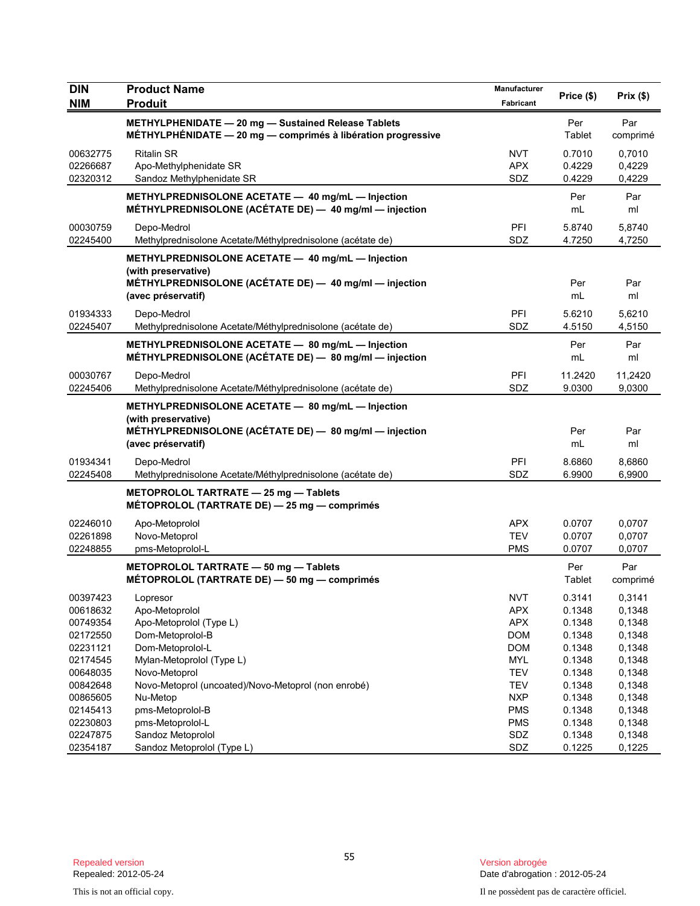| DIN        | <b>Product Name</b>                                                                                                                                      | Manufacturer | Price (\$)    | Prix(\$)        |
|------------|----------------------------------------------------------------------------------------------------------------------------------------------------------|--------------|---------------|-----------------|
| <b>NIM</b> | <b>Produit</b>                                                                                                                                           | Fabricant    |               |                 |
|            | METHYLPHENIDATE - 20 mg - Sustained Release Tablets<br>$MÉTHYLPHÉNIDATE - 20 mg - comprimés à libération progressive$                                    |              | Per<br>Tablet | Par<br>comprimé |
| 00632775   | <b>Ritalin SR</b>                                                                                                                                        | <b>NVT</b>   | 0.7010        | 0,7010          |
| 02266687   | Apo-Methylphenidate SR                                                                                                                                   | <b>APX</b>   | 0.4229        | 0,4229          |
| 02320312   | Sandoz Methylphenidate SR                                                                                                                                | SDZ          | 0.4229        | 0,4229          |
|            | METHYLPREDNISOLONE ACETATE - 40 mg/mL - Injection<br>MÉTHYLPREDNISOLONE (ACÉTATE DE) - 40 mg/ml - injection                                              |              | Per<br>mL     | Par<br>ml       |
| 00030759   | Depo-Medrol                                                                                                                                              | <b>PFI</b>   | 5.8740        | 5,8740          |
| 02245400   | Methylprednisolone Acetate/Méthylprednisolone (acétate de)                                                                                               | SDZ          | 4.7250        | 4,7250          |
|            | METHYLPREDNISOLONE ACETATE - 40 mg/mL - Injection<br>(with preservative)<br>MÉTHYLPREDNISOLONE (ACÉTATE DE) - 40 mg/ml - injection<br>(avec préservatif) |              | Per<br>mL     | Par<br>ml       |
| 01934333   | Depo-Medrol                                                                                                                                              | <b>PFI</b>   | 5.6210        | 5,6210          |
| 02245407   | Methylprednisolone Acetate/Méthylprednisolone (acétate de)                                                                                               | SDZ          | 4.5150        | 4,5150          |
|            | METHYLPREDNISOLONE ACETATE - 80 mg/mL - Injection<br>MÉTHYLPREDNISOLONE (ACÉTATE DE) - 80 mg/ml - injection                                              |              | Per<br>mL     | Par<br>ml       |
| 00030767   | Depo-Medrol                                                                                                                                              | PFI          | 11.2420       | 11,2420         |
| 02245406   | Methylprednisolone Acetate/Méthylprednisolone (acétate de)                                                                                               | SDZ          | 9.0300        | 9,0300          |
|            | METHYLPREDNISOLONE ACETATE - 80 mg/mL - Injection<br>(with preservative)<br>MÉTHYLPREDNISOLONE (ACÉTATE DE) - 80 mg/ml - injection<br>(avec préservatif) |              | Per<br>mL     | Par<br>ml       |
| 01934341   | Depo-Medrol                                                                                                                                              | PFI          | 8.6860        | 8,6860          |
| 02245408   | Methylprednisolone Acetate/Méthylprednisolone (acétate de)                                                                                               | SDZ          | 6.9900        | 6,9900          |
|            | METOPROLOL TARTRATE - 25 mg - Tablets<br>MÉTOPROLOL (TARTRATE DE) - 25 mg - comprimés                                                                    |              |               |                 |
| 02246010   | Apo-Metoprolol                                                                                                                                           | <b>APX</b>   | 0.0707        | 0,0707          |
| 02261898   | Novo-Metoprol                                                                                                                                            | <b>TEV</b>   | 0.0707        | 0,0707          |
| 02248855   | pms-Metoprolol-L                                                                                                                                         | <b>PMS</b>   | 0.0707        | 0,0707          |
|            | METOPROLOL TARTRATE - 50 mg - Tablets<br>MÉTOPROLOL (TARTRATE DE) - 50 mg - comprimés                                                                    |              | Per<br>Tablet | Par<br>comprimé |
| 00397423   | Lopresor                                                                                                                                                 | <b>NVT</b>   | 0.3141        | 0,3141          |
| 00618632   | Apo-Metoprolol                                                                                                                                           | <b>APX</b>   | 0.1348        | 0,1348          |
| 00749354   | Apo-Metoprolol (Type L)                                                                                                                                  | <b>APX</b>   | 0.1348        | 0,1348          |
| 02172550   | Dom-Metoprolol-B                                                                                                                                         | <b>DOM</b>   | 0.1348        | 0,1348          |
| 02231121   | Dom-Metoprolol-L                                                                                                                                         | <b>DOM</b>   | 0.1348        | 0,1348          |
| 02174545   | Mylan-Metoprolol (Type L)                                                                                                                                | <b>MYL</b>   | 0.1348        | 0,1348          |
| 00648035   | Novo-Metoprol                                                                                                                                            | <b>TEV</b>   | 0.1348        | 0,1348          |
| 00842648   | Novo-Metoprol (uncoated)/Novo-Metoprol (non enrobé)                                                                                                      | <b>TEV</b>   | 0.1348        | 0,1348          |
| 00865605   | Nu-Metop                                                                                                                                                 | <b>NXP</b>   | 0.1348        | 0,1348          |
| 02145413   | pms-Metoprolol-B                                                                                                                                         | <b>PMS</b>   | 0.1348        | 0,1348          |
| 02230803   | pms-Metoprolol-L                                                                                                                                         | <b>PMS</b>   | 0.1348        | 0,1348          |
| 02247875   | Sandoz Metoprolol                                                                                                                                        | SDZ          | 0.1348        | 0,1348          |
| 02354187   | Sandoz Metoprolol (Type L)                                                                                                                               | SDZ          | 0.1225        | 0,1225          |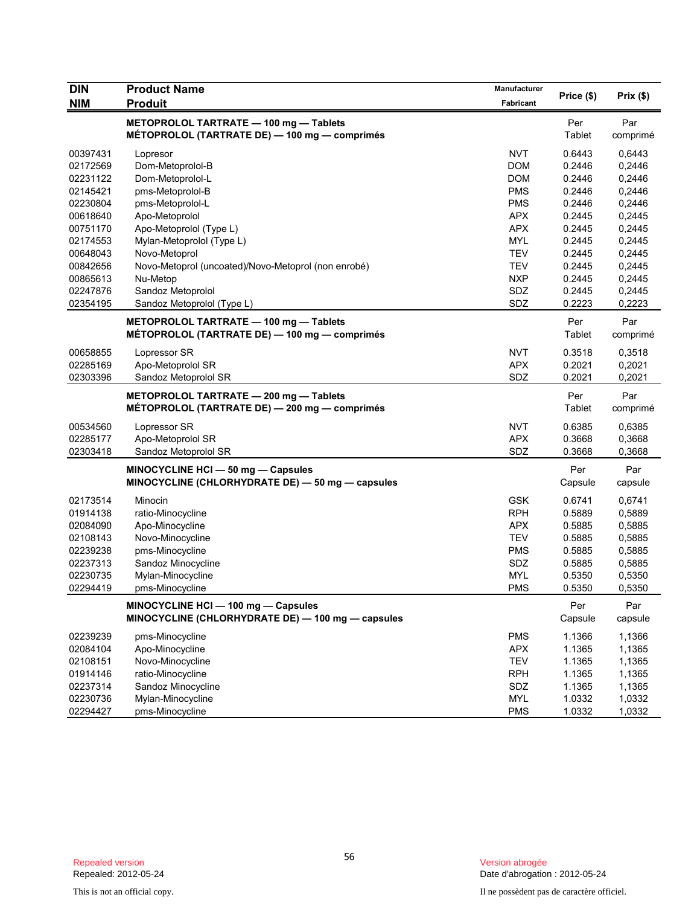| DIN        | <b>Product Name</b>                                 | Manufacturer |            | Prix (\$) |
|------------|-----------------------------------------------------|--------------|------------|-----------|
| <b>NIM</b> | <b>Produit</b>                                      | Fabricant    | Price (\$) |           |
|            | METOPROLOL TARTRATE - 100 mg - Tablets              |              | Per        | Par       |
|            | MÉTOPROLOL (TARTRATE DE) — 100 mg — comprimés       |              | Tablet     | comprimé  |
| 00397431   | Lopresor                                            | <b>NVT</b>   | 0.6443     | 0,6443    |
| 02172569   | Dom-Metoprolol-B                                    | <b>DOM</b>   | 0.2446     | 0,2446    |
| 02231122   | Dom-Metoprolol-L                                    | <b>DOM</b>   | 0.2446     | 0,2446    |
| 02145421   | pms-Metoprolol-B                                    | <b>PMS</b>   | 0.2446     | 0,2446    |
| 02230804   | pms-Metoprolol-L                                    | <b>PMS</b>   | 0.2446     | 0,2446    |
| 00618640   | Apo-Metoprolol                                      | <b>APX</b>   | 0.2445     | 0,2445    |
| 00751170   | Apo-Metoprolol (Type L)                             | <b>APX</b>   | 0.2445     | 0,2445    |
| 02174553   | Mylan-Metoprolol (Type L)                           | <b>MYL</b>   | 0.2445     | 0,2445    |
| 00648043   | Novo-Metoprol                                       | <b>TEV</b>   | 0.2445     | 0,2445    |
| 00842656   | Novo-Metoprol (uncoated)/Novo-Metoprol (non enrobé) | <b>TEV</b>   | 0.2445     | 0,2445    |
| 00865613   | Nu-Metop                                            | <b>NXP</b>   | 0.2445     | 0,2445    |
| 02247876   | Sandoz Metoprolol                                   | SDZ          | 0.2445     | 0,2445    |
| 02354195   | Sandoz Metoprolol (Type L)                          | SDZ          | 0.2223     | 0,2223    |
|            | METOPROLOL TARTRATE - 100 mg - Tablets              |              | Per        | Par       |
|            | MÉTOPROLOL (TARTRATE DE) — 100 mg — comprimés       |              | Tablet     | comprimé  |
| 00658855   | Lopressor SR                                        | <b>NVT</b>   | 0.3518     | 0,3518    |
| 02285169   | Apo-Metoprolol SR                                   | <b>APX</b>   | 0.2021     | 0,2021    |
| 02303396   | Sandoz Metoprolol SR                                | SDZ          | 0.2021     | 0,2021    |
|            | METOPROLOL TARTRATE - 200 mg - Tablets              |              | Per        | Par       |
|            | MÉTOPROLOL (TARTRATE DE) — 200 mg — comprimés       |              | Tablet     | comprimé  |
| 00534560   | Lopressor SR                                        | <b>NVT</b>   | 0.6385     | 0,6385    |
| 02285177   | Apo-Metoprolol SR                                   | <b>APX</b>   | 0.3668     | 0,3668    |
| 02303418   | Sandoz Metoprolol SR                                | SDZ          | 0.3668     | 0,3668    |
|            | MINOCYCLINE HCI - 50 mg - Capsules                  |              | Per        | Par       |
|            | MINOCYCLINE (CHLORHYDRATE DE) - 50 mg - capsules    |              | Capsule    | capsule   |
| 02173514   | Minocin                                             | <b>GSK</b>   | 0.6741     | 0,6741    |
| 01914138   | ratio-Minocycline                                   | <b>RPH</b>   | 0.5889     | 0,5889    |
| 02084090   | Apo-Minocycline                                     | <b>APX</b>   | 0.5885     | 0,5885    |
| 02108143   | Novo-Minocycline                                    | <b>TEV</b>   | 0.5885     | 0,5885    |
| 02239238   | pms-Minocycline                                     | <b>PMS</b>   | 0.5885     | 0,5885    |
| 02237313   | Sandoz Minocycline                                  | SDZ          | 0.5885     | 0,5885    |
| 02230735   | Mylan-Minocycline                                   | <b>MYL</b>   | 0.5350     | 0,5350    |
| 02294419   | pms-Minocycline                                     | <b>PMS</b>   | 0.5350     | 0,5350    |
|            | MINOCYCLINE HCI - 100 mg - Capsules                 |              | Per        | Par       |
|            | MINOCYCLINE (CHLORHYDRATE DE) - 100 mg - capsules   |              | Capsule    | capsule   |
| 02239239   | pms-Minocycline                                     | <b>PMS</b>   | 1.1366     | 1,1366    |
| 02084104   | Apo-Minocycline                                     | <b>APX</b>   | 1.1365     | 1,1365    |
| 02108151   | Novo-Minocycline                                    | <b>TEV</b>   | 1.1365     | 1,1365    |
| 01914146   | ratio-Minocycline                                   | <b>RPH</b>   | 1.1365     | 1,1365    |
| 02237314   | Sandoz Minocycline                                  | SDZ          | 1.1365     | 1,1365    |
| 02230736   | Mylan-Minocycline                                   | <b>MYL</b>   | 1.0332     | 1,0332    |
| 02294427   | pms-Minocycline                                     | <b>PMS</b>   | 1.0332     | 1,0332    |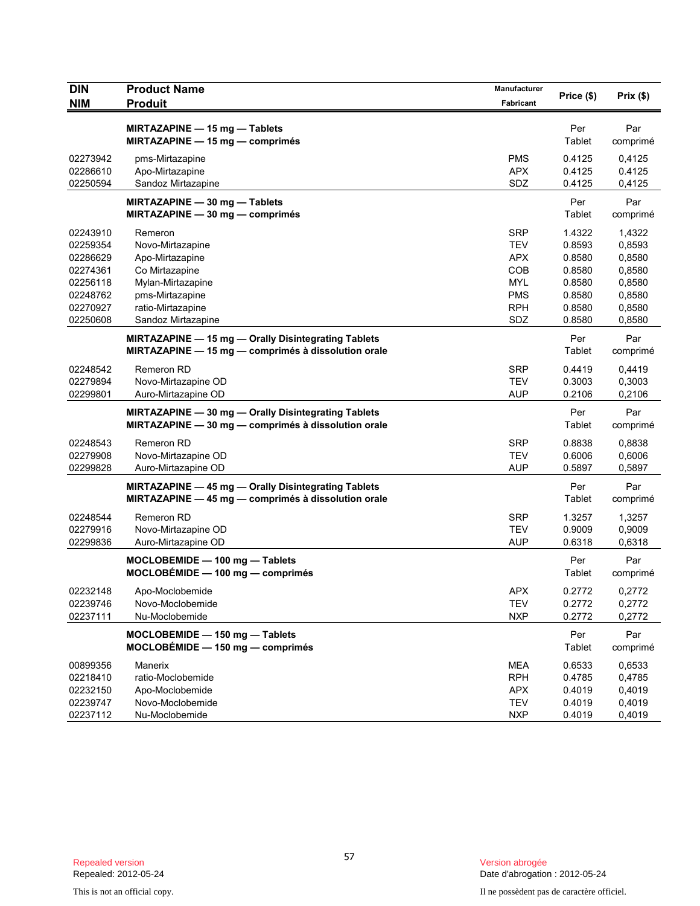| <b>DIN</b> | <b>Product Name</b>                                 | Manufacturer | Price (\$)    | Prix(\$) |
|------------|-----------------------------------------------------|--------------|---------------|----------|
| <b>NIM</b> | <b>Produit</b>                                      | Fabricant    |               |          |
|            | MIRTAZAPINE - 15 mg - Tablets                       |              | Per           | Par      |
|            | MIRTAZAPINE - 15 mg - comprimés                     |              | Tablet        | comprimé |
| 02273942   | pms-Mirtazapine                                     | <b>PMS</b>   | 0.4125        | 0,4125   |
| 02286610   | Apo-Mirtazapine                                     | <b>APX</b>   | 0.4125        | 0.4125   |
| 02250594   | Sandoz Mirtazapine                                  | SDZ          | 0.4125        | 0,4125   |
|            | MIRTAZAPINE - 30 mg - Tablets                       |              | Per           | Par      |
|            | MIRTAZAPINE $-30$ mg $-$ comprimés                  |              | Tablet        | comprimé |
| 02243910   | Remeron                                             | <b>SRP</b>   | 1.4322        | 1,4322   |
| 02259354   | Novo-Mirtazapine                                    | <b>TEV</b>   | 0.8593        | 0,8593   |
| 02286629   | Apo-Mirtazapine                                     | <b>APX</b>   | 0.8580        | 0,8580   |
| 02274361   | Co Mirtazapine                                      | COB          | 0.8580        | 0,8580   |
| 02256118   | Mylan-Mirtazapine                                   | <b>MYL</b>   | 0.8580        | 0,8580   |
| 02248762   | pms-Mirtazapine                                     | <b>PMS</b>   | 0.8580        | 0,8580   |
| 02270927   | ratio-Mirtazapine                                   | <b>RPH</b>   | 0.8580        | 0,8580   |
| 02250608   | Sandoz Mirtazapine                                  | SDZ          | 0.8580        | 0,8580   |
|            | MIRTAZAPINE - 15 mg - Orally Disintegrating Tablets |              | Per           | Par      |
|            | MIRTAZAPINE - 15 mg - comprimés à dissolution orale |              | Tablet        | comprimé |
| 02248542   | Remeron RD                                          | <b>SRP</b>   | 0.4419        | 0.4419   |
| 02279894   | Novo-Mirtazapine OD                                 | <b>TEV</b>   | 0.3003        | 0,3003   |
| 02299801   | Auro-Mirtazapine OD                                 | <b>AUP</b>   | 0.2106        | 0,2106   |
|            | MIRTAZAPINE - 30 mg - Orally Disintegrating Tablets |              | Per           | Par      |
|            | MIRTAZAPINE - 30 mg - comprimés à dissolution orale |              | Tablet        | comprimé |
| 02248543   | <b>Remeron RD</b>                                   | <b>SRP</b>   | 0.8838        | 0,8838   |
| 02279908   | Novo-Mirtazapine OD                                 | <b>TEV</b>   | 0.6006        | 0,6006   |
| 02299828   | Auro-Mirtazapine OD                                 | <b>AUP</b>   | 0.5897        | 0,5897   |
|            | MIRTAZAPINE - 45 mg - Orally Disintegrating Tablets |              | Per           | Par      |
|            | MIRTAZAPINE - 45 mg - comprimés à dissolution orale |              | <b>Tablet</b> | comprimé |
| 02248544   | <b>Remeron RD</b>                                   | <b>SRP</b>   | 1.3257        | 1,3257   |
| 02279916   | Novo-Mirtazapine OD                                 | <b>TEV</b>   | 0.9009        | 0,9009   |
| 02299836   | Auro-Mirtazapine OD                                 | <b>AUP</b>   | 0.6318        | 0,6318   |
|            | $MOCLOBEMIDE - 100 mg - Tablets$                    |              | Per           | Par      |
|            | $MOCLOBÉMIDE - 100 mg - comprimés$                  |              | <b>Tablet</b> | comprimé |
| 02232148   | Apo-Moclobemide                                     | <b>APX</b>   | 0.2772        | 0,2772   |
| 02239746   | Novo-Moclobemide                                    | TEV          | 0.2772        | 0,2772   |
| 02237111   | Nu-Moclobemide                                      | <b>NXP</b>   | 0.2772        | 0,2772   |
|            | MOCLOBEMIDE - 150 mg - Tablets                      |              | Per           | Par      |
|            | $MOCLOBÉMIDE - 150 mg - comprimés$                  |              | Tablet        | comprimé |
| 00899356   | Manerix                                             | <b>MEA</b>   | 0.6533        | 0,6533   |
| 02218410   | ratio-Moclobemide                                   | <b>RPH</b>   | 0.4785        | 0,4785   |
| 02232150   | Apo-Moclobemide                                     | <b>APX</b>   | 0.4019        | 0,4019   |
| 02239747   | Novo-Moclobemide                                    | <b>TEV</b>   | 0.4019        | 0,4019   |
| 02237112   | Nu-Moclobemide                                      | <b>NXP</b>   | 0.4019        | 0,4019   |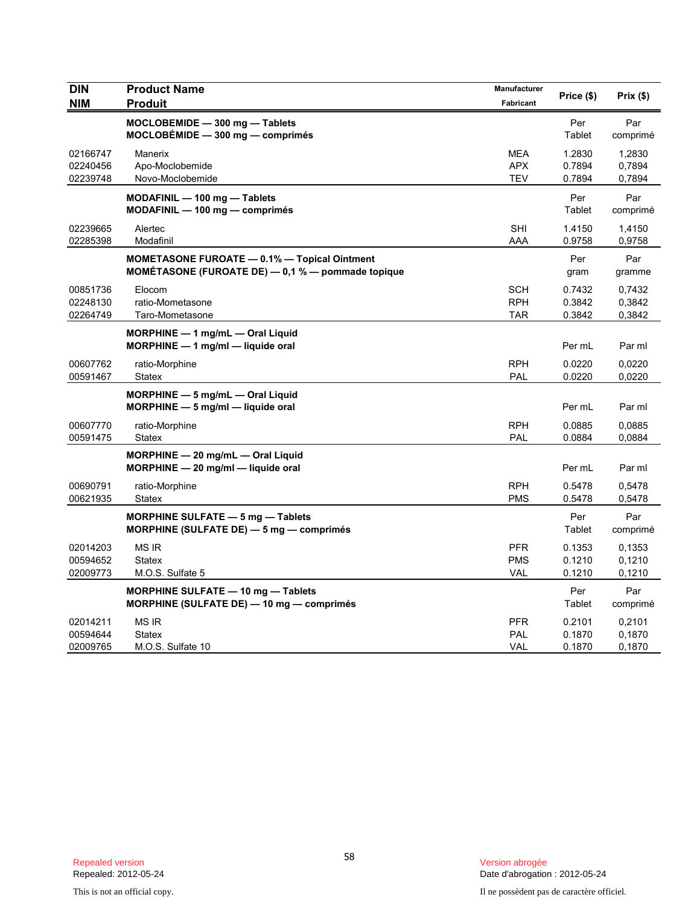| DIN<br><b>NIM</b>                | <b>Product Name</b><br><b>Produit</b>                                                                    | Manufacturer<br>Fabricant              | Price (\$)                 | Prix(\$)                   |
|----------------------------------|----------------------------------------------------------------------------------------------------------|----------------------------------------|----------------------------|----------------------------|
|                                  | MOCLOBEMIDE - 300 mg - Tablets<br>$MOCLOBÉMIDE - 300 mg - comprimés$                                     |                                        | Per<br>Tablet              | Par<br>comprimé            |
| 02166747<br>02240456<br>02239748 | Manerix<br>Apo-Moclobemide<br>Novo-Moclobemide                                                           | <b>MEA</b><br><b>APX</b><br>TEV        | 1.2830<br>0.7894<br>0.7894 | 1,2830<br>0,7894<br>0,7894 |
|                                  | MODAFINIL - 100 mg - Tablets<br>$MODAFINIL - 100 mg - comprimés$                                         |                                        | Per<br>Tablet              | Par<br>comprimé            |
| 02239665<br>02285398             | Alertec<br>Modafinil                                                                                     | <b>SHI</b><br>AAA                      | 1.4150<br>0.9758           | 1,4150<br>0,9758           |
|                                  | <b>MOMETASONE FUROATE - 0.1% - Topical Ointment</b><br>MOMÉTASONE (FUROATE DE) - 0,1 % - pommade topique |                                        | Per<br>gram                | Par<br>gramme              |
| 00851736<br>02248130<br>02264749 | Elocom<br>ratio-Mometasone<br>Taro-Mometasone                                                            | SCH<br><b>RPH</b><br><b>TAR</b>        | 0.7432<br>0.3842<br>0.3842 | 0,7432<br>0,3842<br>0,3842 |
|                                  | $MORPHINE - 1$ mg/mL $-$ Oral Liquid<br>MORPHINE - 1 mg/ml - liquide oral                                |                                        | Per mL                     | Par ml                     |
| 00607762<br>00591467             | ratio-Morphine<br><b>Statex</b>                                                                          | <b>RPH</b><br>PAL                      | 0.0220<br>0.0220           | 0,0220<br>0,0220           |
|                                  | MORPHINE - 5 mg/mL - Oral Liquid<br>MORPHINE - 5 mg/ml - liquide oral                                    |                                        | Per mL                     | Par ml                     |
| 00607770<br>00591475             | ratio-Morphine<br><b>Statex</b>                                                                          | <b>RPH</b><br>PAL                      | 0.0885<br>0.0884           | 0,0885<br>0,0884           |
|                                  | MORPHINE - 20 mg/mL - Oral Liquid<br>$MORPHINE - 20$ mg/ml - liquide oral                                |                                        | Per mL                     | Par ml                     |
| 00690791<br>00621935             | ratio-Morphine<br><b>Statex</b>                                                                          | <b>RPH</b><br><b>PMS</b>               | 0.5478<br>0.5478           | 0,5478<br>0,5478           |
|                                  | <b>MORPHINE SULFATE - 5 mg - Tablets</b><br>MORPHINE (SULFATE DE) - 5 mg - comprimés                     |                                        | Per<br>Tablet              | Par<br>comprimé            |
| 02014203<br>00594652<br>02009773 | <b>MS IR</b><br><b>Statex</b><br>M.O.S. Sulfate 5                                                        | <b>PFR</b><br><b>PMS</b><br><b>VAL</b> | 0.1353<br>0.1210<br>0.1210 | 0.1353<br>0,1210<br>0,1210 |
|                                  | <b>MORPHINE SULFATE - 10 mg - Tablets</b><br>MORPHINE (SULFATE DE) - 10 mg - comprimés                   |                                        | Per<br>Tablet              | Par<br>comprimé            |
| 02014211<br>00594644<br>02009765 | <b>MS IR</b><br><b>Statex</b><br>M.O.S. Sulfate 10                                                       | <b>PFR</b><br>PAL<br><b>VAL</b>        | 0.2101<br>0.1870<br>0.1870 | 0,2101<br>0,1870<br>0,1870 |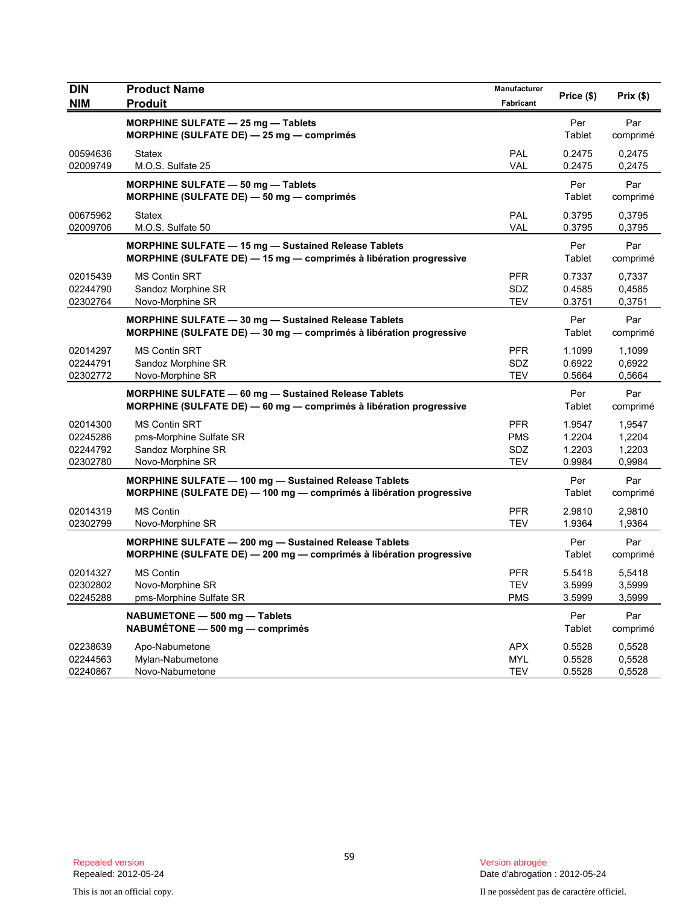| <b>DIN</b><br><b>NIM</b>                     | <b>Product Name</b><br><b>Produit</b>                                                                                               | Manufacturer<br>Fabricant              | Price (\$)                           | Prix(\$)                             |
|----------------------------------------------|-------------------------------------------------------------------------------------------------------------------------------------|----------------------------------------|--------------------------------------|--------------------------------------|
|                                              | <b>MORPHINE SULFATE - 25 mg - Tablets</b><br>MORPHINE (SULFATE DE) - 25 mg - comprimés                                              |                                        | Per<br>Tablet                        | Par<br>comprimé                      |
| 00594636<br>02009749                         | <b>Statex</b><br>M.O.S. Sulfate 25                                                                                                  | PAL<br><b>VAL</b>                      | 0.2475<br>0.2475                     | 0,2475<br>0,2475                     |
|                                              | MORPHINE SULFATE - 50 mg - Tablets<br>MORPHINE (SULFATE DE) - 50 mg - comprimés                                                     |                                        | Per<br>Tablet                        | Par<br>comprimé                      |
| 00675962<br>02009706                         | <b>Statex</b><br>M.O.S. Sulfate 50                                                                                                  | <b>PAL</b><br><b>VAL</b>               | 0.3795<br>0.3795                     | 0,3795<br>0,3795                     |
|                                              | <b>MORPHINE SULFATE - 15 mg - Sustained Release Tablets</b><br>MORPHINE (SULFATE DE) - 15 mg - comprimés à libération progressive   |                                        | Per<br>Tablet                        | Par<br>comprimé                      |
| 02015439<br>02244790<br>02302764             | <b>MS Contin SRT</b><br>Sandoz Morphine SR<br>Novo-Morphine SR                                                                      | <b>PFR</b><br><b>SDZ</b><br><b>TEV</b> | 0.7337<br>0.4585<br>0.3751           | 0,7337<br>0,4585<br>0,3751           |
|                                              | MORPHINE SULFATE - 30 mg - Sustained Release Tablets<br>MORPHINE (SULFATE DE) - 30 mg - comprimés à libération progressive          |                                        | Per<br>Tablet                        | Par<br>comprimé                      |
| 02014297<br>02244791<br>02302772             | <b>MS Contin SRT</b><br>Sandoz Morphine SR<br>Novo-Morphine SR                                                                      | <b>PFR</b><br><b>SDZ</b><br><b>TEV</b> | 1.1099<br>0.6922<br>0.5664           | 1,1099<br>0,6922<br>0,5664           |
|                                              | <b>MORPHINE SULFATE - 60 mg - Sustained Release Tablets</b><br>MORPHINE (SULFATE DE) - 60 mg - comprimés à libération progressive   |                                        | Per<br>Tablet                        | Par<br>comprimé                      |
| 02014300<br>02245286<br>02244792<br>02302780 | <b>MS Contin SRT</b><br>pms-Morphine Sulfate SR<br>Sandoz Morphine SR<br>Novo-Morphine SR                                           | <b>PFR</b><br><b>PMS</b><br>SDZ<br>TEV | 1.9547<br>1.2204<br>1.2203<br>0.9984 | 1,9547<br>1,2204<br>1,2203<br>0,9984 |
|                                              | <b>MORPHINE SULFATE - 100 mg - Sustained Release Tablets</b><br>MORPHINE (SULFATE DE) - 100 mg - comprimés à libération progressive |                                        | Per<br>Tablet                        | Par<br>comprimé                      |
| 02014319<br>02302799                         | <b>MS Contin</b><br>Novo-Morphine SR                                                                                                | <b>PFR</b><br><b>TEV</b>               | 2.9810<br>1.9364                     | 2,9810<br>1,9364                     |
|                                              | MORPHINE SULFATE - 200 mg - Sustained Release Tablets<br>MORPHINE (SULFATE DE) $-$ 200 mg $-$ comprimés à libération progressive    |                                        | Per<br>Tablet                        | Par<br>comprimé                      |
| 02014327<br>02302802<br>02245288             | <b>MS Contin</b><br>Novo-Morphine SR<br>pms-Morphine Sulfate SR                                                                     | <b>PFR</b><br><b>TEV</b><br><b>PMS</b> | 5.5418<br>3.5999<br>3.5999           | 5,5418<br>3,5999<br>3,5999           |
|                                              | NABUMETONE - 500 mg - Tablets<br>NABUMÉTONE - 500 mg - comprimés                                                                    |                                        | Per<br>Tablet                        | Par<br>comprimé                      |
| 02238639<br>02244563<br>02240867             | Apo-Nabumetone<br>Mylan-Nabumetone<br>Novo-Nabumetone                                                                               | <b>APX</b><br><b>MYL</b><br>TEV        | 0.5528<br>0.5528<br>0.5528           | 0,5528<br>0,5528<br>0,5528           |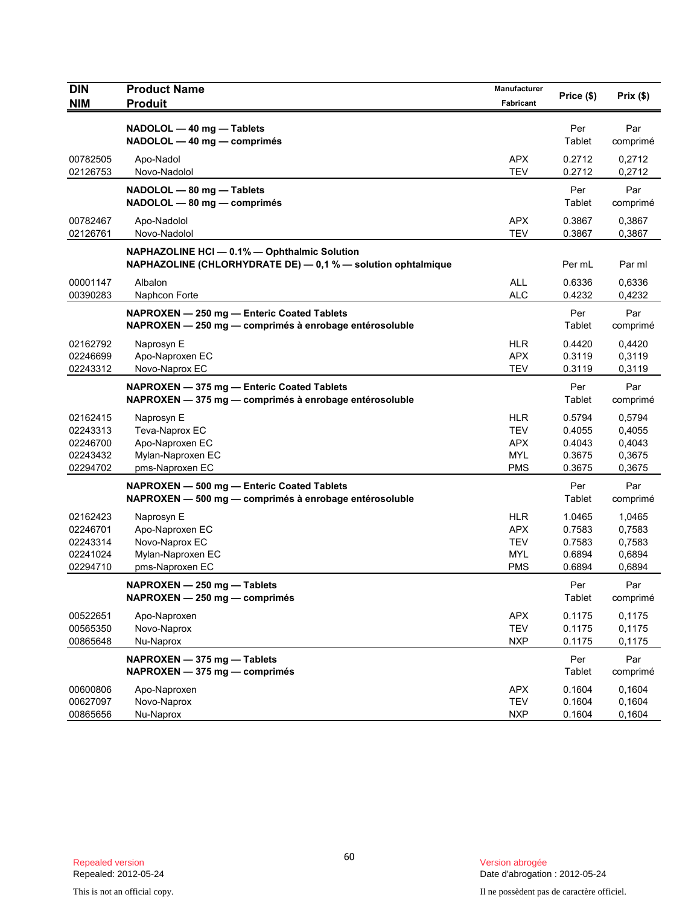| <b>DIN</b><br><b>NIM</b>                                 | <b>Product Name</b><br><b>Produit</b>                                                                        | Manufacturer<br>Fabricant                                          | Price (\$)                                     | Prix(\$)                                       |
|----------------------------------------------------------|--------------------------------------------------------------------------------------------------------------|--------------------------------------------------------------------|------------------------------------------------|------------------------------------------------|
|                                                          | NADOLOL - 40 mg - Tablets<br>NADOLOL - 40 mg - comprimés                                                     |                                                                    | Per<br>Tablet                                  | Par<br>comprimé                                |
| 00782505<br>02126753                                     | Apo-Nadol<br>Novo-Nadolol                                                                                    | <b>APX</b><br><b>TEV</b>                                           | 0.2712<br>0.2712                               | 0,2712<br>0,2712                               |
|                                                          | NADOLOL - 80 mg - Tablets<br>NADOLOL - 80 mg - comprimés                                                     |                                                                    | Per<br>Tablet                                  | Par<br>comprimé                                |
| 00782467<br>02126761                                     | Apo-Nadolol<br>Novo-Nadolol                                                                                  | <b>APX</b><br><b>TEV</b>                                           | 0.3867<br>0.3867                               | 0,3867<br>0,3867                               |
|                                                          | NAPHAZOLINE HCI - 0.1% - Ophthalmic Solution<br>NAPHAZOLINE (CHLORHYDRATE DE) - 0,1 % - solution ophtalmique |                                                                    | Per mL                                         | Par ml                                         |
| 00001147<br>00390283                                     | Albalon<br>Naphcon Forte                                                                                     | <b>ALL</b><br><b>ALC</b>                                           | 0.6336<br>0.4232                               | 0,6336<br>0,4232                               |
|                                                          | NAPROXEN - 250 mg - Enteric Coated Tablets<br>NAPROXEN - 250 mg - comprimés à enrobage entérosoluble         |                                                                    | Per<br>Tablet                                  | Par<br>comprimé                                |
| 02162792<br>02246699<br>02243312                         | Naprosyn E<br>Apo-Naproxen EC<br>Novo-Naprox EC                                                              | <b>HLR</b><br><b>APX</b><br><b>TEV</b>                             | 0.4420<br>0.3119<br>0.3119                     | 0,4420<br>0,3119<br>0,3119                     |
|                                                          | NAPROXEN - 375 mg - Enteric Coated Tablets<br>NAPROXEN - 375 mg - comprimés à enrobage entérosoluble         |                                                                    | Per<br>Tablet                                  | Par<br>comprimé                                |
| 02162415<br>02243313<br>02246700<br>02243432<br>02294702 | Naprosyn E<br>Teva-Naprox EC<br>Apo-Naproxen EC<br>Mylan-Naproxen EC<br>pms-Naproxen EC                      | <b>HLR</b><br><b>TEV</b><br><b>APX</b><br><b>MYL</b><br><b>PMS</b> | 0.5794<br>0.4055<br>0.4043<br>0.3675<br>0.3675 | 0,5794<br>0,4055<br>0,4043<br>0,3675<br>0,3675 |
|                                                          | NAPROXEN - 500 mg - Enteric Coated Tablets<br>NAPROXEN - 500 mg - comprimés à enrobage entérosoluble         |                                                                    | Per<br>Tablet                                  | Par<br>comprimé                                |
| 02162423<br>02246701<br>02243314<br>02241024<br>02294710 | Naprosyn E<br>Apo-Naproxen EC<br>Novo-Naprox EC<br>Mylan-Naproxen EC<br>pms-Naproxen EC                      | <b>HLR</b><br><b>APX</b><br><b>TEV</b><br><b>MYL</b><br><b>PMS</b> | 1.0465<br>0.7583<br>0.7583<br>0.6894<br>0.6894 | 1,0465<br>0,7583<br>0,7583<br>0,6894<br>0,6894 |
|                                                          | NAPROXEN - 250 mg - Tablets<br>NAPROXEN - 250 mg - comprimés                                                 |                                                                    | Per<br>Tablet                                  | Par<br>comprimé                                |
| 00522651<br>00565350<br>00865648                         | Apo-Naproxen<br>Novo-Naprox<br>Nu-Naprox                                                                     | <b>APX</b><br><b>TEV</b><br><b>NXP</b>                             | 0.1175<br>0.1175<br>0.1175                     | 0,1175<br>0,1175<br>0,1175                     |
|                                                          | NAPROXEN - 375 mg - Tablets<br>NAPROXEN - 375 mg - comprimés                                                 |                                                                    | Per<br>Tablet                                  | Par<br>comprimé                                |
| 00600806<br>00627097<br>00865656                         | Apo-Naproxen<br>Novo-Naprox<br>Nu-Naprox                                                                     | <b>APX</b><br><b>TEV</b><br><b>NXP</b>                             | 0.1604<br>0.1604<br>0.1604                     | 0,1604<br>0,1604<br>0,1604                     |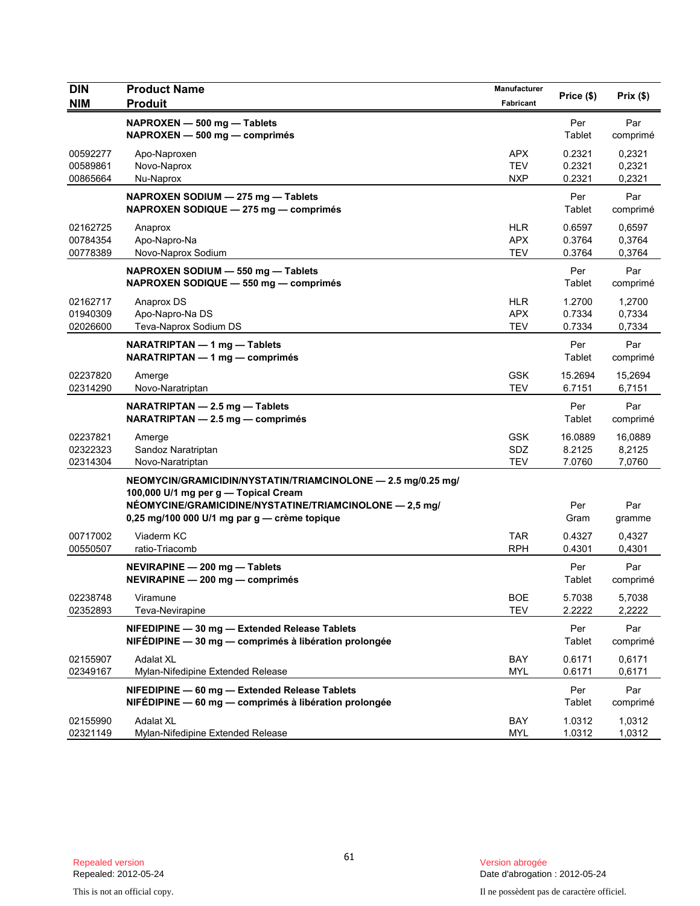| <b>DIN</b><br><b>NIM</b>         | <b>Product Name</b><br><b>Produit</b>                                                                                                                                                                           | Manufacturer<br>Fabricant              | Price (\$)                  | Prix(\$)                    |
|----------------------------------|-----------------------------------------------------------------------------------------------------------------------------------------------------------------------------------------------------------------|----------------------------------------|-----------------------------|-----------------------------|
|                                  | NAPROXEN - 500 mg - Tablets<br>NAPROXEN - 500 mg - comprimés                                                                                                                                                    |                                        | Per<br>Tablet               | Par<br>comprimé             |
| 00592277<br>00589861<br>00865664 | Apo-Naproxen<br>Novo-Naprox<br>Nu-Naprox                                                                                                                                                                        | <b>APX</b><br><b>TEV</b><br><b>NXP</b> | 0.2321<br>0.2321<br>0.2321  | 0,2321<br>0,2321<br>0,2321  |
|                                  | NAPROXEN SODIUM - 275 mg - Tablets<br>NAPROXEN SODIQUE - 275 mg - comprimés                                                                                                                                     |                                        | Per<br>Tablet               | Par<br>comprimé             |
| 02162725<br>00784354<br>00778389 | Anaprox<br>Apo-Napro-Na<br>Novo-Naprox Sodium                                                                                                                                                                   | <b>HLR</b><br><b>APX</b><br><b>TEV</b> | 0.6597<br>0.3764<br>0.3764  | 0,6597<br>0,3764<br>0,3764  |
|                                  | NAPROXEN SODIUM - 550 mg - Tablets<br>NAPROXEN SODIQUE - 550 mg - comprimés                                                                                                                                     |                                        | Per<br>Tablet               | Par<br>comprimé             |
| 02162717<br>01940309<br>02026600 | Anaprox DS<br>Apo-Napro-Na DS<br>Teva-Naprox Sodium DS                                                                                                                                                          | <b>HLR</b><br><b>APX</b><br><b>TEV</b> | 1.2700<br>0.7334<br>0.7334  | 1,2700<br>0,7334<br>0,7334  |
|                                  | NARATRIPTAN - 1 mg - Tablets<br>NARATRIPTAN - 1 mg - comprimés                                                                                                                                                  |                                        | Per<br>Tablet               | Par<br>comprimé             |
| 02237820<br>02314290             | Amerge<br>Novo-Naratriptan                                                                                                                                                                                      | <b>GSK</b><br><b>TEV</b>               | 15.2694<br>6.7151           | 15,2694<br>6.7151           |
|                                  | NARATRIPTAN - 2.5 mg - Tablets<br>$NARATRIPTAN - 2.5 mg - comprimés$                                                                                                                                            |                                        | Per<br>Tablet               | Par<br>comprimé             |
| 02237821<br>02322323<br>02314304 | Amerge<br>Sandoz Naratriptan<br>Novo-Naratriptan                                                                                                                                                                | <b>GSK</b><br><b>SDZ</b><br><b>TEV</b> | 16.0889<br>8.2125<br>7.0760 | 16,0889<br>8,2125<br>7,0760 |
|                                  | NEOMYCIN/GRAMICIDIN/NYSTATIN/TRIAMCINOLONE - 2.5 mg/0.25 mg/<br>100,000 U/1 mg per g - Topical Cream<br>NÉOMYCINE/GRAMICIDINE/NYSTATINE/TRIAMCINOLONE - 2,5 mg/<br>0,25 mg/100 000 U/1 mg par g - crème topique |                                        | Per<br>Gram                 | Par<br>gramme               |
| 00717002<br>00550507             | Viaderm KC<br>ratio-Triacomb                                                                                                                                                                                    | <b>TAR</b><br><b>RPH</b>               | 0.4327<br>0.4301            | 0,4327<br>0,4301            |
|                                  | NEVIRAPINE - 200 mg - Tablets<br>NEVIRAPINE - 200 mg - comprimés                                                                                                                                                |                                        | Per<br>Tablet               | Par<br>comprimé             |
| 02238748<br>02352893             | Viramune<br>Teva-Nevirapine                                                                                                                                                                                     | <b>BOE</b><br>TEV                      | 5.7038<br>2.2222            | 5,7038<br>2,2222            |
|                                  | NIFEDIPINE - 30 mg - Extended Release Tablets<br>NIFÉDIPINE - 30 mg - comprimés à libération prolongée                                                                                                          |                                        | Per<br>Tablet               | Par<br>comprimé             |
| 02155907<br>02349167             | <b>Adalat XL</b><br>Mylan-Nifedipine Extended Release                                                                                                                                                           | BAY<br><b>MYL</b>                      | 0.6171<br>0.6171            | 0,6171<br>0,6171            |
|                                  | NIFEDIPINE - 60 mg - Extended Release Tablets<br>NIFÉDIPINE - 60 mg - comprimés à libération prolongée                                                                                                          |                                        | Per<br>Tablet               | Par<br>comprimé             |
| 02155990<br>02321149             | <b>Adalat XL</b><br>Mylan-Nifedipine Extended Release                                                                                                                                                           | BAY<br>MYL                             | 1.0312<br>1.0312            | 1,0312<br>1,0312            |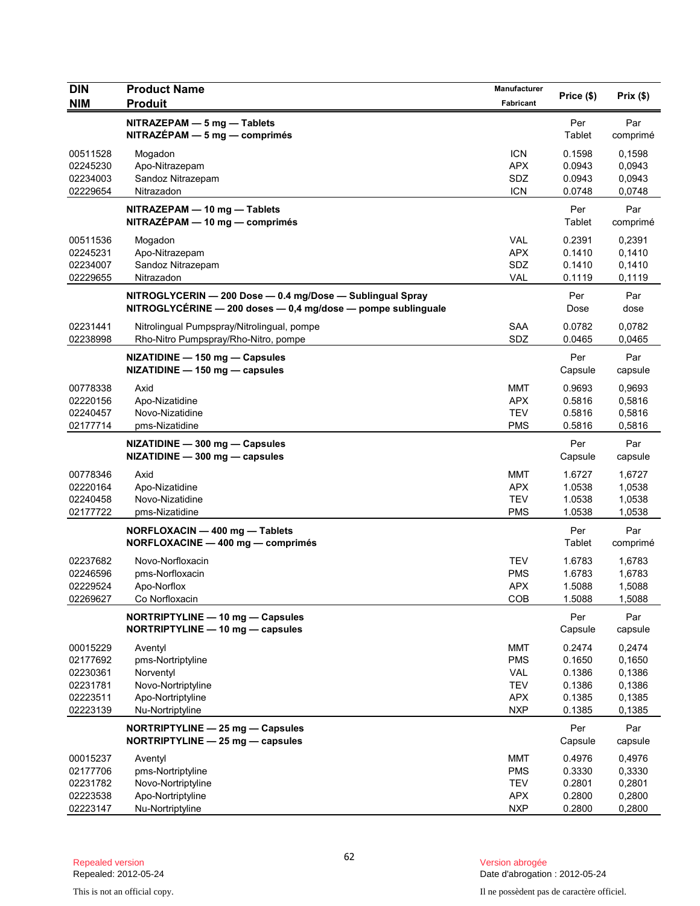| <b>DIN</b>                                                           | <b>Product Name</b>                                                                                                       | Manufacturer                                                                     | Price (\$)                                               | Prix(\$)                                                 |
|----------------------------------------------------------------------|---------------------------------------------------------------------------------------------------------------------------|----------------------------------------------------------------------------------|----------------------------------------------------------|----------------------------------------------------------|
| <b>NIM</b>                                                           | <b>Produit</b>                                                                                                            | Fabricant                                                                        |                                                          |                                                          |
|                                                                      | NITRAZEPAM - 5 mg - Tablets<br>$NITRAZÉPAM - 5 mg - comprimés$                                                            |                                                                                  | Per<br>Tablet                                            | Par<br>comprimé                                          |
| 00511528<br>02245230<br>02234003<br>02229654                         | Mogadon<br>Apo-Nitrazepam<br>Sandoz Nitrazepam<br>Nitrazadon                                                              | <b>ICN</b><br><b>APX</b><br>SDZ<br><b>ICN</b>                                    | 0.1598<br>0.0943<br>0.0943<br>0.0748                     | 0,1598<br>0,0943<br>0,0943<br>0,0748                     |
|                                                                      | NITRAZEPAM - 10 mg - Tablets<br>NITRAZÉPAM - 10 mg - comprimés                                                            |                                                                                  | Per<br>Tablet                                            | Par<br>comprimé                                          |
| 00511536<br>02245231<br>02234007<br>02229655                         | Mogadon<br>Apo-Nitrazepam<br>Sandoz Nitrazepam<br>Nitrazadon                                                              | <b>VAL</b><br><b>APX</b><br>SDZ<br><b>VAL</b>                                    | 0.2391<br>0.1410<br>0.1410<br>0.1119                     | 0,2391<br>0,1410<br>0,1410<br>0,1119                     |
|                                                                      | NITROGLYCERIN - 200 Dose - 0.4 mg/Dose - Sublingual Spray<br>NITROGLYCÉRINE - 200 doses - 0,4 mg/dose - pompe sublinguale |                                                                                  | Per<br>Dose                                              | Par<br>dose                                              |
| 02231441<br>02238998                                                 | Nitrolingual Pumpspray/Nitrolingual, pompe<br>Rho-Nitro Pumpspray/Rho-Nitro, pompe                                        | <b>SAA</b><br>SDZ                                                                | 0.0782<br>0.0465                                         | 0,0782<br>0,0465                                         |
|                                                                      | NIZATIDINE - 150 mg - Capsules<br>NIZATIDINE - 150 mg - capsules                                                          |                                                                                  | Per<br>Capsule                                           | Par<br>capsule                                           |
| 00778338<br>02220156<br>02240457<br>02177714                         | Axid<br>Apo-Nizatidine<br>Novo-Nizatidine<br>pms-Nizatidine                                                               | <b>MMT</b><br><b>APX</b><br><b>TEV</b><br><b>PMS</b>                             | 0.9693<br>0.5816<br>0.5816<br>0.5816                     | 0,9693<br>0,5816<br>0,5816<br>0,5816                     |
|                                                                      | NIZATIDINE - 300 mg - Capsules<br>NIZATIDINE - 300 mg - capsules                                                          |                                                                                  | Per<br>Capsule                                           | Par<br>capsule                                           |
| 00778346<br>02220164<br>02240458<br>02177722                         | Axid<br>Apo-Nizatidine<br>Novo-Nizatidine<br>pms-Nizatidine                                                               | <b>MMT</b><br><b>APX</b><br><b>TEV</b><br><b>PMS</b>                             | 1.6727<br>1.0538<br>1.0538<br>1.0538                     | 1,6727<br>1,0538<br>1,0538<br>1,0538                     |
|                                                                      | NORFLOXACIN - 400 mg - Tablets<br>NORFLOXACINE - 400 mg - comprimés                                                       |                                                                                  | Per<br>Tablet                                            | Par<br>comprimé                                          |
| 02237682<br>02246596<br>02229524<br>02269627                         | Novo-Norfloxacin<br>pms-Norfloxacin<br>Apo-Norflox<br>Co Norfloxacin                                                      | <b>TEV</b><br><b>PMS</b><br><b>APX</b><br>COB                                    | 1.6783<br>1.6783<br>1.5088<br>1.5088                     | 1,6783<br>1,6783<br>1,5088<br>1,5088                     |
|                                                                      | NORTRIPTYLINE - 10 mg - Capsules<br>NORTRIPTYLINE - 10 mg - capsules                                                      |                                                                                  | Per<br>Capsule                                           | Par<br>capsule                                           |
| 00015229<br>02177692<br>02230361<br>02231781<br>02223511<br>02223139 | Aventyl<br>pms-Nortriptyline<br>Norventyl<br>Novo-Nortriptyline<br>Apo-Nortriptyline<br>Nu-Nortriptyline                  | <b>MMT</b><br><b>PMS</b><br><b>VAL</b><br><b>TEV</b><br><b>APX</b><br><b>NXP</b> | 0.2474<br>0.1650<br>0.1386<br>0.1386<br>0.1385<br>0.1385 | 0,2474<br>0,1650<br>0,1386<br>0,1386<br>0,1385<br>0,1385 |
|                                                                      | NORTRIPTYLINE - 25 mg - Capsules<br>NORTRIPTYLINE - 25 mg - capsules                                                      |                                                                                  | Per<br>Capsule                                           | Par<br>capsule                                           |
| 00015237<br>02177706<br>02231782<br>02223538                         | Aventyl<br>pms-Nortriptyline<br>Novo-Nortriptyline<br>Apo-Nortriptyline                                                   | <b>MMT</b><br><b>PMS</b><br><b>TEV</b><br><b>APX</b>                             | 0.4976<br>0.3330<br>0.2801<br>0.2800                     | 0,4976<br>0,3330<br>0,2801<br>0,2800                     |
| 02223147                                                             | Nu-Nortriptyline                                                                                                          | <b>NXP</b>                                                                       | 0.2800                                                   | 0,2800                                                   |

Version abrogée<br>Date d'abrogation : 2012-05-24

This is not an official copy. Il ne possèdent pas de caractère officiel.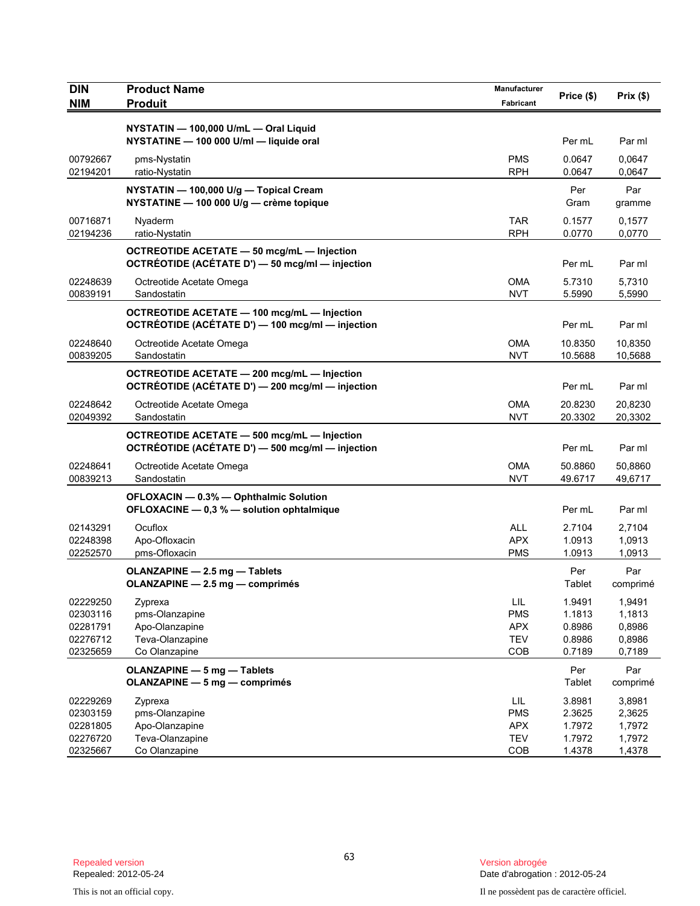| <b>DIN</b><br><b>NIM</b>                                 | <b>Product Name</b><br><b>Produit</b>                                                                  | Manufacturer<br>Fabricant                            | Price (\$)                                     | Prix(\$)                                       |
|----------------------------------------------------------|--------------------------------------------------------------------------------------------------------|------------------------------------------------------|------------------------------------------------|------------------------------------------------|
|                                                          | NYSTATIN - 100,000 U/mL - Oral Liquid<br>NYSTATINE - 100 000 U/ml - liquide oral                       |                                                      | Per mL                                         | Par ml                                         |
| 00792667<br>02194201                                     | pms-Nystatin<br>ratio-Nystatin                                                                         | <b>PMS</b><br><b>RPH</b>                             | 0.0647<br>0.0647                               | 0,0647<br>0,0647                               |
|                                                          | NYSTATIN - 100,000 U/g - Topical Cream<br>NYSTATINE - 100 000 U/g - crème topique                      |                                                      | Per<br>Gram                                    | Par<br>gramme                                  |
| 00716871<br>02194236                                     | Nyaderm<br>ratio-Nystatin                                                                              | <b>TAR</b><br><b>RPH</b>                             | 0.1577<br>0.0770                               | 0,1577<br>0,0770                               |
|                                                          | OCTREOTIDE ACETATE - 50 mcg/mL - Injection<br>OCTRÉOTIDE (ACÉTATE D') - 50 mcg/ml - injection          |                                                      | Per mL                                         | Par ml                                         |
| 02248639<br>00839191                                     | Octreotide Acetate Omega<br>Sandostatin                                                                | OMA<br><b>NVT</b>                                    | 5.7310<br>5.5990                               | 5,7310<br>5,5990                               |
|                                                          | <b>OCTREOTIDE ACETATE - 100 mcg/mL - Injection</b><br>OCTRÉOTIDE (ACÉTATE D') — 100 mcg/ml — injection |                                                      | Per mL                                         | Par ml                                         |
| 02248640<br>00839205                                     | Octreotide Acetate Omega<br>Sandostatin                                                                | OMA<br><b>NVT</b>                                    | 10.8350<br>10.5688                             | 10,8350<br>10,5688                             |
|                                                          | OCTREOTIDE ACETATE - 200 mcg/mL - Injection<br>OCTRÉOTIDE (ACÉTATE D') - 200 mcg/ml - injection        |                                                      | Per mL                                         | Par ml                                         |
| 02248642<br>02049392                                     | Octreotide Acetate Omega<br>Sandostatin                                                                | OMA<br><b>NVT</b>                                    | 20.8230<br>20.3302                             | 20,8230<br>20,3302                             |
|                                                          | OCTREOTIDE ACETATE - 500 mcg/mL - Injection<br>OCTRÉOTIDE (ACÉTATE D') - 500 mcg/ml - injection        |                                                      | Per mL                                         | Par ml                                         |
| 02248641<br>00839213                                     | Octreotide Acetate Omega<br>Sandostatin                                                                | OMA<br><b>NVT</b>                                    | 50.8860<br>49.6717                             | 50,8860<br>49,6717                             |
|                                                          | OFLOXACIN - 0.3% - Ophthalmic Solution<br>OFLOXACINE - 0,3 % - solution ophtalmique                    |                                                      | Per mL                                         | Par ml                                         |
| 02143291<br>02248398<br>02252570                         | Ocuflox<br>Apo-Ofloxacin<br>pms-Ofloxacin                                                              | <b>ALL</b><br><b>APX</b><br><b>PMS</b>               | 2.7104<br>1.0913<br>1.0913                     | 2,7104<br>1,0913<br>1,0913                     |
|                                                          | OLANZAPINE - 2.5 mg - Tablets<br>OLANZAPINE - 2.5 mg - comprimés                                       |                                                      | Per<br>Tablet                                  | Par<br>comprimé                                |
| 02229250<br>02303116<br>02281791<br>02276712<br>02325659 | Zyprexa<br>pms-Olanzapine<br>Apo-Olanzapine<br>Teva-Olanzapine<br>Co Olanzapine                        | LIL<br><b>PMS</b><br><b>APX</b><br><b>TEV</b><br>COB | 1.9491<br>1.1813<br>0.8986<br>0.8986<br>0.7189 | 1,9491<br>1,1813<br>0,8986<br>0,8986<br>0,7189 |
|                                                          | OLANZAPINE - 5 mg - Tablets<br><b>OLANZAPINE - 5 mg - comprimés</b>                                    |                                                      | Per<br>Tablet                                  | Par<br>comprimé                                |
| 02229269<br>02303159<br>02281805<br>02276720<br>02325667 | Zyprexa<br>pms-Olanzapine<br>Apo-Olanzapine<br>Teva-Olanzapine<br>Co Olanzapine                        | LIL<br><b>PMS</b><br><b>APX</b><br><b>TEV</b><br>COB | 3.8981<br>2.3625<br>1.7972<br>1.7972<br>1.4378 | 3,8981<br>2,3625<br>1,7972<br>1,7972<br>1,4378 |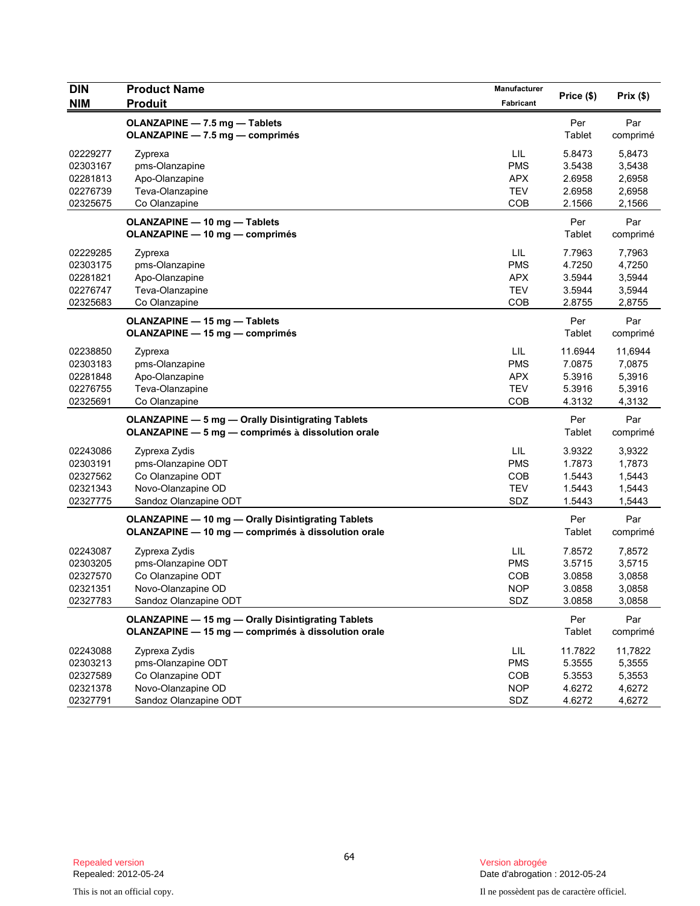| <b>DIN</b><br><b>NIM</b>                                 | <b>Product Name</b><br><b>Produit</b>                                                                           | Manufacturer<br>Fabricant                            | Price (\$)                                      | Prix(\$)                                        |
|----------------------------------------------------------|-----------------------------------------------------------------------------------------------------------------|------------------------------------------------------|-------------------------------------------------|-------------------------------------------------|
|                                                          | <b>OLANZAPINE - 7.5 mg - Tablets</b><br>OLANZAPINE - 7.5 mg - comprimés                                         |                                                      | Per<br>Tablet                                   | Par<br>comprimé                                 |
| 02229277<br>02303167<br>02281813<br>02276739<br>02325675 | Zyprexa<br>pms-Olanzapine<br>Apo-Olanzapine<br>Teva-Olanzapine<br>Co Olanzapine                                 | LIL<br><b>PMS</b><br><b>APX</b><br><b>TEV</b><br>COB | 5.8473<br>3.5438<br>2.6958<br>2.6958<br>2.1566  | 5,8473<br>3,5438<br>2,6958<br>2,6958<br>2,1566  |
|                                                          | <b>OLANZAPINE - 10 mg - Tablets</b><br><b>OLANZAPINE - 10 mg - comprimés</b>                                    |                                                      | Per<br>Tablet                                   | Par<br>comprimé                                 |
| 02229285<br>02303175<br>02281821<br>02276747<br>02325683 | Zyprexa<br>pms-Olanzapine<br>Apo-Olanzapine<br>Teva-Olanzapine<br>Co Olanzapine                                 | LIL<br><b>PMS</b><br><b>APX</b><br><b>TEV</b><br>COB | 7.7963<br>4.7250<br>3.5944<br>3.5944<br>2.8755  | 7,7963<br>4,7250<br>3,5944<br>3,5944<br>2,8755  |
|                                                          | <b>OLANZAPINE - 15 mg - Tablets</b><br><b>OLANZAPINE - 15 mg - comprimés</b>                                    |                                                      | Per<br>Tablet                                   | Par<br>comprimé                                 |
| 02238850<br>02303183<br>02281848<br>02276755<br>02325691 | Zyprexa<br>pms-Olanzapine<br>Apo-Olanzapine<br>Teva-Olanzapine<br>Co Olanzapine                                 | LIL<br><b>PMS</b><br><b>APX</b><br><b>TEV</b><br>COB | 11.6944<br>7.0875<br>5.3916<br>5.3916<br>4.3132 | 11,6944<br>7,0875<br>5,3916<br>5,3916<br>4,3132 |
|                                                          | <b>OLANZAPINE - 5 mg - Orally Disintigrating Tablets</b><br>OLANZAPINE - 5 mg - comprimés à dissolution orale   |                                                      | Per<br>Tablet                                   | Par<br>comprimé                                 |
| 02243086<br>02303191<br>02327562<br>02321343<br>02327775 | Zyprexa Zydis<br>pms-Olanzapine ODT<br>Co Olanzapine ODT<br>Novo-Olanzapine OD<br>Sandoz Olanzapine ODT         | LIL<br><b>PMS</b><br>COB<br><b>TEV</b><br>SDZ        | 3.9322<br>1.7873<br>1.5443<br>1.5443<br>1.5443  | 3,9322<br>1,7873<br>1,5443<br>1,5443<br>1,5443  |
|                                                          | <b>OLANZAPINE - 10 mg - Orally Disintigrating Tablets</b><br>OLANZAPINE - 10 mg - comprimés à dissolution orale |                                                      | Per<br>Tablet                                   | Par<br>comprimé                                 |
| 02243087<br>02303205<br>02327570<br>02321351<br>02327783 | Zyprexa Zydis<br>pms-Olanzapine ODT<br>Co Olanzapine ODT<br>Novo-Olanzapine OD<br>Sandoz Olanzapine ODT         | LIL<br><b>PMS</b><br>COB<br><b>NOP</b><br>SDZ        | 7.8572<br>3.5715<br>3.0858<br>3.0858<br>3.0858  | 7,8572<br>3,5715<br>3,0858<br>3,0858<br>3,0858  |
|                                                          | OLANZAPINE - 15 mg - Orally Disintigrating Tablets<br>OLANZAPINE - 15 mg - comprimés à dissolution orale        |                                                      | Per<br>Tablet                                   | Par<br>comprimé                                 |
| 02243088<br>02303213<br>02327589<br>02321378<br>02327791 | Zyprexa Zydis<br>pms-Olanzapine ODT<br>Co Olanzapine ODT<br>Novo-Olanzapine OD<br>Sandoz Olanzapine ODT         | LIL<br><b>PMS</b><br>COB<br><b>NOP</b><br>SDZ        | 11.7822<br>5.3555<br>5.3553<br>4.6272<br>4.6272 | 11,7822<br>5,3555<br>5,3553<br>4,6272<br>4,6272 |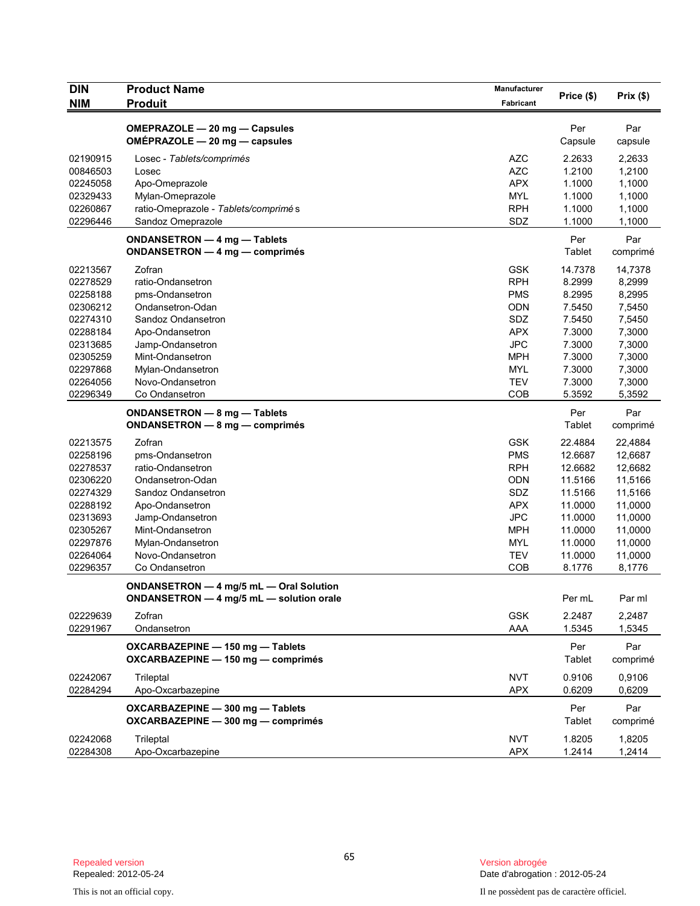| DIN        | <b>Product Name</b>                      | <b>Manufacturer</b> | Price (\$) | Prix(\$) |
|------------|------------------------------------------|---------------------|------------|----------|
| <b>NIM</b> | <b>Produit</b>                           | Fabricant           |            |          |
|            |                                          |                     |            |          |
|            | OMEPRAZOLE - 20 mg - Capsules            |                     | Per        | Par      |
|            | OMÉPRAZOLE - 20 mg - capsules            |                     | Capsule    | capsule  |
| 02190915   | Losec - Tablets/comprimés                | <b>AZC</b>          | 2.2633     | 2,2633   |
| 00846503   | Losec                                    | <b>AZC</b>          | 1.2100     | 1,2100   |
| 02245058   | Apo-Omeprazole                           | <b>APX</b>          | 1.1000     | 1,1000   |
| 02329433   | Mylan-Omeprazole                         | <b>MYL</b>          | 1.1000     | 1,1000   |
| 02260867   | ratio-Omeprazole - Tablets/comprimé s    | <b>RPH</b>          | 1.1000     | 1,1000   |
| 02296446   | Sandoz Omeprazole                        | SDZ                 | 1.1000     | 1,1000   |
|            | ONDANSETRON - 4 mg - Tablets             |                     | Per        | Par      |
|            | <b>ONDANSETRON — 4 mg — comprimés</b>    |                     | Tablet     | comprimé |
| 02213567   | Zofran                                   | <b>GSK</b>          | 14.7378    | 14,7378  |
| 02278529   | ratio-Ondansetron                        | <b>RPH</b>          | 8.2999     | 8,2999   |
| 02258188   | pms-Ondansetron                          | <b>PMS</b>          | 8.2995     | 8,2995   |
| 02306212   | Ondansetron-Odan                         | <b>ODN</b>          | 7.5450     | 7,5450   |
| 02274310   | Sandoz Ondansetron                       | SDZ                 | 7.5450     | 7,5450   |
| 02288184   | Apo-Ondansetron                          | <b>APX</b>          | 7.3000     | 7,3000   |
| 02313685   | Jamp-Ondansetron                         | <b>JPC</b>          | 7.3000     | 7,3000   |
| 02305259   | Mint-Ondansetron                         | <b>MPH</b>          | 7.3000     | 7,3000   |
| 02297868   | Mylan-Ondansetron                        | <b>MYL</b>          | 7.3000     | 7,3000   |
| 02264056   | Novo-Ondansetron                         | <b>TEV</b>          | 7.3000     | 7,3000   |
| 02296349   | Co Ondansetron                           | COB                 | 5.3592     | 5,3592   |
|            |                                          |                     |            |          |
|            | ONDANSETRON - 8 mg - Tablets             |                     | Per        | Par      |
|            | ONDANSETRON - 8 mg - comprimés           |                     | Tablet     | comprimé |
| 02213575   | Zofran                                   | <b>GSK</b>          | 22.4884    | 22,4884  |
| 02258196   | pms-Ondansetron                          | <b>PMS</b>          | 12.6687    | 12,6687  |
| 02278537   | ratio-Ondansetron                        | <b>RPH</b>          | 12.6682    | 12,6682  |
| 02306220   | Ondansetron-Odan                         | <b>ODN</b>          | 11.5166    | 11,5166  |
| 02274329   | Sandoz Ondansetron                       | SDZ                 | 11.5166    | 11,5166  |
| 02288192   | Apo-Ondansetron                          | <b>APX</b>          | 11.0000    | 11,0000  |
| 02313693   | Jamp-Ondansetron                         | <b>JPC</b>          | 11.0000    | 11,0000  |
| 02305267   | Mint-Ondansetron                         | <b>MPH</b>          | 11.0000    | 11,0000  |
| 02297876   | Mylan-Ondansetron                        | <b>MYL</b>          | 11.0000    | 11,0000  |
| 02264064   | Novo-Ondansetron                         | <b>TEV</b>          | 11.0000    | 11,0000  |
| 02296357   | Co Ondansetron                           | COB                 | 8.1776     | 8,1776   |
|            | ONDANSETRON - 4 mg/5 mL - Oral Solution  |                     |            |          |
|            | ONDANSETRON - 4 mg/5 mL - solution orale |                     | Per mL     | Par ml   |
|            |                                          |                     |            |          |
| 02229639   | Zofran                                   | <b>GSK</b>          | 2.2487     | 2,2487   |
| 02291967   | Ondansetron                              | AAA                 | 1.5345     | 1,5345   |
|            | OXCARBAZEPINE - 150 mg - Tablets         |                     | Per        | Par      |
|            | OXCARBAZEPINE - 150 mg - comprimés       |                     | Tablet     | comprimé |
| 02242067   | Trileptal                                | <b>NVT</b>          | 0.9106     | 0,9106   |
| 02284294   | Apo-Oxcarbazepine                        | <b>APX</b>          | 0.6209     | 0,6209   |
|            | OXCARBAZEPINE - 300 mg - Tablets         |                     | Per        | Par      |
|            | OXCARBAZEPINE - 300 mg - comprimés       |                     | Tablet     | comprimé |
|            |                                          |                     |            |          |
| 02242068   | Trileptal                                | <b>NVT</b>          | 1.8205     | 1,8205   |
| 02284308   | Apo-Oxcarbazepine                        | <b>APX</b>          | 1.2414     | 1,2414   |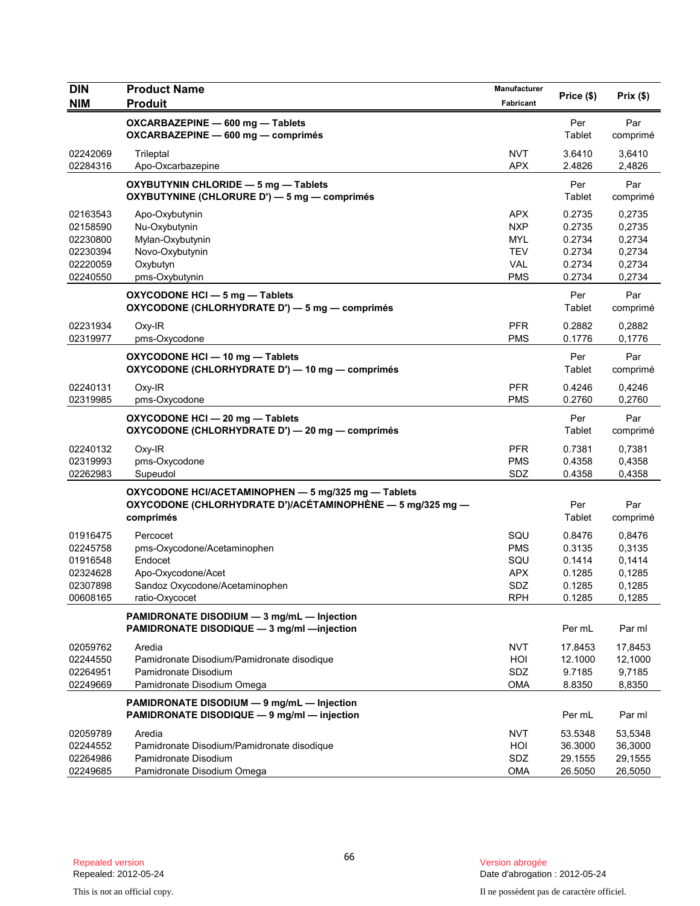| <b>DIN</b>                                                           | <b>Product Name</b>                                                                                                            | Manufacturer                                                                     |                                                          | Prix(\$)                                                 |
|----------------------------------------------------------------------|--------------------------------------------------------------------------------------------------------------------------------|----------------------------------------------------------------------------------|----------------------------------------------------------|----------------------------------------------------------|
| <b>NIM</b>                                                           | <b>Produit</b>                                                                                                                 | Fabricant                                                                        | Price (\$)                                               |                                                          |
|                                                                      | OXCARBAZEPINE - 600 mg - Tablets<br>OXCARBAZEPINE - 600 mg - comprimés                                                         |                                                                                  | Per<br>Tablet                                            | Par<br>comprimé                                          |
| 02242069<br>02284316                                                 | Trileptal<br>Apo-Oxcarbazepine                                                                                                 | <b>NVT</b><br><b>APX</b>                                                         | 3.6410<br>2.4826                                         | 3,6410<br>2,4826                                         |
|                                                                      | OXYBUTYNIN CHLORIDE - 5 mg - Tablets<br>OXYBUTYNINE (CHLORURE D') - 5 mg - comprimés                                           |                                                                                  | Per<br>Tablet                                            | Par<br>comprimé                                          |
| 02163543<br>02158590<br>02230800<br>02230394<br>02220059<br>02240550 | Apo-Oxybutynin<br>Nu-Oxybutynin<br>Mylan-Oxybutynin<br>Novo-Oxybutynin<br>Oxybutyn<br>pms-Oxybutynin                           | <b>APX</b><br><b>NXP</b><br><b>MYL</b><br><b>TEV</b><br><b>VAL</b><br><b>PMS</b> | 0.2735<br>0.2735<br>0.2734<br>0.2734<br>0.2734<br>0.2734 | 0,2735<br>0,2735<br>0,2734<br>0,2734<br>0,2734<br>0,2734 |
|                                                                      | OXYCODONE HCI-5 mg-Tablets<br>OXYCODONE (CHLORHYDRATE D') - 5 mg - comprimés                                                   |                                                                                  | Per<br>Tablet                                            | Par<br>comprimé                                          |
| 02231934<br>02319977                                                 | Oxy-IR<br>pms-Oxycodone                                                                                                        | <b>PFR</b><br><b>PMS</b>                                                         | 0.2882<br>0.1776                                         | 0,2882<br>0,1776                                         |
|                                                                      | OXYCODONE HCI-10 mg-Tablets<br>OXYCODONE (CHLORHYDRATE D') - 10 mg - comprimés                                                 |                                                                                  | Per<br>Tablet                                            | Par<br>comprimé                                          |
| 02240131<br>02319985                                                 | Oxy-IR<br>pms-Oxycodone                                                                                                        | <b>PFR</b><br><b>PMS</b>                                                         | 0.4246<br>0.2760                                         | 0,4246<br>0,2760                                         |
|                                                                      | OXYCODONE HCI-20 mg-Tablets<br>OXYCODONE (CHLORHYDRATE D') - 20 mg - comprimés                                                 |                                                                                  | Per<br>Tablet                                            | Par<br>comprimé                                          |
| 02240132<br>02319993<br>02262983                                     | Oxy-IR<br>pms-Oxycodone<br>Supeudol                                                                                            | <b>PFR</b><br><b>PMS</b><br>SDZ                                                  | 0.7381<br>0.4358<br>0.4358                               | 0,7381<br>0,4358<br>0,4358                               |
|                                                                      | OXYCODONE HCI/ACETAMINOPHEN - 5 mg/325 mg - Tablets<br>OXYCODONE (CHLORHYDRATE D')/ACÉTAMINOPHÈNE — 5 mg/325 mg —<br>comprimés |                                                                                  | Per<br>Tablet                                            | Par<br>comprimé                                          |
| 01916475<br>02245758<br>01916548<br>02324628<br>02307898<br>00608165 | Percocet<br>pms-Oxycodone/Acetaminophen<br>Endocet<br>Apo-Oxycodone/Acet<br>Sandoz Oxycodone/Acetaminophen<br>ratio-Oxycocet   | SQU<br><b>PMS</b><br>SQU<br><b>APX</b><br>SDZ<br><b>RPH</b>                      | 0.8476<br>0.3135<br>0.1414<br>0.1285<br>0.1285<br>0.1285 | 0,8476<br>0,3135<br>0,1414<br>0,1285<br>0,1285<br>0,1285 |
|                                                                      | PAMIDRONATE DISODIUM - 3 mg/mL - Injection<br>PAMIDRONATE DISODIQUE - 3 mg/ml - injection                                      |                                                                                  | Per mL                                                   | Par ml                                                   |
| 02059762<br>02244550<br>02264951<br>02249669                         | Aredia<br>Pamidronate Disodium/Pamidronate disodique<br>Pamidronate Disodium<br>Pamidronate Disodium Omega                     | <b>NVT</b><br>HOI<br>SDZ<br><b>OMA</b>                                           | 17.8453<br>12.1000<br>9.7185<br>8.8350                   | 17,8453<br>12,1000<br>9,7185<br>8,8350                   |
|                                                                      | PAMIDRONATE DISODIUM - 9 mg/mL - Injection<br>PAMIDRONATE DISODIQUE - 9 mg/ml - injection                                      |                                                                                  | Per mL                                                   | Par ml                                                   |
| 02059789<br>02244552<br>02264986<br>02249685                         | Aredia<br>Pamidronate Disodium/Pamidronate disodique<br>Pamidronate Disodium<br>Pamidronate Disodium Omega                     | <b>NVT</b><br>HOI<br>SDZ<br><b>OMA</b>                                           | 53.5348<br>36.3000<br>29.1555<br>26.5050                 | 53,5348<br>36,3000<br>29,1555<br>26,5050                 |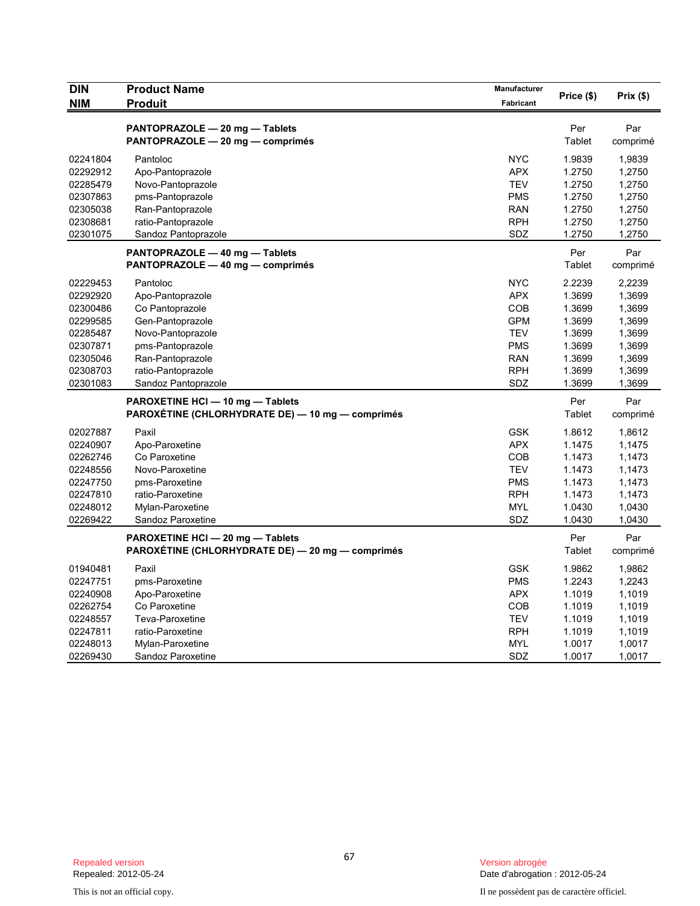| <b>DIN</b>           | <b>Product Name</b>                              | <b>Manufacturer</b>      | Price (\$)       | Prix(\$)         |
|----------------------|--------------------------------------------------|--------------------------|------------------|------------------|
| <b>NIM</b>           | <b>Produit</b>                                   | Fabricant                |                  |                  |
|                      | PANTOPRAZOLE - 20 mg - Tablets                   |                          | Per              | Par              |
|                      | PANTOPRAZOLE - 20 mg - comprimés                 |                          | Tablet           | comprimé         |
|                      |                                                  |                          |                  |                  |
| 02241804             | Pantoloc                                         | <b>NYC</b>               | 1.9839           | 1,9839           |
| 02292912             | Apo-Pantoprazole                                 | <b>APX</b><br><b>TEV</b> | 1.2750           | 1,2750           |
| 02285479<br>02307863 | Novo-Pantoprazole                                | <b>PMS</b>               | 1.2750<br>1.2750 | 1,2750           |
| 02305038             | pms-Pantoprazole                                 | <b>RAN</b>               | 1.2750           | 1,2750           |
| 02308681             | Ran-Pantoprazole<br>ratio-Pantoprazole           | <b>RPH</b>               | 1.2750           | 1,2750<br>1,2750 |
| 02301075             | Sandoz Pantoprazole                              | SDZ                      | 1.2750           | 1,2750           |
|                      |                                                  |                          |                  |                  |
|                      | PANTOPRAZOLE - 40 mg - Tablets                   |                          | Per              | Par              |
|                      | PANTOPRAZOLE - 40 mg - comprimés                 |                          | Tablet           | comprimé         |
| 02229453             | Pantoloc                                         | <b>NYC</b>               | 2.2239           | 2,2239           |
| 02292920             | Apo-Pantoprazole                                 | <b>APX</b>               | 1.3699           | 1,3699           |
| 02300486             | Co Pantoprazole                                  | COB                      | 1.3699           | 1,3699           |
| 02299585             | Gen-Pantoprazole                                 | <b>GPM</b>               | 1.3699           | 1,3699           |
| 02285487             | Novo-Pantoprazole                                | <b>TEV</b>               | 1.3699           | 1,3699           |
| 02307871             | pms-Pantoprazole                                 | <b>PMS</b>               | 1.3699           | 1,3699           |
| 02305046             | Ran-Pantoprazole                                 | <b>RAN</b>               | 1.3699           | 1,3699           |
| 02308703             | ratio-Pantoprazole                               | <b>RPH</b>               | 1.3699           | 1,3699           |
| 02301083             | Sandoz Pantoprazole                              | SDZ                      | 1.3699           | 1,3699           |
|                      | PAROXETINE HCI - 10 mg - Tablets                 |                          | Per              | Par              |
|                      | PAROXÉTINE (CHLORHYDRATE DE) — 10 mg — comprimés |                          | Tablet           | comprimé         |
| 02027887             | Paxil                                            | <b>GSK</b>               | 1.8612           | 1,8612           |
| 02240907             | Apo-Paroxetine                                   | <b>APX</b>               | 1.1475           | 1,1475           |
| 02262746             | Co Paroxetine                                    | <b>COB</b>               | 1.1473           | 1,1473           |
| 02248556             | Novo-Paroxetine                                  | <b>TEV</b>               | 1.1473           | 1,1473           |
| 02247750             | pms-Paroxetine                                   | <b>PMS</b>               | 1.1473           | 1,1473           |
| 02247810             | ratio-Paroxetine                                 | <b>RPH</b>               | 1.1473           | 1,1473           |
| 02248012             | Mylan-Paroxetine                                 | <b>MYL</b>               | 1.0430           | 1,0430           |
| 02269422             | Sandoz Paroxetine                                | SDZ                      | 1.0430           | 1,0430           |
|                      | PAROXETINE HCI - 20 mg - Tablets                 |                          | Per              | Par              |
|                      | PAROXÉTINE (CHLORHYDRATE DE) - 20 mg - comprimés |                          | Tablet           | comprimé         |
| 01940481             | Paxil                                            | <b>GSK</b>               | 1.9862           | 1,9862           |
| 02247751             | pms-Paroxetine                                   | <b>PMS</b>               | 1.2243           | 1,2243           |
| 02240908             | Apo-Paroxetine                                   | <b>APX</b>               | 1.1019           | 1,1019           |
| 02262754             | Co Paroxetine                                    | COB                      | 1.1019           | 1,1019           |
| 02248557             | Teva-Paroxetine                                  | <b>TEV</b>               | 1.1019           | 1,1019           |
| 02247811             | ratio-Paroxetine                                 | <b>RPH</b>               | 1.1019           | 1,1019           |
| 02248013             | Mylan-Paroxetine                                 | <b>MYL</b>               | 1.0017           | 1,0017           |
| 02269430             | Sandoz Paroxetine                                | SDZ                      | 1.0017           | 1,0017           |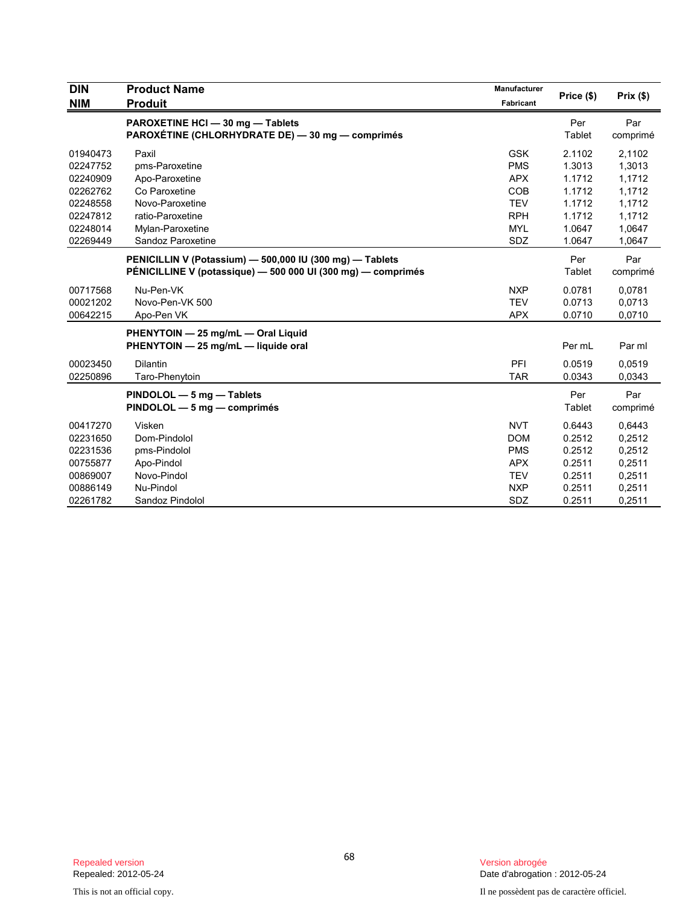| <b>DIN</b> | <b>Product Name</b>                                                                  | Manufacturer | Price (\$)    | Prix(\$)        |
|------------|--------------------------------------------------------------------------------------|--------------|---------------|-----------------|
| <b>NIM</b> | <b>Produit</b>                                                                       | Fabricant    |               |                 |
|            | PAROXETINE HCI - 30 mg - Tablets<br>PAROXÉTINE (CHLORHYDRATE DE) - 30 mg - comprimés |              | Per<br>Tablet | Par<br>comprimé |
| 01940473   | Paxil                                                                                | <b>GSK</b>   | 2.1102        | 2,1102          |
| 02247752   | pms-Paroxetine                                                                       | <b>PMS</b>   | 1.3013        | 1,3013          |
| 02240909   | Apo-Paroxetine                                                                       | <b>APX</b>   | 1.1712        | 1,1712          |
| 02262762   | Co Paroxetine                                                                        | <b>COB</b>   | 1.1712        | 1,1712          |
| 02248558   | Novo-Paroxetine                                                                      | <b>TEV</b>   | 1.1712        | 1,1712          |
| 02247812   | ratio-Paroxetine                                                                     | <b>RPH</b>   | 1.1712        | 1,1712          |
| 02248014   | Mylan-Paroxetine                                                                     | <b>MYL</b>   | 1.0647        | 1,0647          |
| 02269449   | Sandoz Paroxetine                                                                    | SDZ          | 1.0647        | 1,0647          |
|            | PENICILLIN V (Potassium) - 500,000 IU (300 mg) - Tablets                             |              | Per           | Par             |
|            | PÉNICILLINE V (potassique) — 500 000 UI (300 mg) — comprimés                         |              | Tablet        | comprimé        |
| 00717568   | Nu-Pen-VK                                                                            | <b>NXP</b>   | 0.0781        | 0,0781          |
| 00021202   | Novo-Pen-VK 500                                                                      | <b>TEV</b>   | 0.0713        | 0,0713          |
| 00642215   | Apo-Pen VK                                                                           | <b>APX</b>   | 0.0710        | 0,0710          |
|            | PHENYTOIN - 25 mg/mL - Oral Liquid                                                   |              |               |                 |
|            | PHENYTOIN - 25 mg/mL - liquide oral                                                  |              | Per mL        | Par ml          |
| 00023450   | <b>Dilantin</b>                                                                      | PFI          | 0.0519        | 0,0519          |
| 02250896   | Taro-Phenytoin                                                                       | <b>TAR</b>   | 0.0343        | 0,0343          |
|            | PINDOLOL - 5 mg - Tablets                                                            |              | Per           | Par             |
|            | PINDOLOL - 5 mg - comprimés                                                          |              | Tablet        | comprimé        |
| 00417270   | Visken                                                                               | <b>NVT</b>   | 0.6443        | 0,6443          |
| 02231650   | Dom-Pindolol                                                                         | <b>DOM</b>   | 0.2512        | 0,2512          |
| 02231536   | pms-Pindolol                                                                         | <b>PMS</b>   | 0.2512        | 0,2512          |
| 00755877   | Apo-Pindol                                                                           | <b>APX</b>   | 0.2511        | 0,2511          |
| 00869007   | Novo-Pindol                                                                          | <b>TEV</b>   | 0.2511        | 0,2511          |
| 00886149   | Nu-Pindol                                                                            | <b>NXP</b>   | 0.2511        | 0,2511          |
| 02261782   | Sandoz Pindolol                                                                      | <b>SDZ</b>   | 0.2511        | 0,2511          |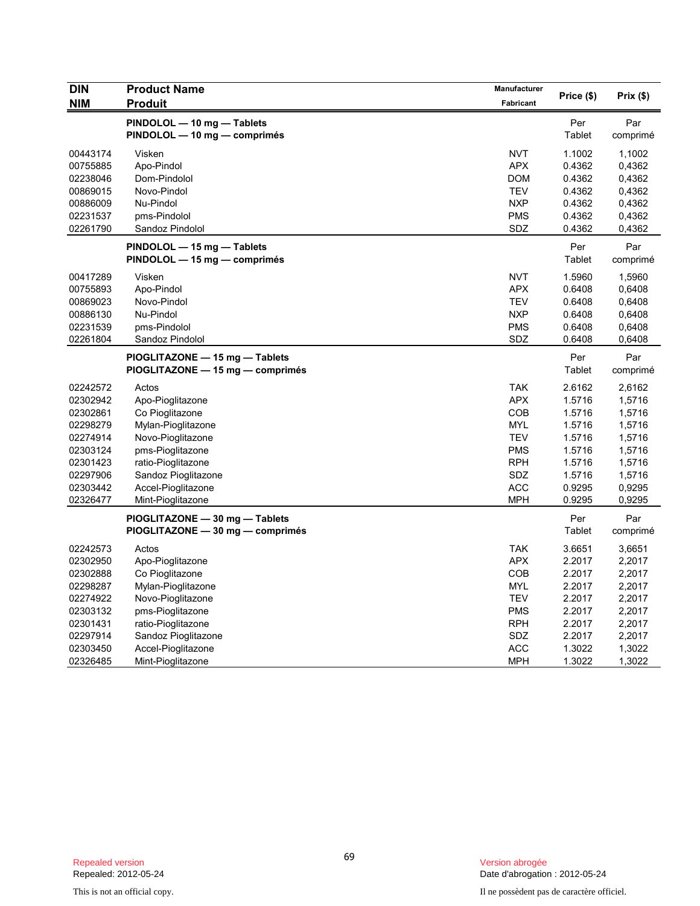| <b>DIN</b>           | <b>Product Name</b>                                                | Manufacturer             | Price (\$)       | Prix(\$)         |
|----------------------|--------------------------------------------------------------------|--------------------------|------------------|------------------|
| <b>NIM</b>           | <b>Produit</b>                                                     | Fabricant                |                  |                  |
|                      | PINDOLOL - 10 mg - Tablets                                         |                          | Per              | Par              |
|                      | PINDOLOL - 10 mg - comprimés                                       |                          | Tablet           | comprimé         |
| 00443174             | Visken                                                             | <b>NVT</b>               | 1.1002           | 1,1002           |
| 00755885             | Apo-Pindol                                                         | <b>APX</b>               | 0.4362           | 0,4362           |
| 02238046             | Dom-Pindolol                                                       | <b>DOM</b>               | 0.4362           | 0,4362           |
| 00869015             | Novo-Pindol                                                        | <b>TEV</b>               | 0.4362           | 0,4362           |
| 00886009             | Nu-Pindol                                                          | <b>NXP</b>               | 0.4362<br>0.4362 | 0,4362           |
| 02231537<br>02261790 | pms-Pindolol<br>Sandoz Pindolol                                    | <b>PMS</b><br>SDZ        | 0.4362           | 0,4362<br>0,4362 |
|                      | PINDOLOL - 15 mg - Tablets                                         |                          | Per              | Par              |
|                      | PINDOLOL - 15 mg - comprimés                                       |                          | Tablet           | comprimé         |
| 00417289             | Visken                                                             | <b>NVT</b>               | 1.5960           | 1,5960           |
| 00755893             | Apo-Pindol                                                         | <b>APX</b>               | 0.6408           | 0,6408           |
| 00869023             | Novo-Pindol                                                        | <b>TEV</b>               | 0.6408           | 0,6408           |
| 00886130             | Nu-Pindol                                                          | <b>NXP</b>               | 0.6408           | 0,6408           |
| 02231539             | pms-Pindolol                                                       | <b>PMS</b>               | 0.6408           | 0,6408           |
| 02261804             | Sandoz Pindolol                                                    | SDZ                      | 0.6408           | 0,6408           |
|                      | PIOGLITAZONE - 15 mg - Tablets                                     |                          | Per              | Par              |
|                      | PIOGLITAZONE - 15 mg - comprimés                                   |                          | <b>Tablet</b>    | comprimé         |
| 02242572             | Actos                                                              | <b>TAK</b>               | 2.6162           | 2,6162           |
| 02302942             | Apo-Pioglitazone                                                   | <b>APX</b>               | 1.5716           | 1,5716           |
| 02302861             | Co Pioglitazone                                                    | COB                      | 1.5716           | 1,5716           |
| 02298279             | Mylan-Pioglitazone                                                 | <b>MYL</b>               | 1.5716           | 1,5716           |
| 02274914             | Novo-Pioglitazone                                                  | <b>TEV</b>               | 1.5716           | 1,5716           |
| 02303124             | pms-Pioglitazone                                                   | <b>PMS</b>               | 1.5716           | 1,5716           |
| 02301423             | ratio-Pioglitazone                                                 | <b>RPH</b>               | 1.5716           | 1,5716           |
| 02297906             | Sandoz Pioglitazone                                                | SDZ                      | 1.5716           | 1,5716           |
| 02303442<br>02326477 | Accel-Pioglitazone                                                 | <b>ACC</b><br><b>MPH</b> | 0.9295<br>0.9295 | 0,9295<br>0,9295 |
|                      | Mint-Pioglitazone                                                  |                          |                  |                  |
|                      | PIOGLITAZONE - 30 mg - Tablets<br>PIOGLITAZONE - 30 mg - comprimés |                          | Per<br>Tablet    | Par<br>comprimé  |
|                      |                                                                    |                          |                  |                  |
| 02242573             | Actos                                                              | <b>TAK</b>               | 3.6651           | 3,6651           |
| 02302950             | Apo-Pioglitazone                                                   | <b>APX</b>               | 2.2017           | 2,2017           |
| 02302888             | Co Pioglitazone                                                    | COB<br><b>MYL</b>        | 2.2017           | 2,2017           |
| 02298287<br>02274922 | Mylan-Pioglitazone                                                 |                          | 2.2017           | 2,2017           |
| 02303132             | Novo-Pioglitazone<br>pms-Pioglitazone                              | <b>TEV</b><br><b>PMS</b> | 2.2017<br>2.2017 | 2,2017<br>2,2017 |
| 02301431             | ratio-Pioglitazone                                                 | <b>RPH</b>               | 2.2017           | 2,2017           |
| 02297914             | Sandoz Pioglitazone                                                | SDZ                      | 2.2017           | 2,2017           |
| 02303450             | Accel-Pioglitazone                                                 | <b>ACC</b>               | 1.3022           | 1,3022           |
| 02326485             | Mint-Pioglitazone                                                  | <b>MPH</b>               | 1.3022           | 1,3022           |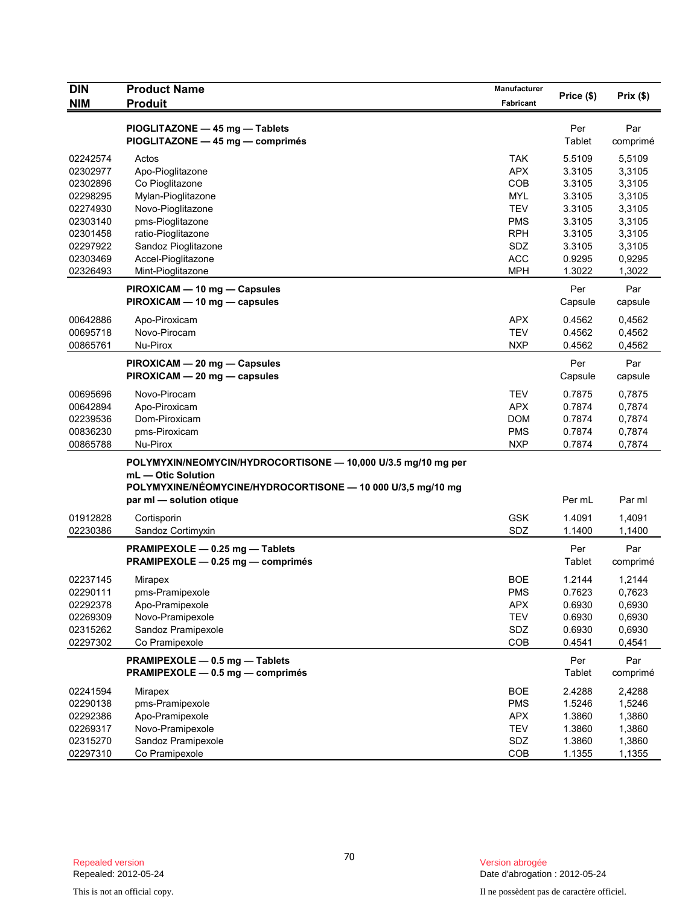| <b>DIN</b>                                                                                   | <b>Product Name</b>                                                                                                                                                            | Manufacturer                                                                                          | Price (\$)                                                                   | Prix(\$)                                                                     |
|----------------------------------------------------------------------------------------------|--------------------------------------------------------------------------------------------------------------------------------------------------------------------------------|-------------------------------------------------------------------------------------------------------|------------------------------------------------------------------------------|------------------------------------------------------------------------------|
| <b>NIM</b>                                                                                   | <b>Produit</b>                                                                                                                                                                 | Fabricant                                                                                             |                                                                              |                                                                              |
|                                                                                              | PIOGLITAZONE - 45 mg - Tablets<br>PIOGLITAZONE - 45 mg - comprimés                                                                                                             |                                                                                                       | Per<br>Tablet                                                                | Par<br>comprimé                                                              |
| 02242574<br>02302977<br>02302896<br>02298295<br>02274930<br>02303140<br>02301458<br>02297922 | Actos<br>Apo-Pioglitazone<br>Co Pioglitazone<br>Mylan-Pioglitazone<br>Novo-Pioglitazone<br>pms-Pioglitazone<br>ratio-Pioglitazone<br>Sandoz Pioglitazone                       | <b>TAK</b><br><b>APX</b><br><b>COB</b><br><b>MYL</b><br><b>TEV</b><br><b>PMS</b><br><b>RPH</b><br>SDZ | 5.5109<br>3.3105<br>3.3105<br>3.3105<br>3.3105<br>3.3105<br>3.3105<br>3.3105 | 5,5109<br>3,3105<br>3,3105<br>3,3105<br>3,3105<br>3,3105<br>3,3105<br>3,3105 |
| 02303469<br>02326493                                                                         | Accel-Pioglitazone<br>Mint-Pioglitazone                                                                                                                                        | <b>ACC</b><br><b>MPH</b>                                                                              | 0.9295<br>1.3022                                                             | 0,9295<br>1,3022                                                             |
| 00642886<br>00695718                                                                         | PIROXICAM - 10 mg - Capsules<br>PIROXICAM - 10 mg - capsules<br>Apo-Piroxicam<br>Novo-Pirocam                                                                                  | <b>APX</b><br><b>TEV</b>                                                                              | Per<br>Capsule<br>0.4562<br>0.4562                                           | Par<br>capsule<br>0,4562<br>0,4562                                           |
| 00865761                                                                                     | Nu-Pirox                                                                                                                                                                       | <b>NXP</b>                                                                                            | 0.4562                                                                       | 0,4562                                                                       |
|                                                                                              | PIROXICAM - 20 mg - Capsules<br>PIROXICAM - 20 mg - capsules                                                                                                                   |                                                                                                       | Per<br>Capsule                                                               | Par<br>capsule                                                               |
| 00695696<br>00642894<br>02239536<br>00836230<br>00865788                                     | Novo-Pirocam<br>Apo-Piroxicam<br>Dom-Piroxicam<br>pms-Piroxicam<br>Nu-Pirox                                                                                                    | <b>TEV</b><br><b>APX</b><br><b>DOM</b><br><b>PMS</b><br><b>NXP</b>                                    | 0.7875<br>0.7874<br>0.7874<br>0.7874<br>0.7874                               | 0,7875<br>0,7874<br>0,7874<br>0,7874<br>0,7874                               |
|                                                                                              | POLYMYXIN/NEOMYCIN/HYDROCORTISONE - 10,000 U/3.5 mg/10 mg per<br>mL - Otic Solution<br>POLYMYXINE/NÉOMYCINE/HYDROCORTISONE - 10 000 U/3,5 mg/10 mg<br>par ml - solution otique |                                                                                                       | Per mL                                                                       | Par ml                                                                       |
| 01912828<br>02230386                                                                         | Cortisporin<br>Sandoz Cortimyxin                                                                                                                                               | <b>GSK</b><br>SDZ                                                                                     | 1.4091<br>1.1400                                                             | 1,4091<br>1,1400                                                             |
|                                                                                              | PRAMIPEXOLE - 0.25 mg - Tablets<br>PRAMIPEXOLE - 0.25 mg - comprimés                                                                                                           |                                                                                                       | Per<br>Tablet                                                                | Par<br>comprimé                                                              |
| 02237145<br>02290111<br>02292378<br>02269309<br>02315262<br>02297302                         | Mirapex<br>pms-Pramipexole<br>Apo-Pramipexole<br>Novo-Pramipexole<br>Sandoz Pramipexole<br>Co Pramipexole                                                                      | <b>BOE</b><br><b>PMS</b><br><b>APX</b><br><b>TEV</b><br>SDZ<br>COB                                    | 1.2144<br>0.7623<br>0.6930<br>0.6930<br>0.6930<br>0.4541                     | 1,2144<br>0,7623<br>0,6930<br>0,6930<br>0,6930<br>0,4541                     |
|                                                                                              | PRAMIPEXOLE - 0.5 mg - Tablets<br>PRAMIPEXOLE - 0.5 mg - comprimés                                                                                                             |                                                                                                       | Per<br><b>Tablet</b>                                                         | Par<br>comprimé                                                              |
| 02241594<br>02290138<br>02292386<br>02269317<br>02315270<br>02297310                         | Mirapex<br>pms-Pramipexole<br>Apo-Pramipexole<br>Novo-Pramipexole<br>Sandoz Pramipexole<br>Co Pramipexole                                                                      | <b>BOE</b><br><b>PMS</b><br><b>APX</b><br><b>TEV</b><br>SDZ<br>COB                                    | 2.4288<br>1.5246<br>1.3860<br>1.3860<br>1.3860<br>1.1355                     | 2,4288<br>1,5246<br>1,3860<br>1,3860<br>1,3860<br>1,1355                     |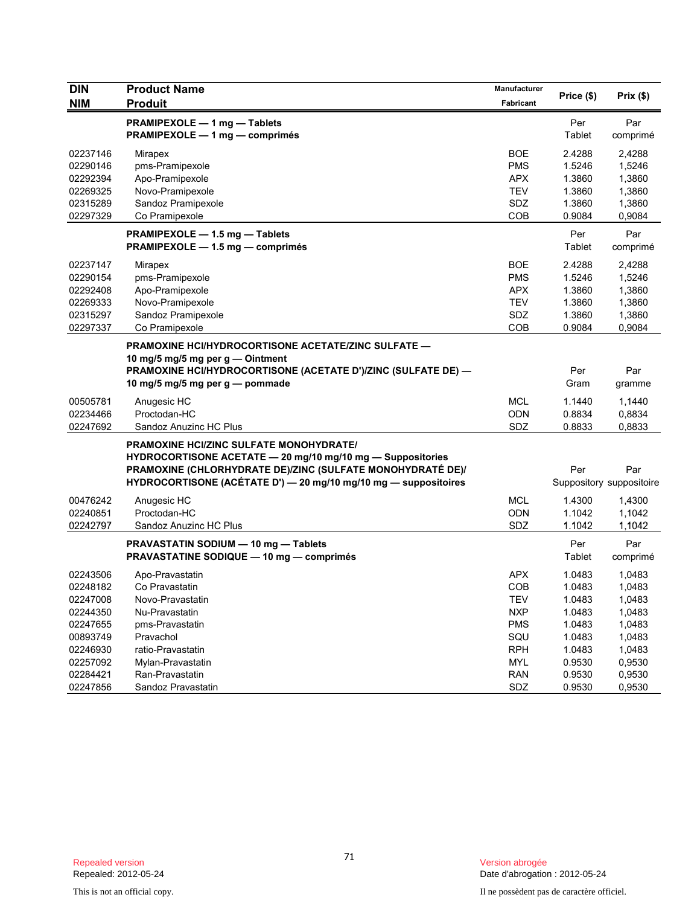| <b>DIN</b><br><b>NIM</b> | <b>Product Name</b><br><b>Produit</b>                                                                                                                                                                                                         | Manufacturer<br>Fabricant | Price (\$)    | Prix(\$)                        |
|--------------------------|-----------------------------------------------------------------------------------------------------------------------------------------------------------------------------------------------------------------------------------------------|---------------------------|---------------|---------------------------------|
|                          | PRAMIPEXOLE - 1 mg - Tablets<br>PRAMIPEXOLE - 1 mg - comprimés                                                                                                                                                                                |                           | Per<br>Tablet | Par<br>comprimé                 |
| 02237146                 | Mirapex                                                                                                                                                                                                                                       | <b>BOE</b>                | 2.4288        | 2,4288                          |
| 02290146                 | pms-Pramipexole                                                                                                                                                                                                                               | <b>PMS</b>                | 1.5246        | 1,5246                          |
| 02292394                 | Apo-Pramipexole                                                                                                                                                                                                                               | <b>APX</b>                | 1.3860        | 1,3860                          |
| 02269325                 | Novo-Pramipexole                                                                                                                                                                                                                              | <b>TEV</b>                | 1.3860        | 1,3860                          |
| 02315289                 | Sandoz Pramipexole                                                                                                                                                                                                                            | SDZ                       | 1.3860        | 1,3860                          |
| 02297329                 | Co Pramipexole                                                                                                                                                                                                                                | COB                       | 0.9084        | 0,9084                          |
|                          | PRAMIPEXOLE - 1.5 mg - Tablets                                                                                                                                                                                                                |                           | Per           | Par                             |
|                          | PRAMIPEXOLE - 1.5 mg - comprimés                                                                                                                                                                                                              |                           | Tablet        | comprimé                        |
| 02237147                 | <b>Mirapex</b>                                                                                                                                                                                                                                | <b>BOE</b>                | 2.4288        | 2,4288                          |
| 02290154                 | pms-Pramipexole                                                                                                                                                                                                                               | <b>PMS</b>                | 1.5246        | 1,5246                          |
| 02292408                 | Apo-Pramipexole                                                                                                                                                                                                                               | <b>APX</b>                | 1.3860        | 1,3860                          |
| 02269333                 | Novo-Pramipexole                                                                                                                                                                                                                              | <b>TEV</b>                | 1.3860        | 1,3860                          |
| 02315297                 | Sandoz Pramipexole                                                                                                                                                                                                                            | SDZ                       | 1.3860        | 1,3860                          |
| 02297337                 | Co Pramipexole                                                                                                                                                                                                                                | COB                       | 0.9084        | 0,9084                          |
|                          | <b>PRAMOXINE HCI/HYDROCORTISONE ACETATE/ZINC SULFATE -</b><br>10 mg/5 mg/5 mg per g - Ointment                                                                                                                                                |                           |               |                                 |
|                          | PRAMOXINE HCI/HYDROCORTISONE (ACETATE D')/ZINC (SULFATE DE) -<br>10 mg/5 mg/5 mg per g - pommade                                                                                                                                              |                           | Per<br>Gram   | Par<br>gramme                   |
| 00505781                 | Anugesic HC                                                                                                                                                                                                                                   | <b>MCL</b>                | 1.1440        | 1,1440                          |
| 02234466                 | Proctodan-HC                                                                                                                                                                                                                                  | <b>ODN</b>                | 0.8834        | 0,8834                          |
| 02247692                 | Sandoz Anuzinc HC Plus                                                                                                                                                                                                                        | SDZ                       | 0.8833        | 0,8833                          |
|                          | <b>PRAMOXINE HCI/ZINC SULFATE MONOHYDRATE/</b><br>HYDROCORTISONE ACETATE - 20 mg/10 mg/10 mg - Suppositories<br>PRAMOXINE (CHLORHYDRATE DE)/ZINC (SULFATE MONOHYDRATÉ DE)/<br>HYDROCORTISONE (ACÉTATE D') - 20 mg/10 mg/10 mg - suppositoires |                           | Per           | Par<br>Suppository suppositoire |
| 00476242                 | Anugesic HC                                                                                                                                                                                                                                   | <b>MCL</b>                | 1.4300        | 1,4300                          |
| 02240851                 | Proctodan-HC                                                                                                                                                                                                                                  | <b>ODN</b>                | 1.1042        | 1,1042                          |
| 02242797                 | Sandoz Anuzinc HC Plus                                                                                                                                                                                                                        | SDZ                       | 1.1042        | 1,1042                          |
|                          | PRAVASTATIN SODIUM - 10 mg - Tablets<br><b>PRAVASTATINE SODIQUE - 10 mg - comprimés</b>                                                                                                                                                       |                           | Per<br>Tablet | Par<br>comprimé                 |
| 02243506                 | Apo-Pravastatin                                                                                                                                                                                                                               | <b>APX</b>                | 1.0483        | 1,0483                          |
| 02248182                 | Co Pravastatin                                                                                                                                                                                                                                | COB                       | 1.0483        | 1,0483                          |
| 02247008                 | Novo-Pravastatin                                                                                                                                                                                                                              | <b>TEV</b>                | 1.0483        | 1,0483                          |
| 02244350                 | Nu-Pravastatin                                                                                                                                                                                                                                | <b>NXP</b>                | 1.0483        | 1,0483                          |
| 02247655                 | pms-Pravastatin                                                                                                                                                                                                                               | <b>PMS</b>                | 1.0483        | 1,0483                          |
| 00893749                 | Pravachol                                                                                                                                                                                                                                     | SQU                       | 1.0483        | 1,0483                          |
| 02246930                 | ratio-Pravastatin                                                                                                                                                                                                                             | <b>RPH</b>                | 1.0483        | 1,0483                          |
| 02257092                 | Mylan-Pravastatin                                                                                                                                                                                                                             | <b>MYL</b>                | 0.9530        | 0,9530                          |
| 02284421                 | Ran-Pravastatin                                                                                                                                                                                                                               | <b>RAN</b>                | 0.9530        | 0,9530                          |
| 02247856                 | Sandoz Pravastatin                                                                                                                                                                                                                            | SDZ                       | 0.9530        | 0,9530                          |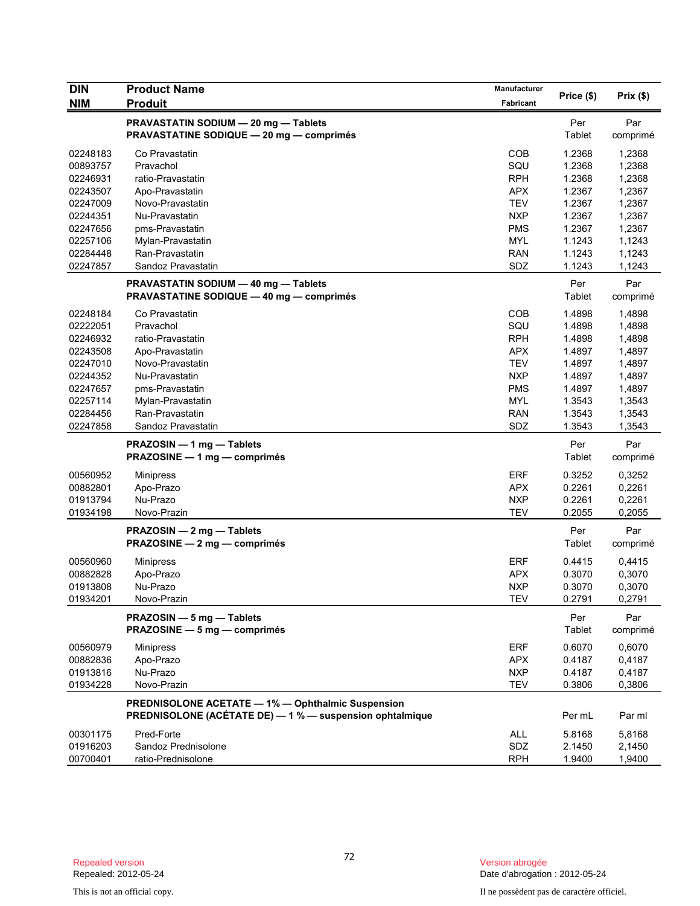| <b>DIN</b>                       | <b>Product Name</b>                                                                                           | Manufacturer                           |                            |                            |
|----------------------------------|---------------------------------------------------------------------------------------------------------------|----------------------------------------|----------------------------|----------------------------|
| <b>NIM</b>                       | <b>Produit</b>                                                                                                | <b>Fabricant</b>                       | Price (\$)                 | Prix (\$)                  |
|                                  | PRAVASTATIN SODIUM - 20 mg - Tablets<br><b>PRAVASTATINE SODIQUE - 20 mg - comprimés</b>                       |                                        | Per<br><b>Tablet</b>       | Par<br>comprimé            |
| 02248183<br>00893757<br>02246931 | Co Pravastatin<br>Pravachol<br>ratio-Pravastatin                                                              | <b>COB</b><br>SQU<br><b>RPH</b>        | 1.2368<br>1.2368<br>1.2368 | 1,2368<br>1,2368<br>1,2368 |
| 02243507                         | Apo-Pravastatin                                                                                               | <b>APX</b>                             | 1.2367                     | 1,2367                     |
| 02247009<br>02244351             | Novo-Pravastatin<br>Nu-Pravastatin                                                                            | <b>TEV</b><br><b>NXP</b>               | 1.2367<br>1.2367           | 1,2367<br>1,2367           |
| 02247656                         | pms-Pravastatin                                                                                               | <b>PMS</b>                             | 1.2367                     | 1,2367                     |
| 02257106<br>02284448             | Mylan-Pravastatin<br>Ran-Pravastatin                                                                          | <b>MYL</b><br><b>RAN</b>               | 1.1243<br>1.1243           | 1,1243<br>1,1243           |
| 02247857                         | Sandoz Pravastatin                                                                                            | SDZ                                    | 1.1243                     | 1,1243                     |
|                                  | PRAVASTATIN SODIUM - 40 mg - Tablets<br><b>PRAVASTATINE SODIQUE - 40 mg - comprimés</b>                       |                                        | Per<br>Tablet              | Par<br>comprimé            |
| 02248184                         | Co Pravastatin                                                                                                | <b>COB</b>                             | 1.4898                     | 1,4898                     |
| 02222051<br>02246932             | Pravachol<br>ratio-Pravastatin                                                                                | SQU<br><b>RPH</b>                      | 1.4898<br>1.4898           | 1,4898<br>1,4898           |
| 02243508                         | Apo-Pravastatin                                                                                               | <b>APX</b>                             | 1.4897                     | 1,4897                     |
| 02247010                         | Novo-Pravastatin                                                                                              | <b>TEV</b>                             | 1.4897                     | 1,4897                     |
| 02244352<br>02247657             | Nu-Pravastatin<br>pms-Pravastatin                                                                             | <b>NXP</b><br><b>PMS</b>               | 1.4897<br>1.4897           | 1,4897<br>1,4897           |
| 02257114                         | Mylan-Pravastatin                                                                                             | <b>MYL</b>                             | 1.3543                     | 1,3543                     |
| 02284456                         | Ran-Pravastatin                                                                                               | <b>RAN</b>                             | 1.3543                     | 1,3543                     |
| 02247858                         | Sandoz Pravastatin                                                                                            | SDZ                                    | 1.3543                     | 1,3543                     |
|                                  | PRAZOSIN - 1 mg - Tablets<br>PRAZOSINE - 1 mg - comprimés                                                     |                                        | Per<br>Tablet              | Par<br>comprimé            |
| 00560952                         | <b>Minipress</b>                                                                                              | <b>ERF</b>                             | 0.3252                     | 0,3252                     |
| 00882801<br>01913794             | Apo-Prazo<br>Nu-Prazo                                                                                         | <b>APX</b><br><b>NXP</b>               | 0.2261<br>0.2261           | 0,2261<br>0,2261           |
| 01934198                         | Novo-Prazin                                                                                                   | <b>TEV</b>                             | 0.2055                     | 0,2055                     |
|                                  | PRAZOSIN - 2 mg - Tablets<br>PRAZOSINE - 2 mg - comprimés                                                     |                                        | Per<br>Tablet              | Par<br>comprimé            |
| 00560960<br>00882828<br>01913808 | <b>Minipress</b><br>Apo-Prazo<br>Nu-Prazo                                                                     | <b>ERF</b><br><b>APX</b><br><b>NXP</b> | 0.4415<br>0.3070<br>0.3070 | 0,4415<br>0,3070<br>0,3070 |
| 01934201                         | Novo-Prazin                                                                                                   | <b>TEV</b>                             | 0.2791                     | 0,2791                     |
|                                  | PRAZOSIN - 5 mg - Tablets<br>PRAZOSINE - 5 mg - comprimés                                                     |                                        | Per<br>Tablet              | Par<br>comprimé            |
| 00560979                         | <b>Minipress</b>                                                                                              | <b>ERF</b>                             | 0.6070                     | 0,6070                     |
| 00882836<br>01913816             | Apo-Prazo<br>Nu-Prazo                                                                                         | <b>APX</b><br><b>NXP</b>               | 0.4187<br>0.4187           | 0,4187<br>0,4187           |
| 01934228                         | Novo-Prazin                                                                                                   | <b>TEV</b>                             | 0.3806                     | 0,3806                     |
|                                  | PREDNISOLONE ACETATE - 1% - Ophthalmic Suspension<br>PREDNISOLONE (ACÉTATE DE) - 1 % - suspension ophtalmique |                                        | Per mL                     | Par ml                     |
| 00301175                         | Pred-Forte                                                                                                    | <b>ALL</b>                             | 5.8168                     | 5,8168                     |
| 01916203<br>00700401             | Sandoz Prednisolone<br>ratio-Prednisolone                                                                     | SDZ<br><b>RPH</b>                      | 2.1450<br>1.9400           | 2,1450<br>1,9400           |
|                                  |                                                                                                               |                                        |                            |                            |

This is not an official copy. Il ne possèdent pas de caractère officiel.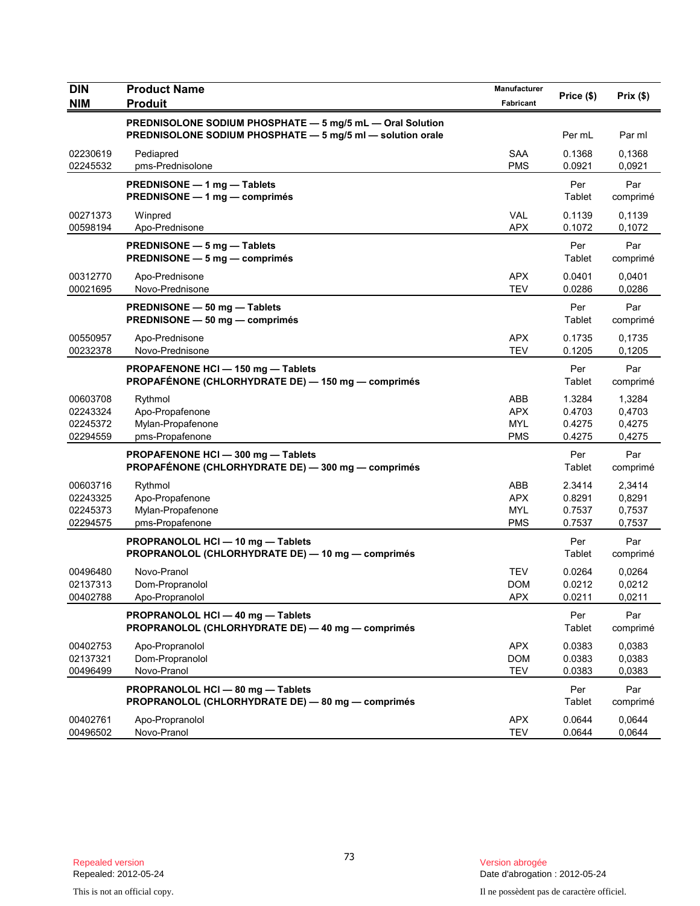| <b>DIN</b><br><b>NIM</b>                     | <b>Product Name</b><br><b>Produit</b>                                                                                   | Manufacturer<br>Fabricant                            | Price (\$)                           | Prix(\$)                             |
|----------------------------------------------|-------------------------------------------------------------------------------------------------------------------------|------------------------------------------------------|--------------------------------------|--------------------------------------|
|                                              | PREDNISOLONE SODIUM PHOSPHATE - 5 mg/5 mL - Oral Solution<br>PREDNISOLONE SODIUM PHOSPHATE - 5 mg/5 ml - solution orale |                                                      | Per mL                               | Par ml                               |
| 02230619<br>02245532                         | Pediapred<br>pms-Prednisolone                                                                                           | <b>SAA</b><br><b>PMS</b>                             | 0.1368<br>0.0921                     | 0,1368<br>0,0921                     |
|                                              | PREDNISONE - 1 mg - Tablets<br>PREDNISONE - 1 mg - comprimés                                                            |                                                      | Per<br>Tablet                        | Par<br>comprimé                      |
| 00271373<br>00598194                         | Winpred<br>Apo-Prednisone                                                                                               | <b>VAL</b><br><b>APX</b>                             | 0.1139<br>0.1072                     | 0,1139<br>0,1072                     |
|                                              | PREDNISONE - 5 mg - Tablets<br>PREDNISONE - 5 mg - comprimés                                                            |                                                      | Per<br>Tablet                        | Par<br>comprimé                      |
| 00312770<br>00021695                         | Apo-Prednisone<br>Novo-Prednisone                                                                                       | <b>APX</b><br><b>TEV</b>                             | 0.0401<br>0.0286                     | 0,0401<br>0,0286                     |
|                                              | PREDNISONE - 50 mg - Tablets<br>PREDNISONE - 50 mg - comprimés                                                          |                                                      | Per<br>Tablet                        | Par<br>comprimé                      |
| 00550957<br>00232378                         | Apo-Prednisone<br>Novo-Prednisone                                                                                       | <b>APX</b><br><b>TEV</b>                             | 0.1735<br>0.1205                     | 0,1735<br>0,1205                     |
|                                              | PROPAFENONE HCI - 150 mg - Tablets<br>PROPAFÉNONE (CHLORHYDRATE DE) - 150 mg - comprimés                                |                                                      | Per<br>Tablet                        | Par<br>comprimé                      |
| 00603708<br>02243324<br>02245372<br>02294559 | Rythmol<br>Apo-Propafenone<br>Mylan-Propafenone<br>pms-Propafenone                                                      | <b>ABB</b><br><b>APX</b><br><b>MYL</b><br><b>PMS</b> | 1.3284<br>0.4703<br>0.4275<br>0.4275 | 1,3284<br>0,4703<br>0,4275<br>0,4275 |
|                                              | PROPAFENONE HCI - 300 mg - Tablets<br>PROPAFÉNONE (CHLORHYDRATE DE) - 300 mg - comprimés                                |                                                      | Per<br>Tablet                        | Par<br>comprimé                      |
| 00603716<br>02243325<br>02245373<br>02294575 | Rythmol<br>Apo-Propafenone<br>Mylan-Propafenone<br>pms-Propafenone                                                      | ABB<br><b>APX</b><br><b>MYL</b><br><b>PMS</b>        | 2.3414<br>0.8291<br>0.7537<br>0.7537 | 2,3414<br>0,8291<br>0,7537<br>0,7537 |
|                                              | PROPRANOLOL HCI - 10 mg - Tablets<br>PROPRANOLOL (CHLORHYDRATE DE) - 10 mg - comprimés                                  |                                                      | Per<br>Tablet                        | Par<br>comprimé                      |
| 00496480<br>02137313<br>00402788             | Novo-Pranol<br>Dom-Propranolol<br>Apo-Propranolol                                                                       | <b>TEV</b><br><b>DOM</b><br><b>APX</b>               | 0.0264<br>0.0212<br>0.0211           | 0,0264<br>0,0212<br>0,0211           |
|                                              | PROPRANOLOL HCI - 40 mg - Tablets<br>PROPRANOLOL (CHLORHYDRATE DE) - 40 mg - comprimés                                  |                                                      | Per<br>Tablet                        | Par<br>comprimé                      |
| 00402753<br>02137321<br>00496499             | Apo-Propranolol<br>Dom-Propranolol<br>Novo-Pranol                                                                       | <b>APX</b><br><b>DOM</b><br><b>TEV</b>               | 0.0383<br>0.0383<br>0.0383           | 0,0383<br>0,0383<br>0,0383           |
|                                              | PROPRANOLOL HCI - 80 mg - Tablets<br>PROPRANOLOL (CHLORHYDRATE DE) - 80 mg - comprimés                                  |                                                      | Per<br>Tablet                        | Par<br>comprimé                      |
| 00402761<br>00496502                         | Apo-Propranolol<br>Novo-Pranol                                                                                          | <b>APX</b><br><b>TEV</b>                             | 0.0644<br>0.0644                     | 0,0644<br>0,0644                     |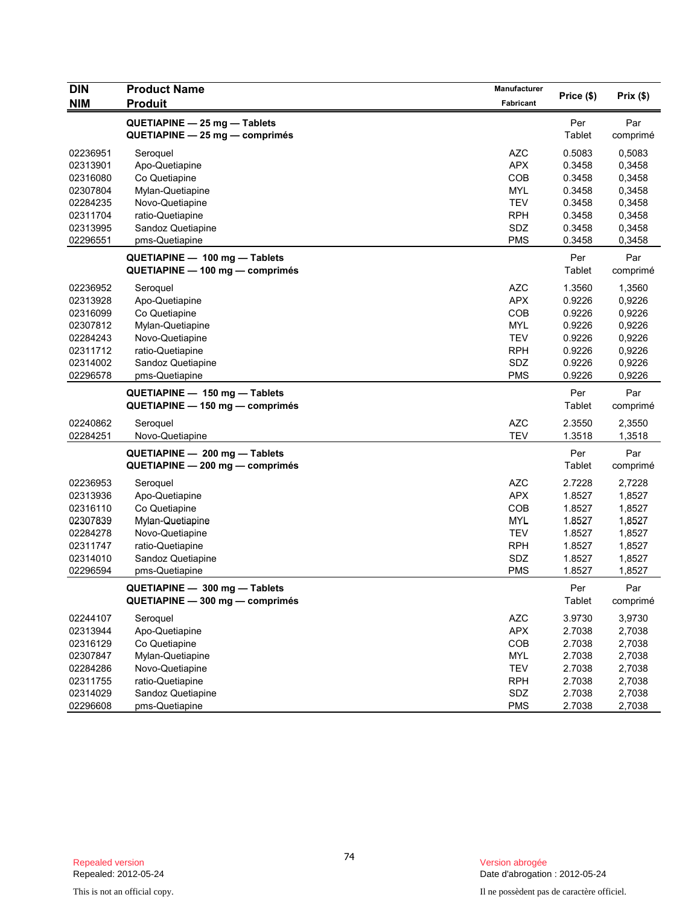| <b>DIN</b> | <b>Product Name</b>                                              | Manufacturer |               |          |
|------------|------------------------------------------------------------------|--------------|---------------|----------|
| <b>NIM</b> | <b>Produit</b>                                                   | Fabricant    | Price (\$)    | Prix(\$) |
|            | QUETIAPINE - 25 mg - Tablets                                     |              | Per           | Par      |
|            | $QUETIAPINE - 25 mg - comprimés$                                 |              | Tablet        | comprimé |
| 02236951   |                                                                  |              |               |          |
|            | Seroquel                                                         | <b>AZC</b>   | 0.5083        | 0,5083   |
| 02313901   | Apo-Quetiapine                                                   | <b>APX</b>   | 0.3458        | 0,3458   |
| 02316080   | Co Quetiapine                                                    | COB          | 0.3458        | 0,3458   |
| 02307804   | Mylan-Quetiapine                                                 | <b>MYL</b>   | 0.3458        | 0,3458   |
| 02284235   | Novo-Quetiapine                                                  | <b>TEV</b>   | 0.3458        | 0,3458   |
| 02311704   | ratio-Quetiapine                                                 | <b>RPH</b>   | 0.3458        | 0,3458   |
| 02313995   | Sandoz Quetiapine                                                | SDZ          | 0.3458        | 0,3458   |
| 02296551   | pms-Quetiapine                                                   | <b>PMS</b>   | 0.3458        | 0,3458   |
|            | QUETIAPINE - 100 mg - Tablets                                    |              | Per           | Par      |
|            | QUETIAPINE - 100 mg - comprimés                                  |              | Tablet        | comprimé |
| 02236952   | Seroquel                                                         | <b>AZC</b>   | 1.3560        | 1,3560   |
| 02313928   | Apo-Quetiapine                                                   | <b>APX</b>   | 0.9226        | 0,9226   |
| 02316099   | Co Quetiapine                                                    | COB          | 0.9226        | 0,9226   |
| 02307812   | Mylan-Quetiapine                                                 | <b>MYL</b>   | 0.9226        | 0,9226   |
| 02284243   | Novo-Quetiapine                                                  | <b>TEV</b>   | 0.9226        | 0,9226   |
| 02311712   | ratio-Quetiapine                                                 | <b>RPH</b>   | 0.9226        | 0,9226   |
| 02314002   | Sandoz Quetiapine                                                | SDZ          | 0.9226        | 0,9226   |
| 02296578   | pms-Quetiapine                                                   | <b>PMS</b>   | 0.9226        | 0,9226   |
|            | QUETIAPINE - 150 mg - Tablets                                    |              | Per           | Par      |
|            | QUETIAPINE - 150 mg - comprimés                                  |              | Tablet        | comprimé |
| 02240862   | Seroquel                                                         | <b>AZC</b>   | 2.3550        | 2,3550   |
| 02284251   | Novo-Quetiapine                                                  | TEV          | 1.3518        | 1,3518   |
|            |                                                                  |              |               |          |
|            | QUETIAPINE - 200 mg - Tablets<br>QUETIAPINE - 200 mg - comprimés |              | Per<br>Tablet | Par      |
|            |                                                                  |              |               | comprimé |
| 02236953   | Seroquel                                                         | <b>AZC</b>   | 2.7228        | 2,7228   |
| 02313936   | Apo-Quetiapine                                                   | <b>APX</b>   | 1.8527        | 1,8527   |
| 02316110   | Co Quetiapine                                                    | <b>COB</b>   | 1.8527        | 1,8527   |
| 02307839   | Mylan-Quetiapine                                                 | <b>MYL</b>   | 1.8527        | 1,8527   |
| 02284278   | Novo-Quetiapine                                                  | <b>TEV</b>   | 1.8527        | 1,8527   |
| 02311747   | ratio-Quetiapine                                                 | <b>RPH</b>   | 1.8527        | 1,8527   |
| 02314010   | Sandoz Quetiapine                                                | SDZ          | 1.8527        | 1,8527   |
| 02296594   | pms-Quetiapine                                                   | <b>PMS</b>   | 1.8527        | 1,8527   |
|            | QUETIAPINE - 300 mg - Tablets                                    |              | Per           | Par      |
|            | QUETIAPINE - 300 mg - comprimés                                  |              | Tablet        | comprimé |
| 02244107   | Seroquel                                                         | <b>AZC</b>   | 3.9730        | 3,9730   |
| 02313944   | Apo-Quetiapine                                                   | APX          | 2.7038        | 2,7038   |
| 02316129   | Co Quetiapine                                                    | COB          | 2.7038        | 2,7038   |
| 02307847   | Mylan-Quetiapine                                                 | <b>MYL</b>   | 2.7038        | 2,7038   |
| 02284286   | Novo-Quetiapine                                                  | <b>TEV</b>   | 2.7038        | 2,7038   |
| 02311755   | ratio-Quetiapine                                                 | <b>RPH</b>   | 2.7038        | 2,7038   |
| 02314029   | Sandoz Quetiapine                                                | SDZ          | 2.7038        | 2,7038   |
| 02296608   | pms-Quetiapine                                                   | <b>PMS</b>   | 2.7038        | 2,7038   |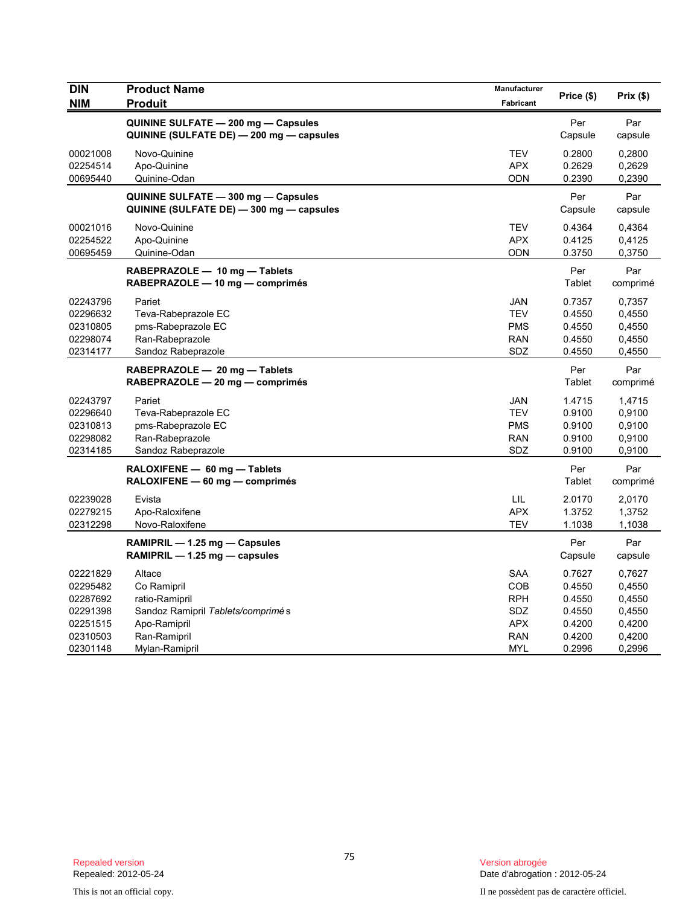| <b>DIN</b><br><b>NIM</b> | <b>Product Name</b><br><b>Produit</b>                                           | Manufacturer<br>Fabricant | Price (\$)     | Prix(\$)       |
|--------------------------|---------------------------------------------------------------------------------|---------------------------|----------------|----------------|
|                          | QUININE SULFATE - 200 mg - Capsules                                             |                           | Per            | Par            |
|                          | QUININE (SULFATE DE) - 200 mg - capsules                                        |                           | Capsule        | capsule        |
| 00021008                 | Novo-Quinine                                                                    | <b>TEV</b>                | 0.2800         | 0,2800         |
| 02254514                 | Apo-Quinine                                                                     | <b>APX</b>                | 0.2629         | 0,2629         |
| 00695440                 | Quinine-Odan                                                                    | <b>ODN</b>                | 0.2390         | 0,2390         |
|                          | QUININE SULFATE - 300 mg - Capsules<br>QUININE (SULFATE DE) - 300 mg - capsules |                           | Per<br>Capsule | Par<br>capsule |
| 00021016                 | Novo-Quinine                                                                    | <b>TEV</b>                | 0.4364         | 0.4364         |
| 02254522                 | Apo-Quinine                                                                     | <b>APX</b>                | 0.4125         | 0,4125         |
| 00695459                 | Quinine-Odan                                                                    | <b>ODN</b>                | 0.3750         | 0,3750         |
|                          | RABEPRAZOLE - 10 mg - Tablets                                                   |                           | Per            | Par            |
|                          | RABEPRAZOLE - 10 mg - comprimés                                                 |                           | Tablet         | comprimé       |
| 02243796                 | Pariet                                                                          | <b>JAN</b>                | 0.7357         | 0,7357         |
| 02296632                 | Teva-Rabeprazole EC                                                             | <b>TEV</b>                | 0.4550         | 0,4550         |
| 02310805                 | pms-Rabeprazole EC                                                              | <b>PMS</b>                | 0.4550         | 0,4550         |
| 02298074                 | Ran-Rabeprazole                                                                 | <b>RAN</b>                | 0.4550         | 0,4550         |
| 02314177                 | Sandoz Rabeprazole                                                              | <b>SDZ</b>                | 0.4550         | 0,4550         |
|                          | RABEPRAZOLE - 20 mg - Tablets                                                   |                           | Per            | Par            |
|                          | RABEPRAZOLE - 20 mg - comprimés                                                 |                           | Tablet         | comprimé       |
| 02243797                 | Pariet                                                                          | JAN                       | 1.4715         | 1,4715         |
| 02296640                 | Teva-Rabeprazole EC                                                             | <b>TEV</b>                | 0.9100         | 0,9100         |
| 02310813                 | pms-Rabeprazole EC                                                              | <b>PMS</b>                | 0.9100         | 0,9100         |
| 02298082                 | Ran-Rabeprazole                                                                 | <b>RAN</b>                | 0.9100         | 0,9100         |
| 02314185                 | Sandoz Rabeprazole                                                              | <b>SDZ</b>                | 0.9100         | 0,9100         |
|                          | RALOXIFENE - 60 mg - Tablets                                                    |                           | Per            | Par            |
|                          | RALOXIFENE - 60 mg - comprimés                                                  |                           | Tablet         | comprimé       |
| 02239028                 | Evista                                                                          | LIL                       | 2.0170         | 2,0170         |
| 02279215                 | Apo-Raloxifene                                                                  | <b>APX</b>                | 1.3752         | 1,3752         |
| 02312298                 | Novo-Raloxifene                                                                 | <b>TEV</b>                | 1.1038         | 1,1038         |
|                          | RAMIPRIL - 1.25 mg - Capsules                                                   |                           | Per            | Par            |
|                          | RAMIPRIL $-$ 1.25 mg $-$ capsules                                               |                           | Capsule        | capsule        |
| 02221829                 | Altace                                                                          | SAA                       | 0.7627         | 0,7627         |
| 02295482                 | Co Ramipril                                                                     | COB                       | 0.4550         | 0,4550         |
| 02287692                 | ratio-Ramipril                                                                  | <b>RPH</b>                | 0.4550         | 0,4550         |
| 02291398                 | Sandoz Ramipril Tablets/comprimés                                               | SDZ                       | 0.4550         | 0,4550         |
| 02251515                 | Apo-Ramipril                                                                    | <b>APX</b>                | 0.4200         | 0,4200         |
| 02310503                 | Ran-Ramipril                                                                    | <b>RAN</b>                | 0.4200         | 0,4200         |
| 02301148                 | Mylan-Ramipril                                                                  | MYL                       | 0.2996         | 0,2996         |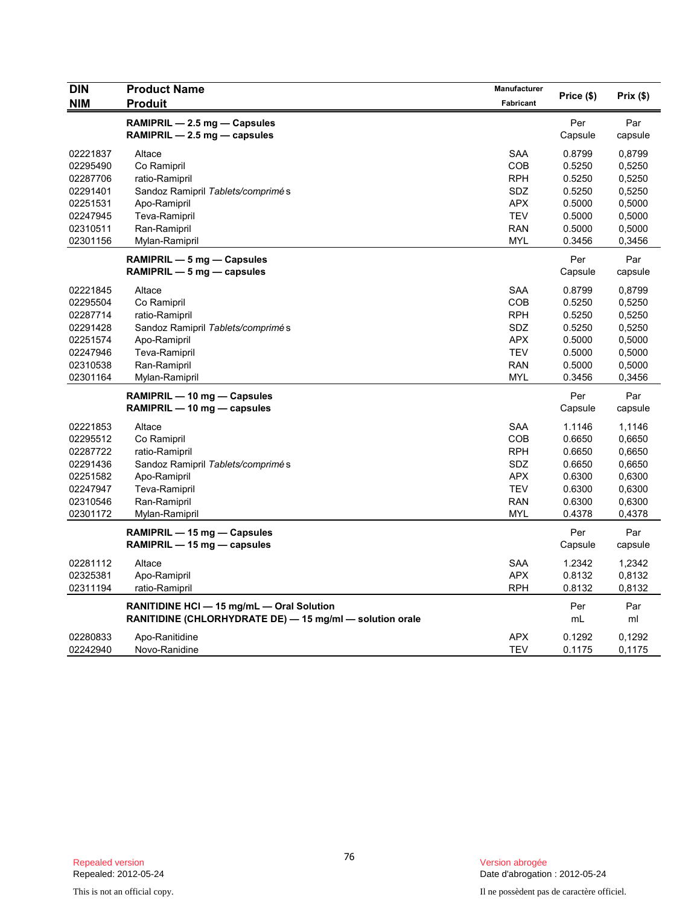| <b>DIN</b> | <b>Product Name</b>                                      | <b>Manufacturer</b> |            |          |
|------------|----------------------------------------------------------|---------------------|------------|----------|
| <b>NIM</b> | <b>Produit</b>                                           | Fabricant           | Price (\$) | Prix(\$) |
|            | RAMIPRIL - 2.5 mg - Capsules                             |                     | Per        | Par      |
|            | $RAMIPRIL - 2.5 mg - capsules$                           |                     | Capsule    | capsule  |
| 02221837   | Altace                                                   | <b>SAA</b>          | 0.8799     | 0,8799   |
| 02295490   | Co Ramipril                                              | <b>COB</b>          | 0.5250     | 0,5250   |
| 02287706   | ratio-Ramipril                                           | <b>RPH</b>          | 0.5250     | 0,5250   |
| 02291401   | Sandoz Ramipril Tablets/comprimés                        | SDZ                 | 0.5250     | 0,5250   |
| 02251531   | Apo-Ramipril                                             | <b>APX</b>          | 0.5000     | 0,5000   |
| 02247945   | <b>Teva-Ramipril</b>                                     | <b>TEV</b>          | 0.5000     | 0,5000   |
| 02310511   | Ran-Ramipril                                             | <b>RAN</b>          | 0.5000     | 0,5000   |
| 02301156   | Mylan-Ramipril                                           | <b>MYL</b>          | 0.3456     | 0,3456   |
|            | RAMIPRIL — 5 mg — Capsules                               |                     | Per        | Par      |
|            | $RAMIPRIL - 5 mg - capsules$                             |                     | Capsule    | capsule  |
| 02221845   | Altace                                                   | <b>SAA</b>          | 0.8799     | 0,8799   |
| 02295504   | Co Ramipril                                              | <b>COB</b>          | 0.5250     | 0,5250   |
| 02287714   | ratio-Ramipril                                           | <b>RPH</b>          | 0.5250     | 0,5250   |
| 02291428   | Sandoz Ramipril Tablets/comprimés                        | <b>SDZ</b>          | 0.5250     | 0,5250   |
| 02251574   | Apo-Ramipril                                             | <b>APX</b>          | 0.5000     | 0,5000   |
| 02247946   | <b>Teva-Ramipril</b>                                     | <b>TEV</b>          | 0.5000     | 0,5000   |
| 02310538   | Ran-Ramipril                                             | <b>RAN</b>          | 0.5000     | 0,5000   |
| 02301164   | Mylan-Ramipril                                           | <b>MYL</b>          | 0.3456     | 0,3456   |
|            | RAMIPRIL - 10 mg - Capsules                              |                     | Per        | Par      |
|            | RAMIPRIL - 10 mg - capsules                              |                     | Capsule    | capsule  |
| 02221853   | Altace                                                   | <b>SAA</b>          | 1.1146     | 1,1146   |
| 02295512   | Co Ramipril                                              | <b>COB</b>          | 0.6650     | 0,6650   |
| 02287722   | ratio-Ramipril                                           | <b>RPH</b>          | 0.6650     | 0,6650   |
| 02291436   | Sandoz Ramipril Tablets/comprimés                        | SDZ                 | 0.6650     | 0,6650   |
| 02251582   | Apo-Ramipril                                             | <b>APX</b>          | 0.6300     | 0,6300   |
| 02247947   | <b>Teva-Ramipril</b>                                     | <b>TEV</b>          | 0.6300     | 0,6300   |
| 02310546   | Ran-Ramipril                                             | <b>RAN</b>          | 0.6300     | 0,6300   |
| 02301172   | Mylan-Ramipril                                           | <b>MYL</b>          | 0.4378     | 0,4378   |
|            | RAMIPRIL — 15 mg — Capsules                              |                     | Per        | Par      |
|            | RAMIPRIL - 15 mg - capsules                              |                     | Capsule    | capsule  |
| 02281112   | Altace                                                   | <b>SAA</b>          | 1.2342     | 1,2342   |
| 02325381   | Apo-Ramipril                                             | <b>APX</b>          | 0.8132     | 0,8132   |
| 02311194   | ratio-Ramipril                                           | <b>RPH</b>          | 0.8132     | 0,8132   |
|            | RANITIDINE HCI - 15 mg/mL - Oral Solution                |                     | Per        | Par      |
|            | RANITIDINE (CHLORHYDRATE DE) - 15 mg/ml - solution orale |                     | mL         | ml       |
| 02280833   | Apo-Ranitidine                                           | <b>APX</b>          | 0.1292     | 0,1292   |
| 02242940   | Novo-Ranidine                                            | <b>TEV</b>          | 0.1175     | 0,1175   |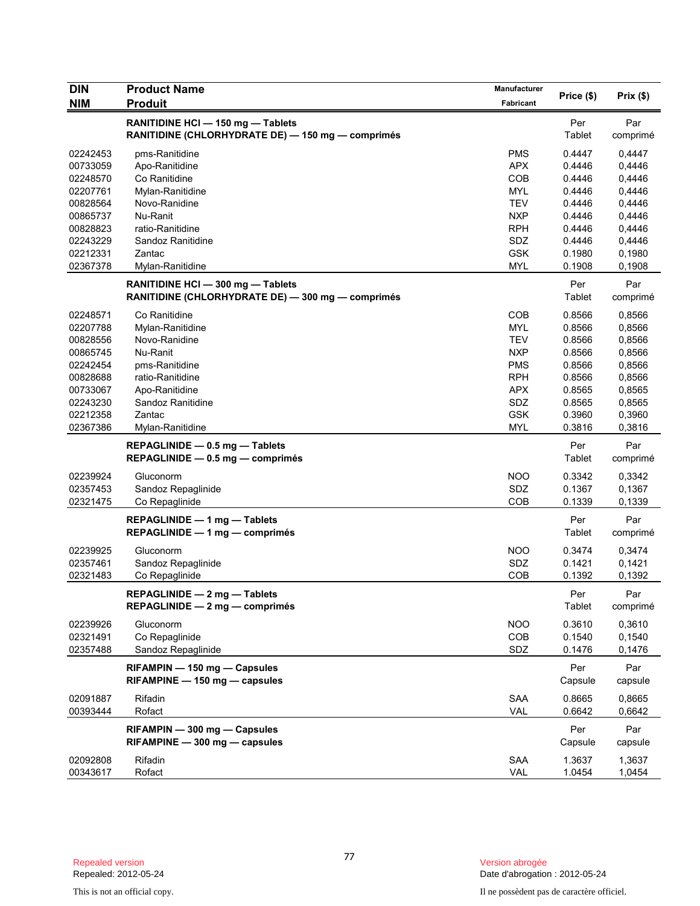| <b>DIN</b> | <b>Product Name</b>                               | Manufacturer |            |          |
|------------|---------------------------------------------------|--------------|------------|----------|
| <b>NIM</b> | <b>Produit</b>                                    | Fabricant    | Price (\$) | Prix(\$) |
|            | RANITIDINE HCI - 150 mg - Tablets                 |              | Per        | Par      |
|            | RANITIDINE (CHLORHYDRATE DE) - 150 mg - comprimés |              | Tablet     | comprimé |
| 02242453   | pms-Ranitidine                                    | <b>PMS</b>   | 0.4447     | 0,4447   |
| 00733059   | Apo-Ranitidine                                    | <b>APX</b>   | 0.4446     | 0,4446   |
| 02248570   | Co Ranitidine                                     | COB          | 0.4446     | 0,4446   |
| 02207761   | Mylan-Ranitidine                                  | <b>MYL</b>   | 0.4446     | 0,4446   |
| 00828564   | Novo-Ranidine                                     | <b>TEV</b>   | 0.4446     | 0,4446   |
| 00865737   | Nu-Ranit                                          | <b>NXP</b>   | 0.4446     | 0,4446   |
| 00828823   | ratio-Ranitidine                                  | <b>RPH</b>   | 0.4446     | 0,4446   |
| 02243229   | Sandoz Ranitidine                                 | SDZ          | 0.4446     | 0,4446   |
| 02212331   | Zantac                                            | <b>GSK</b>   | 0.1980     | 0,1980   |
| 02367378   | Mylan-Ranitidine                                  | <b>MYL</b>   | 0.1908     | 0,1908   |
|            | RANITIDINE HCI - 300 mg - Tablets                 |              | Per        | Par      |
|            | RANITIDINE (CHLORHYDRATE DE) - 300 mg - comprimés |              | Tablet     | comprimé |
| 02248571   | Co Ranitidine                                     | COB          | 0.8566     | 0,8566   |
| 02207788   | Mylan-Ranitidine                                  | <b>MYL</b>   | 0.8566     | 0,8566   |
| 00828556   | Novo-Ranidine                                     | <b>TEV</b>   | 0.8566     | 0,8566   |
| 00865745   | Nu-Ranit                                          | <b>NXP</b>   | 0.8566     | 0,8566   |
| 02242454   | pms-Ranitidine                                    | <b>PMS</b>   | 0.8566     | 0,8566   |
| 00828688   | ratio-Ranitidine                                  | <b>RPH</b>   | 0.8566     | 0,8566   |
| 00733067   | Apo-Ranitidine                                    | <b>APX</b>   | 0.8565     | 0,8565   |
| 02243230   | Sandoz Ranitidine                                 | SDZ          | 0.8565     | 0,8565   |
| 02212358   | Zantac                                            | <b>GSK</b>   | 0.3960     | 0,3960   |
| 02367386   | Mylan-Ranitidine                                  | <b>MYL</b>   | 0.3816     | 0,3816   |
|            | REPAGLINIDE - 0.5 mg - Tablets                    |              | Per        | Par      |
|            | REPAGLINIDE $-0.5$ mg $-$ comprimés               |              | Tablet     | comprimé |
| 02239924   | Gluconorm                                         | <b>NOO</b>   | 0.3342     | 0,3342   |
| 02357453   | Sandoz Repaglinide                                | SDZ          | 0.1367     | 0,1367   |
| 02321475   | Co Repaglinide                                    | COB          | 0.1339     | 0,1339   |
|            | REPAGLINIDE - 1 mg - Tablets                      |              | Per        | Par      |
|            | $REPAGLINIDE - 1 mg - comprimés$                  |              | Tablet     | comprimé |
|            |                                                   |              |            |          |
| 02239925   | Gluconorm                                         | <b>NOO</b>   | 0.3474     | 0,3474   |
| 02357461   | Sandoz Repaglinide                                | SDZ          | 0.1421     | 0,1421   |
| 02321483   | Co Repaglinide                                    | COB          | 0.1392     | 0,1392   |
|            | REPAGLINIDE - 2 mg - Tablets                      |              | Per        | Par      |
|            | REPAGLINIDE - 2 mg - comprimés                    |              | Tablet     | comprimé |
| 02239926   | Gluconorm                                         | <b>NOO</b>   | 0.3610     | 0,3610   |
| 02321491   | Co Repaglinide                                    | <b>COB</b>   | 0.1540     | 0,1540   |
| 02357488   | Sandoz Repaglinide                                | SDZ          | 0.1476     | 0,1476   |
|            | RIFAMPIN - 150 mg - Capsules                      |              | Per        | Par      |
|            | RIFAMPINE - 150 mg - capsules                     |              | Capsule    | capsule  |
| 02091887   | Rifadin                                           | SAA          | 0.8665     | 0,8665   |
| 00393444   | Rofact                                            | <b>VAL</b>   | 0.6642     | 0,6642   |
|            | RIFAMPIN - 300 mg - Capsules                      |              | Per        | Par      |
|            | $RIFAMPINE - 300 mg - capsules$                   |              | Capsule    | capsule  |
|            |                                                   |              |            |          |
| 02092808   | Rifadin                                           | <b>SAA</b>   | 1.3637     | 1,3637   |
| 00343617   | Rofact                                            | VAL          | 1.0454     | 1,0454   |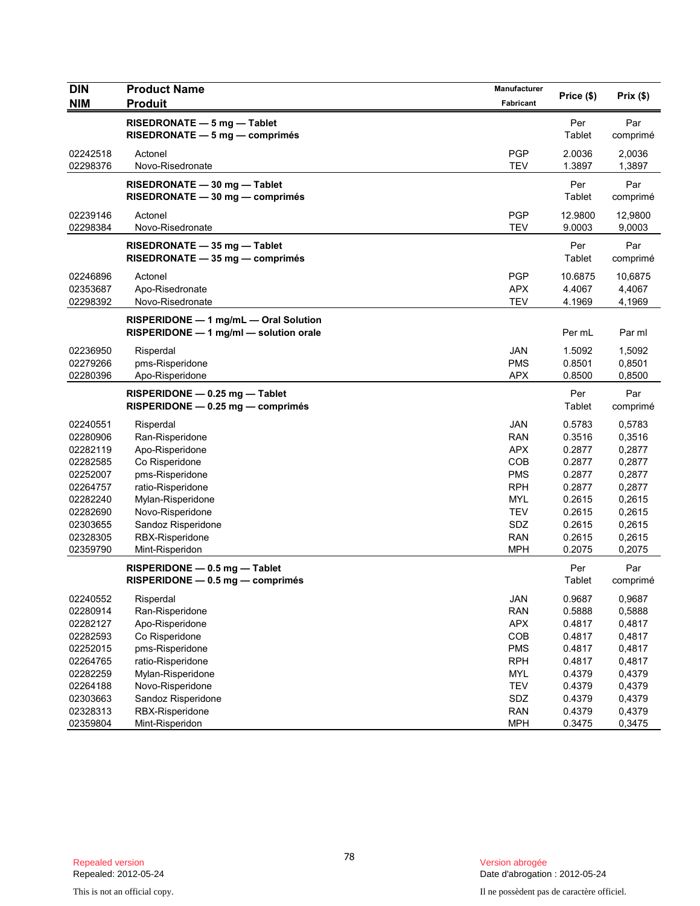| <b>DIN</b> | <b>Product Name</b>                    | Manufacturer | Price (\$) | Prix(\$) |
|------------|----------------------------------------|--------------|------------|----------|
| <b>NIM</b> | <b>Produit</b>                         | Fabricant    |            |          |
|            | RISEDRONATE - 5 mg - Tablet            |              | Per        | Par      |
|            | $RISEDRONATE - 5 mg - comprimés$       |              | Tablet     | comprimé |
| 02242518   | Actonel                                | <b>PGP</b>   | 2.0036     | 2,0036   |
| 02298376   | Novo-Risedronate                       | <b>TEV</b>   | 1.3897     | 1,3897   |
|            | RISEDRONATE - 30 mg - Tablet           |              | Per        | Par      |
|            | RISEDRONATE - 30 mg - comprimés        |              | Tablet     | comprimé |
| 02239146   | Actonel                                | <b>PGP</b>   | 12.9800    | 12,9800  |
| 02298384   | Novo-Risedronate                       | <b>TEV</b>   | 9.0003     | 9,0003   |
|            | RISEDRONATE - 35 mg - Tablet           |              | Per        | Par      |
|            | RISEDRONATE - 35 mg - comprimés        |              | Tablet     | comprimé |
| 02246896   | Actonel                                | <b>PGP</b>   | 10.6875    | 10,6875  |
| 02353687   | Apo-Risedronate                        | <b>APX</b>   | 4.4067     | 4,4067   |
| 02298392   | Novo-Risedronate                       | <b>TEV</b>   | 4.1969     | 4,1969   |
|            | RISPERIDONE - 1 mg/mL - Oral Solution  |              |            |          |
|            | RISPERIDONE - 1 mg/ml - solution orale |              | Per mL     | Par ml   |
| 02236950   | Risperdal                              | <b>JAN</b>   | 1.5092     | 1,5092   |
| 02279266   | pms-Risperidone                        | <b>PMS</b>   | 0.8501     | 0,8501   |
| 02280396   | Apo-Risperidone                        | <b>APX</b>   | 0.8500     | 0,8500   |
|            | RISPERIDONE - 0.25 mg - Tablet         |              | Per        | Par      |
|            | $RISPERIDONE - 0.25 mg - comprimés$    |              | Tablet     | comprimé |
| 02240551   | Risperdal                              | <b>JAN</b>   | 0.5783     | 0,5783   |
| 02280906   | Ran-Risperidone                        | <b>RAN</b>   | 0.3516     | 0,3516   |
| 02282119   | Apo-Risperidone                        | <b>APX</b>   | 0.2877     | 0,2877   |
| 02282585   | Co Risperidone                         | COB          | 0.2877     | 0,2877   |
| 02252007   | pms-Risperidone                        | <b>PMS</b>   | 0.2877     | 0,2877   |
| 02264757   | ratio-Risperidone                      | <b>RPH</b>   | 0.2877     | 0,2877   |
| 02282240   | Mylan-Risperidone                      | <b>MYL</b>   | 0.2615     | 0,2615   |
| 02282690   | Novo-Risperidone                       | <b>TEV</b>   | 0.2615     | 0,2615   |
| 02303655   | Sandoz Risperidone                     | SDZ          | 0.2615     | 0,2615   |
| 02328305   | RBX-Risperidone                        | <b>RAN</b>   | 0.2615     | 0,2615   |
| 02359790   | Mint-Risperidon                        | <b>MPH</b>   | 0.2075     | 0,2075   |
|            | RISPERIDONE - 0.5 mg - Tablet          |              | Per        | Par      |
|            | $RISPERIDONE - 0.5 mg - comprimés$     |              | Tablet     | comprimé |
| 02240552   | Risperdal                              | <b>JAN</b>   | 0.9687     | 0,9687   |
| 02280914   | Ran-Risperidone                        | <b>RAN</b>   | 0.5888     | 0,5888   |
| 02282127   | Apo-Risperidone                        | <b>APX</b>   | 0.4817     | 0,4817   |
| 02282593   | Co Risperidone                         | COB          | 0.4817     | 0,4817   |
| 02252015   | pms-Risperidone                        | <b>PMS</b>   | 0.4817     | 0,4817   |
| 02264765   | ratio-Risperidone                      | <b>RPH</b>   | 0.4817     | 0,4817   |
| 02282259   | Mylan-Risperidone                      | <b>MYL</b>   | 0.4379     | 0,4379   |
| 02264188   | Novo-Risperidone                       | <b>TEV</b>   | 0.4379     | 0,4379   |
| 02303663   | Sandoz Risperidone                     | SDZ          | 0.4379     | 0,4379   |
| 02328313   | RBX-Risperidone                        | <b>RAN</b>   | 0.4379     | 0,4379   |
| 02359804   | Mint-Risperidon                        | <b>MPH</b>   | 0.3475     | 0,3475   |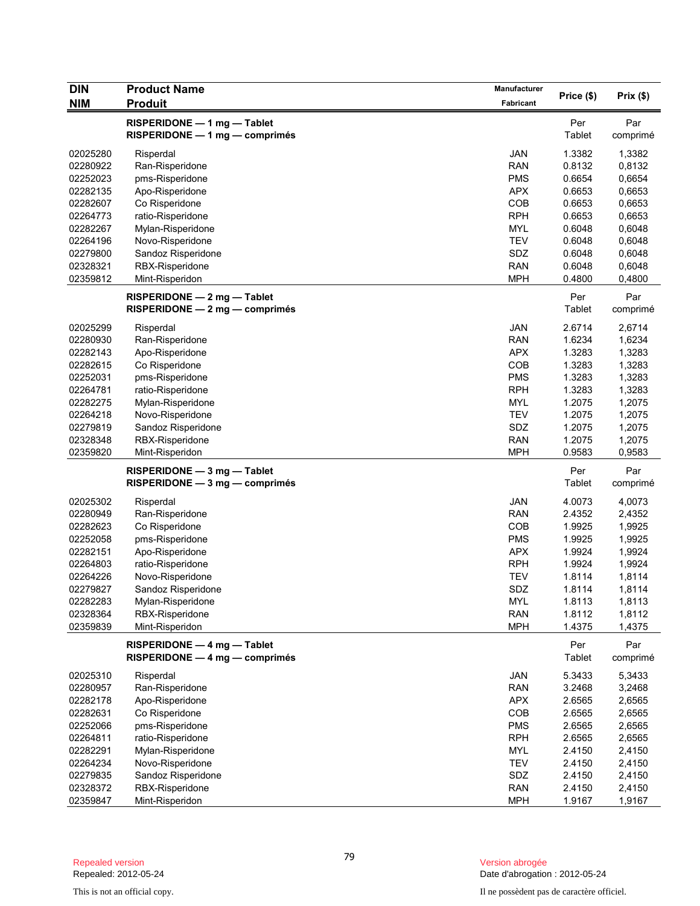| DIN        | <b>Product Name</b>              | Manufacturer |            | Prix(\$) |
|------------|----------------------------------|--------------|------------|----------|
| <b>NIM</b> | <b>Produit</b>                   | Fabricant    | Price (\$) |          |
|            | RISPERIDONE - 1 mg - Tablet      |              | Per        | Par      |
|            | $RISPERIDONE - 1 mg - comprimés$ |              | Tablet     | comprimé |
| 02025280   | Risperdal                        | <b>JAN</b>   | 1.3382     | 1,3382   |
| 02280922   | Ran-Risperidone                  | <b>RAN</b>   | 0.8132     | 0,8132   |
| 02252023   | pms-Risperidone                  | <b>PMS</b>   | 0.6654     | 0,6654   |
| 02282135   | Apo-Risperidone                  | <b>APX</b>   | 0.6653     | 0,6653   |
| 02282607   | Co Risperidone                   | COB          | 0.6653     | 0,6653   |
| 02264773   | ratio-Risperidone                | <b>RPH</b>   | 0.6653     | 0,6653   |
| 02282267   | Mylan-Risperidone                | <b>MYL</b>   | 0.6048     | 0,6048   |
| 02264196   | Novo-Risperidone                 | <b>TEV</b>   | 0.6048     | 0,6048   |
| 02279800   | Sandoz Risperidone               | SDZ          | 0.6048     | 0,6048   |
| 02328321   | RBX-Risperidone                  | <b>RAN</b>   | 0.6048     | 0,6048   |
| 02359812   | Mint-Risperidon                  | <b>MPH</b>   | 0.4800     | 0,4800   |
|            | RISPERIDONE - 2 mg - Tablet      |              | Per        | Par      |
|            | RISPERIDONE - 2 mg - comprimés   |              | Tablet     | comprimé |
| 02025299   | Risperdal                        | <b>JAN</b>   | 2.6714     | 2,6714   |
| 02280930   | Ran-Risperidone                  | <b>RAN</b>   | 1.6234     | 1,6234   |
| 02282143   | Apo-Risperidone                  | <b>APX</b>   | 1.3283     | 1,3283   |
| 02282615   | Co Risperidone                   | COB          | 1.3283     | 1,3283   |
| 02252031   | pms-Risperidone                  | <b>PMS</b>   | 1.3283     | 1,3283   |
| 02264781   | ratio-Risperidone                | <b>RPH</b>   | 1.3283     | 1,3283   |
| 02282275   | Mylan-Risperidone                | <b>MYL</b>   | 1.2075     | 1,2075   |
| 02264218   | Novo-Risperidone                 | <b>TEV</b>   | 1.2075     | 1,2075   |
| 02279819   | Sandoz Risperidone               | SDZ          | 1.2075     | 1,2075   |
| 02328348   | RBX-Risperidone                  | <b>RAN</b>   | 1.2075     | 1,2075   |
| 02359820   | Mint-Risperidon                  | <b>MPH</b>   | 0.9583     | 0,9583   |
|            | $RISPERIDONE - 3 mg - Tablet$    |              | Per        | Par      |
|            | RISPERIDONE - 3 mg - comprimés   |              | Tablet     | comprimé |
| 02025302   | Risperdal                        | <b>JAN</b>   | 4.0073     | 4,0073   |
| 02280949   | Ran-Risperidone                  | <b>RAN</b>   | 2.4352     | 2,4352   |
| 02282623   | Co Risperidone                   | <b>COB</b>   | 1.9925     | 1,9925   |
| 02252058   | pms-Risperidone                  | <b>PMS</b>   | 1.9925     | 1,9925   |
| 02282151   | Apo-Risperidone                  | <b>APX</b>   | 1.9924     | 1,9924   |
| 02264803   | ratio-Risperidone                | <b>RPH</b>   | 1.9924     | 1,9924   |
| 02264226   | Novo-Risperidone                 | <b>TEV</b>   | 1.8114     | 1,8114   |
| 02279827   | Sandoz Risperidone               | SDZ          | 1.8114     | 1,8114   |
| 02282283   | Mylan-Risperidone                | <b>MYL</b>   | 1.8113     | 1,8113   |
| 02328364   | RBX-Risperidone                  | <b>RAN</b>   | 1.8112     | 1,8112   |
| 02359839   | Mint-Risperidon                  | <b>MPH</b>   | 1.4375     | 1,4375   |
|            | RISPERIDONE - 4 mg - Tablet      |              | Per        | Par      |
|            | RISPERIDONE - 4 mg - comprimés   |              | Tablet     | comprimé |
| 02025310   | Risperdal                        | JAN          | 5.3433     | 5,3433   |
| 02280957   | Ran-Risperidone                  | <b>RAN</b>   | 3.2468     | 3,2468   |
| 02282178   | Apo-Risperidone                  | <b>APX</b>   | 2.6565     | 2,6565   |
| 02282631   | Co Risperidone                   | COB          | 2.6565     | 2,6565   |
| 02252066   | pms-Risperidone                  | <b>PMS</b>   | 2.6565     | 2,6565   |
| 02264811   | ratio-Risperidone                | <b>RPH</b>   | 2.6565     | 2,6565   |
| 02282291   | Mylan-Risperidone                | <b>MYL</b>   | 2.4150     | 2,4150   |
| 02264234   | Novo-Risperidone                 | <b>TEV</b>   | 2.4150     | 2,4150   |
| 02279835   | Sandoz Risperidone               | SDZ          | 2.4150     | 2,4150   |
| 02328372   | RBX-Risperidone                  | <b>RAN</b>   | 2.4150     | 2,4150   |
| 02359847   | Mint-Risperidon                  | <b>MPH</b>   | 1.9167     | 1,9167   |

Version abrogée<br>Date d'abrogation : 2012-05-24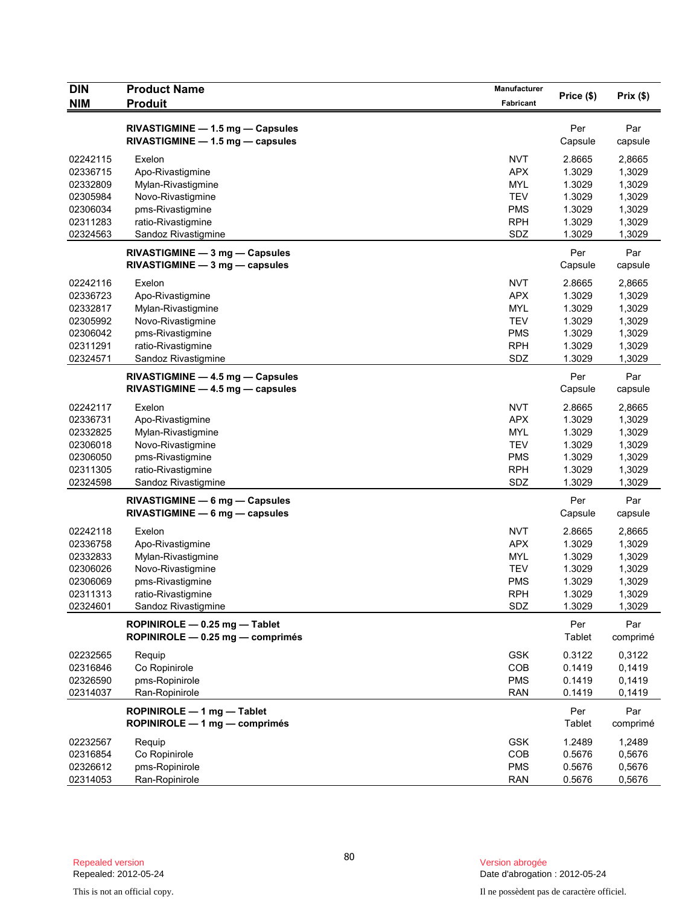| DIN                  | <b>Product Name</b>                                                  | Manufacturer      | Price (\$)       | Prix(\$)         |
|----------------------|----------------------------------------------------------------------|-------------------|------------------|------------------|
| <b>NIM</b>           | <b>Produit</b>                                                       | Fabricant         |                  |                  |
|                      | RIVASTIGMINE - 1.5 mg - Capsules<br>RIVASTIGMINE - 1.5 mg - capsules |                   | Per<br>Capsule   | Par<br>capsule   |
| 02242115             | Exelon                                                               | <b>NVT</b>        | 2.8665           | 2,8665           |
| 02336715             | Apo-Rivastigmine                                                     | <b>APX</b>        | 1.3029           | 1,3029           |
| 02332809             | Mylan-Rivastigmine                                                   | <b>MYL</b>        | 1.3029           | 1,3029           |
| 02305984             | Novo-Rivastigmine                                                    | <b>TEV</b>        | 1.3029           | 1,3029           |
| 02306034             | pms-Rivastigmine                                                     | <b>PMS</b>        | 1.3029           | 1,3029           |
| 02311283<br>02324563 | ratio-Rivastigmine<br>Sandoz Rivastigmine                            | <b>RPH</b><br>SDZ | 1.3029<br>1.3029 | 1,3029<br>1,3029 |
|                      |                                                                      |                   |                  |                  |
|                      | RIVASTIGMINE - 3 mg - Capsules<br>$RIVASTIGMINE - 3 mg - capsules$   |                   | Per<br>Capsule   | Par<br>capsule   |
| 02242116             | Exelon                                                               | <b>NVT</b>        | 2.8665           | 2,8665           |
| 02336723             | Apo-Rivastigmine                                                     | <b>APX</b>        | 1.3029           | 1,3029           |
| 02332817             | Mylan-Rivastigmine                                                   | <b>MYL</b>        | 1.3029           | 1,3029           |
| 02305992             | Novo-Rivastigmine                                                    | <b>TEV</b>        | 1.3029           | 1,3029           |
| 02306042             | pms-Rivastigmine                                                     | <b>PMS</b>        | 1.3029           | 1,3029           |
| 02311291<br>02324571 | ratio-Rivastigmine                                                   | <b>RPH</b><br>SDZ | 1.3029<br>1.3029 | 1,3029<br>1,3029 |
|                      | Sandoz Rivastigmine<br>RIVASTIGMINE - 4.5 mg - Capsules              |                   | Per              | Par              |
|                      | $RIVASTIGMINE - 4.5 mg - capsules$                                   |                   | Capsule          | capsule          |
| 02242117             | Exelon                                                               | <b>NVT</b>        | 2.8665           | 2,8665           |
| 02336731             | Apo-Rivastigmine                                                     | <b>APX</b>        | 1.3029           | 1,3029           |
| 02332825             | Mylan-Rivastigmine                                                   | <b>MYL</b>        | 1.3029           | 1,3029           |
| 02306018             | Novo-Rivastigmine                                                    | <b>TEV</b>        | 1.3029           | 1,3029           |
| 02306050             | pms-Rivastigmine                                                     | <b>PMS</b>        | 1.3029           | 1,3029           |
| 02311305<br>02324598 | ratio-Rivastigmine<br>Sandoz Rivastigmine                            | <b>RPH</b><br>SDZ | 1.3029<br>1.3029 | 1,3029<br>1,3029 |
|                      | RIVASTIGMINE - 6 mg - Capsules<br>$RIVASTIGMINE - 6 mg - capsules$   |                   | Per<br>Capsule   | Par<br>capsule   |
| 02242118             | Exelon                                                               | <b>NVT</b>        | 2.8665           | 2,8665           |
| 02336758             | Apo-Rivastigmine                                                     | <b>APX</b>        | 1.3029           | 1,3029           |
| 02332833             | Mylan-Rivastigmine                                                   | <b>MYL</b>        | 1.3029           | 1,3029           |
| 02306026             | Novo-Rivastigmine                                                    | <b>TEV</b>        | 1.3029           | 1,3029           |
| 02306069             | pms-Rivastigmine                                                     | <b>PMS</b>        | 1.3029           | 1,3029           |
| 02311313             | ratio-Rivastigmine                                                   | <b>RPH</b>        | 1.3029           | 1,3029           |
| 02324601             | Sandoz Rivastigmine                                                  | SDZ               | 1.3029           | 1,3029           |
|                      | ROPINIROLE - 0.25 mg - Tablet<br>ROPINIROLE - 0.25 mg - comprimés    |                   | Per<br>Tablet    | Par<br>comprimé  |
| 02232565             | Requip                                                               | <b>GSK</b>        | 0.3122           | 0,3122           |
| 02316846             | Co Ropinirole                                                        | COB               | 0.1419           | 0,1419           |
| 02326590             | pms-Ropinirole                                                       | <b>PMS</b>        | 0.1419           | 0,1419           |
| 02314037             | Ran-Ropinirole                                                       | <b>RAN</b>        | 0.1419           | 0,1419           |
|                      | ROPINIROLE - 1 mg - Tablet<br>ROPINIROLE - 1 mg - comprimés          |                   | Per<br>Tablet    | Par<br>comprimé  |
| 02232567             | Requip                                                               | <b>GSK</b>        | 1.2489           | 1,2489           |
| 02316854             | Co Ropinirole                                                        | <b>COB</b>        | 0.5676           | 0,5676           |
| 02326612             | pms-Ropinirole                                                       | <b>PMS</b>        | 0.5676           | 0,5676           |
| 02314053             | Ran-Ropinirole                                                       | <b>RAN</b>        | 0.5676           | 0,5676           |

Version abrogée<br>Date d'abrogation : 2012-05-24

This is not an official copy. Il ne possèdent pas de caractère officiel.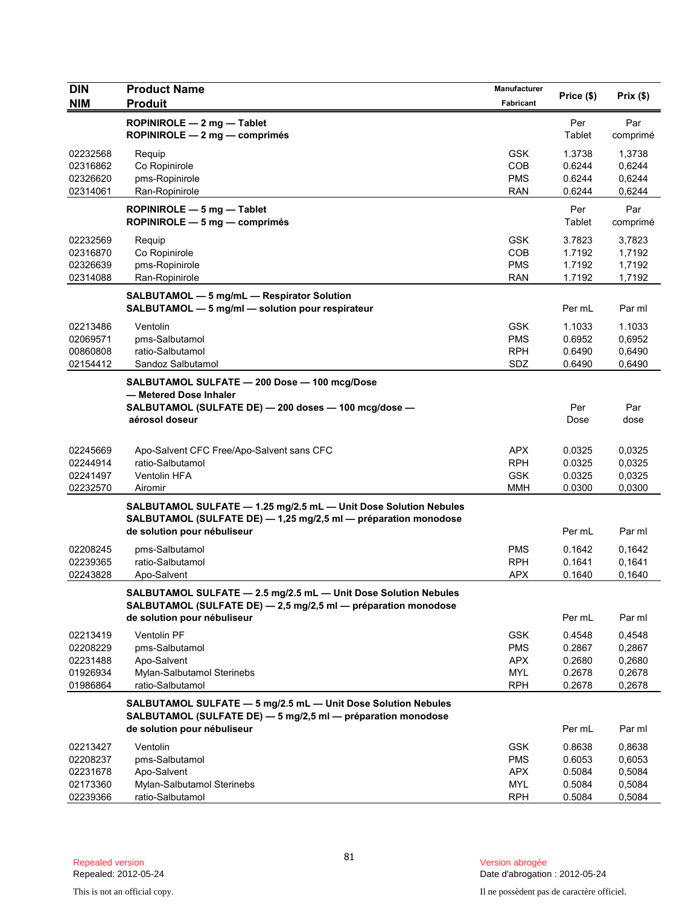| <b>DIN</b>           | <b>Product Name</b>                                                                                                                                                | Manufacturer             |                  |                  |
|----------------------|--------------------------------------------------------------------------------------------------------------------------------------------------------------------|--------------------------|------------------|------------------|
| <b>NIM</b>           | <b>Produit</b>                                                                                                                                                     | Fabricant                | Price (\$)       | Prix(\$)         |
|                      | ROPINIROLE - 2 mg - Tablet<br>ROPINIROLE - 2 mg - comprimés                                                                                                        |                          | Per<br>Tablet    | Par<br>comprimé  |
| 02232568             | Requip                                                                                                                                                             | <b>GSK</b>               | 1.3738           | 1,3738           |
| 02316862             | Co Ropinirole                                                                                                                                                      | COB                      | 0.6244           | 0,6244           |
| 02326620             | pms-Ropinirole                                                                                                                                                     | <b>PMS</b>               | 0.6244           | 0,6244           |
| 02314061             | Ran-Ropinirole                                                                                                                                                     | <b>RAN</b>               | 0.6244           | 0,6244           |
|                      | ROPINIROLE $-5$ mg $-$ Tablet<br>ROPINIROLE - 5 mg - comprimés                                                                                                     |                          | Per<br>Tablet    | Par<br>comprimé  |
| 02232569             | Requip                                                                                                                                                             | <b>GSK</b>               | 3.7823           | 3,7823           |
| 02316870             | Co Ropinirole                                                                                                                                                      | <b>COB</b>               | 1.7192           | 1,7192           |
| 02326639             | pms-Ropinirole                                                                                                                                                     | <b>PMS</b>               | 1.7192           | 1,7192           |
| 02314088             | Ran-Ropinirole                                                                                                                                                     | <b>RAN</b>               | 1.7192           | 1,7192           |
|                      | SALBUTAMOL - 5 mg/mL - Respirator Solution<br>SALBUTAMOL - 5 mg/ml - solution pour respirateur                                                                     |                          | Per mL           | Par ml           |
| 02213486             | Ventolin                                                                                                                                                           | <b>GSK</b>               | 1.1033           | 1.1033           |
| 02069571             | pms-Salbutamol                                                                                                                                                     | <b>PMS</b>               | 0.6952           | 0,6952           |
| 00860808             | ratio-Salbutamol                                                                                                                                                   | <b>RPH</b>               | 0.6490           | 0,6490           |
| 02154412             | Sandoz Salbutamol                                                                                                                                                  | SDZ                      | 0.6490           | 0,6490           |
|                      | SALBUTAMOL SULFATE - 200 Dose - 100 mcg/Dose<br>- Metered Dose Inhaler                                                                                             |                          |                  |                  |
|                      | SALBUTAMOL (SULFATE DE) - 200 doses - 100 mcg/dose -                                                                                                               |                          | Per              | Par              |
|                      | aérosol doseur                                                                                                                                                     |                          | Dose             | dose             |
|                      |                                                                                                                                                                    |                          |                  |                  |
| 02245669<br>02244914 | Apo-Salvent CFC Free/Apo-Salvent sans CFC<br>ratio-Salbutamol                                                                                                      | <b>APX</b><br><b>RPH</b> | 0.0325<br>0.0325 | 0,0325<br>0,0325 |
| 02241497             | Ventolin HFA                                                                                                                                                       | <b>GSK</b>               | 0.0325           | 0,0325           |
| 02232570             | Airomir                                                                                                                                                            | MMH                      | 0.0300           | 0,0300           |
|                      | SALBUTAMOL SULFATE - 1.25 mg/2.5 mL - Unit Dose Solution Nebules<br>SALBUTAMOL (SULFATE DE) - 1,25 mg/2,5 ml - préparation monodose<br>de solution pour nébuliseur |                          | Per mL           | Par ml           |
| 02208245             | pms-Salbutamol                                                                                                                                                     | <b>PMS</b>               | 0.1642           | 0,1642           |
| 02239365             | ratio-Salbutamol                                                                                                                                                   | <b>RPH</b>               | 0.1641           | 0,1641           |
| 02243828             | Apo-Salvent                                                                                                                                                        | <b>APX</b>               | 0.1640           | 0,1640           |
|                      | SALBUTAMOL SULFATE - 2.5 mg/2.5 mL - Unit Dose Solution Nebules<br>SALBUTAMOL (SULFATE DE) - 2,5 mg/2,5 ml - préparation monodose                                  |                          |                  |                  |
|                      | de solution pour nébuliseur                                                                                                                                        |                          | Per mL           | Par ml           |
| 02213419             | Ventolin PF                                                                                                                                                        | <b>GSK</b>               | 0.4548           | 0,4548           |
| 02208229             | pms-Salbutamol                                                                                                                                                     | <b>PMS</b>               | 0.2867           | 0,2867           |
| 02231488<br>01926934 | Apo-Salvent<br>Mylan-Salbutamol Sterinebs                                                                                                                          | <b>APX</b>               | 0.2680<br>0.2678 | 0,2680<br>0,2678 |
| 01986864             | ratio-Salbutamol                                                                                                                                                   | <b>MYL</b><br><b>RPH</b> | 0.2678           | 0,2678           |
|                      | SALBUTAMOL SULFATE - 5 mg/2.5 mL - Unit Dose Solution Nebules<br>SALBUTAMOL (SULFATE DE) - 5 mg/2,5 ml - préparation monodose                                      |                          |                  |                  |
|                      | de solution pour nébuliseur                                                                                                                                        |                          | Per mL           | Par ml           |
| 02213427             | Ventolin                                                                                                                                                           | <b>GSK</b>               | 0.8638           | 0,8638           |
| 02208237             | pms-Salbutamol                                                                                                                                                     | <b>PMS</b>               | 0.6053           | 0,6053           |
| 02231678             | Apo-Salvent                                                                                                                                                        | <b>APX</b>               | 0.5084           | 0,5084           |
| 02173360             | Mylan-Salbutamol Sterinebs                                                                                                                                         | <b>MYL</b>               | 0.5084           | 0,5084           |
| 02239366             | ratio-Salbutamol                                                                                                                                                   | <b>RPH</b>               | 0.5084           | 0,5084           |

Version abrogée<br>Date d'abrogation : 2012-05-24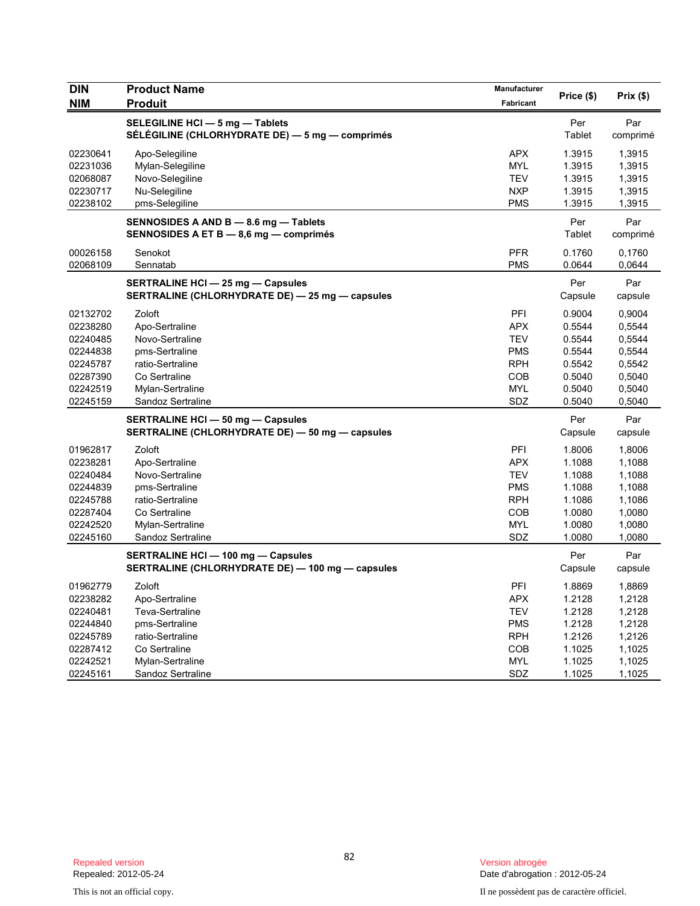| <b>DIN</b>                                               | <b>Product Name</b>                                                                         | Manufacturer                                                       | Price (\$)                                     | Prix(\$)                                       |
|----------------------------------------------------------|---------------------------------------------------------------------------------------------|--------------------------------------------------------------------|------------------------------------------------|------------------------------------------------|
| <b>NIM</b>                                               | <b>Produit</b>                                                                              | Fabricant                                                          |                                                |                                                |
|                                                          | SELEGILINE HCI - 5 mg - Tablets<br>SÉLÉGILINE (CHLORHYDRATE DE) — 5 mg — comprimés          |                                                                    | Per<br>Tablet                                  | Par<br>comprimé                                |
| 02230641<br>02231036<br>02068087<br>02230717<br>02238102 | Apo-Selegiline<br>Mylan-Selegiline<br>Novo-Selegiline<br>Nu-Selegiline<br>pms-Selegiline    | <b>APX</b><br><b>MYL</b><br><b>TEV</b><br><b>NXP</b><br><b>PMS</b> | 1.3915<br>1.3915<br>1.3915<br>1.3915<br>1.3915 | 1,3915<br>1,3915<br>1,3915<br>1,3915<br>1,3915 |
|                                                          | SENNOSIDES A AND B - 8.6 mg - Tablets<br>SENNOSIDES A ET B - 8,6 mg - comprimés             |                                                                    | Per<br>Tablet                                  | Par<br>comprimé                                |
| 00026158<br>02068109                                     | Senokot<br>Sennatab                                                                         | <b>PFR</b><br><b>PMS</b>                                           | 0.1760<br>0.0644                               | 0,1760<br>0,0644                               |
|                                                          | <b>SERTRALINE HCI - 25 mg - Capsules</b><br>SERTRALINE (CHLORHYDRATE DE) - 25 mg - capsules |                                                                    | Per<br>Capsule                                 | Par<br>capsule                                 |
| 02132702                                                 | Zoloft                                                                                      | PFI                                                                | 0.9004                                         | 0,9004                                         |
| 02238280<br>02240485                                     | Apo-Sertraline<br>Novo-Sertraline                                                           | <b>APX</b><br><b>TEV</b>                                           | 0.5544<br>0.5544                               | 0,5544<br>0,5544                               |
| 02244838                                                 | pms-Sertraline                                                                              | <b>PMS</b>                                                         | 0.5544                                         | 0,5544                                         |
| 02245787                                                 | ratio-Sertraline                                                                            | <b>RPH</b>                                                         | 0.5542                                         | 0,5542                                         |
| 02287390                                                 | Co Sertraline                                                                               | <b>COB</b>                                                         | 0.5040                                         | 0,5040                                         |
| 02242519                                                 | Mylan-Sertraline                                                                            | <b>MYL</b>                                                         | 0.5040                                         | 0,5040                                         |
| 02245159                                                 | Sandoz Sertraline                                                                           | SDZ                                                                | 0.5040                                         | 0,5040                                         |
|                                                          | <b>SERTRALINE HCI - 50 mg - Capsules</b><br>SERTRALINE (CHLORHYDRATE DE) - 50 mg - capsules |                                                                    | Per<br>Capsule                                 | Par<br>capsule                                 |
| 01962817                                                 | Zoloft                                                                                      | <b>PFI</b>                                                         | 1.8006                                         | 1,8006                                         |
| 02238281                                                 | Apo-Sertraline                                                                              | <b>APX</b>                                                         | 1.1088                                         | 1,1088                                         |
| 02240484                                                 | Novo-Sertraline                                                                             | <b>TEV</b>                                                         | 1.1088                                         | 1,1088                                         |
| 02244839                                                 | pms-Sertraline                                                                              | <b>PMS</b>                                                         | 1.1088                                         | 1,1088                                         |
| 02245788                                                 | ratio-Sertraline                                                                            | <b>RPH</b>                                                         | 1.1086                                         | 1,1086                                         |
| 02287404                                                 | Co Sertraline                                                                               | <b>COB</b>                                                         | 1.0080                                         | 1,0080                                         |
| 02242520                                                 | Mylan-Sertraline                                                                            | MYL                                                                | 1.0080                                         | 1,0080                                         |
| 02245160                                                 | Sandoz Sertraline                                                                           | SDZ                                                                | 1.0080                                         | 1,0080                                         |
|                                                          | SERTRALINE HCI - 100 mg - Capsules<br>SERTRALINE (CHLORHYDRATE DE) - 100 mg - capsules      |                                                                    | Per<br>Capsule                                 | Par<br>capsule                                 |
| 01962779                                                 | Zoloft                                                                                      | PFI                                                                | 1.8869                                         | 1,8869                                         |
| 02238282                                                 | Apo-Sertraline                                                                              | <b>APX</b>                                                         | 1.2128                                         | 1,2128                                         |
| 02240481                                                 | Teva-Sertraline                                                                             | <b>TEV</b>                                                         | 1.2128                                         | 1,2128                                         |
| 02244840                                                 | pms-Sertraline                                                                              | <b>PMS</b>                                                         | 1.2128                                         | 1,2128                                         |
| 02245789                                                 | ratio-Sertraline                                                                            | <b>RPH</b>                                                         | 1.2126                                         | 1,2126                                         |
| 02287412                                                 | Co Sertraline                                                                               | COB                                                                | 1.1025                                         | 1,1025                                         |
| 02242521                                                 | Mylan-Sertraline                                                                            | MYL                                                                | 1.1025                                         | 1,1025                                         |
| 02245161                                                 | Sandoz Sertraline                                                                           | SDZ                                                                | 1.1025                                         | 1,1025                                         |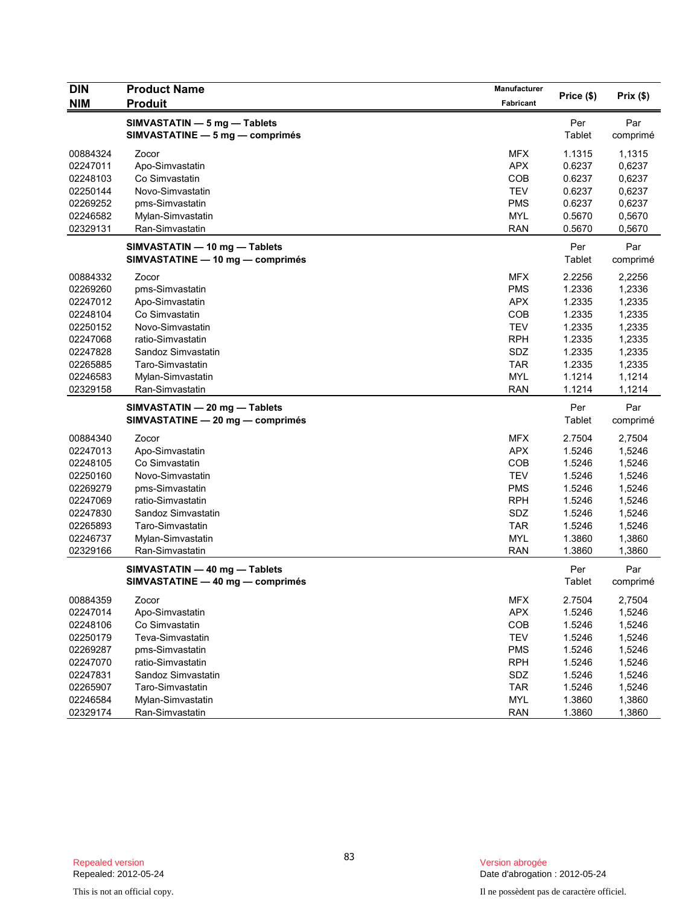| <b>DIN</b> | <b>Product Name</b>              | Manufacturer |            |          |
|------------|----------------------------------|--------------|------------|----------|
| <b>NIM</b> | <b>Produit</b>                   | Fabricant    | Price (\$) | Prix(\$) |
|            | SIMVASTATIN - 5 mg - Tablets     |              | Per        | Par      |
|            | SIMVASTATINE - 5 mg - comprimés  |              | Tablet     | comprimé |
|            |                                  |              |            |          |
| 00884324   | Zocor                            | <b>MFX</b>   | 1.1315     | 1,1315   |
| 02247011   | Apo-Simvastatin                  | <b>APX</b>   | 0.6237     | 0,6237   |
| 02248103   | Co Simvastatin                   | COB          | 0.6237     | 0,6237   |
| 02250144   | Novo-Simvastatin                 | <b>TEV</b>   | 0.6237     | 0,6237   |
| 02269252   | pms-Simvastatin                  | <b>PMS</b>   | 0.6237     | 0,6237   |
| 02246582   | Mylan-Simvastatin                | <b>MYL</b>   | 0.5670     | 0,5670   |
| 02329131   | Ran-Simvastatin                  | <b>RAN</b>   | 0.5670     | 0,5670   |
|            | SIMVASTATIN - 10 mg - Tablets    |              | Per        | Par      |
|            | SIMVASTATINE - 10 mg - comprimés |              | Tablet     | comprimé |
| 00884332   | Zocor                            | <b>MFX</b>   | 2.2256     | 2,2256   |
| 02269260   | pms-Simvastatin                  | <b>PMS</b>   | 1.2336     | 1,2336   |
| 02247012   | Apo-Simvastatin                  | <b>APX</b>   | 1.2335     | 1,2335   |
| 02248104   | Co Simvastatin                   | COB          | 1.2335     | 1,2335   |
| 02250152   | Novo-Simvastatin                 | <b>TEV</b>   | 1.2335     | 1,2335   |
| 02247068   | ratio-Simvastatin                | <b>RPH</b>   | 1.2335     | 1,2335   |
| 02247828   | Sandoz Simvastatin               | SDZ          | 1.2335     | 1,2335   |
| 02265885   | Taro-Simvastatin                 | <b>TAR</b>   | 1.2335     | 1,2335   |
| 02246583   | Mylan-Simvastatin                | <b>MYL</b>   | 1.1214     | 1,1214   |
| 02329158   | Ran-Simvastatin                  | <b>RAN</b>   | 1.1214     | 1,1214   |
|            | SIMVASTATIN - 20 mg - Tablets    |              | Per        | Par      |
|            | SIMVASTATINE - 20 mg - comprimés |              | Tablet     | comprimé |
| 00884340   | Zocor                            | <b>MFX</b>   | 2.7504     | 2,7504   |
| 02247013   | Apo-Simvastatin                  | <b>APX</b>   | 1.5246     | 1,5246   |
| 02248105   | Co Simvastatin                   | <b>COB</b>   | 1.5246     | 1,5246   |
| 02250160   | Novo-Simvastatin                 | <b>TEV</b>   | 1.5246     | 1,5246   |
| 02269279   | pms-Simvastatin                  | <b>PMS</b>   | 1.5246     | 1,5246   |
| 02247069   | ratio-Simvastatin                | <b>RPH</b>   | 1.5246     | 1,5246   |
| 02247830   | Sandoz Simvastatin               | SDZ          | 1.5246     | 1,5246   |
| 02265893   | Taro-Simvastatin                 | <b>TAR</b>   | 1.5246     | 1,5246   |
| 02246737   | Mylan-Simvastatin                | <b>MYL</b>   | 1.3860     | 1,3860   |
| 02329166   | Ran-Simvastatin                  | <b>RAN</b>   | 1.3860     | 1,3860   |
|            | SIMVASTATIN - 40 mg - Tablets    |              | Per        | Par      |
|            | SIMVASTATINE - 40 mg - comprimés |              | Tablet     | comprimé |
| 00884359   | Zocor                            | <b>MFX</b>   | 2.7504     | 2,7504   |
| 02247014   | Apo-Simvastatin                  | APX          | 1.5246     | 1,5246   |
| 02248106   | Co Simvastatin                   | COB          | 1.5246     | 1,5246   |
| 02250179   | Teva-Simvastatin                 | <b>TEV</b>   | 1.5246     | 1,5246   |
| 02269287   | pms-Simvastatin                  | <b>PMS</b>   | 1.5246     | 1,5246   |
| 02247070   | ratio-Simvastatin                | <b>RPH</b>   | 1.5246     | 1,5246   |
| 02247831   | Sandoz Simvastatin               | SDZ          | 1.5246     | 1,5246   |
| 02265907   | Taro-Simvastatin                 | <b>TAR</b>   | 1.5246     | 1,5246   |
| 02246584   | Mylan-Simvastatin                | <b>MYL</b>   | 1.3860     | 1,3860   |
| 02329174   | Ran-Simvastatin                  | <b>RAN</b>   | 1.3860     | 1,3860   |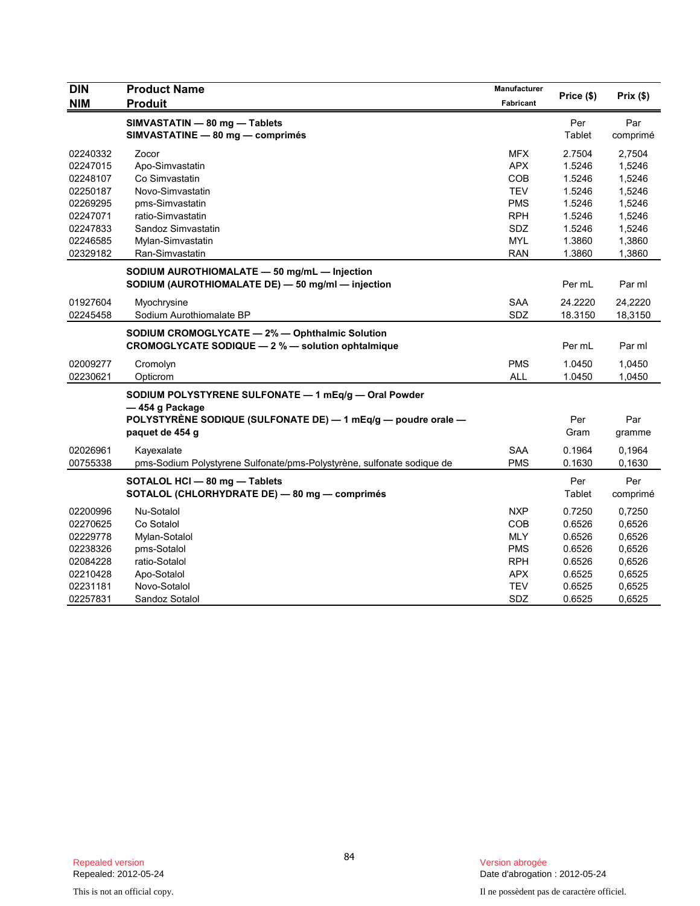| <b>DIN</b> | <b>Product Name</b>                                                    | Manufacturer |            |          |
|------------|------------------------------------------------------------------------|--------------|------------|----------|
| <b>NIM</b> | <b>Produit</b>                                                         | Fabricant    | Price (\$) | Prix(\$) |
|            | SIMVASTATIN - 80 mg - Tablets                                          |              | Per        | Par      |
|            | SIMVASTATINE - 80 mg - comprimés                                       |              | Tablet     | comprimé |
| 02240332   | Zocor                                                                  | <b>MFX</b>   | 2.7504     | 2,7504   |
| 02247015   | Apo-Simvastatin                                                        | <b>APX</b>   | 1.5246     | 1,5246   |
| 02248107   | Co Simvastatin                                                         | <b>COB</b>   | 1.5246     | 1,5246   |
| 02250187   | Novo-Simvastatin                                                       | <b>TEV</b>   | 1.5246     | 1,5246   |
| 02269295   | pms-Simvastatin                                                        | <b>PMS</b>   | 1.5246     | 1,5246   |
| 02247071   | ratio-Simvastatin                                                      | <b>RPH</b>   | 1.5246     | 1,5246   |
| 02247833   | Sandoz Simvastatin                                                     | SDZ          | 1.5246     | 1,5246   |
| 02246585   | Mylan-Simvastatin                                                      | <b>MYL</b>   | 1.3860     | 1,3860   |
| 02329182   | Ran-Simvastatin                                                        | <b>RAN</b>   | 1.3860     | 1,3860   |
|            | SODIUM AUROTHIOMALATE - 50 mg/mL - Injection                           |              |            |          |
|            | SODIUM (AUROTHIOMALATE DE) - 50 mg/ml - injection                      |              | Per mL     | Par ml   |
| 01927604   | Myochrysine                                                            | <b>SAA</b>   | 24.2220    | 24,2220  |
| 02245458   | Sodium Aurothiomalate BP                                               | SDZ          | 18.3150    | 18,3150  |
|            | SODIUM CROMOGLYCATE - 2% - Ophthalmic Solution                         |              |            |          |
|            | CROMOGLYCATE SODIQUE - 2 % - solution ophtalmique                      |              | Per mL     | Par ml   |
| 02009277   | Cromolyn                                                               | <b>PMS</b>   | 1.0450     | 1,0450   |
| 02230621   | Opticrom                                                               | <b>ALL</b>   | 1.0450     | 1,0450   |
|            | SODIUM POLYSTYRENE SULFONATE - 1 mEq/g - Oral Powder                   |              |            |          |
|            | -454 g Package                                                         |              |            |          |
|            | POLYSTYRENE SODIQUE (SULFONATE DE) - 1 mEq/g - poudre orale -          |              | Per        | Par      |
|            | paquet de 454 g                                                        |              | Gram       | gramme   |
| 02026961   | Kayexalate                                                             | <b>SAA</b>   | 0.1964     | 0,1964   |
| 00755338   | pms-Sodium Polystyrene Sulfonate/pms-Polystyrène, sulfonate sodique de | <b>PMS</b>   | 0.1630     | 0,1630   |
|            | SOTALOL HCI - 80 mg - Tablets                                          |              | Per        | Per      |
|            | SOTALOL (CHLORHYDRATE DE) - 80 mg - comprimés                          |              | Tablet     | comprimé |
| 02200996   | Nu-Sotalol                                                             | <b>NXP</b>   | 0.7250     | 0,7250   |
| 02270625   | Co Sotalol                                                             | <b>COB</b>   | 0.6526     | 0,6526   |
| 02229778   | Mylan-Sotalol                                                          | <b>MLY</b>   | 0.6526     | 0,6526   |
| 02238326   | pms-Sotalol                                                            | <b>PMS</b>   | 0.6526     | 0,6526   |
| 02084228   | ratio-Sotalol                                                          | <b>RPH</b>   | 0.6526     | 0,6526   |
| 02210428   | Apo-Sotalol                                                            | <b>APX</b>   | 0.6525     | 0,6525   |
| 02231181   | Novo-Sotalol                                                           | <b>TEV</b>   | 0.6525     | 0,6525   |
| 02257831   | Sandoz Sotalol                                                         | SDZ          | 0.6525     | 0,6525   |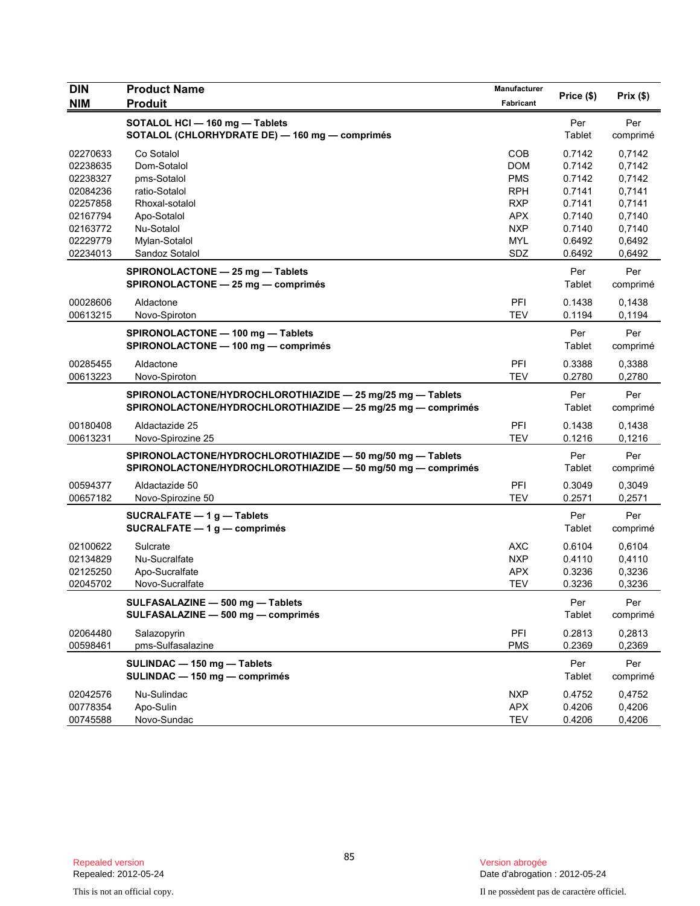| <b>DIN</b>                                                                                               | <b>Product Name</b>                                                                                                                                                                                                   | Manufacturer                                                                                                 | Price (\$)                                                                                              | Prix(\$)                                                                                                  |
|----------------------------------------------------------------------------------------------------------|-----------------------------------------------------------------------------------------------------------------------------------------------------------------------------------------------------------------------|--------------------------------------------------------------------------------------------------------------|---------------------------------------------------------------------------------------------------------|-----------------------------------------------------------------------------------------------------------|
| <b>NIM</b>                                                                                               | <b>Produit</b>                                                                                                                                                                                                        | Fabricant                                                                                                    |                                                                                                         |                                                                                                           |
|                                                                                                          | SOTALOL HCI - 160 mg - Tablets<br>SOTALOL (CHLORHYDRATE DE) - 160 mg - comprimés                                                                                                                                      |                                                                                                              | Per<br>Tablet                                                                                           | Per<br>comprimé                                                                                           |
| 02270633<br>02238635<br>02238327<br>02084236<br>02257858<br>02167794<br>02163772<br>02229779<br>02234013 | Co Sotalol<br>Dom-Sotalol<br>pms-Sotalol<br>ratio-Sotalol<br>Rhoxal-sotalol<br>Apo-Sotalol<br>Nu-Sotalol<br>Mylan-Sotalol<br>Sandoz Sotalol<br>SPIRONOLACTONE - 25 mg - Tablets<br>SPIRONOLACTONE - 25 mg - comprimés | <b>COB</b><br><b>DOM</b><br><b>PMS</b><br><b>RPH</b><br><b>RXP</b><br>APX<br><b>NXP</b><br><b>MYL</b><br>SDZ | 0.7142<br>0.7142<br>0.7142<br>0.7141<br>0.7141<br>0.7140<br>0.7140<br>0.6492<br>0.6492<br>Per<br>Tablet | 0,7142<br>0,7142<br>0,7142<br>0,7141<br>0,7141<br>0,7140<br>0,7140<br>0,6492<br>0,6492<br>Per<br>comprimé |
| 00028606<br>00613215                                                                                     | Aldactone<br>Novo-Spiroton                                                                                                                                                                                            | PFI<br><b>TEV</b>                                                                                            | 0.1438<br>0.1194                                                                                        | 0,1438<br>0,1194                                                                                          |
|                                                                                                          | SPIRONOLACTONE - 100 mg - Tablets<br>SPIRONOLACTONE - 100 mg - comprimés                                                                                                                                              |                                                                                                              | Per<br>Tablet                                                                                           | Per<br>comprimé                                                                                           |
| 00285455<br>00613223                                                                                     | Aldactone<br>Novo-Spiroton                                                                                                                                                                                            | PFI<br><b>TEV</b>                                                                                            | 0.3388<br>0.2780                                                                                        | 0,3388<br>0,2780                                                                                          |
|                                                                                                          | SPIRONOLACTONE/HYDROCHLOROTHIAZIDE - 25 mg/25 mg - Tablets<br>SPIRONOLACTONE/HYDROCHLOROTHIAZIDE - 25 mg/25 mg - comprimés                                                                                            |                                                                                                              | Per<br>Tablet                                                                                           | Per<br>comprimé                                                                                           |
| 00180408<br>00613231                                                                                     | Aldactazide 25<br>Novo-Spirozine 25                                                                                                                                                                                   | PFI<br><b>TEV</b>                                                                                            | 0.1438<br>0.1216                                                                                        | 0,1438<br>0,1216                                                                                          |
|                                                                                                          | SPIRONOLACTONE/HYDROCHLOROTHIAZIDE - 50 mg/50 mg - Tablets<br>SPIRONOLACTONE/HYDROCHLOROTHIAZIDE - 50 mg/50 mg - comprimés                                                                                            |                                                                                                              | Per<br>Tablet                                                                                           | Per<br>comprimé                                                                                           |
| 00594377<br>00657182                                                                                     | Aldactazide 50<br>Novo-Spirozine 50                                                                                                                                                                                   | PFI<br><b>TEV</b>                                                                                            | 0.3049<br>0.2571                                                                                        | 0,3049<br>0,2571                                                                                          |
|                                                                                                          | SUCRALFATE $-1$ g $-$ Tablets<br>SUCRALFATE $-1$ g $-$ comprimés                                                                                                                                                      |                                                                                                              | Per<br>Tablet                                                                                           | Per<br>comprimé                                                                                           |
| 02100622<br>02134829<br>02125250<br>02045702                                                             | Sulcrate<br>Nu-Sucralfate<br>Apo-Sucralfate<br>Novo-Sucralfate                                                                                                                                                        | <b>AXC</b><br><b>NXP</b><br><b>APX</b><br><b>TEV</b>                                                         | 0.6104<br>0.4110<br>0.3236<br>0.3236                                                                    | 0,6104<br>0,4110<br>0,3236<br>0,3236                                                                      |
|                                                                                                          | SULFASALAZINE - 500 mg - Tablets<br>SULFASALAZINE - 500 mg - comprimés                                                                                                                                                |                                                                                                              | Per<br>Tablet                                                                                           | Per<br>comprimé                                                                                           |
| 02064480<br>00598461                                                                                     | Salazopyrin<br>pms-Sulfasalazine                                                                                                                                                                                      | PFI<br><b>PMS</b>                                                                                            | 0.2813<br>0.2369                                                                                        | 0,2813<br>0,2369                                                                                          |
|                                                                                                          | SULINDAC - 150 mg - Tablets<br>SULINDAC - 150 mg - comprimés                                                                                                                                                          |                                                                                                              | Per<br>Tablet                                                                                           | Per<br>comprimé                                                                                           |
| 02042576<br>00778354<br>00745588                                                                         | Nu-Sulindac<br>Apo-Sulin<br>Novo-Sundac                                                                                                                                                                               | <b>NXP</b><br><b>APX</b><br><b>TEV</b>                                                                       | 0.4752<br>0.4206<br>0.4206                                                                              | 0,4752<br>0,4206<br>0,4206                                                                                |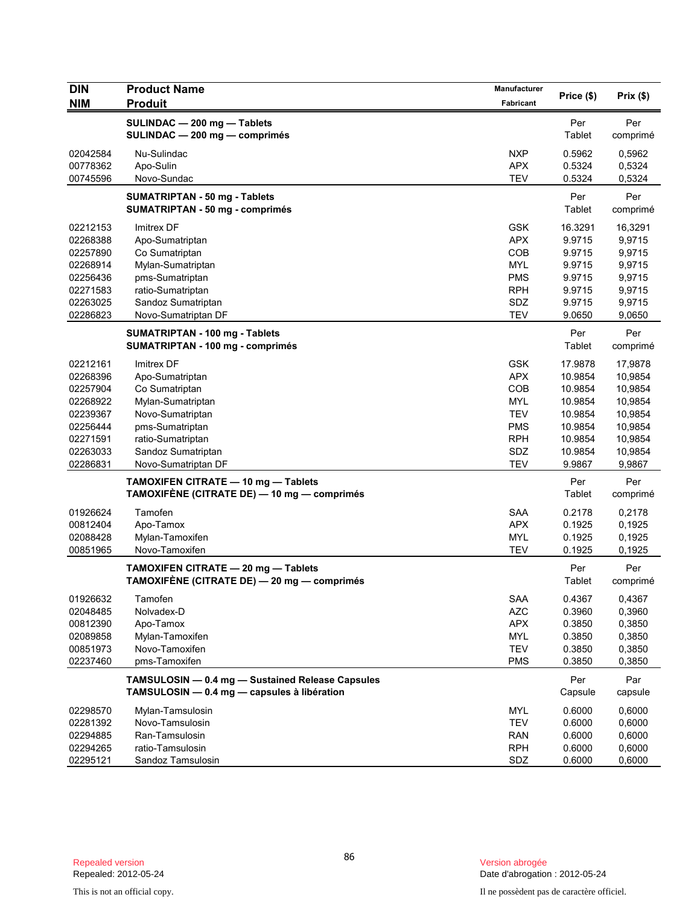| DIN                  | <b>Product Name</b>                                                                             | <b>Manufacturer</b>      |                  |                  |
|----------------------|-------------------------------------------------------------------------------------------------|--------------------------|------------------|------------------|
| <b>NIM</b>           | <b>Produit</b>                                                                                  | <b>Fabricant</b>         | Price (\$)       | Prix(\$)         |
|                      | SULINDAC - 200 mg - Tablets<br>SULINDAC - 200 mg - comprimés                                    |                          | Per<br>Tablet    | Per<br>comprimé  |
| 02042584<br>00778362 | Nu-Sulindac<br>Apo-Sulin                                                                        | <b>NXP</b><br><b>APX</b> | 0.5962<br>0.5324 | 0,5962<br>0,5324 |
| 00745596             | Novo-Sundac                                                                                     | <b>TEV</b>               | 0.5324           | 0,5324           |
|                      | <b>SUMATRIPTAN - 50 mg - Tablets</b><br><b>SUMATRIPTAN - 50 mg - comprimés</b>                  |                          | Per<br>Tablet    | Per<br>comprimé  |
| 02212153             | Imitrex DF                                                                                      | <b>GSK</b>               | 16.3291          | 16,3291          |
| 02268388             | Apo-Sumatriptan                                                                                 | <b>APX</b>               | 9.9715           | 9,9715           |
| 02257890             | Co Sumatriptan                                                                                  | <b>COB</b>               | 9.9715           | 9,9715           |
| 02268914             | Mylan-Sumatriptan                                                                               | <b>MYL</b>               | 9.9715           | 9,9715           |
| 02256436             | pms-Sumatriptan                                                                                 | <b>PMS</b>               | 9.9715           | 9,9715           |
| 02271583             | ratio-Sumatriptan                                                                               | <b>RPH</b>               | 9.9715           | 9,9715           |
| 02263025             | Sandoz Sumatriptan                                                                              | SDZ                      | 9.9715           | 9,9715           |
| 02286823             | Novo-Sumatriptan DF                                                                             | <b>TEV</b>               | 9.0650           | 9,0650           |
|                      | <b>SUMATRIPTAN - 100 mg - Tablets</b><br><b>SUMATRIPTAN - 100 mg - comprimés</b>                |                          | Per<br>Tablet    | Per<br>comprimé  |
| 02212161             | Imitrex DF                                                                                      | <b>GSK</b>               | 17.9878          | 17,9878          |
| 02268396             | Apo-Sumatriptan                                                                                 | <b>APX</b>               | 10.9854          | 10,9854          |
| 02257904             | Co Sumatriptan                                                                                  | COB                      | 10.9854          | 10,9854          |
| 02268922             | Mylan-Sumatriptan                                                                               | <b>MYL</b>               | 10.9854          | 10,9854          |
| 02239367             | Novo-Sumatriptan                                                                                | <b>TEV</b>               | 10.9854          | 10,9854          |
| 02256444             | pms-Sumatriptan                                                                                 | <b>PMS</b>               | 10.9854          | 10,9854          |
| 02271591             | ratio-Sumatriptan                                                                               | <b>RPH</b>               | 10.9854          | 10,9854          |
| 02263033             | Sandoz Sumatriptan                                                                              | SDZ                      | 10.9854          | 10,9854          |
| 02286831             | Novo-Sumatriptan DF                                                                             | <b>TEV</b>               | 9.9867           | 9,9867           |
|                      | TAMOXIFEN CITRATE - 10 mg - Tablets<br>TAMOXIFÈNE (CITRATE DE) — 10 mg — comprimés              |                          | Per<br>Tablet    | Per<br>comprimé  |
| 01926624             | Tamofen                                                                                         | <b>SAA</b>               | 0.2178           | 0,2178           |
| 00812404             | Apo-Tamox                                                                                       | <b>APX</b>               | 0.1925           | 0,1925           |
| 02088428             | Mylan-Tamoxifen                                                                                 | <b>MYL</b>               | 0.1925           | 0,1925           |
| 00851965             | Novo-Tamoxifen                                                                                  | <b>TEV</b>               | 0.1925           | 0,1925           |
|                      | TAMOXIFEN CITRATE - 20 mg - Tablets<br>TAMOXIFÈNE (CITRATE DE) — 20 mg — comprimés              |                          | Per<br>Tablet    | Per<br>comprimé  |
| 01926632             | Tamofen                                                                                         | SAA                      | 0.4367           | 0,4367           |
| 02048485             | Nolvadex-D                                                                                      | <b>AZC</b>               | 0.3960           | 0,3960           |
| 00812390             | Apo-Tamox                                                                                       | <b>APX</b>               | 0.3850           | 0,3850           |
| 02089858             | Mylan-Tamoxifen                                                                                 | MYL                      | 0.3850           | 0,3850           |
| 00851973             | Novo-Tamoxifen                                                                                  | <b>TEV</b>               | 0.3850           | 0,3850           |
| 02237460             | pms-Tamoxifen                                                                                   | <b>PMS</b>               | 0.3850           | 0,3850           |
|                      | TAMSULOSIN - 0.4 mg - Sustained Release Capsules<br>TAMSULOSIN - 0.4 mg - capsules à libération |                          | Per<br>Capsule   | Par<br>capsule   |
| 02298570             | Mylan-Tamsulosin                                                                                | MYL                      | 0.6000           | 0,6000           |
| 02281392             | Novo-Tamsulosin                                                                                 | <b>TEV</b>               | 0.6000           | 0,6000           |
| 02294885             | Ran-Tamsulosin                                                                                  | <b>RAN</b>               | 0.6000           | 0,6000           |
| 02294265             | ratio-Tamsulosin                                                                                | <b>RPH</b>               | 0.6000           | 0,6000           |
| 02295121             | Sandoz Tamsulosin                                                                               | SDZ                      | 0.6000           | 0,6000           |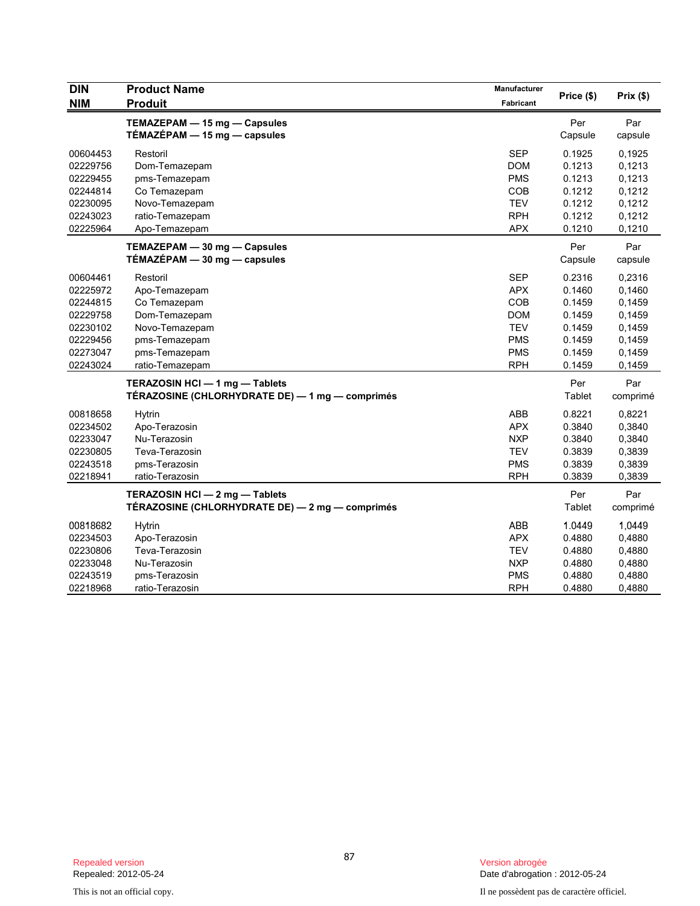| <b>DIN</b> | <b>Product Name</b>                             | <b>Manufacturer</b> |            |          |
|------------|-------------------------------------------------|---------------------|------------|----------|
| <b>NIM</b> | <b>Produit</b>                                  | Fabricant           | Price (\$) | Prix(\$) |
|            | TEMAZEPAM - 15 mg - Capsules                    |                     | Per        | Par      |
|            | TÉMAZÉPAM $-$ 15 mg $-$ capsules                |                     | Capsule    | capsule  |
| 00604453   | Restoril                                        | <b>SEP</b>          | 0.1925     | 0,1925   |
| 02229756   | Dom-Temazepam                                   | <b>DOM</b>          | 0.1213     | 0,1213   |
| 02229455   | pms-Temazepam                                   | <b>PMS</b>          | 0.1213     | 0,1213   |
| 02244814   | Co Temazepam                                    | COB                 | 0.1212     | 0,1212   |
| 02230095   | Novo-Temazepam                                  | <b>TEV</b>          | 0.1212     | 0,1212   |
| 02243023   | ratio-Temazepam                                 | <b>RPH</b>          | 0.1212     | 0,1212   |
| 02225964   | Apo-Temazepam                                   | <b>APX</b>          | 0.1210     | 0,1210   |
|            | TEMAZEPAM - 30 mg - Capsules                    |                     | Per        | Par      |
|            | TÉMAZÉPAM - 30 mg - capsules                    |                     | Capsule    | capsule  |
| 00604461   | Restoril                                        | <b>SEP</b>          | 0.2316     | 0,2316   |
| 02225972   | Apo-Temazepam                                   | <b>APX</b>          | 0.1460     | 0,1460   |
| 02244815   | Co Temazepam                                    | COB                 | 0.1459     | 0,1459   |
| 02229758   | Dom-Temazepam                                   | <b>DOM</b>          | 0.1459     | 0,1459   |
| 02230102   | Novo-Temazepam                                  | <b>TEV</b>          | 0.1459     | 0,1459   |
| 02229456   | pms-Temazepam                                   | <b>PMS</b>          | 0.1459     | 0,1459   |
| 02273047   | pms-Temazepam                                   | <b>PMS</b>          | 0.1459     | 0,1459   |
| 02243024   | ratio-Temazepam                                 | <b>RPH</b>          | 0.1459     | 0,1459   |
|            | TERAZOSIN HCI-1 mg-Tablets                      |                     | Per        | Par      |
|            | TÉRAZOSINE (CHLORHYDRATE DE) — 1 mg — comprimés |                     | Tablet     | comprimé |
| 00818658   | Hytrin                                          | ABB                 | 0.8221     | 0,8221   |
| 02234502   | Apo-Terazosin                                   | <b>APX</b>          | 0.3840     | 0,3840   |
| 02233047   | Nu-Terazosin                                    | <b>NXP</b>          | 0.3840     | 0,3840   |
| 02230805   | Teva-Terazosin                                  | <b>TEV</b>          | 0.3839     | 0,3839   |
| 02243518   | pms-Terazosin                                   | <b>PMS</b>          | 0.3839     | 0,3839   |
| 02218941   | ratio-Terazosin                                 | <b>RPH</b>          | 0.3839     | 0,3839   |
|            | TERAZOSIN HCI - 2 mg - Tablets                  |                     | Per        | Par      |
|            | TÉRAZOSINE (CHLORHYDRATE DE) — 2 mg — comprimés |                     | Tablet     | comprimé |
| 00818682   | Hytrin                                          | <b>ABB</b>          | 1.0449     | 1,0449   |
| 02234503   | Apo-Terazosin                                   | <b>APX</b>          | 0.4880     | 0,4880   |
| 02230806   | Teva-Terazosin                                  | <b>TEV</b>          | 0.4880     | 0,4880   |
| 02233048   | Nu-Terazosin                                    | <b>NXP</b>          | 0.4880     | 0,4880   |
| 02243519   | pms-Terazosin                                   | <b>PMS</b>          | 0.4880     | 0,4880   |
| 02218968   | ratio-Terazosin                                 | <b>RPH</b>          | 0.4880     | 0,4880   |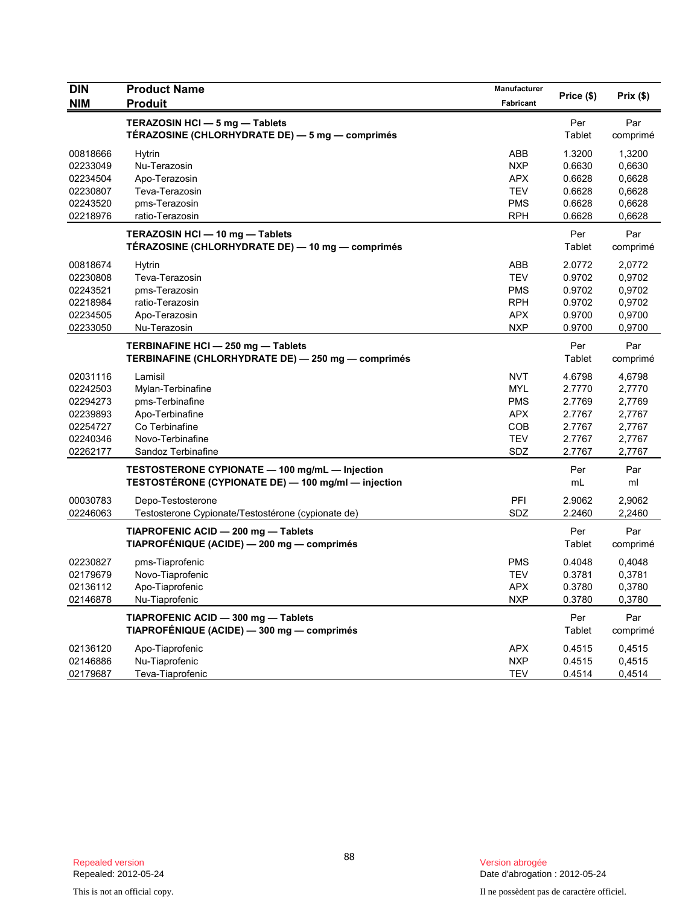| <b>DIN</b> | <b>Product Name</b><br><b>Produit</b>               | Manufacturer | Price (\$) | Prix(\$) |
|------------|-----------------------------------------------------|--------------|------------|----------|
| <b>NIM</b> |                                                     | Fabricant    |            |          |
|            | TERAZOSIN HCI - 5 mg - Tablets                      |              | Per        | Par      |
|            | TÉRAZOSINE (CHLORHYDRATE DE) — 5 mg — comprimés     |              | Tablet     | comprimé |
| 00818666   | <b>Hytrin</b>                                       | ABB          | 1.3200     | 1,3200   |
| 02233049   | Nu-Terazosin                                        | <b>NXP</b>   | 0.6630     | 0,6630   |
| 02234504   | Apo-Terazosin                                       | <b>APX</b>   | 0.6628     | 0,6628   |
| 02230807   | Teva-Terazosin                                      | <b>TEV</b>   | 0.6628     | 0,6628   |
| 02243520   | pms-Terazosin                                       | <b>PMS</b>   | 0.6628     | 0,6628   |
| 02218976   | ratio-Terazosin                                     | <b>RPH</b>   | 0.6628     | 0,6628   |
|            | TERAZOSIN HCI - 10 mg - Tablets                     |              | Per        | Par      |
|            | TÉRAZOSINE (CHLORHYDRATE DE) — 10 mg — comprimés    |              | Tablet     | comprimé |
| 00818674   | <b>Hytrin</b>                                       | <b>ABB</b>   | 2.0772     | 2,0772   |
| 02230808   | Teva-Terazosin                                      | <b>TEV</b>   | 0.9702     | 0,9702   |
| 02243521   | pms-Terazosin                                       | <b>PMS</b>   | 0.9702     | 0,9702   |
| 02218984   | ratio-Terazosin                                     | <b>RPH</b>   | 0.9702     | 0,9702   |
| 02234505   | Apo-Terazosin                                       | <b>APX</b>   | 0.9700     | 0,9700   |
| 02233050   | Nu-Terazosin                                        | <b>NXP</b>   | 0.9700     | 0,9700   |
|            | TERBINAFINE HCI - 250 mg - Tablets                  |              | Per        | Par      |
|            | TERBINAFINE (CHLORHYDRATE DE) - 250 mg - comprimés  |              | Tablet     | comprimé |
| 02031116   | Lamisil                                             | <b>NVT</b>   | 4.6798     | 4,6798   |
| 02242503   | Mylan-Terbinafine                                   | <b>MYL</b>   | 2.7770     | 2,7770   |
| 02294273   | pms-Terbinafine                                     | <b>PMS</b>   | 2.7769     | 2,7769   |
| 02239893   | Apo-Terbinafine                                     | <b>APX</b>   | 2.7767     | 2,7767   |
| 02254727   | Co Terbinafine                                      | COB          | 2.7767     | 2,7767   |
| 02240346   | Novo-Terbinafine                                    | <b>TEV</b>   | 2.7767     | 2,7767   |
| 02262177   | Sandoz Terbinafine                                  | SDZ          | 2.7767     | 2,7767   |
|            | TESTOSTERONE CYPIONATE - 100 mg/mL - Injection      |              | Per        | Par      |
|            | TESTOSTERONE (CYPIONATE DE) — 100 mg/ml — injection |              | mL         | ml       |
| 00030783   | Depo-Testosterone                                   | PFI          | 2.9062     | 2,9062   |
| 02246063   | Testosterone Cypionate/Testostérone (cypionate de)  | <b>SDZ</b>   | 2.2460     | 2,2460   |
|            | TIAPROFENIC ACID - 200 mg - Tablets                 |              | Per        | Par      |
|            | TIAPROFÉNIQUE (ACIDE) — 200 mg — comprimés          |              | Tablet     | comprimé |
| 02230827   | pms-Tiaprofenic                                     | <b>PMS</b>   | 0.4048     | 0,4048   |
| 02179679   | Novo-Tiaprofenic                                    | <b>TEV</b>   | 0.3781     | 0,3781   |
| 02136112   | Apo-Tiaprofenic                                     | <b>APX</b>   | 0.3780     | 0,3780   |
| 02146878   | Nu-Tiaprofenic                                      | <b>NXP</b>   | 0.3780     | 0,3780   |
|            | TIAPROFENIC ACID - 300 mg - Tablets                 |              | Per        | Par      |
|            | TIAPROFÉNIQUE (ACIDE) - 300 mg - comprimés          |              | Tablet     | comprimé |
| 02136120   | Apo-Tiaprofenic                                     | <b>APX</b>   | 0.4515     | 0,4515   |
| 02146886   | Nu-Tiaprofenic                                      | <b>NXP</b>   | 0.4515     | 0,4515   |
| 02179687   | Teva-Tiaprofenic                                    | <b>TEV</b>   | 0.4514     | 0,4514   |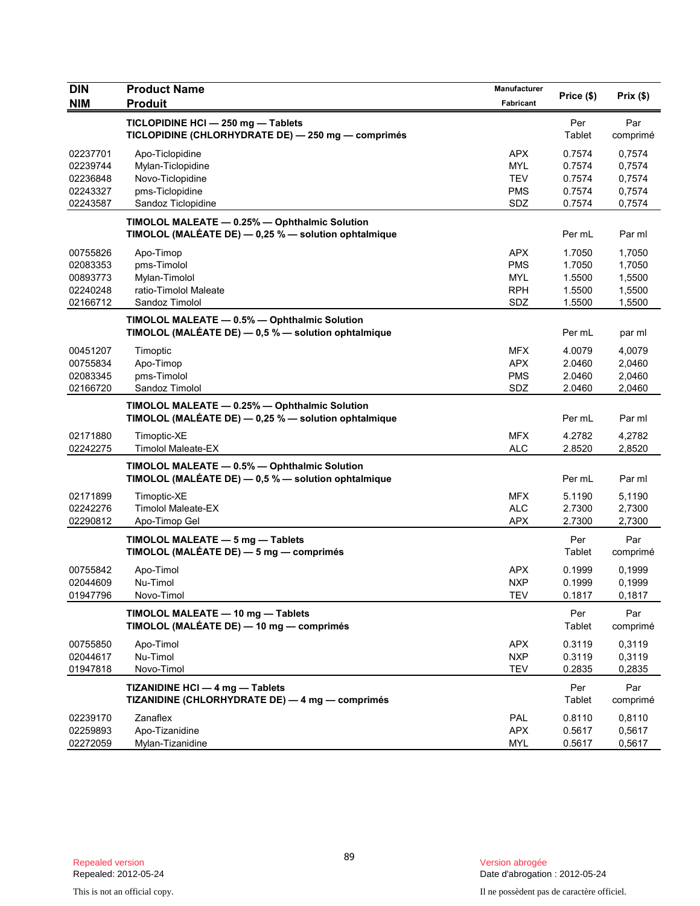| <b>DIN</b>           | <b>Product Name</b>                                                                                   | Manufacturer      | Price (\$)       | Prix (\$)        |
|----------------------|-------------------------------------------------------------------------------------------------------|-------------------|------------------|------------------|
| <b>NIM</b>           | <b>Produit</b>                                                                                        | Fabricant         |                  |                  |
|                      | TICLOPIDINE HCI - 250 mg - Tablets<br>TICLOPIDINE (CHLORHYDRATE DE) - 250 mg - comprimés              |                   | Per<br>Tablet    | Par<br>comprimé  |
| 02237701             | Apo-Ticlopidine                                                                                       | <b>APX</b>        | 0.7574           | 0,7574           |
| 02239744             | Mylan-Ticlopidine                                                                                     | <b>MYL</b>        | 0.7574           | 0,7574           |
| 02236848             | Novo-Ticlopidine                                                                                      | <b>TEV</b>        | 0.7574           | 0,7574           |
| 02243327<br>02243587 | pms-Ticlopidine<br>Sandoz Ticlopidine                                                                 | <b>PMS</b><br>SDZ | 0.7574<br>0.7574 | 0,7574<br>0,7574 |
|                      |                                                                                                       |                   |                  |                  |
|                      | TIMOLOL MALEATE - 0.25% - Ophthalmic Solution<br>TIMOLOL (MALÉATE DE) - 0,25 % - solution ophtalmique |                   | Per mL           | Par ml           |
| 00755826             | Apo-Timop                                                                                             | <b>APX</b>        | 1.7050           | 1,7050           |
| 02083353             | pms-Timolol                                                                                           | <b>PMS</b>        | 1.7050           | 1,7050           |
| 00893773             | Mylan-Timolol                                                                                         | <b>MYL</b>        | 1.5500           | 1,5500           |
| 02240248             | ratio-Timolol Maleate                                                                                 | <b>RPH</b>        | 1.5500           | 1,5500           |
| 02166712             | Sandoz Timolol                                                                                        | SDZ               | 1.5500           | 1,5500           |
|                      | TIMOLOL MALEATE - 0.5% - Ophthalmic Solution<br>TIMOLOL (MALÉATE DE) - 0,5 % - solution ophtalmique   |                   | Per mL           | par ml           |
| 00451207             | Timoptic                                                                                              | <b>MFX</b>        | 4.0079           | 4,0079           |
| 00755834             | Apo-Timop                                                                                             | <b>APX</b>        | 2.0460           | 2,0460           |
| 02083345             | pms-Timolol                                                                                           | <b>PMS</b>        | 2.0460           | 2,0460           |
| 02166720             | Sandoz Timolol                                                                                        | SDZ               | 2.0460           | 2,0460           |
|                      | TIMOLOL MALEATE - 0.25% - Ophthalmic Solution<br>TIMOLOL (MALÉATE DE) - 0,25 % - solution ophtalmique |                   | Per mL           | Par ml           |
| 02171880             | Timoptic-XE                                                                                           | <b>MFX</b>        | 4.2782           | 4,2782           |
| 02242275             | <b>Timolol Maleate-EX</b>                                                                             | <b>ALC</b>        | 2.8520           | 2,8520           |
|                      | TIMOLOL MALEATE - 0.5% - Ophthalmic Solution<br>TIMOLOL (MALÉATE DE) - 0,5 % - solution ophtalmique   |                   | Per mL           | Par ml           |
| 02171899             | Timoptic-XE                                                                                           | <b>MFX</b>        | 5.1190           | 5,1190           |
| 02242276             | <b>Timolol Maleate-EX</b>                                                                             | <b>ALC</b>        | 2.7300           | 2,7300           |
| 02290812             | Apo-Timop Gel                                                                                         | <b>APX</b>        | 2.7300           | 2,7300           |
|                      | TIMOLOL MALEATE - 5 mg - Tablets<br>TIMOLOL (MALÉATE DE) - 5 mg - comprimés                           |                   | Per<br>Tablet    | Par<br>comprimé  |
| 00755842             | Apo-Timol                                                                                             | APX               | 0.1999           | 0,1999           |
| 02044609             | Nu-Timol                                                                                              | <b>NXP</b>        | 0.1999           | 0,1999           |
| 01947796             | Novo-I imol                                                                                           | IEV               | 0.1817           | 0,1817           |
|                      | TIMOLOL MALEATE - 10 mg - Tablets<br>TIMOLOL (MALÉATE DE) - 10 mg - comprimés                         |                   | Per<br>Tablet    | Par<br>comprimé  |
| 00755850             | Apo-Timol                                                                                             | <b>APX</b>        | 0.3119           | 0,3119           |
| 02044617             | Nu-Timol                                                                                              | <b>NXP</b>        | 0.3119           | 0,3119           |
| 01947818             | Novo-Timol                                                                                            | TEV               | 0.2835           | 0,2835           |
|                      | TIZANIDINE HCI - 4 mg - Tablets<br>TIZANIDINE (CHLORHYDRATE DE) - 4 mg - comprimés                    |                   | Per<br>Tablet    | Par<br>comprimé  |
| 02239170             | Zanaflex                                                                                              | PAL               | 0.8110           | 0,8110           |
| 02259893             | Apo-Tizanidine                                                                                        | <b>APX</b>        | 0.5617           | 0,5617           |
| 02272059             | Mylan-Tizanidine                                                                                      | MYL               | 0.5617           | 0,5617           |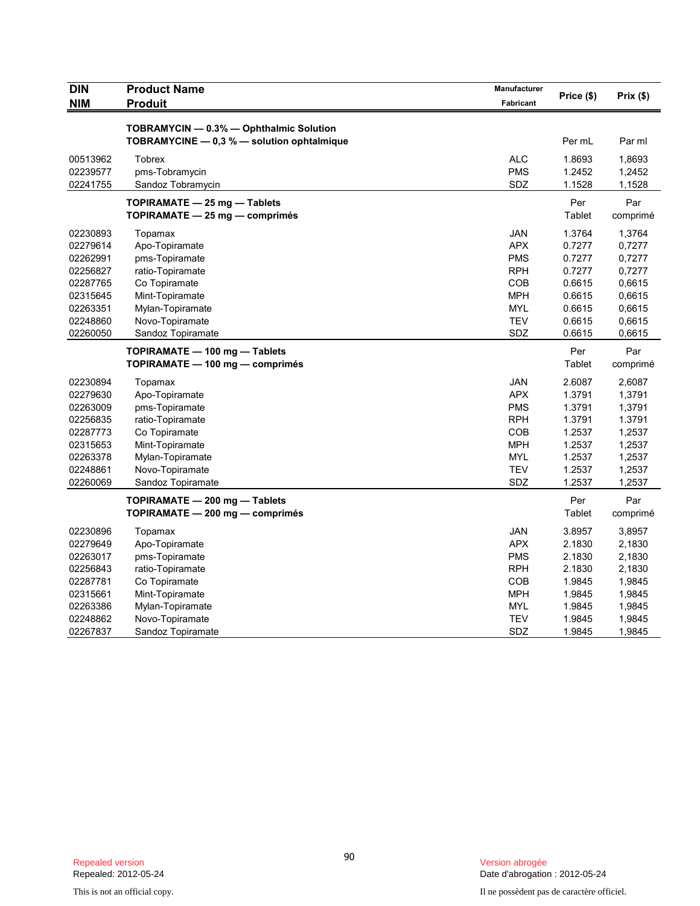| <b>DIN</b> | <b>Product Name</b>                                                                   | Manufacturer | Price (\$) | Prix(\$) |
|------------|---------------------------------------------------------------------------------------|--------------|------------|----------|
| <b>NIM</b> | <b>Produit</b>                                                                        | Fabricant    |            |          |
|            |                                                                                       |              |            |          |
|            | TOBRAMYCIN - 0.3% - Ophthalmic Solution<br>TOBRAMYCINE - 0.3 % - solution ophtalmique |              | Per mL     | Par ml   |
|            |                                                                                       |              |            |          |
| 00513962   | <b>Tobrex</b>                                                                         | <b>ALC</b>   | 1.8693     | 1,8693   |
| 02239577   | pms-Tobramycin                                                                        | <b>PMS</b>   | 1.2452     | 1,2452   |
| 02241755   | Sandoz Tobramycin                                                                     | SDZ          | 1.1528     | 1,1528   |
|            | TOPIRAMATE - 25 mg - Tablets                                                          |              | Per        | Par      |
|            | $TOPIRAMATE - 25 mg - comprimés$                                                      |              | Tablet     | comprimé |
| 02230893   | Topamax                                                                               | <b>JAN</b>   | 1.3764     | 1,3764   |
| 02279614   | Apo-Topiramate                                                                        | <b>APX</b>   | 0.7277     | 0,7277   |
| 02262991   | pms-Topiramate                                                                        | <b>PMS</b>   | 0.7277     | 0,7277   |
| 02256827   | ratio-Topiramate                                                                      | <b>RPH</b>   | 0.7277     | 0,7277   |
| 02287765   | Co Topiramate                                                                         | <b>COB</b>   | 0.6615     | 0,6615   |
| 02315645   | Mint-Topiramate                                                                       | <b>MPH</b>   | 0.6615     | 0,6615   |
| 02263351   | Mylan-Topiramate                                                                      | <b>MYL</b>   | 0.6615     | 0,6615   |
| 02248860   | Novo-Topiramate                                                                       | <b>TEV</b>   | 0.6615     | 0,6615   |
| 02260050   | Sandoz Topiramate                                                                     | SDZ          | 0.6615     | 0,6615   |
|            | TOPIRAMATE - 100 mg - Tablets                                                         |              | Per        | Par      |
|            | TOPIRAMATE — 100 mg — comprimés                                                       |              | Tablet     | comprimé |
| 02230894   | Topamax                                                                               | <b>JAN</b>   | 2.6087     | 2,6087   |
| 02279630   | Apo-Topiramate                                                                        | <b>APX</b>   | 1.3791     | 1,3791   |
| 02263009   | pms-Topiramate                                                                        | <b>PMS</b>   | 1.3791     | 1,3791   |
| 02256835   | ratio-Topiramate                                                                      | <b>RPH</b>   | 1.3791     | 1.3791   |
| 02287773   | Co Topiramate                                                                         | COB          | 1.2537     | 1,2537   |
| 02315653   | Mint-Topiramate                                                                       | <b>MPH</b>   | 1.2537     | 1,2537   |
| 02263378   | Mylan-Topiramate                                                                      | <b>MYL</b>   | 1.2537     | 1,2537   |
| 02248861   | Novo-Topiramate                                                                       | <b>TEV</b>   | 1.2537     | 1,2537   |
| 02260069   | Sandoz Topiramate                                                                     | SDZ          | 1.2537     | 1,2537   |
|            | TOPIRAMATE - 200 mg - Tablets                                                         |              | Per        | Par      |
|            | TOPIRAMATE - 200 mg - comprimés                                                       |              | Tablet     | comprimé |
| 02230896   | Topamax                                                                               | <b>JAN</b>   | 3.8957     | 3,8957   |
| 02279649   | Apo-Topiramate                                                                        | <b>APX</b>   | 2.1830     | 2,1830   |
| 02263017   | pms-Topiramate                                                                        | <b>PMS</b>   | 2.1830     | 2,1830   |
| 02256843   | ratio-Topiramate                                                                      | <b>RPH</b>   | 2.1830     | 2,1830   |
| 02287781   | Co Topiramate                                                                         | COB          | 1.9845     | 1,9845   |
| 02315661   | Mint-Topiramate                                                                       | <b>MPH</b>   | 1.9845     | 1,9845   |
| 02263386   | Mylan-Topiramate                                                                      | <b>MYL</b>   | 1.9845     | 1,9845   |
| 02248862   | Novo-Topiramate                                                                       | <b>TEV</b>   | 1.9845     | 1,9845   |
| 02267837   | Sandoz Topiramate                                                                     | SDZ          | 1.9845     | 1,9845   |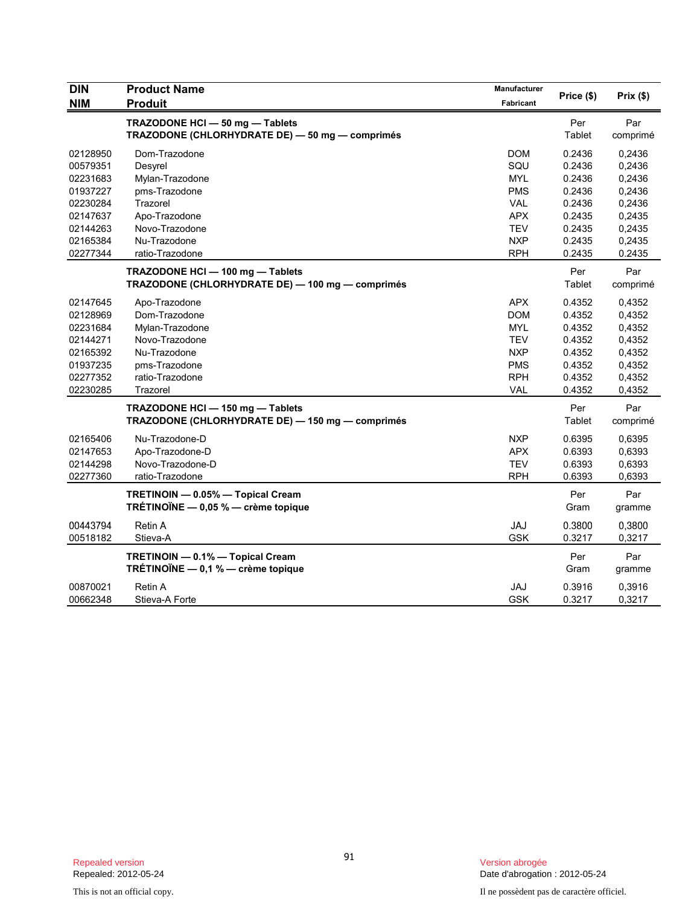| <b>DIN</b> | <b>Product Name</b>                              | <b>Manufacturer</b> |            | Prix(\$) |
|------------|--------------------------------------------------|---------------------|------------|----------|
| <b>NIM</b> | <b>Produit</b>                                   | Fabricant           | Price (\$) |          |
|            | TRAZODONE HCI - 50 mg - Tablets                  |                     | Per        | Par      |
|            | TRAZODONE (CHLORHYDRATE DE) - 50 mg - comprimés  |                     | Tablet     | comprimé |
| 02128950   | Dom-Trazodone                                    | <b>DOM</b>          | 0.2436     | 0,2436   |
| 00579351   | Desyrel                                          | SQU                 | 0.2436     | 0,2436   |
| 02231683   | Mylan-Trazodone                                  | <b>MYL</b>          | 0.2436     | 0,2436   |
| 01937227   | pms-Trazodone                                    | <b>PMS</b>          | 0.2436     | 0,2436   |
| 02230284   | Trazorel                                         | <b>VAL</b>          | 0.2436     | 0,2436   |
| 02147637   | Apo-Trazodone                                    | <b>APX</b>          | 0.2435     | 0,2435   |
| 02144263   | Novo-Trazodone                                   | <b>TEV</b>          | 0.2435     | 0,2435   |
| 02165384   | Nu-Trazodone                                     | <b>NXP</b>          | 0.2435     | 0,2435   |
| 02277344   | ratio-Trazodone                                  | <b>RPH</b>          | 0.2435     | 0.2435   |
|            | TRAZODONE HCI - 100 mg - Tablets                 |                     | Per        | Par      |
|            | TRAZODONE (CHLORHYDRATE DE) - 100 mg - comprimés |                     | Tablet     | comprimé |
| 02147645   | Apo-Trazodone                                    | <b>APX</b>          | 0.4352     | 0,4352   |
| 02128969   | Dom-Trazodone                                    | <b>DOM</b>          | 0.4352     | 0,4352   |
| 02231684   | Mylan-Trazodone                                  | <b>MYL</b>          | 0.4352     | 0,4352   |
| 02144271   | Novo-Trazodone                                   | <b>TEV</b>          | 0.4352     | 0,4352   |
| 02165392   | Nu-Trazodone                                     | <b>NXP</b>          | 0.4352     | 0,4352   |
| 01937235   | pms-Trazodone                                    | <b>PMS</b>          | 0.4352     | 0,4352   |
| 02277352   | ratio-Trazodone                                  | <b>RPH</b>          | 0.4352     | 0,4352   |
| 02230285   | Trazorel                                         | <b>VAL</b>          | 0.4352     | 0,4352   |
|            | TRAZODONE HCI - 150 mg - Tablets                 |                     | Per        | Par      |
|            | TRAZODONE (CHLORHYDRATE DE) - 150 mg - comprimés |                     | Tablet     | comprimé |
| 02165406   | Nu-Trazodone-D                                   | <b>NXP</b>          | 0.6395     | 0.6395   |
| 02147653   | Apo-Trazodone-D                                  | <b>APX</b>          | 0.6393     | 0,6393   |
| 02144298   | Novo-Trazodone-D                                 | <b>TEV</b>          | 0.6393     | 0,6393   |
| 02277360   | ratio-Trazodone                                  | <b>RPH</b>          | 0.6393     | 0,6393   |
|            | TRETINOIN - 0.05% - Topical Cream                |                     | Per        | Par      |
|            | TRÉTINOÏNE $-$ 0,05 % $-$ crème topique          |                     | Gram       | gramme   |
| 00443794   | Retin A                                          | <b>JAJ</b>          | 0.3800     | 0,3800   |
| 00518182   | Stieva-A                                         | <b>GSK</b>          | 0.3217     | 0,3217   |
|            | TRETINOIN - 0.1% - Topical Cream                 |                     | Per        | Par      |
|            | TRÉTINOÏNE $-$ 0,1 % $-$ crème topique           |                     | Gram       | gramme   |
| 00870021   | <b>Retin A</b>                                   | <b>JAJ</b>          | 0.3916     | 0,3916   |
| 00662348   | Stieva-A Forte                                   | <b>GSK</b>          | 0.3217     | 0,3217   |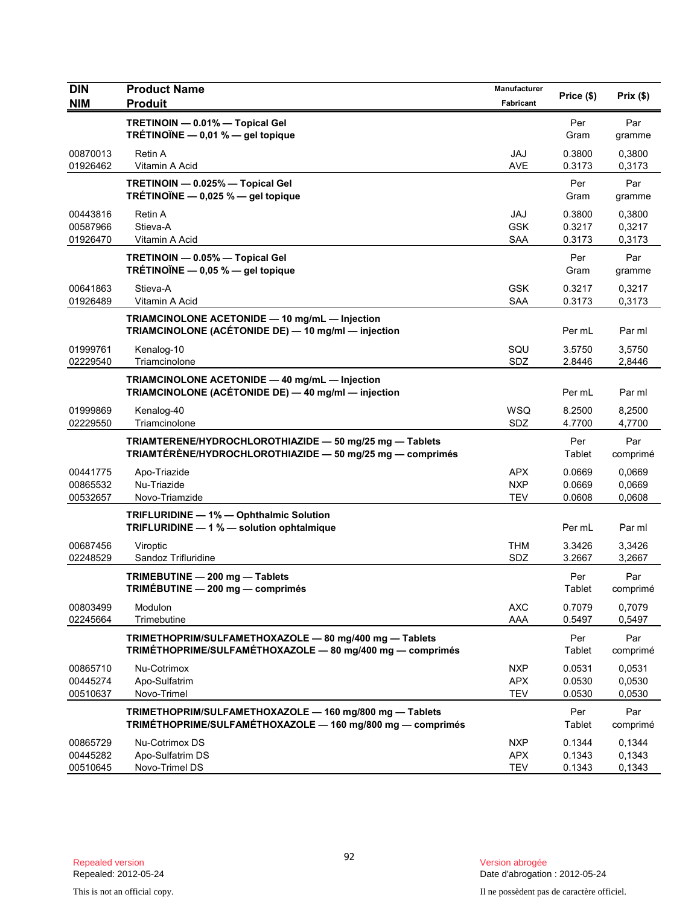| <b>DIN</b>                       | <b>Product Name</b>                                                                                                   | Manufacturer                           |                            |                            |
|----------------------------------|-----------------------------------------------------------------------------------------------------------------------|----------------------------------------|----------------------------|----------------------------|
| <b>NIM</b>                       | <b>Produit</b>                                                                                                        | Fabricant                              | Price (\$)                 | Prix(\$)                   |
|                                  | TRETINOIN - 0.01% - Topical Gel<br>TRÉTINOÏNE $-$ 0,01 % $-$ gel topique                                              |                                        | Per<br>Gram                | Par<br>gramme              |
| 00870013<br>01926462             | <b>Retin A</b><br>Vitamin A Acid                                                                                      | <b>JAJ</b><br><b>AVE</b>               | 0.3800<br>0.3173           | 0,3800<br>0,3173           |
|                                  | TRETINOIN - 0.025% - Topical Gel<br>TRÉTINOÏNE - 0,025 % - gel topique                                                |                                        | Per<br>Gram                | Par<br>gramme              |
| 00443816<br>00587966<br>01926470 | Retin A<br>Stieva-A<br>Vitamin A Acid                                                                                 | JAJ<br><b>GSK</b><br><b>SAA</b>        | 0.3800<br>0.3217<br>0.3173 | 0,3800<br>0,3217<br>0,3173 |
|                                  | TRETINOIN - 0.05% - Topical Gel<br>TRÉTINOÏNE $-$ 0,05 % $-$ gel topique                                              |                                        | Per<br>Gram                | Par<br>gramme              |
| 00641863<br>01926489             | Stieva-A<br>Vitamin A Acid                                                                                            | <b>GSK</b><br><b>SAA</b>               | 0.3217<br>0.3173           | 0,3217<br>0,3173           |
|                                  | TRIAMCINOLONE ACETONIDE - 10 mg/mL - Injection<br>TRIAMCINOLONE (ACÉTONIDE DE) - 10 mg/ml - injection                 |                                        | Per mL                     | Par ml                     |
| 01999761<br>02229540             | Kenalog-10<br>Triamcinolone                                                                                           | SQU<br>SDZ                             | 3.5750<br>2.8446           | 3,5750<br>2,8446           |
|                                  | TRIAMCINOLONE ACETONIDE - 40 mg/mL - Injection<br>TRIAMCINOLONE (ACÉTONIDE DE) — 40 mg/ml — injection                 |                                        | Per mL                     | Par ml                     |
| 01999869<br>02229550             | Kenalog-40<br>Triamcinolone                                                                                           | WSQ<br>SDZ                             | 8.2500<br>4.7700           | 8,2500<br>4,7700           |
|                                  | TRIAMTERENE/HYDROCHLOROTHIAZIDE - 50 mg/25 mg - Tablets<br>TRIAMTÉRÈNE/HYDROCHLOROTHIAZIDE - 50 mg/25 mg - comprimés  |                                        | Per<br>Tablet              | Par<br>comprimé            |
| 00441775<br>00865532<br>00532657 | Apo-Triazide<br>Nu-Triazide<br>Novo-Triamzide                                                                         | <b>APX</b><br><b>NXP</b><br><b>TEV</b> | 0.0669<br>0.0669<br>0.0608 | 0,0669<br>0,0669<br>0,0608 |
|                                  | TRIFLURIDINE - 1% - Ophthalmic Solution<br>TRIFLURIDINE - 1 % - solution ophtalmique                                  |                                        | Per mL                     | Par ml                     |
| 00687456<br>02248529             | Viroptic<br>Sandoz Trifluridine                                                                                       | <b>THM</b><br>SDZ                      | 3.3426<br>3.2667           | 3,3426<br>3,2667           |
|                                  | TRIMEBUTINE - 200 mg - Tablets<br>TRIMÉBUTINE - 200 mg - comprimés                                                    |                                        | Per<br>Tablet              | Par<br>comprimé            |
| 00803499<br>02245664             | Modulon<br>Trimebutine                                                                                                | <b>AXC</b><br>AAA                      | 0.7079<br>0.5497           | 0,7079<br>0,5497           |
|                                  | TRIMETHOPRIM/SULFAMETHOXAZOLE - 80 mg/400 mg - Tablets<br>TRIMÉTHOPRIME/SULFAMÉTHOXAZOLE - 80 mg/400 mg - comprimés   |                                        | Per<br>Tablet              | Par<br>comprimé            |
| 00865710<br>00445274<br>00510637 | Nu-Cotrimox<br>Apo-Sulfatrim<br>Novo-Trimel                                                                           | <b>NXP</b><br><b>APX</b><br><b>TEV</b> | 0.0531<br>0.0530<br>0.0530 | 0,0531<br>0,0530<br>0,0530 |
|                                  | TRIMETHOPRIM/SULFAMETHOXAZOLE - 160 mg/800 mg - Tablets<br>TRIMÉTHOPRIME/SULFAMÉTHOXAZOLE - 160 mg/800 mg - comprimés |                                        | Per<br>Tablet              | Par<br>comprimé            |
| 00865729<br>00445282<br>00510645 | Nu-Cotrimox DS<br>Apo-Sulfatrim DS<br>Novo-Trimel DS                                                                  | <b>NXP</b><br><b>APX</b><br><b>TEV</b> | 0.1344<br>0.1343<br>0.1343 | 0,1344<br>0,1343<br>0,1343 |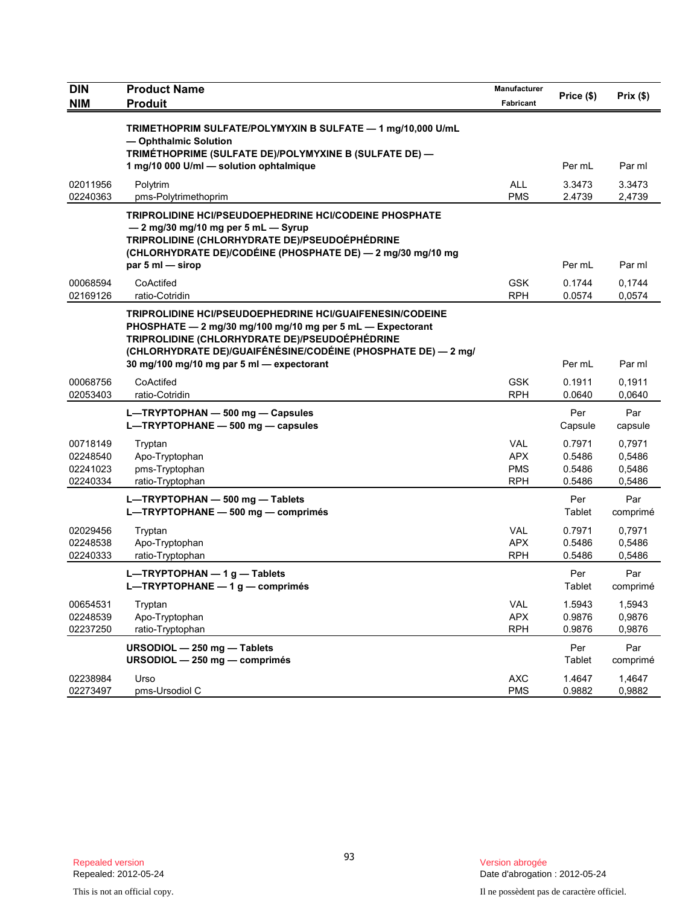| DIN<br><b>NIM</b>                            | <b>Product Name</b><br><b>Produit</b>                                                                                                                                                                                                                                                         | Manufacturer<br>Fabricant                            | Price (\$)                           | Prix (\$)                            |
|----------------------------------------------|-----------------------------------------------------------------------------------------------------------------------------------------------------------------------------------------------------------------------------------------------------------------------------------------------|------------------------------------------------------|--------------------------------------|--------------------------------------|
|                                              | TRIMETHOPRIM SULFATE/POLYMYXIN B SULFATE - 1 mg/10,000 U/mL<br>- Ophthalmic Solution<br>TRIMÉTHOPRIME (SULFATE DE)/POLYMYXINE B (SULFATE DE) -<br>1 mg/10 000 U/ml - solution ophtalmique                                                                                                     |                                                      | Per mL                               | Par ml                               |
| 02011956<br>02240363                         | Polytrim<br>pms-Polytrimethoprim                                                                                                                                                                                                                                                              | <b>ALL</b><br><b>PMS</b>                             | 3.3473<br>2.4739                     | 3.3473<br>2,4739                     |
|                                              | <b>TRIPROLIDINE HCI/PSEUDOEPHEDRINE HCI/CODEINE PHOSPHATE</b><br>$-2$ mg/30 mg/10 mg per 5 mL $-$ Syrup<br>TRIPROLIDINE (CHLORHYDRATE DE)/PSEUDOÉPHÉDRINE<br>(CHLORHYDRATE DE)/CODÉINE (PHOSPHATE DE) — 2 mg/30 mg/10 mg<br>par 5 ml - sirop                                                  |                                                      | Per mL                               | Par ml                               |
| 00068594<br>02169126                         | CoActifed<br>ratio-Cotridin                                                                                                                                                                                                                                                                   | <b>GSK</b><br><b>RPH</b>                             | 0.1744<br>0.0574                     | 0,1744<br>0,0574                     |
|                                              | <b>TRIPROLIDINE HCI/PSEUDOEPHEDRINE HCI/GUAIFENESIN/CODEINE</b><br>PHOSPHATE - 2 mg/30 mg/100 mg/10 mg per 5 mL - Expectorant<br>TRIPROLIDINE (CHLORHYDRATE DE)/PSEUDOÉPHÉDRINE<br>(CHLORHYDRATE DE)/GUAIFÉNÉSINE/CODÉINE (PHOSPHATE DE) — 2 mg/<br>30 mg/100 mg/10 mg par 5 ml - expectorant |                                                      | Per mL                               | Par ml                               |
| 00068756<br>02053403                         | CoActifed<br>ratio-Cotridin                                                                                                                                                                                                                                                                   | <b>GSK</b><br><b>RPH</b>                             | 0.1911<br>0.0640                     | 0,1911<br>0,0640                     |
|                                              | L-TRYPTOPHAN - 500 mg - Capsules<br>L-TRYPTOPHANE - 500 mg - capsules                                                                                                                                                                                                                         |                                                      | Per<br>Capsule                       | Par<br>capsule                       |
| 00718149<br>02248540<br>02241023<br>02240334 | Tryptan<br>Apo-Tryptophan<br>pms-Tryptophan<br>ratio-Tryptophan                                                                                                                                                                                                                               | <b>VAL</b><br><b>APX</b><br><b>PMS</b><br><b>RPH</b> | 0.7971<br>0.5486<br>0.5486<br>0.5486 | 0,7971<br>0,5486<br>0,5486<br>0,5486 |
|                                              | L-TRYPTOPHAN - 500 mg - Tablets<br>L-TRYPTOPHANE - 500 mg - comprimés                                                                                                                                                                                                                         |                                                      | Per<br>Tablet                        | Par<br>comprimé                      |
| 02029456<br>02248538<br>02240333             | Tryptan<br>Apo-Tryptophan<br>ratio-Tryptophan                                                                                                                                                                                                                                                 | <b>VAL</b><br><b>APX</b><br>RPH                      | 0.7971<br>0.5486<br>0.5486           | 0,7971<br>0.5486<br>0,5486           |
|                                              | L-TRYPTOPHAN $-1$ g - Tablets<br>L-TRYPTOPHANE $-1$ g $-$ comprimés                                                                                                                                                                                                                           |                                                      | Per<br>Tablet                        | Par<br>comprimé                      |
| 00654531<br>02248539<br>02237250             | Tryptan<br>Apo-Tryptophan<br>ratio-Tryptophan                                                                                                                                                                                                                                                 | <b>VAL</b><br><b>APX</b><br><b>RPH</b>               | 1.5943<br>0.9876<br>0.9876           | 1,5943<br>0,9876<br>0,9876           |
|                                              | URSODIOL - 250 mg - Tablets<br>URSODIOL - 250 mg - comprimés                                                                                                                                                                                                                                  |                                                      | Per<br>Tablet                        | Par<br>comprimé                      |
| 02238984<br>02273497                         | Urso<br>pms-Ursodiol C                                                                                                                                                                                                                                                                        | <b>AXC</b><br><b>PMS</b>                             | 1.4647<br>0.9882                     | 1,4647<br>0,9882                     |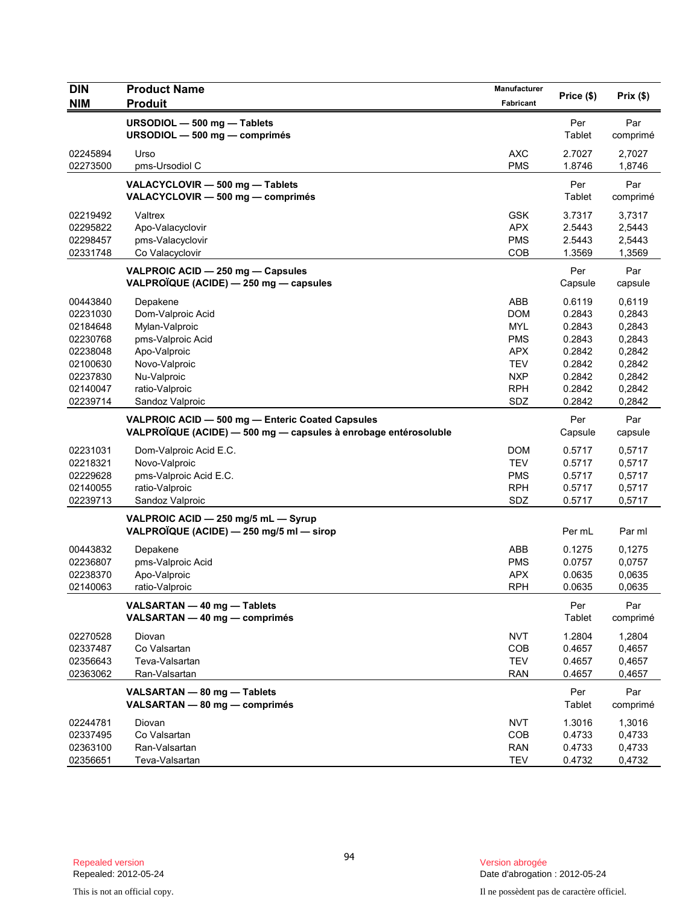| <b>DIN</b>                                                                                               | <b>Product Name</b>                                                                                                                                       | Manufacturer                                                                                                        |                                                                                        |                                                                                        |
|----------------------------------------------------------------------------------------------------------|-----------------------------------------------------------------------------------------------------------------------------------------------------------|---------------------------------------------------------------------------------------------------------------------|----------------------------------------------------------------------------------------|----------------------------------------------------------------------------------------|
| <b>NIM</b>                                                                                               | <b>Produit</b>                                                                                                                                            | Fabricant                                                                                                           | Price (\$)                                                                             | Prix(\$)                                                                               |
|                                                                                                          | URSODIOL - 500 mg - Tablets<br>URSODIOL - 500 mg - comprimés                                                                                              |                                                                                                                     | Per<br>Tablet                                                                          | Par<br>comprimé                                                                        |
| 02245894<br>02273500                                                                                     | Urso<br>pms-Ursodiol C                                                                                                                                    | <b>AXC</b><br><b>PMS</b>                                                                                            | 2.7027<br>1.8746                                                                       | 2,7027<br>1,8746                                                                       |
|                                                                                                          | VALACYCLOVIR - 500 mg - Tablets<br>VALACYCLOVIR - 500 mg - comprimés                                                                                      |                                                                                                                     | Per<br>Tablet                                                                          | Par<br>comprimé                                                                        |
| 02219492<br>02295822<br>02298457<br>02331748                                                             | Valtrex<br>Apo-Valacyclovir<br>pms-Valacyclovir<br>Co Valacyclovir                                                                                        | <b>GSK</b><br><b>APX</b><br><b>PMS</b><br>COB                                                                       | 3.7317<br>2.5443<br>2.5443<br>1.3569                                                   | 3,7317<br>2,5443<br>2,5443<br>1,3569                                                   |
|                                                                                                          | VALPROIC ACID - 250 mg - Capsules<br>VALPROÏQUE (ACIDE) - 250 mg - capsules                                                                               |                                                                                                                     | Per<br>Capsule                                                                         | Par<br>capsule                                                                         |
| 00443840<br>02231030<br>02184648<br>02230768<br>02238048<br>02100630<br>02237830<br>02140047<br>02239714 | Depakene<br>Dom-Valproic Acid<br>Mylan-Valproic<br>pms-Valproic Acid<br>Apo-Valproic<br>Novo-Valproic<br>Nu-Valproic<br>ratio-Valproic<br>Sandoz Valproic | <b>ABB</b><br><b>DOM</b><br><b>MYL</b><br><b>PMS</b><br><b>APX</b><br><b>TEV</b><br><b>NXP</b><br><b>RPH</b><br>SDZ | 0.6119<br>0.2843<br>0.2843<br>0.2843<br>0.2842<br>0.2842<br>0.2842<br>0.2842<br>0.2842 | 0,6119<br>0,2843<br>0,2843<br>0,2843<br>0,2842<br>0,2842<br>0,2842<br>0,2842<br>0,2842 |
|                                                                                                          | VALPROIC ACID - 500 mg - Enteric Coated Capsules<br>VALPROÏQUE (ACIDE) - 500 mg - capsules à enrobage entérosoluble                                       |                                                                                                                     | Per<br>Capsule                                                                         | Par<br>capsule                                                                         |
| 02231031<br>02218321<br>02229628<br>02140055<br>02239713                                                 | Dom-Valproic Acid E.C.<br>Novo-Valproic<br>pms-Valproic Acid E.C.<br>ratio-Valproic<br>Sandoz Valproic                                                    | <b>DOM</b><br><b>TEV</b><br><b>PMS</b><br><b>RPH</b><br>SDZ                                                         | 0.5717<br>0.5717<br>0.5717<br>0.5717<br>0.5717                                         | 0,5717<br>0,5717<br>0,5717<br>0,5717<br>0,5717                                         |
|                                                                                                          | VALPROIC ACID - 250 mg/5 mL - Syrup<br>VALPROÏQUE (ACIDE) — 250 mg/5 ml — sirop                                                                           |                                                                                                                     | Per mL                                                                                 | Par ml                                                                                 |
| 00443832<br>02236807<br>02238370<br>02140063                                                             | Depakene<br>pms-Valproic Acid<br>Apo-Valproic<br>ratio-Valproic                                                                                           | <b>ABB</b><br><b>PMS</b><br><b>APX</b><br>RPH                                                                       | 0.1275<br>0.0757<br>0.0635<br>0.0635                                                   | 0,1275<br>0,0757<br>0,0635<br>0,0635                                                   |
|                                                                                                          | VALSARTAN - 40 mg - Tablets<br>VALSARTAN - 40 mg - comprimés                                                                                              |                                                                                                                     | Per<br>Tablet                                                                          | Par<br>comprimé                                                                        |
| 02270528<br>02337487<br>02356643<br>02363062                                                             | Diovan<br>Co Valsartan<br>Teva-Valsartan<br>Ran-Valsartan                                                                                                 | <b>NVT</b><br>COB<br><b>TEV</b><br><b>RAN</b>                                                                       | 1.2804<br>0.4657<br>0.4657<br>0.4657                                                   | 1,2804<br>0,4657<br>0,4657<br>0,4657                                                   |
|                                                                                                          | VALSARTAN - 80 mg - Tablets<br>VALSARTAN - 80 mg - comprimés                                                                                              |                                                                                                                     | Per<br>Tablet                                                                          | Par<br>comprimé                                                                        |
| 02244781<br>02337495<br>02363100<br>02356651                                                             | Diovan<br>Co Valsartan<br>Ran-Valsartan<br>Teva-Valsartan                                                                                                 | <b>NVT</b><br><b>COB</b><br><b>RAN</b><br><b>TEV</b>                                                                | 1.3016<br>0.4733<br>0.4733<br>0.4732                                                   | 1,3016<br>0,4733<br>0,4733<br>0,4732                                                   |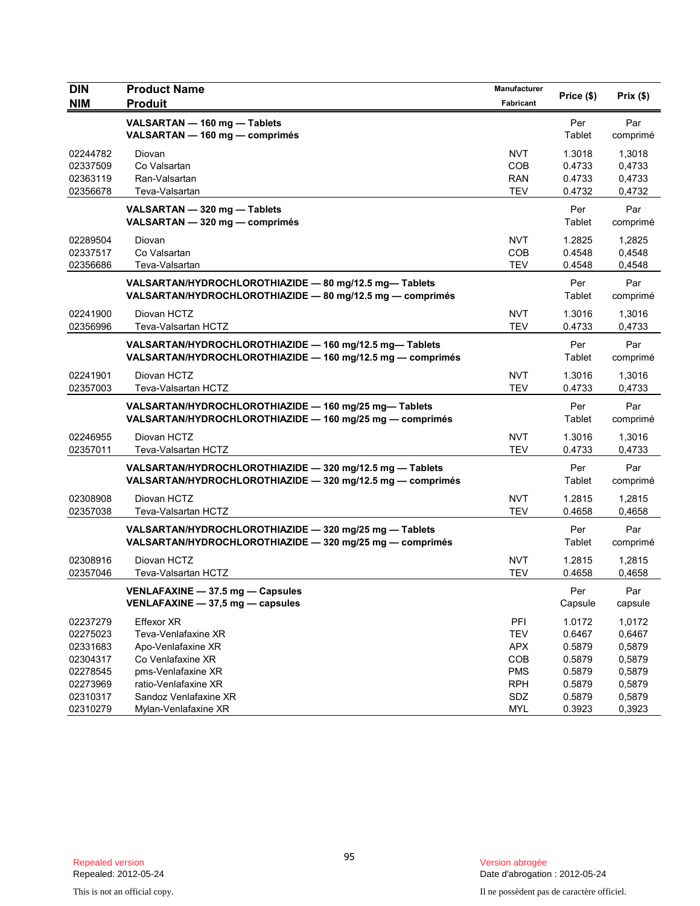| <b>DIN</b><br><b>NIM</b> | <b>Product Name</b><br><b>Produit</b>                                                                                  | Manufacturer<br>Fabricant | Price (\$)     | Prix(\$)        |
|--------------------------|------------------------------------------------------------------------------------------------------------------------|---------------------------|----------------|-----------------|
|                          | VALSARTAN - 160 mg - Tablets<br>VALSARTAN - 160 mg - comprimés                                                         |                           | Per<br>Tablet  | Par<br>comprimé |
| 02244782                 | Diovan                                                                                                                 | <b>NVT</b>                | 1.3018         | 1,3018          |
| 02337509                 | Co Valsartan                                                                                                           | COB                       | 0.4733         | 0,4733          |
| 02363119                 | Ran-Valsartan                                                                                                          | <b>RAN</b>                | 0.4733         | 0,4733          |
| 02356678                 | Teva-Valsartan                                                                                                         | <b>TEV</b>                | 0.4732         | 0,4732          |
|                          | VALSARTAN - 320 mg - Tablets<br>VALSARTAN - 320 mg - comprimés                                                         |                           | Per<br>Tablet  | Par<br>comprimé |
| 02289504                 | Diovan                                                                                                                 | <b>NVT</b>                | 1.2825         | 1,2825          |
| 02337517                 | Co Valsartan                                                                                                           | COB                       | 0.4548         | 0,4548          |
| 02356686                 | Teva-Valsartan                                                                                                         | <b>TEV</b>                | 0.4548         | 0,4548          |
|                          | VALSARTAN/HYDROCHLOROTHIAZIDE - 80 mg/12.5 mg-Tablets<br>VALSARTAN/HYDROCHLOROTHIAZIDE - 80 mg/12.5 mg - comprimés     |                           | Per<br>Tablet  | Par<br>comprimé |
| 02241900                 | Diovan HCTZ                                                                                                            | <b>NVT</b>                | 1.3016         | 1,3016          |
| 02356996                 | Teva-Valsartan HCTZ                                                                                                    | <b>TEV</b>                | 0.4733         | 0,4733          |
|                          | VALSARTAN/HYDROCHLOROTHIAZIDE - 160 mg/12.5 mg-Tablets<br>VALSARTAN/HYDROCHLOROTHIAZIDE - 160 mg/12.5 mg - comprimés   |                           | Per<br>Tablet  | Par<br>comprimé |
| 02241901                 | Diovan HCTZ                                                                                                            | <b>NVT</b>                | 1.3016         | 1,3016          |
| 02357003                 | Teva-Valsartan HCTZ                                                                                                    | <b>TEV</b>                | 0.4733         | 0,4733          |
|                          | VALSARTAN/HYDROCHLOROTHIAZIDE - 160 mg/25 mg-Tablets<br>VALSARTAN/HYDROCHLOROTHIAZIDE - 160 mg/25 mg - comprimés       |                           | Per<br>Tablet  | Par<br>comprimé |
| 02246955                 | Diovan HCTZ                                                                                                            | <b>NVT</b>                | 1.3016         | 1,3016          |
| 02357011                 | Teva-Valsartan HCTZ                                                                                                    | <b>TEV</b>                | 0.4733         | 0,4733          |
|                          | VALSARTAN/HYDROCHLOROTHIAZIDE - 320 mg/12.5 mg - Tablets<br>VALSARTAN/HYDROCHLOROTHIAZIDE - 320 mg/12.5 mg - comprimés |                           | Per<br>Tablet  | Par<br>comprimé |
| 02308908                 | Diovan HCTZ                                                                                                            | <b>NVT</b>                | 1.2815         | 1,2815          |
| 02357038                 | Teva-Valsartan HCTZ                                                                                                    | <b>TEV</b>                | 0.4658         | 0,4658          |
|                          | VALSARTAN/HYDROCHLOROTHIAZIDE - 320 mg/25 mg - Tablets<br>VALSARTAN/HYDROCHLOROTHIAZIDE - 320 mg/25 mg - comprimés     |                           | Per<br>Tablet  | Par<br>comprimé |
| 02308916                 | Diovan HCTZ                                                                                                            | <b>NVT</b>                | 1.2815         | 1,2815          |
| 02357046                 | Teva-Valsartan HCTZ                                                                                                    | <b>TEV</b>                | 0.4658         | 0,4658          |
|                          | VENLAFAXINE - 37.5 mg - Capsules<br>VENLAFAXINE - 37,5 mg - capsules                                                   |                           | Per<br>Capsule | Par<br>capsule  |
| 02237279                 | Effexor XR                                                                                                             | PFI                       | 1.0172         | 1,0172          |
| 02275023                 | Teva-Venlafaxine XR                                                                                                    | <b>TEV</b>                | 0.6467         | 0,6467          |
| 02331683                 | Apo-Venlafaxine XR                                                                                                     | <b>APX</b>                | 0.5879         | 0,5879          |
| 02304317                 | Co Venlafaxine XR                                                                                                      | COB                       | 0.5879         | 0,5879          |
| 02278545                 | pms-Venlafaxine XR                                                                                                     | <b>PMS</b>                | 0.5879         | 0,5879          |
| 02273969                 | ratio-Venlafaxine XR                                                                                                   | <b>RPH</b>                | 0.5879         | 0,5879          |
| 02310317                 | Sandoz Venlafaxine XR                                                                                                  | SDZ                       | 0.5879         | 0,5879          |
| 02310279                 | Mylan-Venlafaxine XR                                                                                                   | <b>MYL</b>                | 0.3923         | 0,3923          |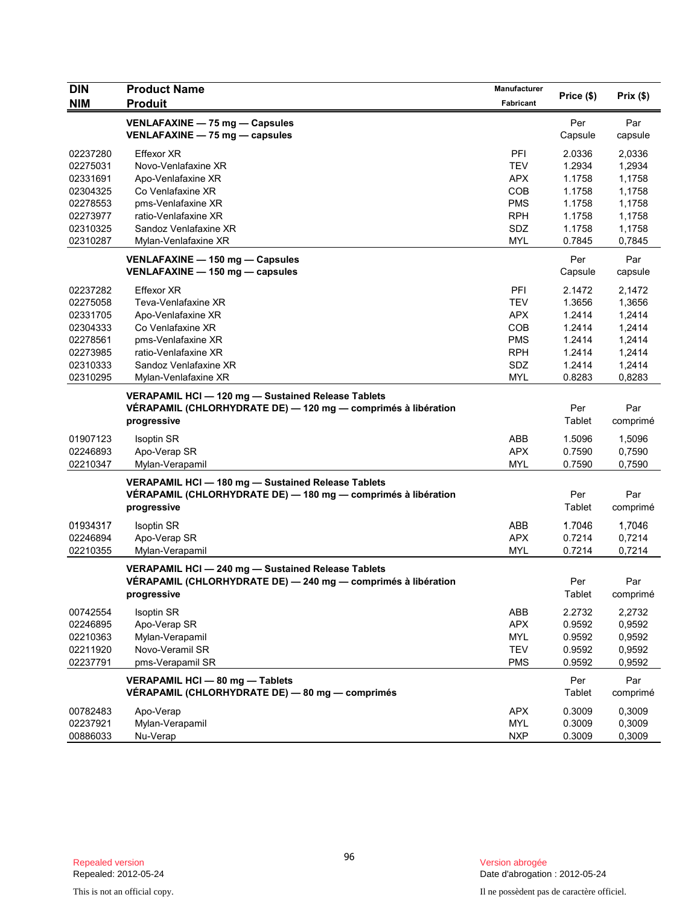| <b>DIN</b> | <b>Product Name</b>                                                                                                                | Manufacturer |                      |                 |
|------------|------------------------------------------------------------------------------------------------------------------------------------|--------------|----------------------|-----------------|
| <b>NIM</b> | <b>Produit</b>                                                                                                                     | Fabricant    | Price (\$)           | Prix(\$)        |
|            | VENLAFAXINE - 75 mg - Capsules<br>VENLAFAXINE - 75 mg - capsules                                                                   |              | Per<br>Capsule       | Par<br>capsule  |
| 02237280   | Effexor XR                                                                                                                         | PFI          | 2.0336               | 2,0336          |
| 02275031   | Novo-Venlafaxine XR                                                                                                                | <b>TEV</b>   | 1.2934               | 1,2934          |
| 02331691   | Apo-Venlafaxine XR                                                                                                                 | <b>APX</b>   | 1.1758               | 1,1758          |
| 02304325   | Co Venlafaxine XR                                                                                                                  | <b>COB</b>   | 1.1758               | 1,1758          |
| 02278553   | pms-Venlafaxine XR                                                                                                                 | <b>PMS</b>   | 1.1758               | 1,1758          |
| 02273977   | ratio-Venlafaxine XR                                                                                                               | <b>RPH</b>   | 1.1758               | 1,1758          |
| 02310325   | Sandoz Venlafaxine XR                                                                                                              | SDZ          | 1.1758               | 1,1758          |
| 02310287   | Mylan-Venlafaxine XR                                                                                                               | <b>MYL</b>   | 0.7845               | 0,7845          |
|            | VENLAFAXINE - 150 mg - Capsules<br>VENLAFAXINE - 150 mg - capsules                                                                 |              | Per<br>Capsule       | Par<br>capsule  |
| 02237282   | <b>Effexor XR</b>                                                                                                                  | PFI          | 2.1472               | 2,1472          |
| 02275058   | Teva-Venlafaxine XR                                                                                                                | <b>TEV</b>   | 1.3656               | 1,3656          |
| 02331705   | Apo-Venlafaxine XR                                                                                                                 | <b>APX</b>   | 1.2414               | 1,2414          |
| 02304333   | Co Venlafaxine XR                                                                                                                  | <b>COB</b>   | 1.2414               | 1,2414          |
| 02278561   | pms-Venlafaxine XR                                                                                                                 | <b>PMS</b>   | 1.2414               | 1,2414          |
| 02273985   | ratio-Venlafaxine XR                                                                                                               | <b>RPH</b>   | 1.2414               | 1,2414          |
| 02310333   | Sandoz Venlafaxine XR                                                                                                              | SDZ          | 1.2414               | 1,2414          |
| 02310295   | Mylan-Venlafaxine XR                                                                                                               | <b>MYL</b>   | 0.8283               | 0,8283          |
|            | VERAPAMIL HCI - 120 mg - Sustained Release Tablets<br>VÉRAPAMIL (CHLORHYDRATE DE) — 120 mg — comprimés à libération<br>progressive |              | Per<br>Tablet        | Par<br>comprimé |
| 01907123   | <b>Isoptin SR</b>                                                                                                                  | ABB          | 1.5096               | 1,5096          |
| 02246893   | Apo-Verap SR                                                                                                                       | <b>APX</b>   | 0.7590               | 0,7590          |
| 02210347   | Mylan-Verapamil                                                                                                                    | <b>MYL</b>   | 0.7590               | 0,7590          |
|            | VERAPAMIL HCI - 180 mg - Sustained Release Tablets<br>VÉRAPAMIL (CHLORHYDRATE DE) — 180 mg — comprimés à libération<br>progressive |              | Per<br>Tablet        | Par<br>comprimé |
| 01934317   | Isoptin SR                                                                                                                         | ABB          | 1.7046               | 1,7046          |
| 02246894   | Apo-Verap SR                                                                                                                       | <b>APX</b>   | 0.7214               | 0,7214          |
| 02210355   | Mylan-Verapamil                                                                                                                    | <b>MYL</b>   | 0.7214               | 0,7214          |
|            | VERAPAMIL HCI-240 mg-Sustained Release Tablets<br>VÉRAPAMIL (CHLORHYDRATE DE) — 240 mg — comprimés à libération<br>progressive     |              | Per<br><b>Tablet</b> | Par<br>comprimé |
| 00742554   | <b>Isoptin SR</b>                                                                                                                  | ABB          | 2.2732               | 2,2732          |
| 02246895   | Apo-Verap SR                                                                                                                       | <b>APX</b>   | 0.9592               | 0,9592          |
| 02210363   | Mylan-Verapamil                                                                                                                    | <b>MYL</b>   | 0.9592               | 0,9592          |
| 02211920   | Novo-Veramil SR                                                                                                                    | <b>TEV</b>   | 0.9592               | 0,9592          |
| 02237791   | pms-Verapamil SR                                                                                                                   | <b>PMS</b>   | 0.9592               | 0,9592          |
|            | VERAPAMIL HCI - 80 mg - Tablets<br>VÉRAPAMIL (CHLORHYDRATE DE) - 80 mg - comprimés                                                 |              | Per<br>Tablet        | Par<br>comprimé |
| 00782483   | Apo-Verap                                                                                                                          | <b>APX</b>   | 0.3009               | 0,3009          |
| 02237921   | Mylan-Verapamil                                                                                                                    | <b>MYL</b>   | 0.3009               | 0,3009          |
| 00886033   | Nu-Verap                                                                                                                           | <b>NXP</b>   | 0.3009               | 0,3009          |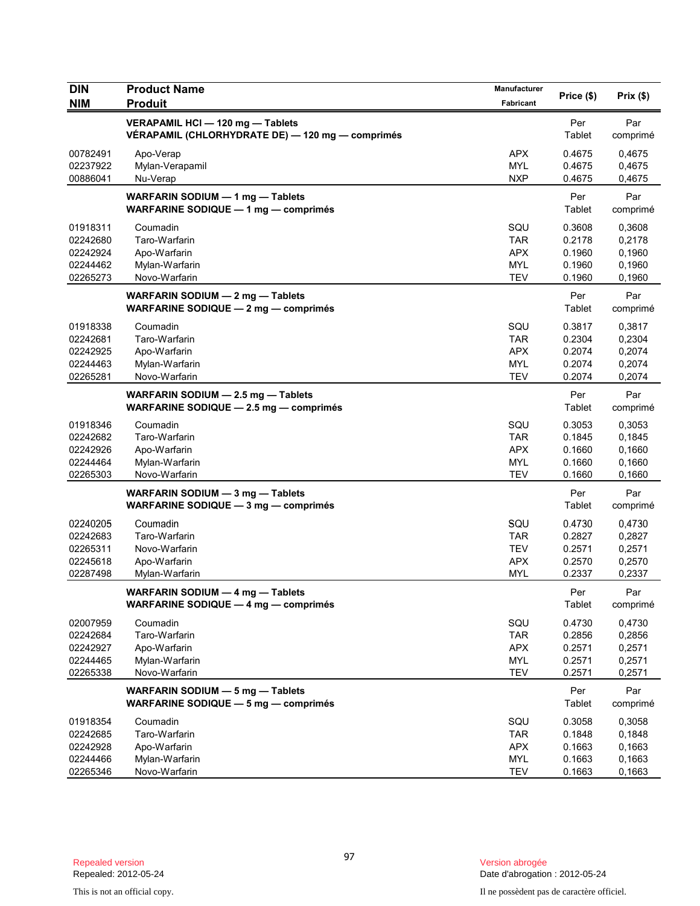| <b>DIN</b>           | <b>Product Name</b>                                                                  | <b>Manufacturer</b>      | Price (\$)       | Prix(\$)         |
|----------------------|--------------------------------------------------------------------------------------|--------------------------|------------------|------------------|
| <b>NIM</b>           | <b>Produit</b>                                                                       | Fabricant                |                  |                  |
|                      | VERAPAMIL HCI - 120 mg - Tablets<br>VÉRAPAMIL (CHLORHYDRATE DE) - 120 mg - comprimés |                          | Per<br>Tablet    | Par<br>comprimé  |
| 00782491             | Apo-Verap                                                                            | <b>APX</b>               | 0.4675           | 0,4675           |
| 02237922<br>00886041 | Mylan-Verapamil<br>Nu-Verap                                                          | <b>MYL</b><br><b>NXP</b> | 0.4675<br>0.4675 | 0,4675<br>0,4675 |
|                      | WARFARIN SODIUM - 1 mg - Tablets                                                     |                          | Per              | Par              |
|                      | WARFARINE SODIQUE - 1 mg - comprimés                                                 |                          | Tablet           | comprimé         |
| 01918311             | Coumadin                                                                             | SQU                      | 0.3608           | 0,3608           |
| 02242680             | Taro-Warfarin                                                                        | <b>TAR</b>               | 0.2178           | 0,2178           |
| 02242924             | Apo-Warfarin                                                                         | <b>APX</b>               | 0.1960           | 0,1960           |
| 02244462<br>02265273 | Mylan-Warfarin<br>Novo-Warfarin                                                      | <b>MYL</b><br><b>TEV</b> | 0.1960<br>0.1960 | 0,1960<br>0,1960 |
|                      | WARFARIN SODIUM - 2 mg - Tablets                                                     |                          | Per              | Par              |
|                      | WARFARINE SODIQUE - 2 mg - comprimés                                                 |                          | Tablet           | comprimé         |
| 01918338             | Coumadin                                                                             | SQU                      | 0.3817           | 0,3817           |
| 02242681             | Taro-Warfarin                                                                        | <b>TAR</b>               | 0.2304           | 0,2304           |
| 02242925             | Apo-Warfarin                                                                         | <b>APX</b>               | 0.2074           | 0,2074           |
| 02244463<br>02265281 | Mylan-Warfarin<br>Novo-Warfarin                                                      | MYL                      | 0.2074           | 0,2074           |
|                      |                                                                                      | <b>TEV</b>               | 0.2074           | 0,2074           |
|                      | WARFARIN SODIUM - 2.5 mg - Tablets<br>WARFARINE SODIQUE - 2.5 mg - comprimés         |                          | Per<br>Tablet    | Par<br>comprimé  |
| 01918346             | Coumadin                                                                             | SQU                      | 0.3053           | 0,3053           |
| 02242682             | Taro-Warfarin                                                                        | <b>TAR</b>               | 0.1845           | 0,1845           |
| 02242926             | Apo-Warfarin                                                                         | <b>APX</b>               | 0.1660           | 0,1660           |
| 02244464             | Mylan-Warfarin                                                                       | <b>MYL</b>               | 0.1660           | 0,1660           |
| 02265303             | Novo-Warfarin                                                                        | <b>TEV</b>               | 0.1660           | 0,1660           |
|                      | WARFARIN SODIUM - 3 mg - Tablets                                                     |                          | Per              | Par              |
|                      | WARFARINE SODIQUE - 3 mg - comprimés                                                 |                          | Tablet           | comprimé         |
| 02240205             | Coumadin                                                                             | SQU                      | 0.4730           | 0,4730           |
| 02242683             | Taro-Warfarin                                                                        | <b>TAR</b>               | 0.2827           | 0,2827           |
| 02265311             | Novo-Warfarin                                                                        | <b>TEV</b>               | 0.2571           | 0,2571           |
| 02245618             | Apo-Warfarin                                                                         | <b>APX</b>               | 0.2570           | 0,2570           |
| 02287498             | Mylan-Warfarin                                                                       | <b>MYL</b>               | 0.2337           | 0,2337           |
|                      | WARFARIN SODIUM - 4 mg - Tablets<br>WARFARINE SODIQUE $-$ 4 mg $-$ comprimes         |                          | Per<br>Tablet    | Par<br>comprimé  |
| 02007959             | Coumadin                                                                             | SQU                      | 0.4730           | 0,4730           |
| 02242684             | Taro-Warfarin                                                                        | <b>TAR</b>               | 0.2856           | 0,2856           |
| 02242927             | Apo-Warfarin                                                                         | <b>APX</b>               | 0.2571           | 0,2571           |
| 02244465             | Mylan-Warfarin                                                                       | <b>MYL</b>               | 0.2571           | 0,2571           |
| 02265338             | Novo-Warfarin                                                                        | <b>TEV</b>               | 0.2571           | 0,2571           |
|                      | WARFARIN SODIUM - 5 mg - Tablets                                                     |                          | Per              | Par              |
|                      | WARFARINE SODIQUE - 5 mg - comprimés                                                 |                          | Tablet           | comprimé         |
| 01918354             | Coumadin                                                                             | SQU                      | 0.3058           | 0,3058           |
| 02242685             | Taro-Warfarin                                                                        | <b>TAR</b>               | 0.1848           | 0,1848           |
| 02242928             | Apo-Warfarin                                                                         | <b>APX</b>               | 0.1663           | 0,1663           |
| 02244466             | Mylan-Warfarin                                                                       | MYL                      | 0.1663           | 0,1663           |
| 02265346             | Novo-Warfarin                                                                        | <b>TEV</b>               | 0.1663           | 0,1663           |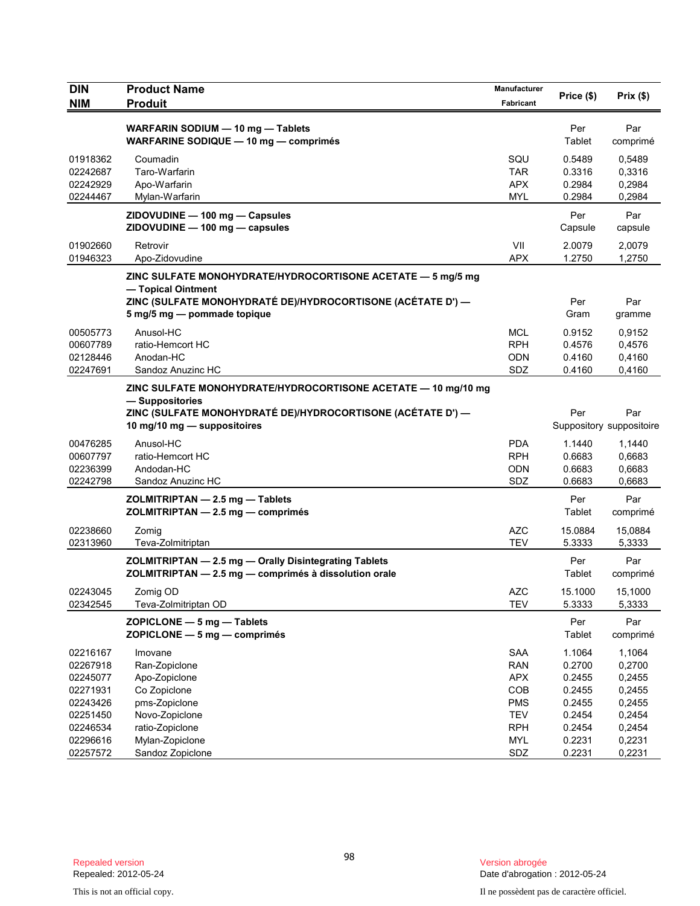| <b>DIN</b><br><b>NIM</b>                     | <b>Product Name</b><br><b>Produit</b>                                                                                                            | Manufacturer<br>Fabricant                     | Price (\$)                           | Prix(\$)                             |
|----------------------------------------------|--------------------------------------------------------------------------------------------------------------------------------------------------|-----------------------------------------------|--------------------------------------|--------------------------------------|
|                                              | WARFARIN SODIUM - 10 mg - Tablets<br>WARFARINE SODIQUE - 10 mg - comprimés                                                                       |                                               | Per<br>Tablet                        | Par<br>comprimé                      |
| 01918362<br>02242687<br>02242929<br>02244467 | Coumadin<br>Taro-Warfarin<br>Apo-Warfarin<br>Mylan-Warfarin                                                                                      | SQU<br><b>TAR</b><br><b>APX</b><br><b>MYL</b> | 0.5489<br>0.3316<br>0.2984<br>0.2984 | 0,5489<br>0,3316<br>0,2984<br>0,2984 |
|                                              | ZIDOVUDINE - 100 mg - Capsules<br>ZIDOVUDINE - 100 mg - capsules                                                                                 |                                               | Per<br>Capsule                       | Par<br>capsule                       |
| 01902660<br>01946323                         | Retrovir<br>Apo-Zidovudine                                                                                                                       | VII<br><b>APX</b>                             | 2.0079<br>1.2750                     | 2,0079<br>1,2750                     |
|                                              | ZINC SULFATE MONOHYDRATE/HYDROCORTISONE ACETATE — 5 mg/5 mg<br>- Topical Ointment<br>ZINC (SULFATE MONOHYDRATÉ DE)/HYDROCORTISONE (ACÉTATE D') — |                                               | Per                                  | Par                                  |
|                                              | 5 mg/5 mg - pommade topique                                                                                                                      |                                               | Gram                                 | gramme                               |
| 00505773<br>00607789<br>02128446<br>02247691 | Anusol-HC<br>ratio-Hemcort HC<br>Anodan-HC<br>Sandoz Anuzinc HC                                                                                  | <b>MCL</b><br><b>RPH</b><br><b>ODN</b><br>SDZ | 0.9152<br>0.4576<br>0.4160<br>0.4160 | 0,9152<br>0,4576<br>0,4160<br>0,4160 |
|                                              | ZINC SULFATE MONOHYDRATE/HYDROCORTISONE ACETATE - 10 mg/10 mg<br>- Suppositories                                                                 |                                               |                                      |                                      |
|                                              | ZINC (SULFATE MONOHYDRATÉ DE)/HYDROCORTISONE (ACÉTATE D') —<br>10 mg/10 mg - suppositoires                                                       |                                               | Per                                  | Par<br>Suppository suppositoire      |
| 00476285<br>00607797<br>02236399<br>02242798 | Anusol-HC<br>ratio-Hemcort HC<br>Andodan-HC<br>Sandoz Anuzinc HC                                                                                 | <b>PDA</b><br><b>RPH</b><br>ODN<br>SDZ        | 1.1440<br>0.6683<br>0.6683<br>0.6683 | 1,1440<br>0,6683<br>0,6683<br>0,6683 |
|                                              | ZOLMITRIPTAN - 2.5 mg - Tablets<br>ZOLMITRIPTAN - 2.5 mg - comprimés                                                                             |                                               | Per<br>Tablet                        | Par<br>comprimé                      |
| 02238660<br>02313960                         | Zomig<br>Teva-Zolmitriptan                                                                                                                       | <b>AZC</b><br><b>TEV</b>                      | 15.0884<br>5.3333                    | 15,0884<br>5,3333                    |
|                                              | ZOLMITRIPTAN - 2.5 mg - Orally Disintegrating Tablets<br>ZOLMITRIPTAN - 2.5 mg - comprimés à dissolution orale                                   |                                               | Per<br>Tablet                        | Par<br>comprimé                      |
| 02243045<br>02342545                         | Zomig OD<br>Teva-Zolmitriptan OD                                                                                                                 | <b>AZC</b><br><b>TEV</b>                      | 15.1000<br>5.3333                    | 15,1000<br>5,3333                    |
|                                              | ZOPICLONE - 5 mg - Tablets<br>$ZOPICLONE - 5 mg - comprimés$                                                                                     |                                               | Per<br>Tablet                        | Par<br>comprimé                      |
| 02216167<br>02267918<br>02245077             | Imovane<br>Ran-Zopiclone<br>Apo-Zopiclone                                                                                                        | <b>SAA</b><br><b>RAN</b><br><b>APX</b>        | 1.1064<br>0.2700<br>0.2455           | 1,1064<br>0,2700<br>0,2455           |
| 02271931<br>02243426<br>02251450             | Co Zopiclone<br>pms-Zopiclone<br>Novo-Zopiclone                                                                                                  | COB<br><b>PMS</b><br><b>TEV</b>               | 0.2455<br>0.2455<br>0.2454           | 0,2455<br>0,2455<br>0,2454           |
| 02246534<br>02296616<br>02257572             | ratio-Zopiclone<br>Mylan-Zopiclone<br>Sandoz Zopiclone                                                                                           | <b>RPH</b><br><b>MYL</b><br>SDZ               | 0.2454<br>0.2231<br>0.2231           | 0,2454<br>0,2231<br>0,2231           |